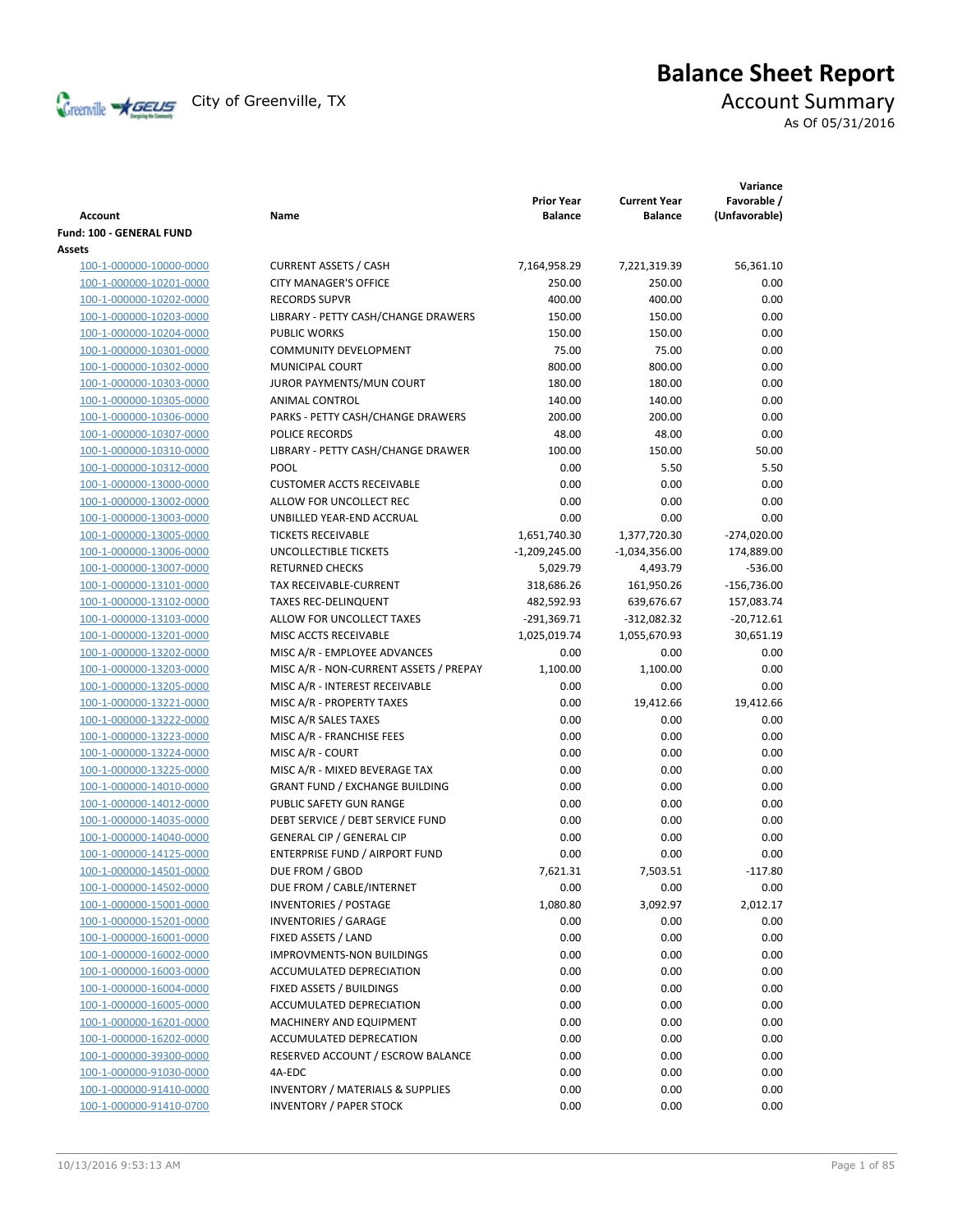

# **Balance Sheet Report**

As Of 05/31/2016

| Account                  | Name                                        | <b>Prior Year</b><br><b>Balance</b> | <b>Current Year</b><br><b>Balance</b> | Variance<br>Favorable /<br>(Unfavorable) |
|--------------------------|---------------------------------------------|-------------------------------------|---------------------------------------|------------------------------------------|
| Fund: 100 - GENERAL FUND |                                             |                                     |                                       |                                          |
| Assets                   |                                             |                                     |                                       |                                          |
| 100-1-000000-10000-0000  | <b>CURRENT ASSETS / CASH</b>                | 7,164,958.29                        | 7,221,319.39                          | 56,361.10                                |
| 100-1-000000-10201-0000  | <b>CITY MANAGER'S OFFICE</b>                | 250.00                              | 250.00                                | 0.00                                     |
| 100-1-000000-10202-0000  | <b>RECORDS SUPVR</b>                        | 400.00                              | 400.00                                | 0.00                                     |
| 100-1-000000-10203-0000  | LIBRARY - PETTY CASH/CHANGE DRAWERS         | 150.00                              | 150.00                                | 0.00                                     |
| 100-1-000000-10204-0000  | <b>PUBLIC WORKS</b>                         | 150.00                              | 150.00                                | 0.00                                     |
| 100-1-000000-10301-0000  | <b>COMMUNITY DEVELOPMENT</b>                | 75.00                               | 75.00                                 | 0.00                                     |
| 100-1-000000-10302-0000  | <b>MUNICIPAL COURT</b>                      | 800.00                              | 800.00                                | 0.00                                     |
| 100-1-000000-10303-0000  | JUROR PAYMENTS/MUN COURT                    | 180.00                              | 180.00                                | 0.00                                     |
| 100-1-000000-10305-0000  | ANIMAL CONTROL                              | 140.00                              | 140.00                                | 0.00                                     |
| 100-1-000000-10306-0000  | PARKS - PETTY CASH/CHANGE DRAWERS           | 200.00                              | 200.00                                | 0.00                                     |
| 100-1-000000-10307-0000  | POLICE RECORDS                              | 48.00                               | 48.00                                 | 0.00                                     |
| 100-1-000000-10310-0000  | LIBRARY - PETTY CASH/CHANGE DRAWER          | 100.00                              | 150.00                                | 50.00                                    |
| 100-1-000000-10312-0000  | POOL                                        | 0.00                                | 5.50                                  | 5.50                                     |
| 100-1-000000-13000-0000  | <b>CUSTOMER ACCTS RECEIVABLE</b>            | 0.00                                | 0.00                                  | 0.00                                     |
| 100-1-000000-13002-0000  | ALLOW FOR UNCOLLECT REC                     | 0.00                                | 0.00                                  | 0.00                                     |
| 100-1-000000-13003-0000  | UNBILLED YEAR-END ACCRUAL                   | 0.00                                | 0.00                                  | 0.00                                     |
| 100-1-000000-13005-0000  | <b>TICKETS RECEIVABLE</b>                   | 1,651,740.30                        | 1,377,720.30                          | $-274,020.00$                            |
| 100-1-000000-13006-0000  | UNCOLLECTIBLE TICKETS                       | $-1,209,245.00$                     | $-1,034,356.00$                       | 174,889.00                               |
| 100-1-000000-13007-0000  | <b>RETURNED CHECKS</b>                      | 5,029.79                            | 4,493.79                              | $-536.00$                                |
| 100-1-000000-13101-0000  | TAX RECEIVABLE-CURRENT                      | 318,686.26                          | 161,950.26                            | $-156,736.00$                            |
| 100-1-000000-13102-0000  | <b>TAXES REC-DELINQUENT</b>                 | 482,592.93                          | 639,676.67                            | 157,083.74                               |
| 100-1-000000-13103-0000  | ALLOW FOR UNCOLLECT TAXES                   | $-291,369.71$                       | $-312,082.32$                         | $-20,712.61$                             |
| 100-1-000000-13201-0000  | MISC ACCTS RECEIVABLE                       | 1,025,019.74                        | 1,055,670.93                          | 30,651.19                                |
| 100-1-000000-13202-0000  | MISC A/R - EMPLOYEE ADVANCES                | 0.00                                | 0.00                                  | 0.00                                     |
| 100-1-000000-13203-0000  | MISC A/R - NON-CURRENT ASSETS / PREPAY      | 1,100.00                            | 1,100.00                              | 0.00                                     |
| 100-1-000000-13205-0000  | MISC A/R - INTEREST RECEIVABLE              | 0.00                                | 0.00                                  | 0.00                                     |
| 100-1-000000-13221-0000  | MISC A/R - PROPERTY TAXES                   | 0.00                                | 19,412.66                             | 19,412.66                                |
| 100-1-000000-13222-0000  | MISC A/R SALES TAXES                        | 0.00                                | 0.00                                  | 0.00                                     |
| 100-1-000000-13223-0000  | MISC A/R - FRANCHISE FEES                   | 0.00                                | 0.00                                  | 0.00                                     |
| 100-1-000000-13224-0000  | MISC A/R - COURT                            | 0.00                                | 0.00                                  | 0.00                                     |
| 100-1-000000-13225-0000  | MISC A/R - MIXED BEVERAGE TAX               | 0.00                                | 0.00                                  | 0.00                                     |
| 100-1-000000-14010-0000  | <b>GRANT FUND / EXCHANGE BUILDING</b>       | 0.00                                | 0.00                                  | 0.00                                     |
| 100-1-000000-14012-0000  | PUBLIC SAFETY GUN RANGE                     | 0.00                                | 0.00                                  | 0.00                                     |
| 100-1-000000-14035-0000  | DEBT SERVICE / DEBT SERVICE FUND            | 0.00                                | 0.00                                  | 0.00                                     |
| 100-1-000000-14040-0000  | <b>GENERAL CIP / GENERAL CIP</b>            | 0.00                                | 0.00                                  | 0.00                                     |
| 100-1-000000-14125-0000  | ENTERPRISE FUND / AIRPORT FUND              | 0.00                                | 0.00                                  | 0.00                                     |
| 100-1-000000-14501-0000  | DUE FROM / GBOD                             | 7,621.31                            | 7,503.51                              | $-117.80$                                |
| 100-1-000000-14502-0000  | DUE FROM / CABLE/INTERNET                   | 0.00                                | 0.00                                  | 0.00                                     |
| 100-1-000000-15001-0000  | <b>INVENTORIES / POSTAGE</b>                | 1,080.80                            | 3,092.97                              | 2,012.17                                 |
| 100-1-000000-15201-0000  | <b>INVENTORIES / GARAGE</b>                 | 0.00                                | 0.00                                  | 0.00                                     |
| 100-1-000000-16001-0000  | FIXED ASSETS / LAND                         | 0.00                                | 0.00                                  | 0.00                                     |
| 100-1-000000-16002-0000  | <b>IMPROVMENTS-NON BUILDINGS</b>            | 0.00                                | 0.00                                  | 0.00                                     |
| 100-1-000000-16003-0000  | ACCUMULATED DEPRECIATION                    | 0.00                                | 0.00                                  | 0.00                                     |
| 100-1-000000-16004-0000  | FIXED ASSETS / BUILDINGS                    | 0.00                                | 0.00                                  | 0.00                                     |
| 100-1-000000-16005-0000  | ACCUMULATED DEPRECIATION                    | 0.00                                | 0.00                                  | 0.00                                     |
| 100-1-000000-16201-0000  | MACHINERY AND EQUIPMENT                     | 0.00                                | 0.00                                  | 0.00                                     |
| 100-1-000000-16202-0000  | ACCUMULATED DEPRECATION                     | 0.00                                | 0.00                                  | 0.00                                     |
| 100-1-000000-39300-0000  | RESERVED ACCOUNT / ESCROW BALANCE           | 0.00                                | 0.00                                  | 0.00                                     |
| 100-1-000000-91030-0000  | 4A-EDC                                      | 0.00                                | 0.00                                  | 0.00                                     |
| 100-1-000000-91410-0000  | <b>INVENTORY / MATERIALS &amp; SUPPLIES</b> | 0.00                                | 0.00                                  | 0.00                                     |
| 100-1-000000-91410-0700  | <b>INVENTORY / PAPER STOCK</b>              | 0.00                                | 0.00                                  | 0.00                                     |
|                          |                                             |                                     |                                       |                                          |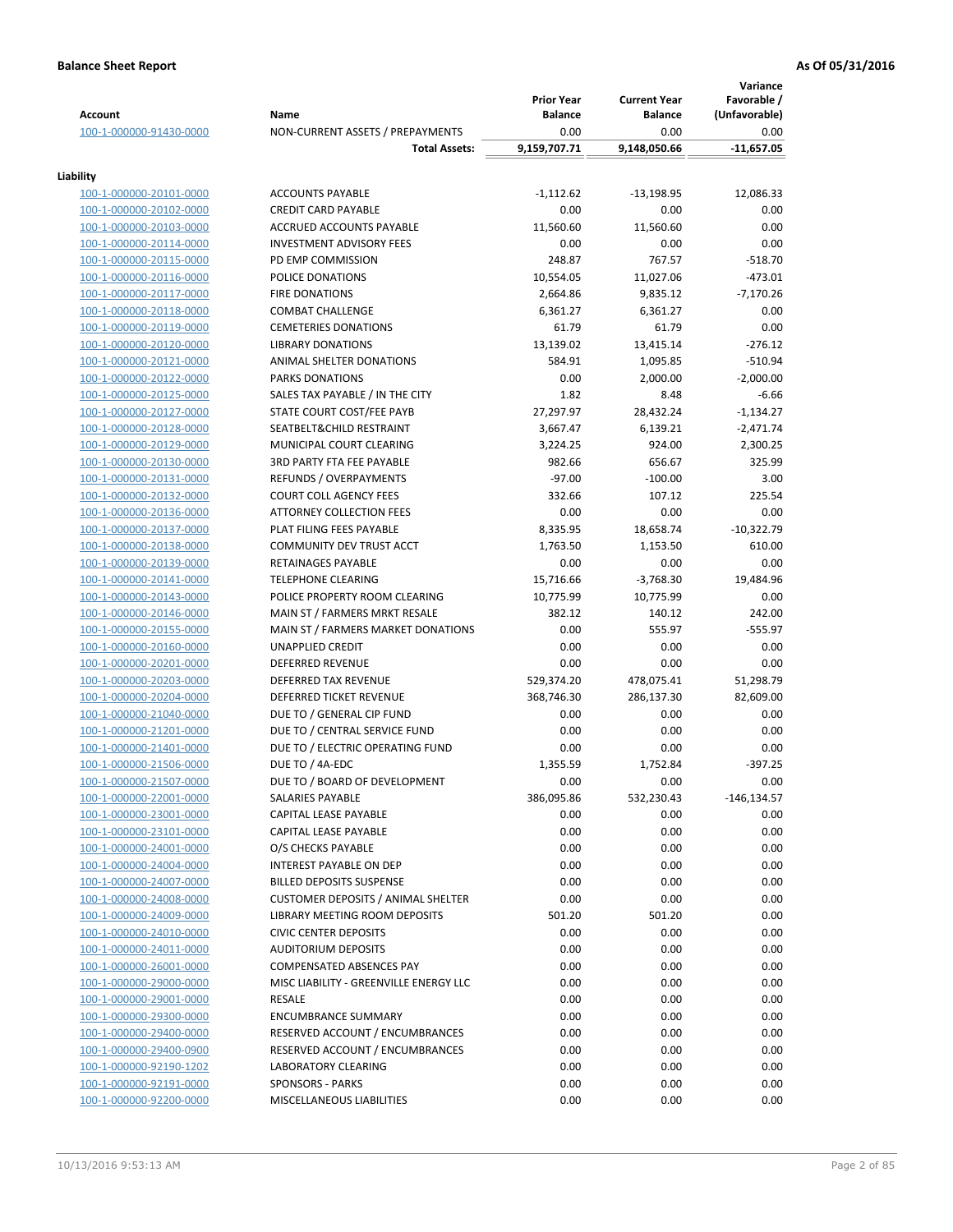|                         |                                           |                                     |                                       | Variance                     |
|-------------------------|-------------------------------------------|-------------------------------------|---------------------------------------|------------------------------|
| <b>Account</b>          | Name                                      | <b>Prior Year</b><br><b>Balance</b> | <b>Current Year</b><br><b>Balance</b> | Favorable /<br>(Unfavorable) |
| 100-1-000000-91430-0000 | NON-CURRENT ASSETS / PREPAYMENTS          | 0.00                                | 0.00                                  | 0.00                         |
|                         | <b>Total Assets:</b>                      | 9,159,707.71                        | 9,148,050.66                          | $-11,657.05$                 |
| Liability               |                                           |                                     |                                       |                              |
| 100-1-000000-20101-0000 | <b>ACCOUNTS PAYABLE</b>                   | $-1,112.62$                         | $-13,198.95$                          | 12,086.33                    |
| 100-1-000000-20102-0000 | <b>CREDIT CARD PAYABLE</b>                | 0.00                                | 0.00                                  | 0.00                         |
| 100-1-000000-20103-0000 | ACCRUED ACCOUNTS PAYABLE                  | 11,560.60                           | 11,560.60                             | 0.00                         |
| 100-1-000000-20114-0000 | <b>INVESTMENT ADVISORY FEES</b>           | 0.00                                | 0.00                                  | 0.00                         |
| 100-1-000000-20115-0000 | PD EMP COMMISSION                         | 248.87                              | 767.57                                | $-518.70$                    |
| 100-1-000000-20116-0000 | POLICE DONATIONS                          | 10,554.05                           | 11,027.06                             | $-473.01$                    |
| 100-1-000000-20117-0000 | <b>FIRE DONATIONS</b>                     | 2,664.86                            | 9,835.12                              | $-7,170.26$                  |
| 100-1-000000-20118-0000 | <b>COMBAT CHALLENGE</b>                   | 6,361.27                            | 6,361.27                              | 0.00                         |
| 100-1-000000-20119-0000 | <b>CEMETERIES DONATIONS</b>               | 61.79                               | 61.79                                 | 0.00                         |
| 100-1-000000-20120-0000 | <b>LIBRARY DONATIONS</b>                  | 13,139.02                           | 13,415.14                             | $-276.12$                    |
| 100-1-000000-20121-0000 | ANIMAL SHELTER DONATIONS                  | 584.91                              | 1,095.85                              | $-510.94$                    |
| 100-1-000000-20122-0000 | PARKS DONATIONS                           | 0.00                                | 2,000.00                              | $-2,000.00$                  |
| 100-1-000000-20125-0000 | SALES TAX PAYABLE / IN THE CITY           | 1.82                                | 8.48                                  | $-6.66$                      |
| 100-1-000000-20127-0000 | STATE COURT COST/FEE PAYB                 | 27,297.97                           | 28,432.24                             | $-1,134.27$                  |
| 100-1-000000-20128-0000 | SEATBELT&CHILD RESTRAINT                  | 3,667.47                            | 6,139.21                              | $-2,471.74$                  |
| 100-1-000000-20129-0000 | MUNICIPAL COURT CLEARING                  | 3,224.25                            | 924.00                                | 2,300.25                     |
| 100-1-000000-20130-0000 | <b>3RD PARTY FTA FEE PAYABLE</b>          | 982.66                              | 656.67                                | 325.99                       |
| 100-1-000000-20131-0000 | REFUNDS / OVERPAYMENTS                    | $-97.00$                            | $-100.00$                             | 3.00                         |
| 100-1-000000-20132-0000 | <b>COURT COLL AGENCY FEES</b>             | 332.66                              | 107.12                                | 225.54                       |
| 100-1-000000-20136-0000 | <b>ATTORNEY COLLECTION FEES</b>           | 0.00                                | 0.00                                  | 0.00                         |
| 100-1-000000-20137-0000 | PLAT FILING FEES PAYABLE                  | 8,335.95                            | 18,658.74                             | $-10,322.79$                 |
| 100-1-000000-20138-0000 | COMMUNITY DEV TRUST ACCT                  | 1,763.50                            | 1,153.50                              | 610.00                       |
| 100-1-000000-20139-0000 | RETAINAGES PAYABLE                        | 0.00                                | 0.00                                  | 0.00                         |
| 100-1-000000-20141-0000 | <b>TELEPHONE CLEARING</b>                 | 15,716.66                           | $-3,768.30$                           | 19,484.96                    |
| 100-1-000000-20143-0000 | POLICE PROPERTY ROOM CLEARING             | 10,775.99                           | 10,775.99                             | 0.00                         |
| 100-1-000000-20146-0000 | MAIN ST / FARMERS MRKT RESALE             | 382.12                              | 140.12                                | 242.00                       |
| 100-1-000000-20155-0000 | MAIN ST / FARMERS MARKET DONATIONS        | 0.00                                | 555.97                                | $-555.97$                    |
| 100-1-000000-20160-0000 | <b>UNAPPLIED CREDIT</b>                   | 0.00                                | 0.00                                  | 0.00                         |
| 100-1-000000-20201-0000 | <b>DEFERRED REVENUE</b>                   | 0.00                                | 0.00                                  | 0.00                         |
| 100-1-000000-20203-0000 | <b>DEFERRED TAX REVENUE</b>               | 529,374.20                          | 478,075.41                            | 51,298.79                    |
| 100-1-000000-20204-0000 | DEFERRED TICKET REVENUE                   | 368,746.30                          | 286,137.30                            | 82,609.00                    |
| 100-1-000000-21040-0000 | DUE TO / GENERAL CIP FUND                 | 0.00                                | 0.00                                  | 0.00                         |
| 100-1-000000-21201-0000 | DUE TO / CENTRAL SERVICE FUND             | 0.00                                | 0.00                                  | 0.00                         |
| 100-1-000000-21401-0000 | DUE TO / ELECTRIC OPERATING FUND          | 0.00                                | 0.00                                  | 0.00                         |
| 100-1-000000-21506-0000 | DUE TO / 4A-EDC                           | 1,355.59                            | 1,752.84                              | $-397.25$                    |
| 100-1-000000-21507-0000 | DUE TO / BOARD OF DEVELOPMENT             | 0.00                                | 0.00                                  | 0.00                         |
| 100-1-000000-22001-0000 | SALARIES PAYABLE                          | 386,095.86                          | 532,230.43                            | -146,134.57                  |
| 100-1-000000-23001-0000 | CAPITAL LEASE PAYABLE                     | 0.00                                | 0.00                                  | 0.00                         |
| 100-1-000000-23101-0000 | CAPITAL LEASE PAYABLE                     | 0.00                                | 0.00                                  | 0.00                         |
| 100-1-000000-24001-0000 | O/S CHECKS PAYABLE                        | 0.00                                | 0.00                                  | 0.00                         |
| 100-1-000000-24004-0000 | <b>INTEREST PAYABLE ON DEP</b>            | 0.00                                | 0.00                                  | 0.00                         |
| 100-1-000000-24007-0000 | <b>BILLED DEPOSITS SUSPENSE</b>           | 0.00                                | 0.00                                  | 0.00                         |
| 100-1-000000-24008-0000 | <b>CUSTOMER DEPOSITS / ANIMAL SHELTER</b> | 0.00                                | 0.00                                  | 0.00                         |
| 100-1-000000-24009-0000 | LIBRARY MEETING ROOM DEPOSITS             | 501.20                              | 501.20                                | 0.00                         |
| 100-1-000000-24010-0000 | <b>CIVIC CENTER DEPOSITS</b>              | 0.00                                | 0.00                                  | 0.00                         |
| 100-1-000000-24011-0000 | <b>AUDITORIUM DEPOSITS</b>                | 0.00                                | 0.00                                  | 0.00                         |
| 100-1-000000-26001-0000 | <b>COMPENSATED ABSENCES PAY</b>           | 0.00                                | 0.00                                  | 0.00                         |
| 100-1-000000-29000-0000 | MISC LIABILITY - GREENVILLE ENERGY LLC    | 0.00                                | 0.00                                  | 0.00                         |
| 100-1-000000-29001-0000 | RESALE                                    | 0.00                                | 0.00                                  | 0.00                         |
| 100-1-000000-29300-0000 | <b>ENCUMBRANCE SUMMARY</b>                | 0.00                                | 0.00                                  | 0.00                         |
| 100-1-000000-29400-0000 | RESERVED ACCOUNT / ENCUMBRANCES           | 0.00                                | 0.00                                  | 0.00                         |
| 100-1-000000-29400-0900 | RESERVED ACCOUNT / ENCUMBRANCES           | 0.00                                | 0.00                                  | 0.00                         |
| 100-1-000000-92190-1202 | <b>LABORATORY CLEARING</b>                | 0.00                                | 0.00                                  | 0.00                         |
| 100-1-000000-92191-0000 | <b>SPONSORS - PARKS</b>                   | 0.00                                | 0.00                                  | 0.00                         |
| 100-1-000000-92200-0000 | MISCELLANEOUS LIABILITIES                 | 0.00                                | 0.00                                  | 0.00                         |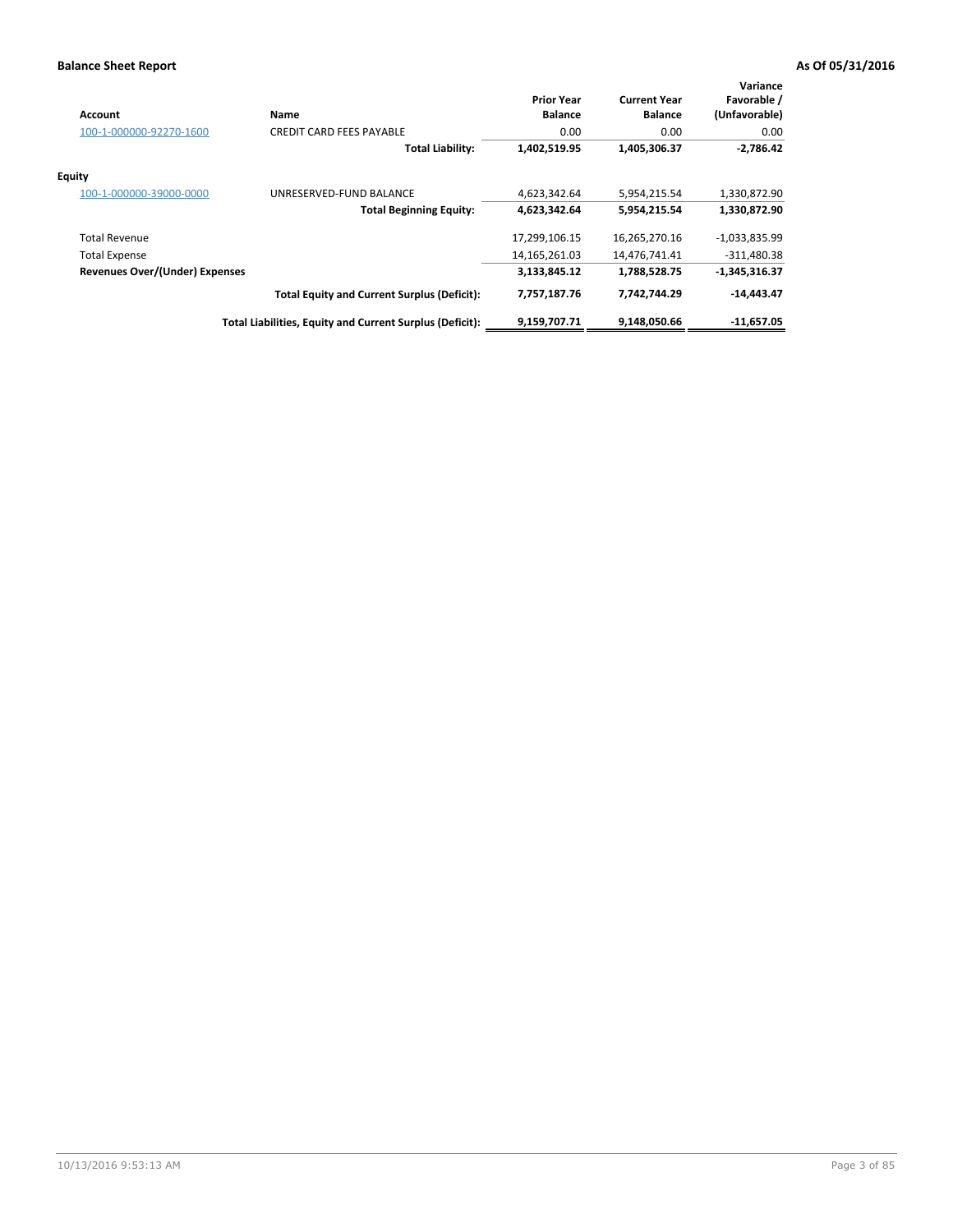| <b>Account</b>                        | Name                                                     | <b>Prior Year</b><br><b>Balance</b> | <b>Current Year</b><br><b>Balance</b> | Variance<br>Favorable /<br>(Unfavorable) |
|---------------------------------------|----------------------------------------------------------|-------------------------------------|---------------------------------------|------------------------------------------|
| 100-1-000000-92270-1600               | <b>CREDIT CARD FEES PAYABLE</b>                          | 0.00                                | 0.00                                  | 0.00                                     |
|                                       | <b>Total Liability:</b>                                  | 1,402,519.95                        | 1,405,306.37                          | $-2,786.42$                              |
| <b>Equity</b>                         |                                                          |                                     |                                       |                                          |
| 100-1-000000-39000-0000               | UNRESERVED-FUND BALANCE                                  | 4,623,342.64                        | 5,954,215.54                          | 1,330,872.90                             |
|                                       | <b>Total Beginning Equity:</b>                           | 4,623,342.64                        | 5,954,215.54                          | 1,330,872.90                             |
| <b>Total Revenue</b>                  |                                                          | 17,299,106.15                       | 16,265,270.16                         | $-1,033,835.99$                          |
| <b>Total Expense</b>                  |                                                          | 14, 165, 261.03                     | 14,476,741.41                         | $-311,480.38$                            |
| <b>Revenues Over/(Under) Expenses</b> |                                                          | 3,133,845.12                        | 1,788,528.75                          | $-1,345,316.37$                          |
|                                       | <b>Total Equity and Current Surplus (Deficit):</b>       | 7,757,187.76                        | 7,742,744.29                          | -14,443.47                               |
|                                       | Total Liabilities, Equity and Current Surplus (Deficit): | 9,159,707.71                        | 9,148,050.66                          | -11,657.05                               |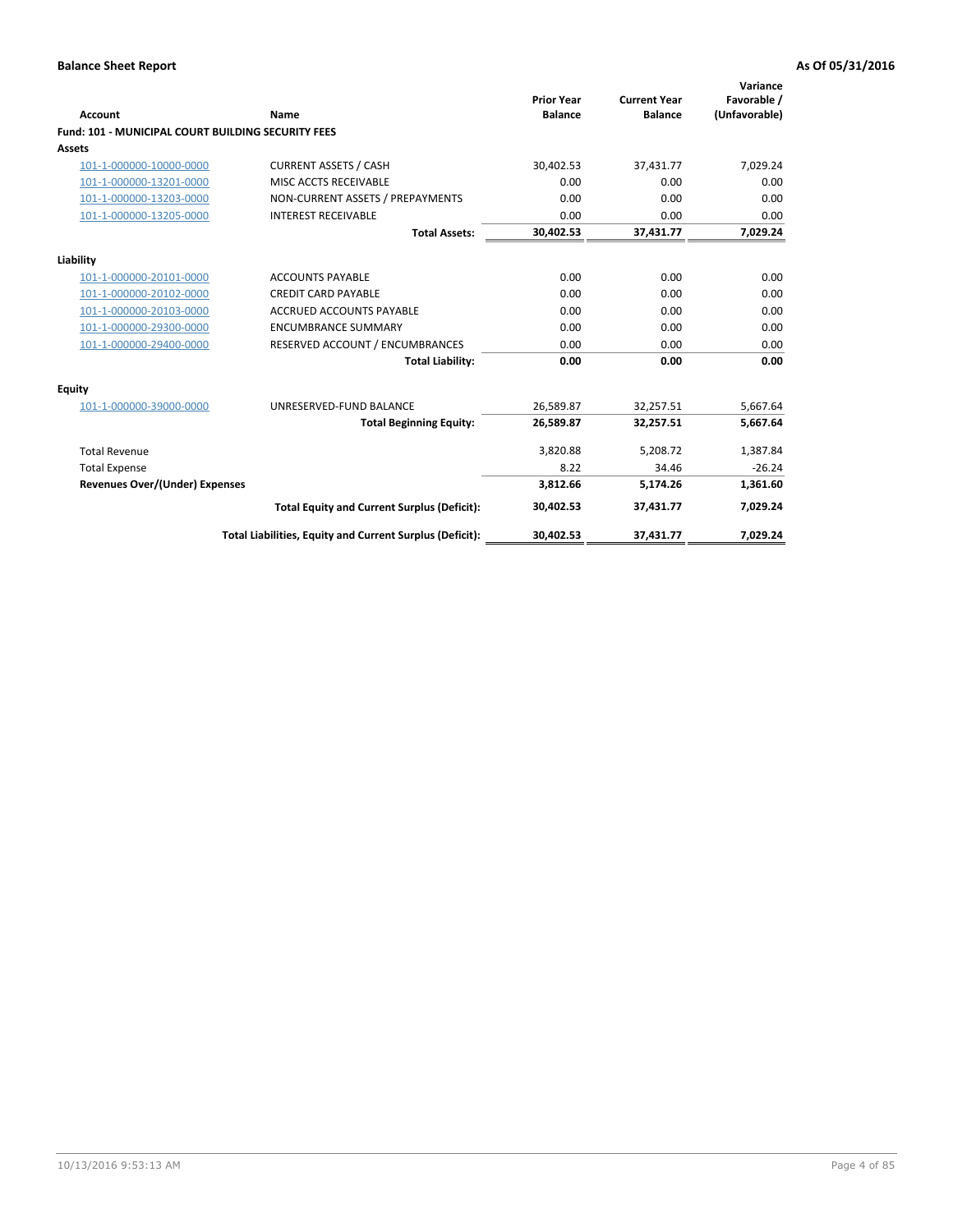| Account                                                   | Name                                                     | <b>Prior Year</b><br><b>Balance</b> | <b>Current Year</b><br><b>Balance</b> | Variance<br>Favorable /<br>(Unfavorable) |
|-----------------------------------------------------------|----------------------------------------------------------|-------------------------------------|---------------------------------------|------------------------------------------|
| <b>Fund: 101 - MUNICIPAL COURT BUILDING SECURITY FEES</b> |                                                          |                                     |                                       |                                          |
| Assets                                                    |                                                          |                                     |                                       |                                          |
| 101-1-000000-10000-0000                                   | <b>CURRENT ASSETS / CASH</b>                             | 30,402.53                           | 37,431.77                             | 7,029.24                                 |
| 101-1-000000-13201-0000                                   | MISC ACCTS RECEIVABLE                                    | 0.00                                | 0.00                                  | 0.00                                     |
| 101-1-000000-13203-0000                                   | NON-CURRENT ASSETS / PREPAYMENTS                         | 0.00                                | 0.00                                  | 0.00                                     |
| 101-1-000000-13205-0000                                   | <b>INTEREST RECEIVABLE</b>                               | 0.00                                | 0.00                                  | 0.00                                     |
|                                                           | <b>Total Assets:</b>                                     | 30,402.53                           | 37,431.77                             | 7,029.24                                 |
| Liability                                                 |                                                          |                                     |                                       |                                          |
| 101-1-000000-20101-0000                                   | <b>ACCOUNTS PAYABLE</b>                                  | 0.00                                | 0.00                                  | 0.00                                     |
| 101-1-000000-20102-0000                                   | <b>CREDIT CARD PAYABLE</b>                               | 0.00                                | 0.00                                  | 0.00                                     |
| 101-1-000000-20103-0000                                   | <b>ACCRUED ACCOUNTS PAYABLE</b>                          | 0.00                                | 0.00                                  | 0.00                                     |
| 101-1-000000-29300-0000                                   | <b>ENCUMBRANCE SUMMARY</b>                               | 0.00                                | 0.00                                  | 0.00                                     |
| 101-1-000000-29400-0000                                   | RESERVED ACCOUNT / ENCUMBRANCES                          | 0.00                                | 0.00                                  | 0.00                                     |
|                                                           | <b>Total Liability:</b>                                  | 0.00                                | 0.00                                  | 0.00                                     |
| <b>Equity</b>                                             |                                                          |                                     |                                       |                                          |
| 101-1-000000-39000-0000                                   | UNRESERVED-FUND BALANCE                                  | 26,589.87                           | 32,257.51                             | 5,667.64                                 |
|                                                           | <b>Total Beginning Equity:</b>                           | 26,589.87                           | 32,257.51                             | 5,667.64                                 |
| <b>Total Revenue</b>                                      |                                                          | 3,820.88                            | 5,208.72                              | 1,387.84                                 |
| <b>Total Expense</b>                                      |                                                          | 8.22                                | 34.46                                 | $-26.24$                                 |
| <b>Revenues Over/(Under) Expenses</b>                     |                                                          | 3,812.66                            | 5,174.26                              | 1,361.60                                 |
|                                                           | <b>Total Equity and Current Surplus (Deficit):</b>       | 30,402.53                           | 37,431.77                             | 7,029.24                                 |
|                                                           | Total Liabilities, Equity and Current Surplus (Deficit): | 30,402.53                           | 37,431.77                             | 7,029.24                                 |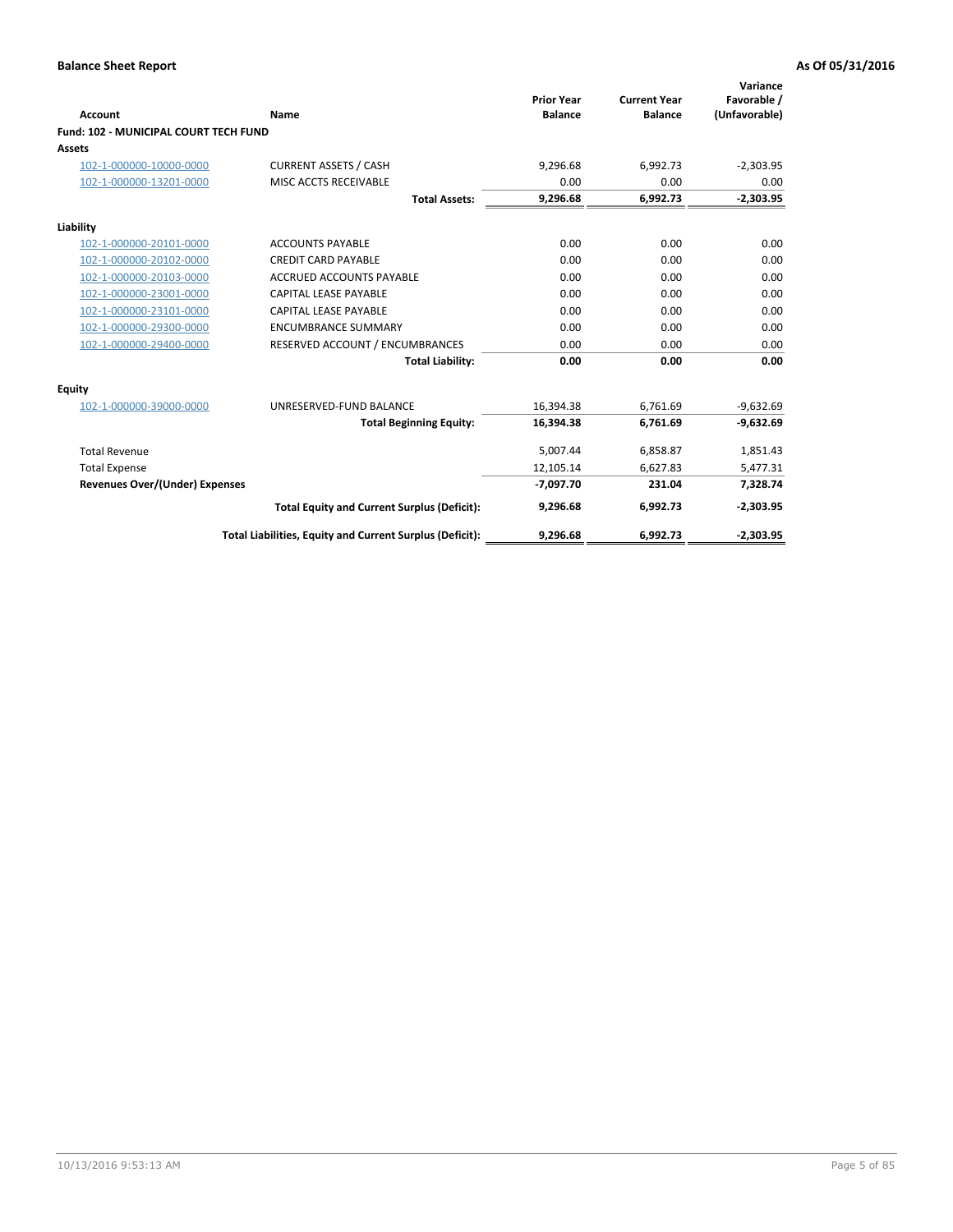| <b>Account</b>                        | <b>Name</b>                                              | <b>Prior Year</b><br><b>Balance</b> | <b>Current Year</b><br><b>Balance</b> | Variance<br>Favorable /<br>(Unfavorable) |
|---------------------------------------|----------------------------------------------------------|-------------------------------------|---------------------------------------|------------------------------------------|
| Fund: 102 - MUNICIPAL COURT TECH FUND |                                                          |                                     |                                       |                                          |
| Assets                                |                                                          |                                     |                                       |                                          |
| 102-1-000000-10000-0000               | <b>CURRENT ASSETS / CASH</b>                             | 9,296.68                            | 6,992.73                              | $-2,303.95$                              |
| 102-1-000000-13201-0000               | MISC ACCTS RECEIVABLE                                    | 0.00                                | 0.00                                  | 0.00                                     |
|                                       | <b>Total Assets:</b>                                     | 9,296.68                            | 6,992.73                              | $-2,303.95$                              |
| Liability                             |                                                          |                                     |                                       |                                          |
| 102-1-000000-20101-0000               | <b>ACCOUNTS PAYABLE</b>                                  | 0.00                                | 0.00                                  | 0.00                                     |
| 102-1-000000-20102-0000               | <b>CREDIT CARD PAYABLE</b>                               | 0.00                                | 0.00                                  | 0.00                                     |
| 102-1-000000-20103-0000               | <b>ACCRUED ACCOUNTS PAYABLE</b>                          | 0.00                                | 0.00                                  | 0.00                                     |
| 102-1-000000-23001-0000               | <b>CAPITAL LEASE PAYABLE</b>                             | 0.00                                | 0.00                                  | 0.00                                     |
| 102-1-000000-23101-0000               | <b>CAPITAL LEASE PAYABLE</b>                             | 0.00                                | 0.00                                  | 0.00                                     |
| 102-1-000000-29300-0000               | <b>ENCUMBRANCE SUMMARY</b>                               | 0.00                                | 0.00                                  | 0.00                                     |
| 102-1-000000-29400-0000               | RESERVED ACCOUNT / ENCUMBRANCES                          | 0.00                                | 0.00                                  | 0.00                                     |
|                                       | <b>Total Liability:</b>                                  | 0.00                                | 0.00                                  | 0.00                                     |
| <b>Equity</b>                         |                                                          |                                     |                                       |                                          |
| 102-1-000000-39000-0000               | UNRESERVED-FUND BALANCE                                  | 16,394.38                           | 6,761.69                              | $-9,632.69$                              |
|                                       | <b>Total Beginning Equity:</b>                           | 16,394.38                           | 6,761.69                              | $-9,632.69$                              |
| <b>Total Revenue</b>                  |                                                          | 5,007.44                            | 6,858.87                              | 1,851.43                                 |
| <b>Total Expense</b>                  |                                                          | 12,105.14                           | 6,627.83                              | 5,477.31                                 |
| <b>Revenues Over/(Under) Expenses</b> |                                                          | $-7,097.70$                         | 231.04                                | 7,328.74                                 |
|                                       | <b>Total Equity and Current Surplus (Deficit):</b>       | 9.296.68                            | 6,992.73                              | $-2,303.95$                              |
|                                       | Total Liabilities, Equity and Current Surplus (Deficit): | 9,296.68                            | 6,992.73                              | $-2,303.95$                              |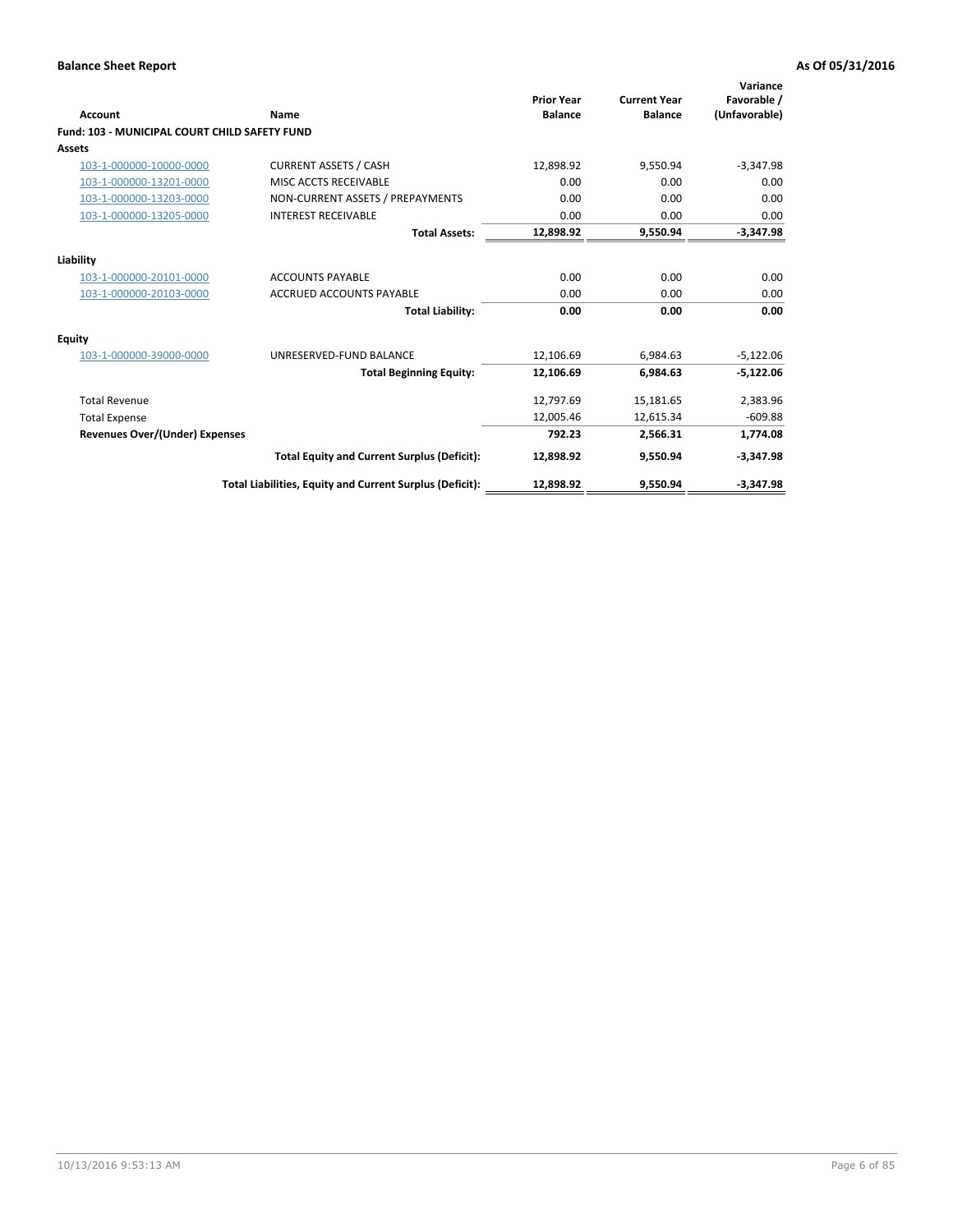| <b>Account</b>                                       | Name                                                     | <b>Prior Year</b><br><b>Balance</b> | <b>Current Year</b><br><b>Balance</b> | Variance<br>Favorable /<br>(Unfavorable) |
|------------------------------------------------------|----------------------------------------------------------|-------------------------------------|---------------------------------------|------------------------------------------|
| <b>Fund: 103 - MUNICIPAL COURT CHILD SAFETY FUND</b> |                                                          |                                     |                                       |                                          |
| <b>Assets</b>                                        |                                                          |                                     |                                       |                                          |
| 103-1-000000-10000-0000                              | <b>CURRENT ASSETS / CASH</b>                             | 12,898.92                           | 9,550.94                              | $-3,347.98$                              |
| 103-1-000000-13201-0000                              | MISC ACCTS RECEIVABLE                                    | 0.00                                | 0.00                                  | 0.00                                     |
| 103-1-000000-13203-0000                              | NON-CURRENT ASSETS / PREPAYMENTS                         | 0.00                                | 0.00                                  | 0.00                                     |
| 103-1-000000-13205-0000                              | <b>INTEREST RECEIVABLE</b>                               | 0.00                                | 0.00                                  | 0.00                                     |
|                                                      | <b>Total Assets:</b>                                     | 12,898.92                           | 9,550.94                              | $-3,347.98$                              |
| Liability                                            |                                                          |                                     |                                       |                                          |
| 103-1-000000-20101-0000                              | <b>ACCOUNTS PAYABLE</b>                                  | 0.00                                | 0.00                                  | 0.00                                     |
| 103-1-000000-20103-0000                              | <b>ACCRUED ACCOUNTS PAYABLE</b>                          | 0.00                                | 0.00                                  | 0.00                                     |
|                                                      | <b>Total Liability:</b>                                  | 0.00                                | 0.00                                  | 0.00                                     |
| Equity                                               |                                                          |                                     |                                       |                                          |
| 103-1-000000-39000-0000                              | UNRESERVED-FUND BALANCE                                  | 12,106.69                           | 6,984.63                              | $-5,122.06$                              |
|                                                      | <b>Total Beginning Equity:</b>                           | 12,106.69                           | 6.984.63                              | $-5,122.06$                              |
| <b>Total Revenue</b>                                 |                                                          | 12,797.69                           | 15,181.65                             | 2,383.96                                 |
| <b>Total Expense</b>                                 |                                                          | 12,005.46                           | 12,615.34                             | $-609.88$                                |
| <b>Revenues Over/(Under) Expenses</b>                |                                                          | 792.23                              | 2,566.31                              | 1,774.08                                 |
|                                                      | <b>Total Equity and Current Surplus (Deficit):</b>       | 12,898.92                           | 9,550.94                              | $-3,347.98$                              |
|                                                      | Total Liabilities, Equity and Current Surplus (Deficit): | 12,898.92                           | 9,550.94                              | $-3,347.98$                              |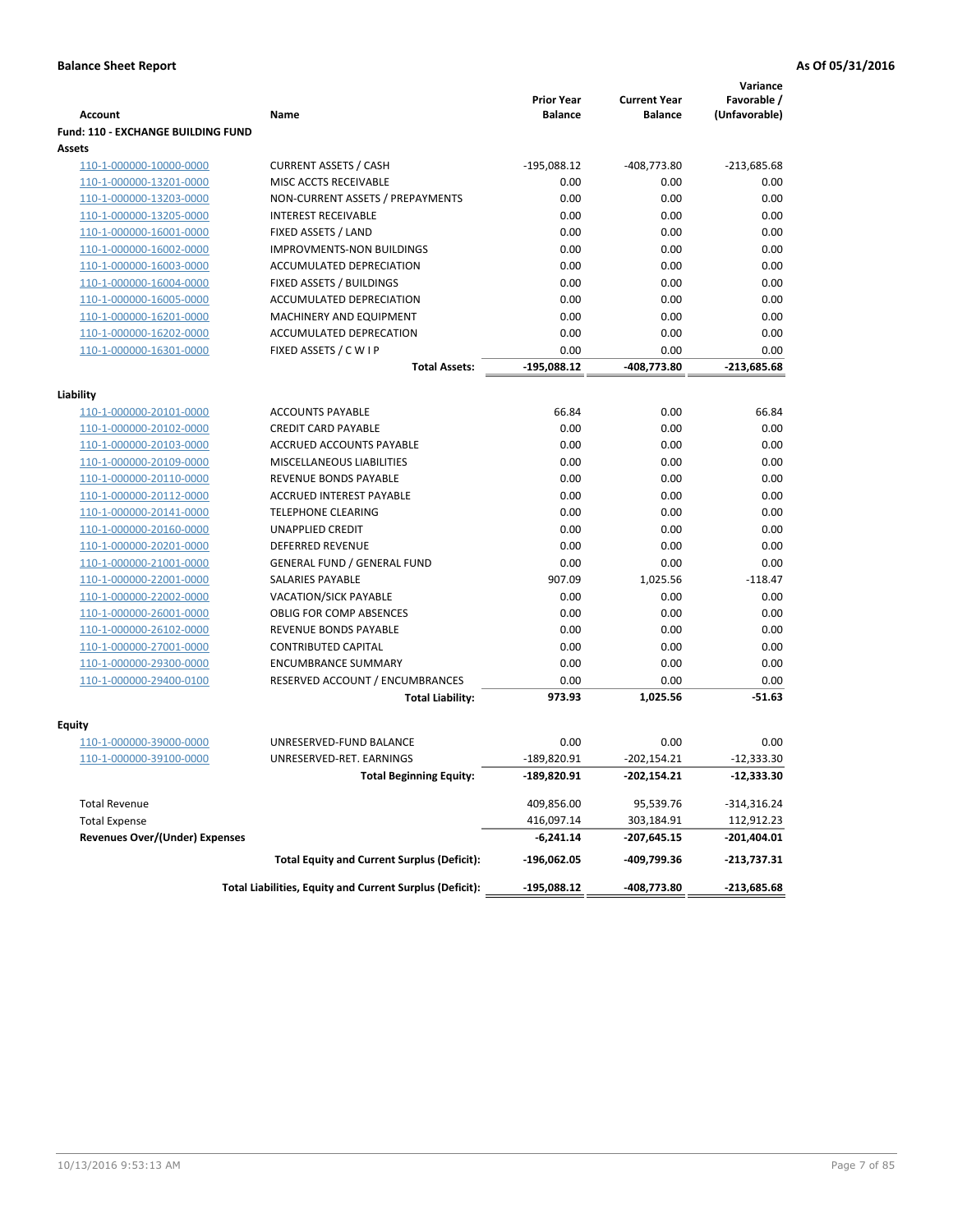|                                           |                                                          | <b>Prior Year</b> | <b>Current Year</b> | Variance<br>Favorable / |
|-------------------------------------------|----------------------------------------------------------|-------------------|---------------------|-------------------------|
| <b>Account</b>                            | Name                                                     | <b>Balance</b>    | <b>Balance</b>      | (Unfavorable)           |
| <b>Fund: 110 - EXCHANGE BUILDING FUND</b> |                                                          |                   |                     |                         |
| Assets                                    |                                                          |                   |                     |                         |
| 110-1-000000-10000-0000                   | <b>CURRENT ASSETS / CASH</b>                             | $-195,088.12$     | $-408,773.80$       | $-213,685.68$           |
| 110-1-000000-13201-0000                   | MISC ACCTS RECEIVABLE                                    | 0.00              | 0.00                | 0.00                    |
| 110-1-000000-13203-0000                   | NON-CURRENT ASSETS / PREPAYMENTS                         | 0.00              | 0.00                | 0.00                    |
| 110-1-000000-13205-0000                   | <b>INTEREST RECEIVABLE</b>                               | 0.00              | 0.00                | 0.00                    |
| 110-1-000000-16001-0000                   | FIXED ASSETS / LAND                                      | 0.00              | 0.00                | 0.00                    |
| 110-1-000000-16002-0000                   | IMPROVMENTS-NON BUILDINGS                                | 0.00              | 0.00                | 0.00                    |
| 110-1-000000-16003-0000                   | ACCUMULATED DEPRECIATION                                 | 0.00              | 0.00                | 0.00                    |
| 110-1-000000-16004-0000                   | FIXED ASSETS / BUILDINGS                                 | 0.00              | 0.00                | 0.00                    |
| 110-1-000000-16005-0000                   | ACCUMULATED DEPRECIATION                                 | 0.00<br>0.00      | 0.00<br>0.00        | 0.00<br>0.00            |
| 110-1-000000-16201-0000                   | MACHINERY AND EQUIPMENT<br>ACCUMULATED DEPRECATION       | 0.00              | 0.00                | 0.00                    |
| 110-1-000000-16202-0000                   |                                                          |                   |                     |                         |
| 110-1-000000-16301-0000                   | FIXED ASSETS / C W I P                                   | 0.00              | 0.00                | 0.00                    |
|                                           | Total Assets:                                            | $-195,088.12$     | -408,773.80         | $-213,685.68$           |
| Liability                                 |                                                          |                   |                     |                         |
| 110-1-000000-20101-0000                   | <b>ACCOUNTS PAYABLE</b>                                  | 66.84             | 0.00                | 66.84                   |
| 110-1-000000-20102-0000                   | <b>CREDIT CARD PAYABLE</b>                               | 0.00              | 0.00                | 0.00                    |
| 110-1-000000-20103-0000                   | ACCRUED ACCOUNTS PAYABLE                                 | 0.00              | 0.00                | 0.00                    |
| 110-1-000000-20109-0000                   | MISCELLANEOUS LIABILITIES                                | 0.00              | 0.00                | 0.00                    |
| 110-1-000000-20110-0000                   | <b>REVENUE BONDS PAYABLE</b>                             | 0.00              | 0.00                | 0.00                    |
| 110-1-000000-20112-0000                   | <b>ACCRUED INTEREST PAYABLE</b>                          | 0.00              | 0.00                | 0.00                    |
| 110-1-000000-20141-0000                   | <b>TELEPHONE CLEARING</b>                                | 0.00              | 0.00                | 0.00                    |
| 110-1-000000-20160-0000                   | <b>UNAPPLIED CREDIT</b>                                  | 0.00              | 0.00                | 0.00                    |
| 110-1-000000-20201-0000                   | <b>DEFERRED REVENUE</b>                                  | 0.00              | 0.00                | 0.00                    |
| 110-1-000000-21001-0000                   | <b>GENERAL FUND / GENERAL FUND</b>                       | 0.00              | 0.00                | 0.00                    |
| 110-1-000000-22001-0000                   | <b>SALARIES PAYABLE</b>                                  | 907.09            | 1,025.56            | $-118.47$               |
| 110-1-000000-22002-0000                   | <b>VACATION/SICK PAYABLE</b>                             | 0.00              | 0.00                | 0.00                    |
| 110-1-000000-26001-0000                   | <b>OBLIG FOR COMP ABSENCES</b>                           | 0.00              | 0.00                | 0.00                    |
| 110-1-000000-26102-0000                   | REVENUE BONDS PAYABLE                                    | 0.00              | 0.00                | 0.00                    |
| 110-1-000000-27001-0000                   | <b>CONTRIBUTED CAPITAL</b>                               | 0.00              | 0.00                | 0.00                    |
| 110-1-000000-29300-0000                   | <b>ENCUMBRANCE SUMMARY</b>                               | 0.00              | 0.00                | 0.00                    |
| 110-1-000000-29400-0100                   | RESERVED ACCOUNT / ENCUMBRANCES                          | 0.00              | 0.00                | 0.00                    |
|                                           | <b>Total Liability:</b>                                  | 973.93            | 1,025.56            | $-51.63$                |
|                                           |                                                          |                   |                     |                         |
| Fquity                                    |                                                          |                   |                     |                         |
| 110-1-000000-39000-0000                   | UNRESERVED-FUND BALANCE                                  | 0.00              | 0.00                | 0.00                    |
| 110-1-000000-39100-0000                   | UNRESERVED-RET. EARNINGS                                 | $-189,820.91$     | $-202,154.21$       | $-12,333.30$            |
|                                           | <b>Total Beginning Equity:</b>                           | -189,820.91       | -202,154.21         | -12,333.30              |
| <b>Total Revenue</b>                      |                                                          | 409,856.00        | 95,539.76           | $-314,316.24$           |
| <b>Total Expense</b>                      |                                                          | 416,097.14        | 303,184.91          | 112,912.23              |
| <b>Revenues Over/(Under) Expenses</b>     |                                                          | $-6,241.14$       | $-207,645.15$       | -201,404.01             |
|                                           | <b>Total Equity and Current Surplus (Deficit):</b>       | -196,062.05       | -409,799.36         | $-213,737.31$           |
|                                           | Total Liabilities, Equity and Current Surplus (Deficit): | -195,088.12       | -408,773.80         | $-213,685.68$           |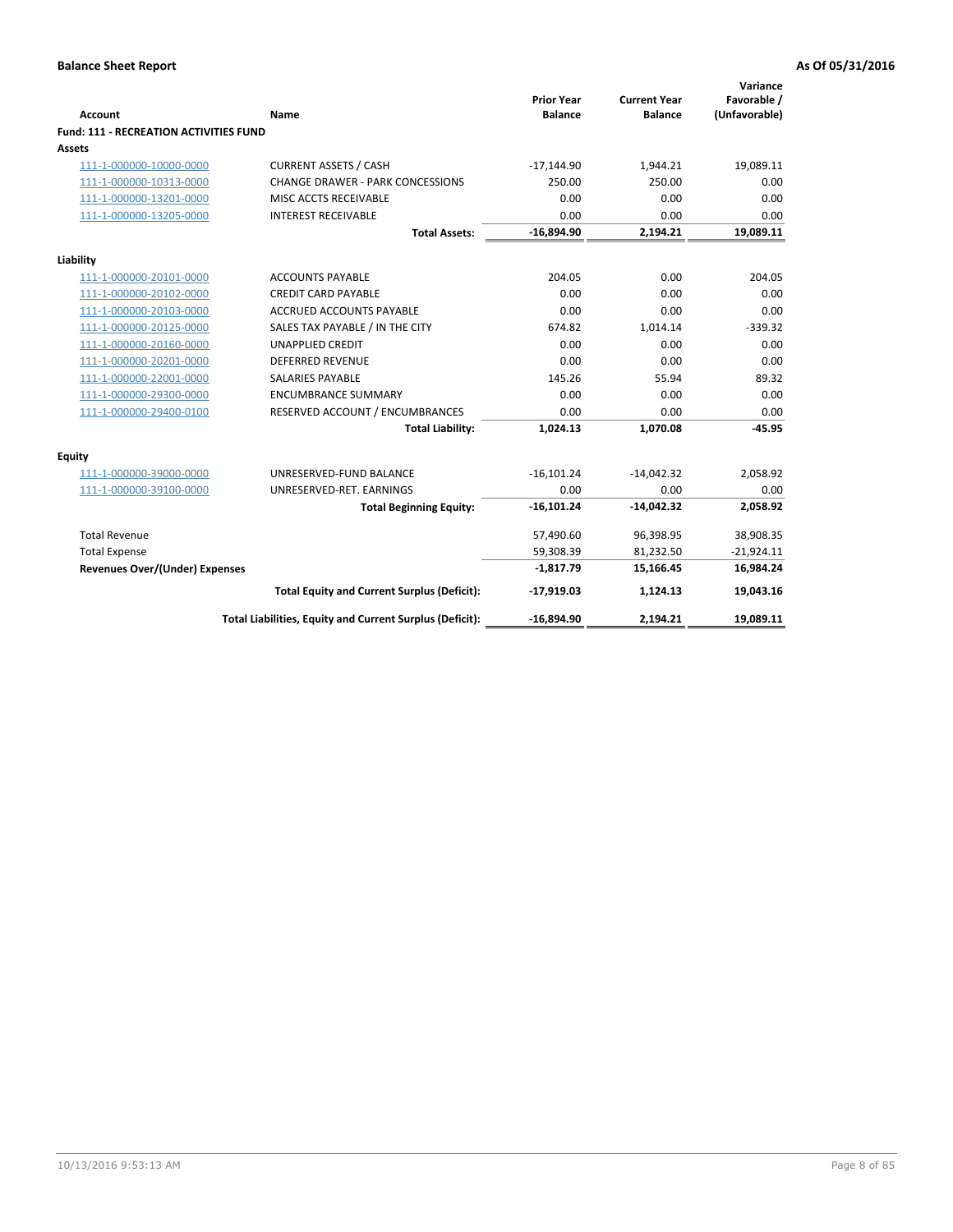| <b>Account</b>                                | Name                                                     | <b>Prior Year</b><br><b>Balance</b> | <b>Current Year</b><br><b>Balance</b> | Variance<br>Favorable /<br>(Unfavorable) |
|-----------------------------------------------|----------------------------------------------------------|-------------------------------------|---------------------------------------|------------------------------------------|
| <b>Fund: 111 - RECREATION ACTIVITIES FUND</b> |                                                          |                                     |                                       |                                          |
| Assets                                        |                                                          |                                     |                                       |                                          |
| 111-1-000000-10000-0000                       | <b>CURRENT ASSETS / CASH</b>                             | $-17,144.90$                        | 1,944.21                              | 19,089.11                                |
| 111-1-000000-10313-0000                       | <b>CHANGE DRAWER - PARK CONCESSIONS</b>                  | 250.00                              | 250.00                                | 0.00                                     |
| 111-1-000000-13201-0000                       | MISC ACCTS RECEIVABLE                                    | 0.00                                | 0.00                                  | 0.00                                     |
| 111-1-000000-13205-0000                       | <b>INTEREST RECEIVABLE</b>                               | 0.00                                | 0.00                                  | 0.00                                     |
|                                               | <b>Total Assets:</b>                                     | $-16,894.90$                        | 2,194.21                              | 19,089.11                                |
| Liability                                     |                                                          |                                     |                                       |                                          |
| 111-1-000000-20101-0000                       | <b>ACCOUNTS PAYABLE</b>                                  | 204.05                              | 0.00                                  | 204.05                                   |
| 111-1-000000-20102-0000                       | <b>CREDIT CARD PAYABLE</b>                               | 0.00                                | 0.00                                  | 0.00                                     |
| 111-1-000000-20103-0000                       | <b>ACCRUED ACCOUNTS PAYABLE</b>                          | 0.00                                | 0.00                                  | 0.00                                     |
| 111-1-000000-20125-0000                       | SALES TAX PAYABLE / IN THE CITY                          | 674.82                              | 1,014.14                              | $-339.32$                                |
| 111-1-000000-20160-0000                       | <b>UNAPPLIED CREDIT</b>                                  | 0.00                                | 0.00                                  | 0.00                                     |
| 111-1-000000-20201-0000                       | <b>DEFERRED REVENUE</b>                                  | 0.00                                | 0.00                                  | 0.00                                     |
| 111-1-000000-22001-0000                       | <b>SALARIES PAYABLE</b>                                  | 145.26                              | 55.94                                 | 89.32                                    |
| 111-1-000000-29300-0000                       | <b>ENCUMBRANCE SUMMARY</b>                               | 0.00                                | 0.00                                  | 0.00                                     |
| 111-1-000000-29400-0100                       | RESERVED ACCOUNT / ENCUMBRANCES                          | 0.00                                | 0.00                                  | 0.00                                     |
|                                               | <b>Total Liability:</b>                                  | 1,024.13                            | 1,070.08                              | $-45.95$                                 |
| Equity                                        |                                                          |                                     |                                       |                                          |
| 111-1-000000-39000-0000                       | UNRESERVED-FUND BALANCE                                  | $-16,101.24$                        | $-14,042.32$                          | 2,058.92                                 |
| 111-1-000000-39100-0000                       | UNRESERVED-RET. EARNINGS                                 | 0.00                                | 0.00                                  | 0.00                                     |
|                                               | <b>Total Beginning Equity:</b>                           | $-16,101.24$                        | $-14,042.32$                          | 2,058.92                                 |
| <b>Total Revenue</b>                          |                                                          | 57,490.60                           | 96,398.95                             | 38,908.35                                |
| <b>Total Expense</b>                          |                                                          | 59,308.39                           | 81,232.50                             | $-21,924.11$                             |
| Revenues Over/(Under) Expenses                |                                                          | $-1,817.79$                         | 15,166.45                             | 16,984.24                                |
|                                               | <b>Total Equity and Current Surplus (Deficit):</b>       | $-17,919.03$                        | 1,124.13                              | 19,043.16                                |
|                                               | Total Liabilities, Equity and Current Surplus (Deficit): | $-16,894.90$                        | 2,194.21                              | 19,089.11                                |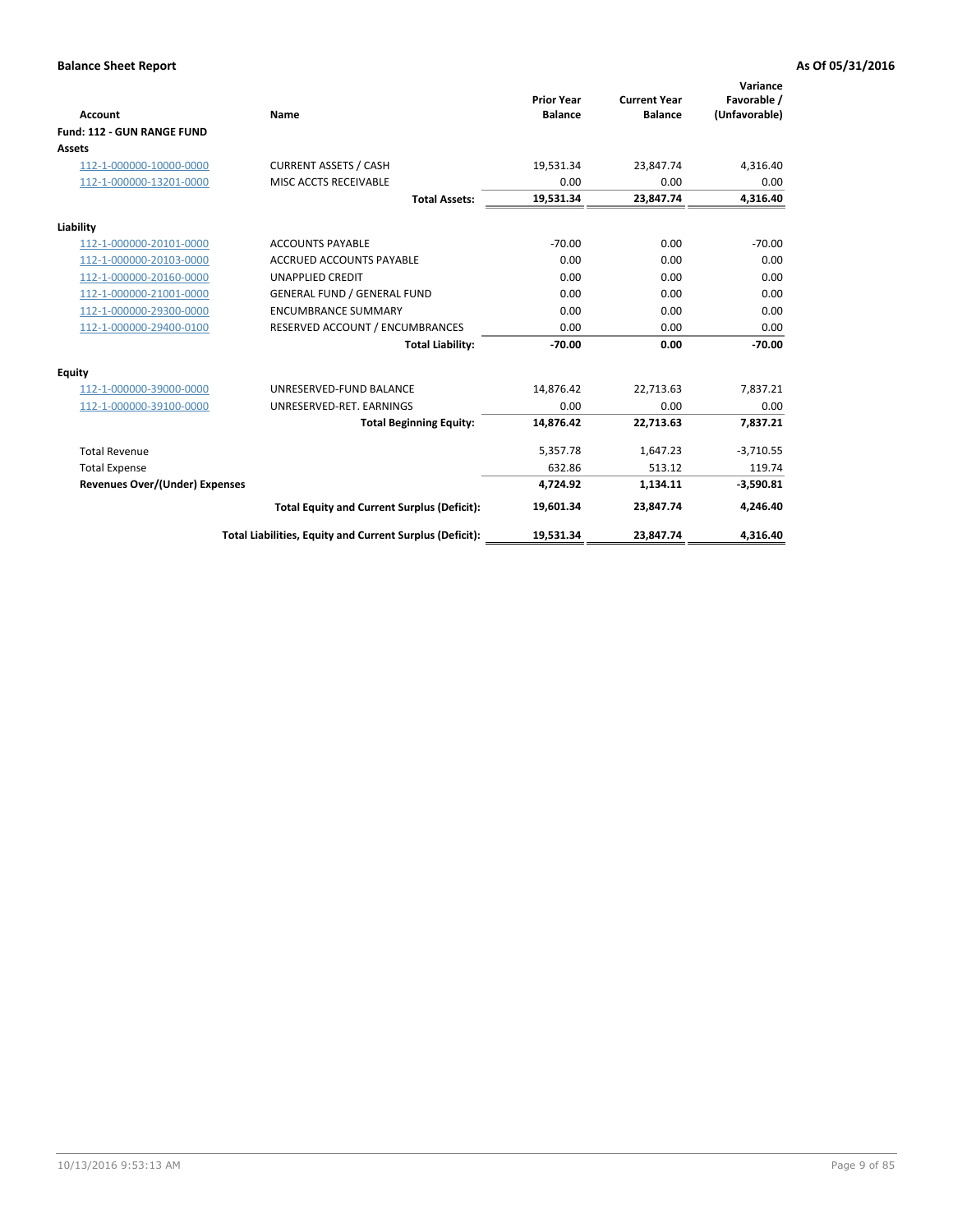|                                       |                                                          |                                     |                                       | Variance                     |
|---------------------------------------|----------------------------------------------------------|-------------------------------------|---------------------------------------|------------------------------|
| <b>Account</b>                        | Name                                                     | <b>Prior Year</b><br><b>Balance</b> | <b>Current Year</b><br><b>Balance</b> | Favorable /<br>(Unfavorable) |
| Fund: 112 - GUN RANGE FUND            |                                                          |                                     |                                       |                              |
| <b>Assets</b>                         |                                                          |                                     |                                       |                              |
| 112-1-000000-10000-0000               | <b>CURRENT ASSETS / CASH</b>                             | 19,531.34                           | 23,847.74                             | 4,316.40                     |
| 112-1-000000-13201-0000               | MISC ACCTS RECEIVABLE                                    | 0.00                                | 0.00                                  | 0.00                         |
|                                       | <b>Total Assets:</b>                                     | 19,531.34                           | 23,847.74                             | 4,316.40                     |
| Liability                             |                                                          |                                     |                                       |                              |
| 112-1-000000-20101-0000               | <b>ACCOUNTS PAYABLE</b>                                  | $-70.00$                            | 0.00                                  | $-70.00$                     |
| 112-1-000000-20103-0000               | <b>ACCRUED ACCOUNTS PAYABLE</b>                          | 0.00                                | 0.00                                  | 0.00                         |
| 112-1-000000-20160-0000               | <b>UNAPPLIED CREDIT</b>                                  | 0.00                                | 0.00                                  | 0.00                         |
| 112-1-000000-21001-0000               | <b>GENERAL FUND / GENERAL FUND</b>                       | 0.00                                | 0.00                                  | 0.00                         |
| 112-1-000000-29300-0000               | <b>ENCUMBRANCE SUMMARY</b>                               | 0.00                                | 0.00                                  | 0.00                         |
| 112-1-000000-29400-0100               | RESERVED ACCOUNT / ENCUMBRANCES                          | 0.00                                | 0.00                                  | 0.00                         |
|                                       | <b>Total Liability:</b>                                  | $-70.00$                            | 0.00                                  | $-70.00$                     |
| Equity                                |                                                          |                                     |                                       |                              |
| 112-1-000000-39000-0000               | UNRESERVED-FUND BALANCE                                  | 14,876.42                           | 22,713.63                             | 7,837.21                     |
| 112-1-000000-39100-0000               | UNRESERVED-RET. EARNINGS                                 | 0.00                                | 0.00                                  | 0.00                         |
|                                       | <b>Total Beginning Equity:</b>                           | 14.876.42                           | 22.713.63                             | 7,837.21                     |
| <b>Total Revenue</b>                  |                                                          | 5,357.78                            | 1,647.23                              | $-3,710.55$                  |
| <b>Total Expense</b>                  |                                                          | 632.86                              | 513.12                                | 119.74                       |
| <b>Revenues Over/(Under) Expenses</b> |                                                          | 4,724.92                            | 1,134.11                              | $-3,590.81$                  |
|                                       | <b>Total Equity and Current Surplus (Deficit):</b>       | 19,601.34                           | 23,847.74                             | 4,246.40                     |
|                                       | Total Liabilities, Equity and Current Surplus (Deficit): | 19,531.34                           | 23,847.74                             | 4,316.40                     |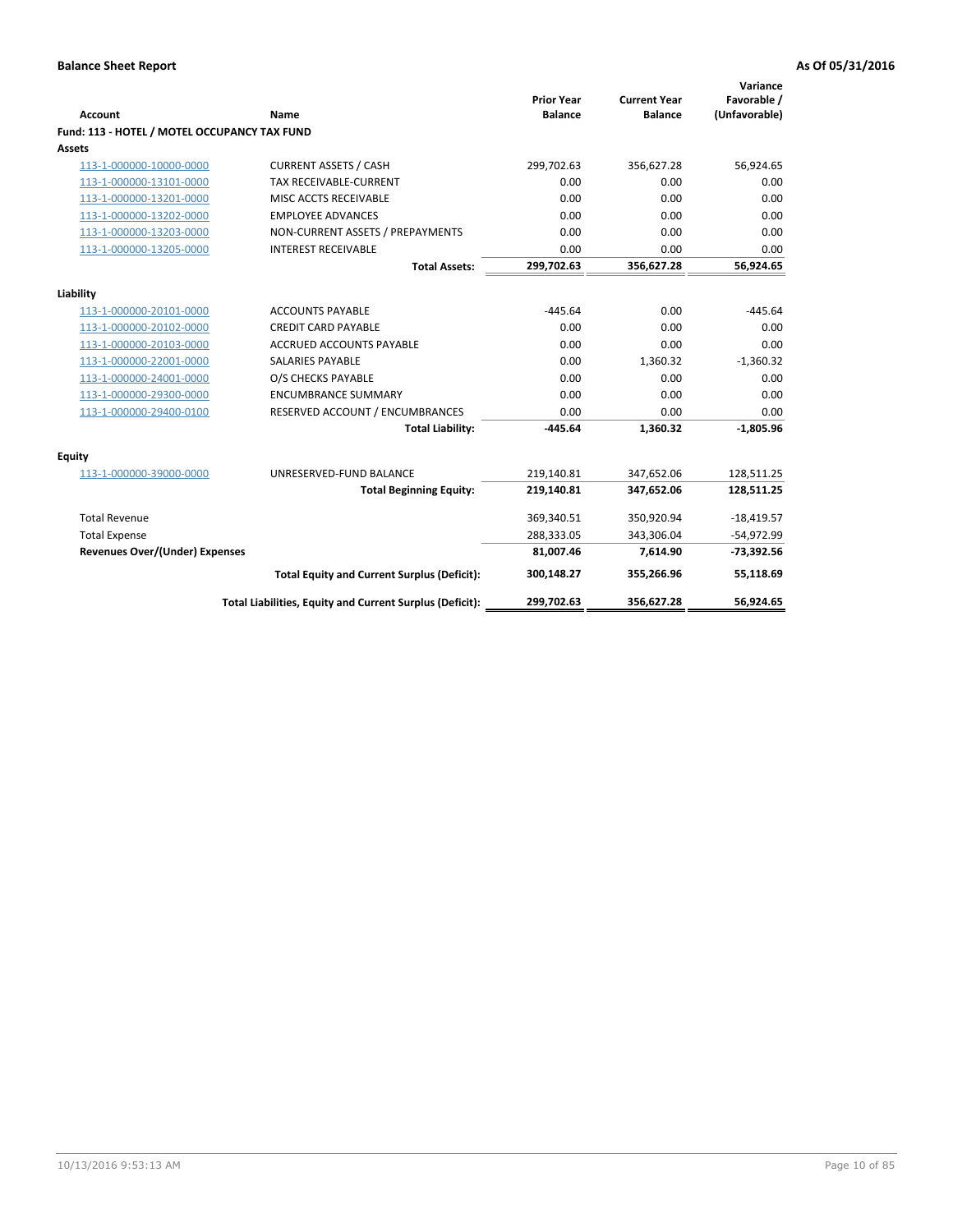| <b>Account</b>                               | Name                                                     | <b>Prior Year</b><br><b>Balance</b> | <b>Current Year</b><br><b>Balance</b> | Variance<br>Favorable /<br>(Unfavorable) |
|----------------------------------------------|----------------------------------------------------------|-------------------------------------|---------------------------------------|------------------------------------------|
| Fund: 113 - HOTEL / MOTEL OCCUPANCY TAX FUND |                                                          |                                     |                                       |                                          |
| Assets                                       |                                                          |                                     |                                       |                                          |
| 113-1-000000-10000-0000                      | <b>CURRENT ASSETS / CASH</b>                             | 299,702.63                          | 356,627.28                            | 56,924.65                                |
| 113-1-000000-13101-0000                      | TAX RECEIVABLE-CURRENT                                   | 0.00                                | 0.00                                  | 0.00                                     |
| 113-1-000000-13201-0000                      | MISC ACCTS RECEIVABLE                                    | 0.00                                | 0.00                                  | 0.00                                     |
| 113-1-000000-13202-0000                      | <b>EMPLOYEE ADVANCES</b>                                 | 0.00                                | 0.00                                  | 0.00                                     |
| 113-1-000000-13203-0000                      | NON-CURRENT ASSETS / PREPAYMENTS                         | 0.00                                | 0.00                                  | 0.00                                     |
| 113-1-000000-13205-0000                      | <b>INTEREST RECEIVABLE</b>                               | 0.00                                | 0.00                                  | 0.00                                     |
|                                              | <b>Total Assets:</b>                                     | 299,702.63                          | 356,627.28                            | 56,924.65                                |
| Liability                                    |                                                          |                                     |                                       |                                          |
| 113-1-000000-20101-0000                      | <b>ACCOUNTS PAYABLE</b>                                  | $-445.64$                           | 0.00                                  | $-445.64$                                |
| 113-1-000000-20102-0000                      | <b>CREDIT CARD PAYABLE</b>                               | 0.00                                | 0.00                                  | 0.00                                     |
| 113-1-000000-20103-0000                      | ACCRUED ACCOUNTS PAYABLE                                 | 0.00                                | 0.00                                  | 0.00                                     |
| 113-1-000000-22001-0000                      | <b>SALARIES PAYABLE</b>                                  | 0.00                                | 1,360.32                              | $-1,360.32$                              |
| 113-1-000000-24001-0000                      | O/S CHECKS PAYABLE                                       | 0.00                                | 0.00                                  | 0.00                                     |
| 113-1-000000-29300-0000                      | <b>ENCUMBRANCE SUMMARY</b>                               | 0.00                                | 0.00                                  | 0.00                                     |
| 113-1-000000-29400-0100                      | RESERVED ACCOUNT / ENCUMBRANCES                          | 0.00                                | 0.00                                  | 0.00                                     |
|                                              | <b>Total Liability:</b>                                  | $-445.64$                           | 1,360.32                              | $-1,805.96$                              |
| Equity                                       |                                                          |                                     |                                       |                                          |
| 113-1-000000-39000-0000                      | UNRESERVED-FUND BALANCE                                  | 219,140.81                          | 347,652.06                            | 128,511.25                               |
|                                              | <b>Total Beginning Equity:</b>                           | 219,140.81                          | 347,652.06                            | 128,511.25                               |
| <b>Total Revenue</b>                         |                                                          | 369,340.51                          | 350,920.94                            | $-18,419.57$                             |
| <b>Total Expense</b>                         |                                                          | 288,333.05                          | 343,306.04                            | $-54,972.99$                             |
| <b>Revenues Over/(Under) Expenses</b>        |                                                          | 81,007.46                           | 7,614.90                              | $-73,392.56$                             |
|                                              | <b>Total Equity and Current Surplus (Deficit):</b>       | 300,148.27                          | 355,266.96                            | 55,118.69                                |
|                                              | Total Liabilities, Equity and Current Surplus (Deficit): | 299,702.63                          | 356,627.28                            | 56,924.65                                |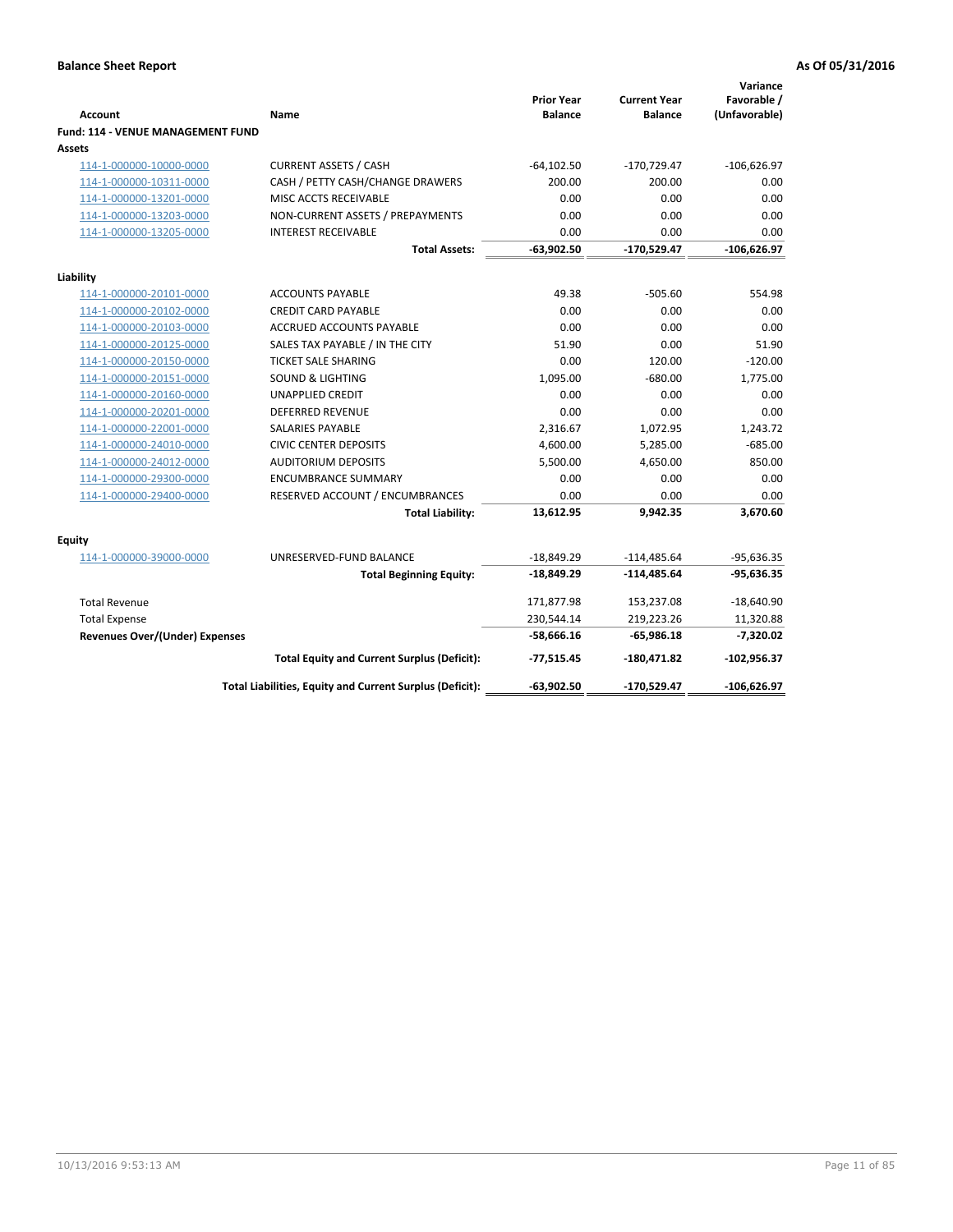| <b>Account</b>                              | Name                                                     | <b>Prior Year</b><br><b>Balance</b> | <b>Current Year</b><br><b>Balance</b> | Variance<br>Favorable /<br>(Unfavorable) |
|---------------------------------------------|----------------------------------------------------------|-------------------------------------|---------------------------------------|------------------------------------------|
| Fund: 114 - VENUE MANAGEMENT FUND<br>Assets |                                                          |                                     |                                       |                                          |
| 114-1-000000-10000-0000                     | <b>CURRENT ASSETS / CASH</b>                             | $-64, 102.50$                       | $-170,729.47$                         | $-106,626.97$                            |
| 114-1-000000-10311-0000                     | CASH / PETTY CASH/CHANGE DRAWERS                         | 200.00                              | 200.00                                | 0.00                                     |
| 114-1-000000-13201-0000                     | MISC ACCTS RECEIVABLE                                    | 0.00                                | 0.00                                  | 0.00                                     |
| 114-1-000000-13203-0000                     | NON-CURRENT ASSETS / PREPAYMENTS                         | 0.00                                | 0.00                                  | 0.00                                     |
| 114-1-000000-13205-0000                     | <b>INTEREST RECEIVABLE</b>                               | 0.00                                | 0.00                                  | 0.00                                     |
|                                             | <b>Total Assets:</b>                                     | $-63,902.50$                        | -170,529.47                           | $-106,626.97$                            |
| Liability                                   |                                                          |                                     |                                       |                                          |
| 114-1-000000-20101-0000                     | <b>ACCOUNTS PAYABLE</b>                                  | 49.38                               | $-505.60$                             | 554.98                                   |
| 114-1-000000-20102-0000                     | <b>CREDIT CARD PAYABLE</b>                               | 0.00                                | 0.00                                  | 0.00                                     |
| 114-1-000000-20103-0000                     | <b>ACCRUED ACCOUNTS PAYABLE</b>                          | 0.00                                | 0.00                                  | 0.00                                     |
| 114-1-000000-20125-0000                     | SALES TAX PAYABLE / IN THE CITY                          | 51.90                               | 0.00                                  | 51.90                                    |
| 114-1-000000-20150-0000                     | <b>TICKET SALE SHARING</b>                               | 0.00                                | 120.00                                | $-120.00$                                |
| 114-1-000000-20151-0000                     | <b>SOUND &amp; LIGHTING</b>                              | 1,095.00                            | $-680.00$                             | 1,775.00                                 |
| 114-1-000000-20160-0000                     | <b>UNAPPLIED CREDIT</b>                                  | 0.00                                | 0.00                                  | 0.00                                     |
| 114-1-000000-20201-0000                     | <b>DEFERRED REVENUE</b>                                  | 0.00                                | 0.00                                  | 0.00                                     |
| 114-1-000000-22001-0000                     | <b>SALARIES PAYABLE</b>                                  | 2,316.67                            | 1,072.95                              | 1,243.72                                 |
| 114-1-000000-24010-0000                     | <b>CIVIC CENTER DEPOSITS</b>                             | 4,600.00                            | 5,285.00                              | $-685.00$                                |
| 114-1-000000-24012-0000                     | <b>AUDITORIUM DEPOSITS</b>                               | 5,500.00                            | 4,650.00                              | 850.00                                   |
| 114-1-000000-29300-0000                     | <b>ENCUMBRANCE SUMMARY</b>                               | 0.00                                | 0.00                                  | 0.00                                     |
| 114-1-000000-29400-0000                     | RESERVED ACCOUNT / ENCUMBRANCES                          | 0.00                                | 0.00                                  | 0.00                                     |
|                                             | <b>Total Liability:</b>                                  | 13,612.95                           | 9,942.35                              | 3,670.60                                 |
| Equity                                      |                                                          |                                     |                                       |                                          |
| 114-1-000000-39000-0000                     | UNRESERVED-FUND BALANCE                                  | $-18,849.29$                        | $-114,485.64$                         | $-95,636.35$                             |
|                                             | <b>Total Beginning Equity:</b>                           | -18,849.29                          | -114,485.64                           | $-95,636.35$                             |
| <b>Total Revenue</b>                        |                                                          | 171,877.98                          | 153,237.08                            | $-18,640.90$                             |
| <b>Total Expense</b>                        |                                                          | 230,544.14                          | 219,223.26                            | 11,320.88                                |
| <b>Revenues Over/(Under) Expenses</b>       |                                                          | $-58,666.16$                        | $-65,986.18$                          | $-7,320.02$                              |
|                                             | <b>Total Equity and Current Surplus (Deficit):</b>       | -77,515.45                          | -180,471.82                           | $-102,956.37$                            |
|                                             | Total Liabilities, Equity and Current Surplus (Deficit): | -63,902.50                          | -170,529.47                           | -106,626.97                              |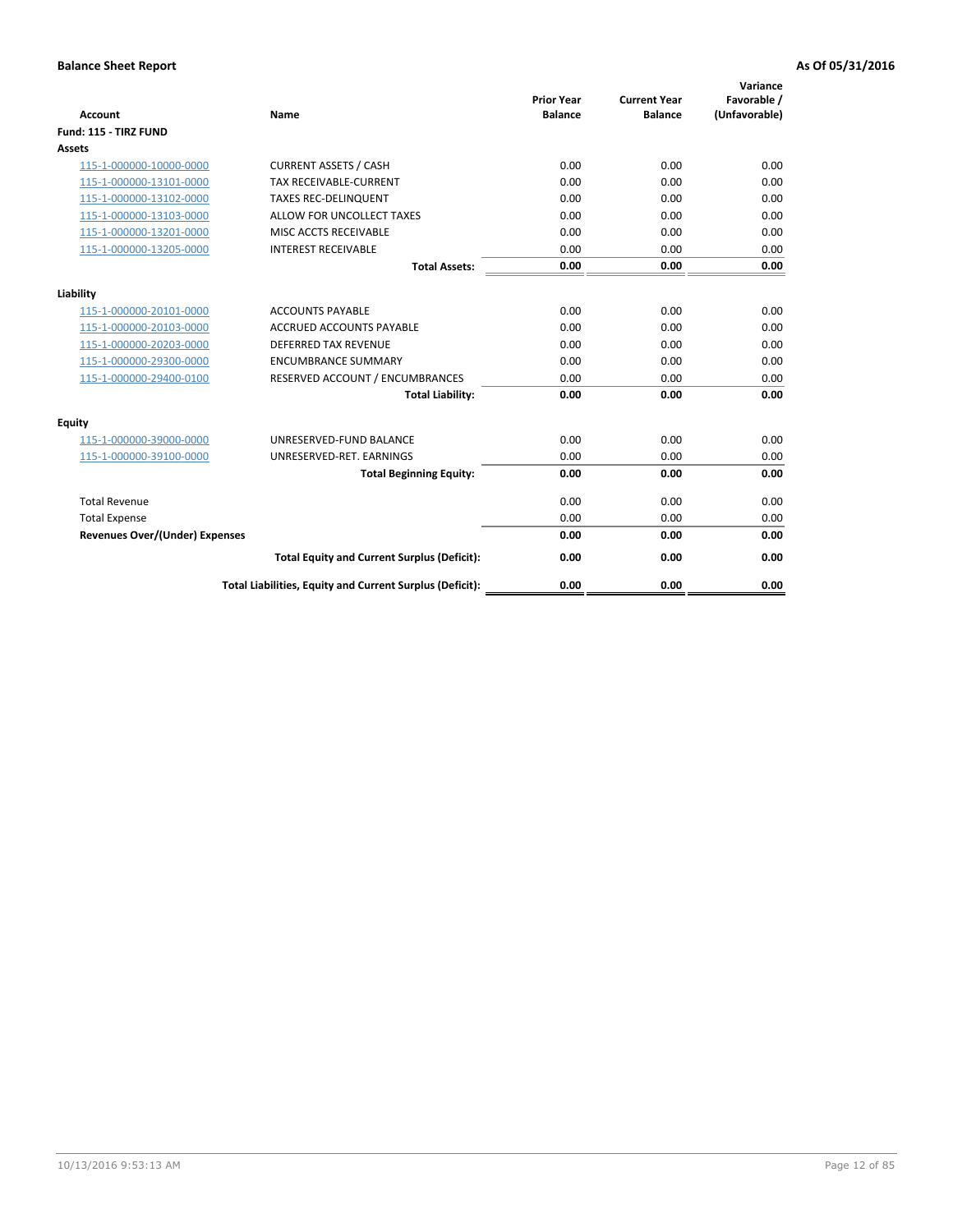| <b>Account</b>                        | Name                                                     | <b>Prior Year</b><br><b>Balance</b> | <b>Current Year</b><br><b>Balance</b> | Variance<br>Favorable /<br>(Unfavorable) |
|---------------------------------------|----------------------------------------------------------|-------------------------------------|---------------------------------------|------------------------------------------|
| Fund: 115 - TIRZ FUND                 |                                                          |                                     |                                       |                                          |
| Assets                                |                                                          |                                     |                                       |                                          |
| 115-1-000000-10000-0000               | <b>CURRENT ASSETS / CASH</b>                             | 0.00                                | 0.00                                  | 0.00                                     |
| 115-1-000000-13101-0000               | TAX RECEIVABLE-CURRENT                                   | 0.00                                | 0.00                                  | 0.00                                     |
| 115-1-000000-13102-0000               | <b>TAXES REC-DELINQUENT</b>                              | 0.00                                | 0.00                                  | 0.00                                     |
| 115-1-000000-13103-0000               | ALLOW FOR UNCOLLECT TAXES                                | 0.00                                | 0.00                                  | 0.00                                     |
| 115-1-000000-13201-0000               | MISC ACCTS RECEIVABLE                                    | 0.00                                | 0.00                                  | 0.00                                     |
| 115-1-000000-13205-0000               | <b>INTEREST RECEIVABLE</b>                               | 0.00                                | 0.00                                  | 0.00                                     |
|                                       | <b>Total Assets:</b>                                     | 0.00                                | 0.00                                  | 0.00                                     |
| Liability                             |                                                          |                                     |                                       |                                          |
| 115-1-000000-20101-0000               | <b>ACCOUNTS PAYABLE</b>                                  | 0.00                                | 0.00                                  | 0.00                                     |
| 115-1-000000-20103-0000               | <b>ACCRUED ACCOUNTS PAYABLE</b>                          | 0.00                                | 0.00                                  | 0.00                                     |
| 115-1-000000-20203-0000               | <b>DEFERRED TAX REVENUE</b>                              | 0.00                                | 0.00                                  | 0.00                                     |
| 115-1-000000-29300-0000               | <b>ENCUMBRANCE SUMMARY</b>                               | 0.00                                | 0.00                                  | 0.00                                     |
| 115-1-000000-29400-0100               | RESERVED ACCOUNT / ENCUMBRANCES                          | 0.00                                | 0.00                                  | 0.00                                     |
|                                       | <b>Total Liability:</b>                                  | 0.00                                | 0.00                                  | 0.00                                     |
| Equity                                |                                                          |                                     |                                       |                                          |
| 115-1-000000-39000-0000               | UNRESERVED-FUND BALANCE                                  | 0.00                                | 0.00                                  | 0.00                                     |
| 115-1-000000-39100-0000               | UNRESERVED-RET. EARNINGS                                 | 0.00                                | 0.00                                  | 0.00                                     |
|                                       | <b>Total Beginning Equity:</b>                           | 0.00                                | 0.00                                  | 0.00                                     |
| <b>Total Revenue</b>                  |                                                          | 0.00                                | 0.00                                  | 0.00                                     |
| <b>Total Expense</b>                  |                                                          | 0.00                                | 0.00                                  | 0.00                                     |
| <b>Revenues Over/(Under) Expenses</b> |                                                          | 0.00                                | 0.00                                  | 0.00                                     |
|                                       | <b>Total Equity and Current Surplus (Deficit):</b>       | 0.00                                | 0.00                                  | 0.00                                     |
|                                       | Total Liabilities, Equity and Current Surplus (Deficit): | 0.00                                | 0.00                                  | 0.00                                     |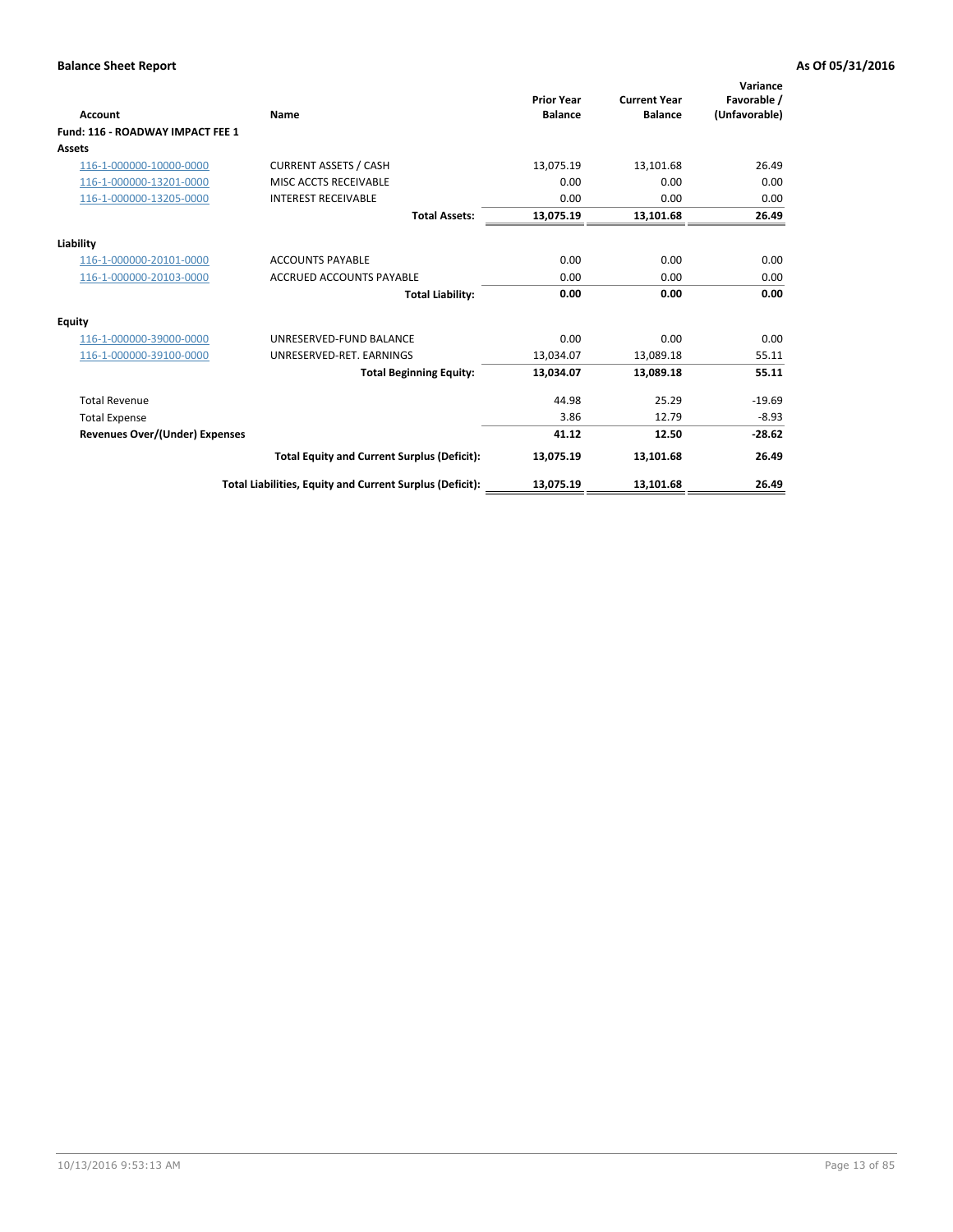| <b>Account</b>                        | Name                                                     | <b>Prior Year</b><br><b>Balance</b> | <b>Current Year</b><br><b>Balance</b> | Variance<br>Favorable /<br>(Unfavorable) |
|---------------------------------------|----------------------------------------------------------|-------------------------------------|---------------------------------------|------------------------------------------|
| Fund: 116 - ROADWAY IMPACT FEE 1      |                                                          |                                     |                                       |                                          |
| Assets                                |                                                          |                                     |                                       |                                          |
| 116-1-000000-10000-0000               | <b>CURRENT ASSETS / CASH</b>                             | 13,075.19                           | 13,101.68                             | 26.49                                    |
| 116-1-000000-13201-0000               | MISC ACCTS RECEIVABLE                                    | 0.00                                | 0.00                                  | 0.00                                     |
| 116-1-000000-13205-0000               | <b>INTEREST RECEIVABLE</b>                               | 0.00                                | 0.00                                  | 0.00                                     |
|                                       | <b>Total Assets:</b>                                     | 13,075.19                           | 13,101.68                             | 26.49                                    |
| Liability                             |                                                          |                                     |                                       |                                          |
| 116-1-000000-20101-0000               | <b>ACCOUNTS PAYABLE</b>                                  | 0.00                                | 0.00                                  | 0.00                                     |
| 116-1-000000-20103-0000               | <b>ACCRUED ACCOUNTS PAYABLE</b>                          | 0.00                                | 0.00                                  | 0.00                                     |
|                                       | <b>Total Liability:</b>                                  | 0.00                                | 0.00                                  | 0.00                                     |
| Equity                                |                                                          |                                     |                                       |                                          |
| 116-1-000000-39000-0000               | UNRESERVED-FUND BALANCE                                  | 0.00                                | 0.00                                  | 0.00                                     |
| 116-1-000000-39100-0000               | UNRESERVED-RET. EARNINGS                                 | 13,034.07                           | 13,089.18                             | 55.11                                    |
|                                       | <b>Total Beginning Equity:</b>                           | 13,034.07                           | 13,089.18                             | 55.11                                    |
| <b>Total Revenue</b>                  |                                                          | 44.98                               | 25.29                                 | $-19.69$                                 |
| <b>Total Expense</b>                  |                                                          | 3.86                                | 12.79                                 | $-8.93$                                  |
| <b>Revenues Over/(Under) Expenses</b> |                                                          | 41.12                               | 12.50                                 | $-28.62$                                 |
|                                       | <b>Total Equity and Current Surplus (Deficit):</b>       | 13,075.19                           | 13,101.68                             | 26.49                                    |
|                                       | Total Liabilities, Equity and Current Surplus (Deficit): | 13,075.19                           | 13,101.68                             | 26.49                                    |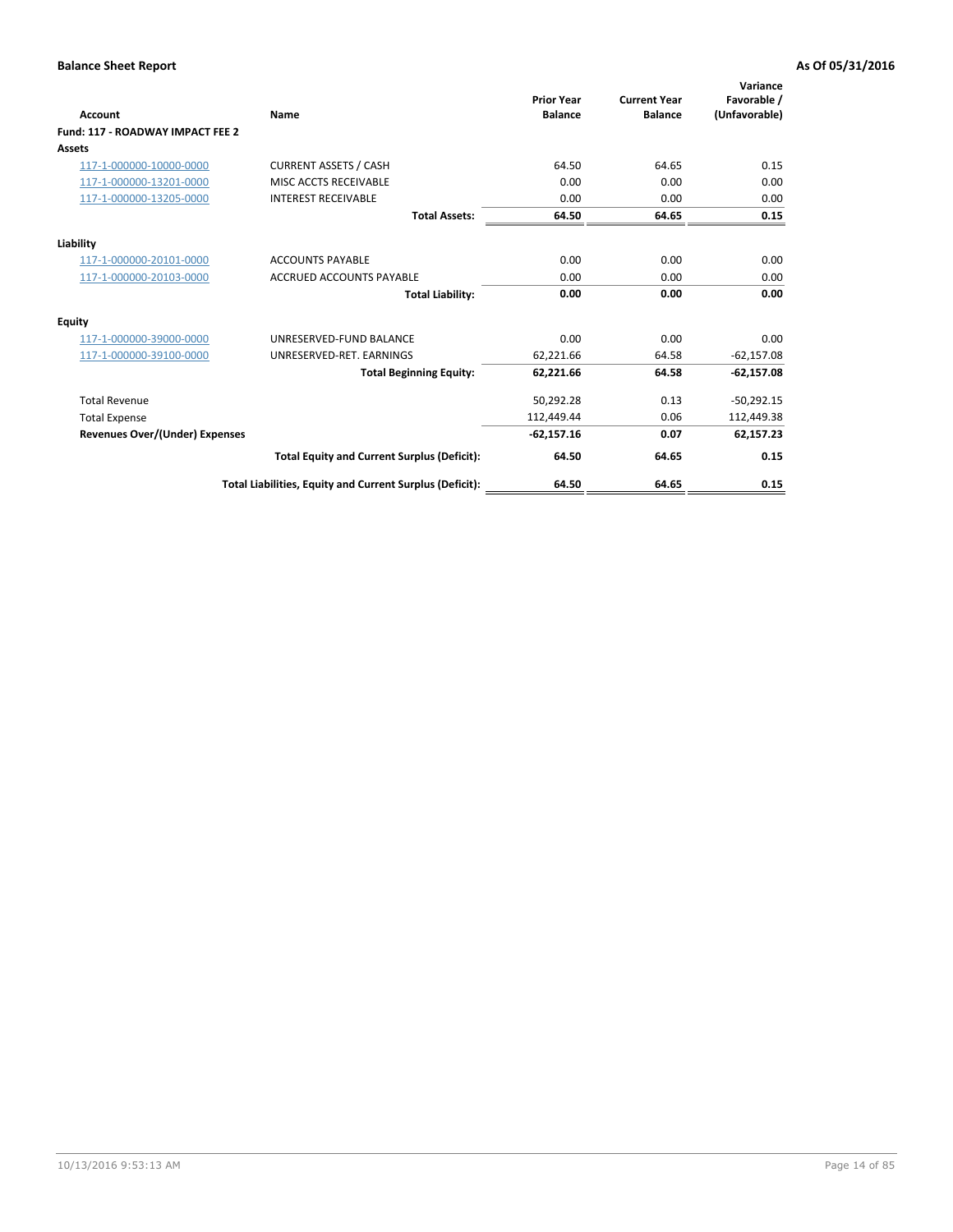| <b>Account</b>                        | Name                                                     | <b>Prior Year</b><br><b>Balance</b> | <b>Current Year</b><br><b>Balance</b> | Variance<br>Favorable /<br>(Unfavorable) |
|---------------------------------------|----------------------------------------------------------|-------------------------------------|---------------------------------------|------------------------------------------|
| Fund: 117 - ROADWAY IMPACT FEE 2      |                                                          |                                     |                                       |                                          |
| Assets                                |                                                          |                                     |                                       |                                          |
| 117-1-000000-10000-0000               | <b>CURRENT ASSETS / CASH</b>                             | 64.50                               | 64.65                                 | 0.15                                     |
| 117-1-000000-13201-0000               | MISC ACCTS RECEIVABLE                                    | 0.00                                | 0.00                                  | 0.00                                     |
| 117-1-000000-13205-0000               | <b>INTEREST RECEIVABLE</b>                               | 0.00                                | 0.00                                  | 0.00                                     |
|                                       | <b>Total Assets:</b>                                     | 64.50                               | 64.65                                 | 0.15                                     |
| Liability                             |                                                          |                                     |                                       |                                          |
| 117-1-000000-20101-0000               | <b>ACCOUNTS PAYABLE</b>                                  | 0.00                                | 0.00                                  | 0.00                                     |
| 117-1-000000-20103-0000               | <b>ACCRUED ACCOUNTS PAYABLE</b>                          | 0.00                                | 0.00                                  | 0.00                                     |
|                                       | <b>Total Liability:</b>                                  | 0.00                                | 0.00                                  | 0.00                                     |
| Equity                                |                                                          |                                     |                                       |                                          |
| 117-1-000000-39000-0000               | UNRESERVED-FUND BALANCE                                  | 0.00                                | 0.00                                  | 0.00                                     |
| 117-1-000000-39100-0000               | UNRESERVED-RET. EARNINGS                                 | 62,221.66                           | 64.58                                 | $-62,157.08$                             |
|                                       | <b>Total Beginning Equity:</b>                           | 62,221.66                           | 64.58                                 | $-62,157.08$                             |
| <b>Total Revenue</b>                  |                                                          | 50,292.28                           | 0.13                                  | $-50,292.15$                             |
| <b>Total Expense</b>                  |                                                          | 112,449.44                          | 0.06                                  | 112,449.38                               |
| <b>Revenues Over/(Under) Expenses</b> |                                                          | $-62,157.16$                        | 0.07                                  | 62,157.23                                |
|                                       | <b>Total Equity and Current Surplus (Deficit):</b>       | 64.50                               | 64.65                                 | 0.15                                     |
|                                       | Total Liabilities, Equity and Current Surplus (Deficit): | 64.50                               | 64.65                                 | 0.15                                     |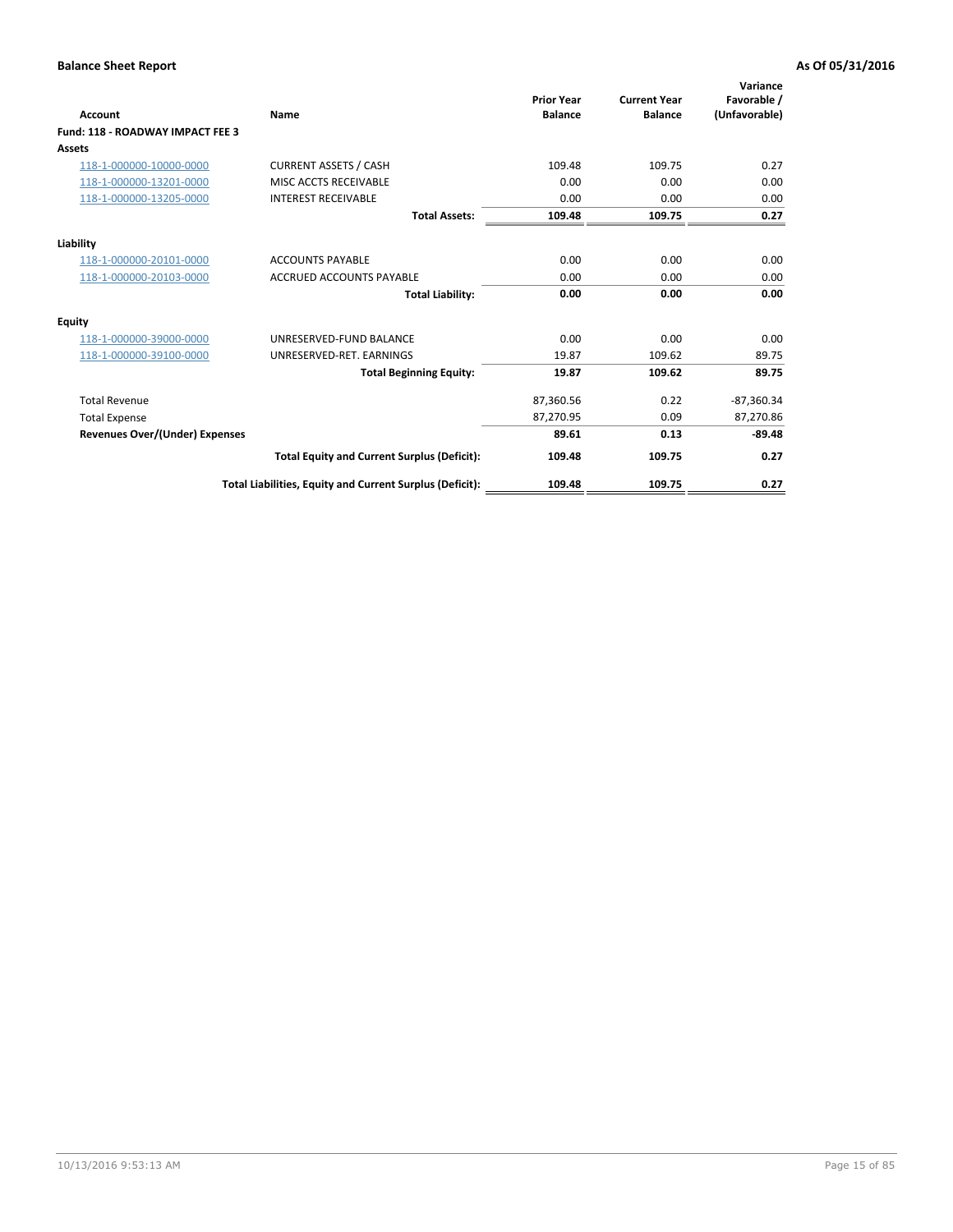| <b>Account</b>                        | Name                                                     | <b>Prior Year</b><br><b>Balance</b> | <b>Current Year</b><br><b>Balance</b> | Variance<br>Favorable /<br>(Unfavorable) |
|---------------------------------------|----------------------------------------------------------|-------------------------------------|---------------------------------------|------------------------------------------|
| Fund: 118 - ROADWAY IMPACT FEE 3      |                                                          |                                     |                                       |                                          |
| Assets                                |                                                          |                                     |                                       |                                          |
| 118-1-000000-10000-0000               | <b>CURRENT ASSETS / CASH</b>                             | 109.48                              | 109.75                                | 0.27                                     |
| 118-1-000000-13201-0000               | MISC ACCTS RECEIVABLE                                    | 0.00                                | 0.00                                  | 0.00                                     |
| 118-1-000000-13205-0000               | <b>INTEREST RECEIVABLE</b>                               | 0.00                                | 0.00                                  | 0.00                                     |
|                                       | <b>Total Assets:</b>                                     | 109.48                              | 109.75                                | 0.27                                     |
| Liability                             |                                                          |                                     |                                       |                                          |
| 118-1-000000-20101-0000               | <b>ACCOUNTS PAYABLE</b>                                  | 0.00                                | 0.00                                  | 0.00                                     |
| 118-1-000000-20103-0000               | <b>ACCRUED ACCOUNTS PAYABLE</b>                          | 0.00                                | 0.00                                  | 0.00                                     |
|                                       | <b>Total Liability:</b>                                  | 0.00                                | 0.00                                  | 0.00                                     |
| Equity                                |                                                          |                                     |                                       |                                          |
| 118-1-000000-39000-0000               | UNRESERVED-FUND BALANCE                                  | 0.00                                | 0.00                                  | 0.00                                     |
| 118-1-000000-39100-0000               | UNRESERVED-RET. EARNINGS                                 | 19.87                               | 109.62                                | 89.75                                    |
|                                       | <b>Total Beginning Equity:</b>                           | 19.87                               | 109.62                                | 89.75                                    |
| <b>Total Revenue</b>                  |                                                          | 87,360.56                           | 0.22                                  | $-87,360.34$                             |
| <b>Total Expense</b>                  |                                                          | 87,270.95                           | 0.09                                  | 87,270.86                                |
| <b>Revenues Over/(Under) Expenses</b> |                                                          | 89.61                               | 0.13                                  | $-89.48$                                 |
|                                       | <b>Total Equity and Current Surplus (Deficit):</b>       | 109.48                              | 109.75                                | 0.27                                     |
|                                       | Total Liabilities, Equity and Current Surplus (Deficit): | 109.48                              | 109.75                                | 0.27                                     |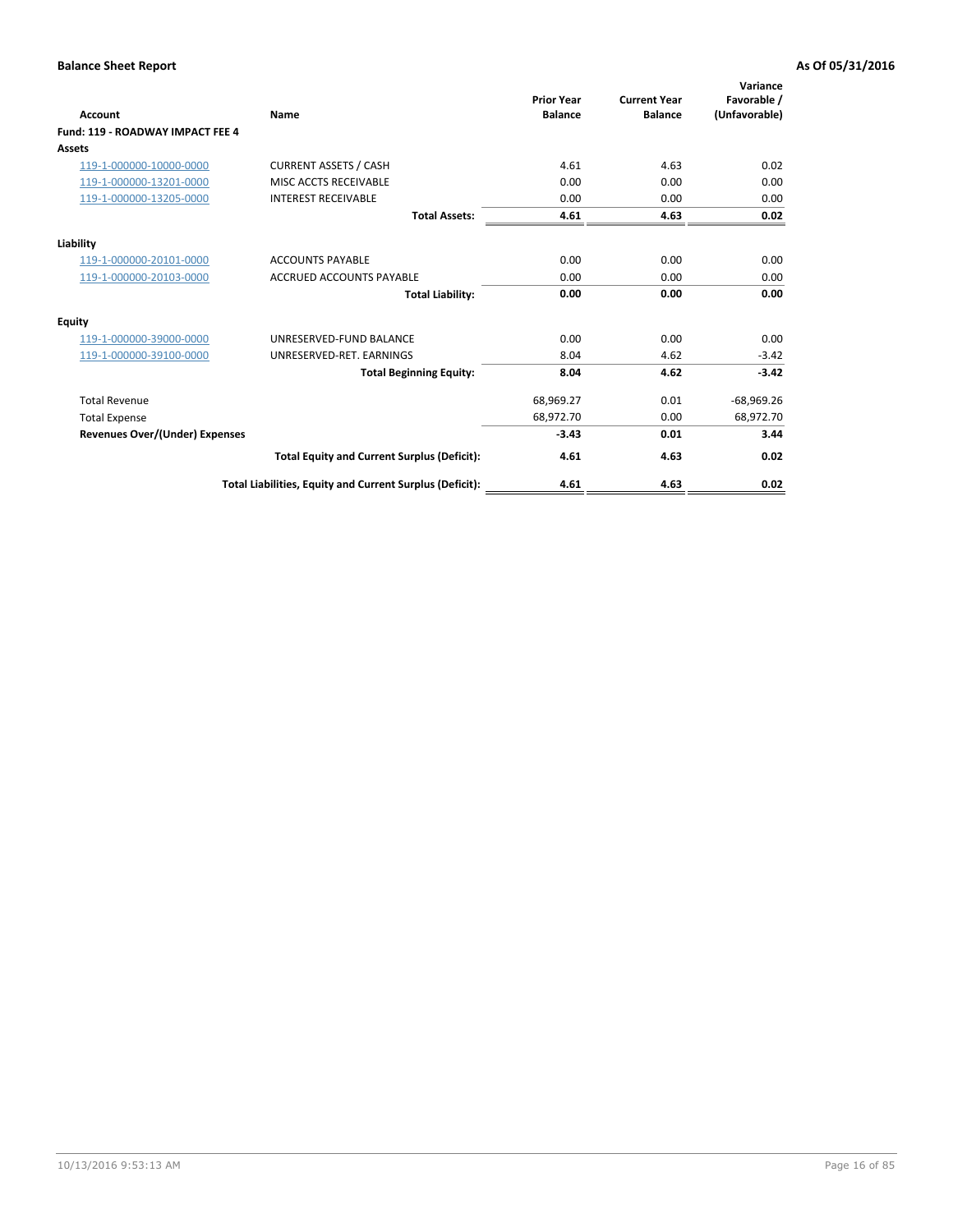| <b>Account</b>                        | Name                                                     | <b>Prior Year</b><br><b>Balance</b> | <b>Current Year</b><br><b>Balance</b> | Variance<br>Favorable /<br>(Unfavorable) |
|---------------------------------------|----------------------------------------------------------|-------------------------------------|---------------------------------------|------------------------------------------|
| Fund: 119 - ROADWAY IMPACT FEE 4      |                                                          |                                     |                                       |                                          |
| Assets                                |                                                          |                                     |                                       |                                          |
| 119-1-000000-10000-0000               | <b>CURRENT ASSETS / CASH</b>                             | 4.61                                | 4.63                                  | 0.02                                     |
| 119-1-000000-13201-0000               | MISC ACCTS RECEIVABLE                                    | 0.00                                | 0.00                                  | 0.00                                     |
| 119-1-000000-13205-0000               | <b>INTEREST RECEIVABLE</b>                               | 0.00                                | 0.00                                  | 0.00                                     |
|                                       | <b>Total Assets:</b>                                     | 4.61                                | 4.63                                  | 0.02                                     |
| Liability                             |                                                          |                                     |                                       |                                          |
| 119-1-000000-20101-0000               | <b>ACCOUNTS PAYABLE</b>                                  | 0.00                                | 0.00                                  | 0.00                                     |
| 119-1-000000-20103-0000               | <b>ACCRUED ACCOUNTS PAYABLE</b>                          | 0.00                                | 0.00                                  | 0.00                                     |
|                                       | <b>Total Liability:</b>                                  | 0.00                                | 0.00                                  | 0.00                                     |
| Equity                                |                                                          |                                     |                                       |                                          |
| 119-1-000000-39000-0000               | UNRESERVED-FUND BALANCE                                  | 0.00                                | 0.00                                  | 0.00                                     |
| 119-1-000000-39100-0000               | UNRESERVED-RET. EARNINGS                                 | 8.04                                | 4.62                                  | $-3.42$                                  |
|                                       | <b>Total Beginning Equity:</b>                           | 8.04                                | 4.62                                  | $-3.42$                                  |
| <b>Total Revenue</b>                  |                                                          | 68,969.27                           | 0.01                                  | $-68,969.26$                             |
| <b>Total Expense</b>                  |                                                          | 68,972.70                           | 0.00                                  | 68,972.70                                |
| <b>Revenues Over/(Under) Expenses</b> |                                                          | $-3.43$                             | 0.01                                  | 3.44                                     |
|                                       | <b>Total Equity and Current Surplus (Deficit):</b>       | 4.61                                | 4.63                                  | 0.02                                     |
|                                       | Total Liabilities, Equity and Current Surplus (Deficit): | 4.61                                | 4.63                                  | 0.02                                     |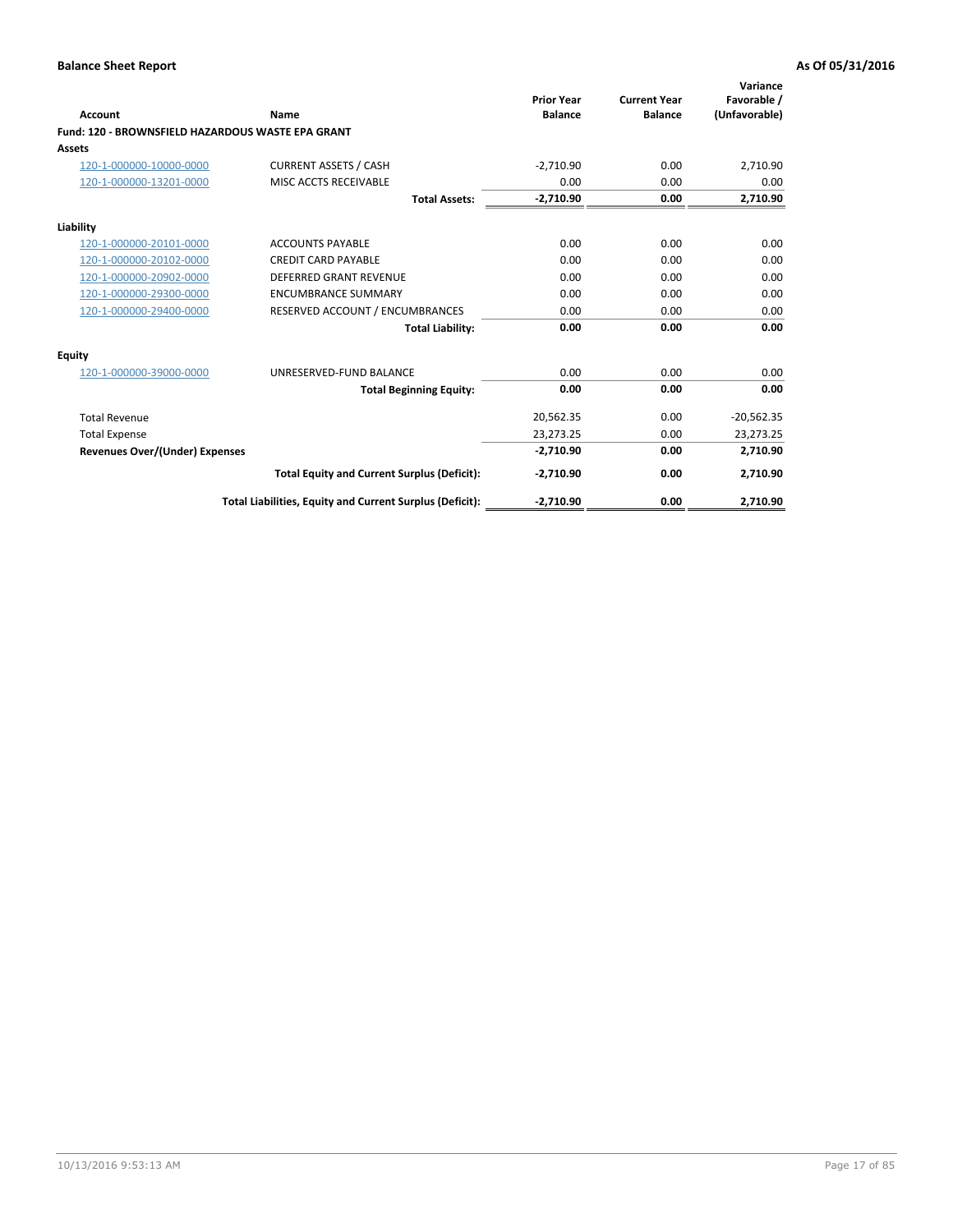| <b>Account</b>                                    | Name                                                     | <b>Prior Year</b><br><b>Balance</b> | <b>Current Year</b><br><b>Balance</b> | Variance<br>Favorable /<br>(Unfavorable) |
|---------------------------------------------------|----------------------------------------------------------|-------------------------------------|---------------------------------------|------------------------------------------|
| Fund: 120 - BROWNSFIELD HAZARDOUS WASTE EPA GRANT |                                                          |                                     |                                       |                                          |
| Assets                                            |                                                          |                                     |                                       |                                          |
| 120-1-000000-10000-0000                           | <b>CURRENT ASSETS / CASH</b>                             | $-2,710.90$                         | 0.00                                  | 2,710.90                                 |
| 120-1-000000-13201-0000                           | MISC ACCTS RECEIVABLE                                    | 0.00                                | 0.00                                  | 0.00                                     |
|                                                   | <b>Total Assets:</b>                                     | $-2,710.90$                         | 0.00                                  | 2,710.90                                 |
| Liability                                         |                                                          |                                     |                                       |                                          |
| 120-1-000000-20101-0000                           | <b>ACCOUNTS PAYABLE</b>                                  | 0.00                                | 0.00                                  | 0.00                                     |
| 120-1-000000-20102-0000                           | <b>CREDIT CARD PAYABLE</b>                               | 0.00                                | 0.00                                  | 0.00                                     |
| 120-1-000000-20902-0000                           | <b>DEFERRED GRANT REVENUE</b>                            | 0.00                                | 0.00                                  | 0.00                                     |
| 120-1-000000-29300-0000                           | <b>ENCUMBRANCE SUMMARY</b>                               | 0.00                                | 0.00                                  | 0.00                                     |
| 120-1-000000-29400-0000                           | RESERVED ACCOUNT / ENCUMBRANCES                          | 0.00                                | 0.00                                  | 0.00                                     |
|                                                   | <b>Total Liability:</b>                                  | 0.00                                | 0.00                                  | 0.00                                     |
| Equity                                            |                                                          |                                     |                                       |                                          |
| 120-1-000000-39000-0000                           | UNRESERVED-FUND BALANCE                                  | 0.00                                | 0.00                                  | 0.00                                     |
|                                                   | <b>Total Beginning Equity:</b>                           | 0.00                                | 0.00                                  | 0.00                                     |
| <b>Total Revenue</b>                              |                                                          | 20,562.35                           | 0.00                                  | $-20,562.35$                             |
| <b>Total Expense</b>                              |                                                          | 23,273.25                           | 0.00                                  | 23,273.25                                |
| <b>Revenues Over/(Under) Expenses</b>             |                                                          | $-2,710.90$                         | 0.00                                  | 2,710.90                                 |
|                                                   | <b>Total Equity and Current Surplus (Deficit):</b>       | $-2,710.90$                         | 0.00                                  | 2,710.90                                 |
|                                                   | Total Liabilities, Equity and Current Surplus (Deficit): | $-2,710.90$                         | 0.00                                  | 2,710.90                                 |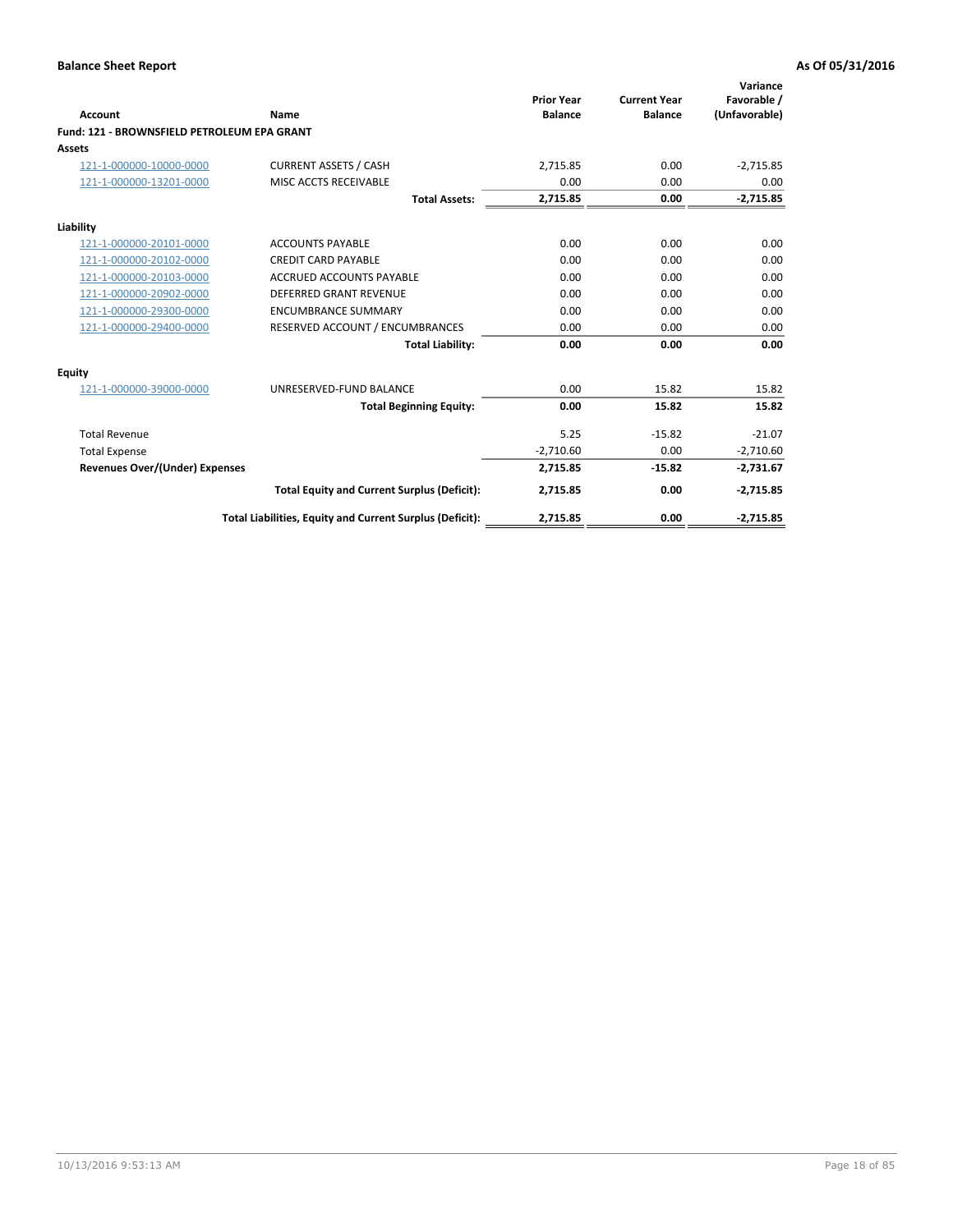| <b>Account</b>                              | Name                                                     | <b>Prior Year</b><br><b>Balance</b> | <b>Current Year</b><br><b>Balance</b> | Variance<br>Favorable /<br>(Unfavorable) |
|---------------------------------------------|----------------------------------------------------------|-------------------------------------|---------------------------------------|------------------------------------------|
| Fund: 121 - BROWNSFIELD PETROLEUM EPA GRANT |                                                          |                                     |                                       |                                          |
| <b>Assets</b>                               |                                                          |                                     |                                       |                                          |
| 121-1-000000-10000-0000                     | <b>CURRENT ASSETS / CASH</b>                             | 2,715.85                            | 0.00                                  | $-2,715.85$                              |
| 121-1-000000-13201-0000                     | <b>MISC ACCTS RECEIVABLE</b>                             | 0.00                                | 0.00                                  | 0.00                                     |
|                                             | <b>Total Assets:</b>                                     | 2,715.85                            | 0.00                                  | $-2,715.85$                              |
| Liability                                   |                                                          |                                     |                                       |                                          |
| 121-1-000000-20101-0000                     | <b>ACCOUNTS PAYABLE</b>                                  | 0.00                                | 0.00                                  | 0.00                                     |
| 121-1-000000-20102-0000                     | <b>CREDIT CARD PAYABLE</b>                               | 0.00                                | 0.00                                  | 0.00                                     |
| 121-1-000000-20103-0000                     | <b>ACCRUED ACCOUNTS PAYABLE</b>                          | 0.00                                | 0.00                                  | 0.00                                     |
| 121-1-000000-20902-0000                     | <b>DEFERRED GRANT REVENUE</b>                            | 0.00                                | 0.00                                  | 0.00                                     |
| 121-1-000000-29300-0000                     | <b>ENCUMBRANCE SUMMARY</b>                               | 0.00                                | 0.00                                  | 0.00                                     |
| 121-1-000000-29400-0000                     | RESERVED ACCOUNT / ENCUMBRANCES                          | 0.00                                | 0.00                                  | 0.00                                     |
|                                             | <b>Total Liability:</b>                                  | 0.00                                | 0.00                                  | 0.00                                     |
| <b>Equity</b>                               |                                                          |                                     |                                       |                                          |
| 121-1-000000-39000-0000                     | UNRESERVED-FUND BALANCE                                  | 0.00                                | 15.82                                 | 15.82                                    |
|                                             | <b>Total Beginning Equity:</b>                           | 0.00                                | 15.82                                 | 15.82                                    |
| <b>Total Revenue</b>                        |                                                          | 5.25                                | $-15.82$                              | $-21.07$                                 |
| <b>Total Expense</b>                        |                                                          | $-2,710.60$                         | 0.00                                  | $-2,710.60$                              |
| <b>Revenues Over/(Under) Expenses</b>       |                                                          | 2,715.85                            | $-15.82$                              | $-2,731.67$                              |
|                                             | <b>Total Equity and Current Surplus (Deficit):</b>       | 2,715.85                            | 0.00                                  | $-2,715.85$                              |
|                                             | Total Liabilities, Equity and Current Surplus (Deficit): | 2,715.85                            | 0.00                                  | $-2,715.85$                              |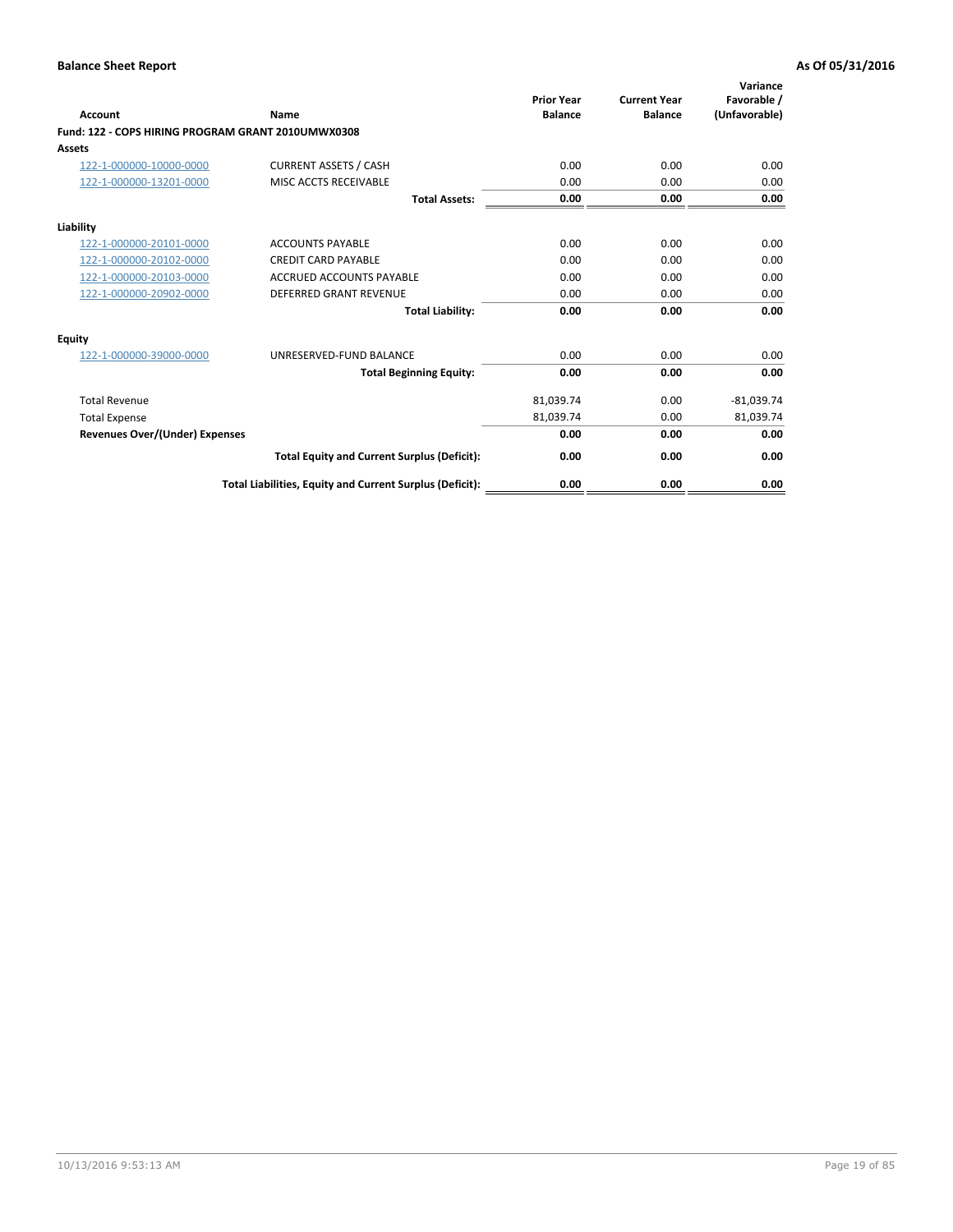| <b>Account</b>                                     | Name                                                     | <b>Prior Year</b><br><b>Balance</b> | <b>Current Year</b><br><b>Balance</b> | Variance<br>Favorable /<br>(Unfavorable) |
|----------------------------------------------------|----------------------------------------------------------|-------------------------------------|---------------------------------------|------------------------------------------|
| Fund: 122 - COPS HIRING PROGRAM GRANT 2010UMWX0308 |                                                          |                                     |                                       |                                          |
| Assets                                             |                                                          |                                     |                                       |                                          |
| 122-1-000000-10000-0000                            | <b>CURRENT ASSETS / CASH</b>                             | 0.00                                | 0.00                                  | 0.00                                     |
| 122-1-000000-13201-0000                            | MISC ACCTS RECEIVABLE                                    | 0.00                                | 0.00                                  | 0.00                                     |
|                                                    | <b>Total Assets:</b>                                     | 0.00                                | 0.00                                  | 0.00                                     |
| Liability                                          |                                                          |                                     |                                       |                                          |
| 122-1-000000-20101-0000                            | <b>ACCOUNTS PAYABLE</b>                                  | 0.00                                | 0.00                                  | 0.00                                     |
| 122-1-000000-20102-0000                            | <b>CREDIT CARD PAYABLE</b>                               | 0.00                                | 0.00                                  | 0.00                                     |
| 122-1-000000-20103-0000                            | <b>ACCRUED ACCOUNTS PAYABLE</b>                          | 0.00                                | 0.00                                  | 0.00                                     |
| 122-1-000000-20902-0000                            | <b>DEFERRED GRANT REVENUE</b>                            | 0.00                                | 0.00                                  | 0.00                                     |
|                                                    | <b>Total Liability:</b>                                  | 0.00                                | 0.00                                  | 0.00                                     |
| Equity                                             |                                                          |                                     |                                       |                                          |
| 122-1-000000-39000-0000                            | UNRESERVED-FUND BALANCE                                  | 0.00                                | 0.00                                  | 0.00                                     |
|                                                    | <b>Total Beginning Equity:</b>                           | 0.00                                | 0.00                                  | 0.00                                     |
| <b>Total Revenue</b>                               |                                                          | 81,039.74                           | 0.00                                  | $-81,039.74$                             |
| <b>Total Expense</b>                               |                                                          | 81,039.74                           | 0.00                                  | 81,039.74                                |
| <b>Revenues Over/(Under) Expenses</b>              |                                                          | 0.00                                | 0.00                                  | 0.00                                     |
|                                                    | <b>Total Equity and Current Surplus (Deficit):</b>       | 0.00                                | 0.00                                  | 0.00                                     |
|                                                    | Total Liabilities, Equity and Current Surplus (Deficit): | 0.00                                | 0.00                                  | 0.00                                     |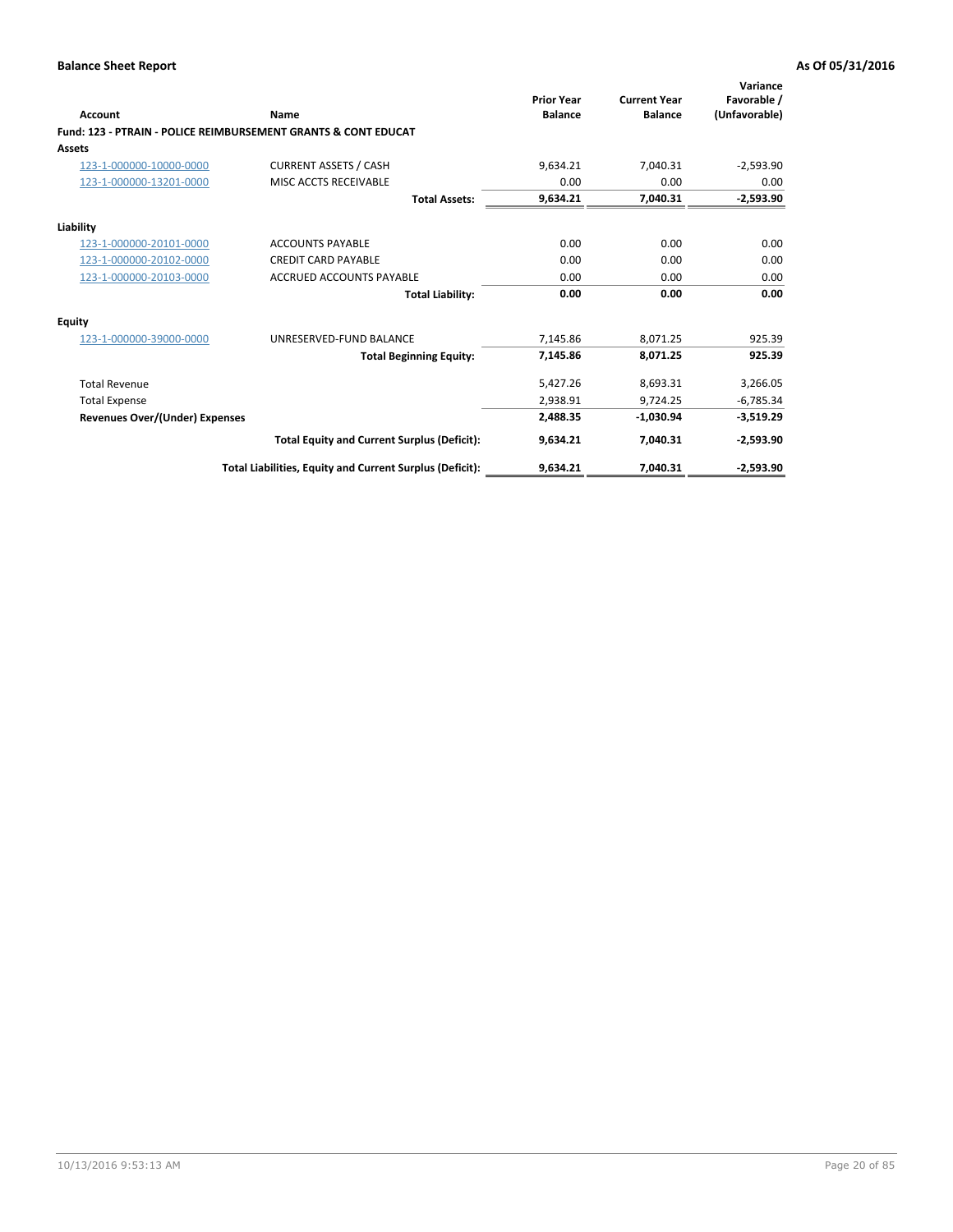|                                       |                                                                           | <b>Prior Year</b> | <b>Current Year</b> | Variance<br>Favorable / |
|---------------------------------------|---------------------------------------------------------------------------|-------------------|---------------------|-------------------------|
| <b>Account</b>                        | Name                                                                      | <b>Balance</b>    | <b>Balance</b>      | (Unfavorable)           |
|                                       | <b>Fund: 123 - PTRAIN - POLICE REIMBURSEMENT GRANTS &amp; CONT EDUCAT</b> |                   |                     |                         |
| <b>Assets</b>                         |                                                                           |                   |                     |                         |
| 123-1-000000-10000-0000               | <b>CURRENT ASSETS / CASH</b>                                              | 9,634.21          | 7,040.31            | $-2,593.90$             |
| 123-1-000000-13201-0000               | MISC ACCTS RECEIVABLE                                                     | 0.00              | 0.00                | 0.00                    |
|                                       | <b>Total Assets:</b>                                                      | 9,634.21          | 7,040.31            | $-2,593.90$             |
| Liability                             |                                                                           |                   |                     |                         |
| 123-1-000000-20101-0000               | <b>ACCOUNTS PAYABLE</b>                                                   | 0.00              | 0.00                | 0.00                    |
| 123-1-000000-20102-0000               | <b>CREDIT CARD PAYABLE</b>                                                | 0.00              | 0.00                | 0.00                    |
| 123-1-000000-20103-0000               | <b>ACCRUED ACCOUNTS PAYABLE</b>                                           | 0.00              | 0.00                | 0.00                    |
|                                       | <b>Total Liability:</b>                                                   | 0.00              | 0.00                | 0.00                    |
| <b>Equity</b>                         |                                                                           |                   |                     |                         |
| 123-1-000000-39000-0000               | UNRESERVED-FUND BALANCE                                                   | 7.145.86          | 8,071.25            | 925.39                  |
|                                       | <b>Total Beginning Equity:</b>                                            | 7,145.86          | 8,071.25            | 925.39                  |
| <b>Total Revenue</b>                  |                                                                           | 5,427.26          | 8,693.31            | 3,266.05                |
| <b>Total Expense</b>                  |                                                                           | 2.938.91          | 9.724.25            | $-6,785.34$             |
| <b>Revenues Over/(Under) Expenses</b> |                                                                           | 2.488.35          | $-1,030.94$         | $-3,519.29$             |
|                                       | <b>Total Equity and Current Surplus (Deficit):</b>                        | 9,634.21          | 7,040.31            | $-2,593.90$             |
|                                       | Total Liabilities, Equity and Current Surplus (Deficit):                  | 9,634.21          | 7.040.31            | $-2,593.90$             |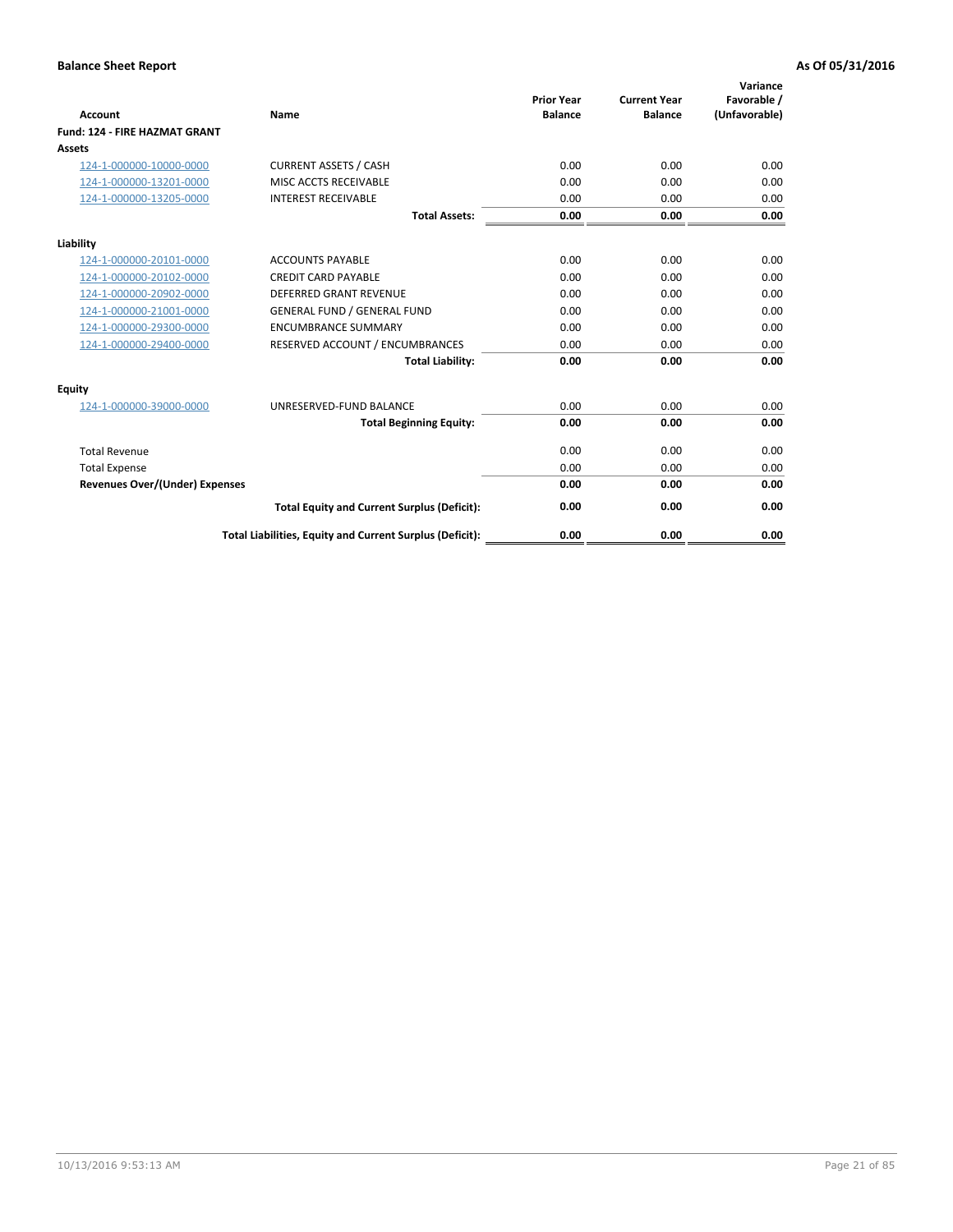| <b>Account</b>                        | <b>Name</b>                                              | <b>Prior Year</b><br><b>Balance</b> | <b>Current Year</b><br><b>Balance</b> | Variance<br>Favorable /<br>(Unfavorable) |
|---------------------------------------|----------------------------------------------------------|-------------------------------------|---------------------------------------|------------------------------------------|
| <b>Fund: 124 - FIRE HAZMAT GRANT</b>  |                                                          |                                     |                                       |                                          |
| Assets                                |                                                          |                                     |                                       |                                          |
| 124-1-000000-10000-0000               | <b>CURRENT ASSETS / CASH</b>                             | 0.00                                | 0.00                                  | 0.00                                     |
| 124-1-000000-13201-0000               | MISC ACCTS RECEIVABLE                                    | 0.00                                | 0.00                                  | 0.00                                     |
| 124-1-000000-13205-0000               | <b>INTEREST RECEIVABLE</b>                               | 0.00                                | 0.00                                  | 0.00                                     |
|                                       | <b>Total Assets:</b>                                     | 0.00                                | 0.00                                  | 0.00                                     |
| Liability                             |                                                          |                                     |                                       |                                          |
| 124-1-000000-20101-0000               | <b>ACCOUNTS PAYABLE</b>                                  | 0.00                                | 0.00                                  | 0.00                                     |
| 124-1-000000-20102-0000               | <b>CREDIT CARD PAYABLE</b>                               | 0.00                                | 0.00                                  | 0.00                                     |
| 124-1-000000-20902-0000               | <b>DEFERRED GRANT REVENUE</b>                            | 0.00                                | 0.00                                  | 0.00                                     |
| 124-1-000000-21001-0000               | <b>GENERAL FUND / GENERAL FUND</b>                       | 0.00                                | 0.00                                  | 0.00                                     |
| 124-1-000000-29300-0000               | <b>ENCUMBRANCE SUMMARY</b>                               | 0.00                                | 0.00                                  | 0.00                                     |
| 124-1-000000-29400-0000               | RESERVED ACCOUNT / ENCUMBRANCES                          | 0.00                                | 0.00                                  | 0.00                                     |
|                                       | <b>Total Liability:</b>                                  | 0.00                                | 0.00                                  | 0.00                                     |
| Equity                                |                                                          |                                     |                                       |                                          |
| 124-1-000000-39000-0000               | UNRESERVED-FUND BALANCE                                  | 0.00                                | 0.00                                  | 0.00                                     |
|                                       | <b>Total Beginning Equity:</b>                           | 0.00                                | 0.00                                  | 0.00                                     |
| <b>Total Revenue</b>                  |                                                          | 0.00                                | 0.00                                  | 0.00                                     |
| <b>Total Expense</b>                  |                                                          | 0.00                                | 0.00                                  | 0.00                                     |
| <b>Revenues Over/(Under) Expenses</b> |                                                          | 0.00                                | 0.00                                  | 0.00                                     |
|                                       | <b>Total Equity and Current Surplus (Deficit):</b>       | 0.00                                | 0.00                                  | 0.00                                     |
|                                       | Total Liabilities, Equity and Current Surplus (Deficit): | 0.00                                | 0.00                                  | 0.00                                     |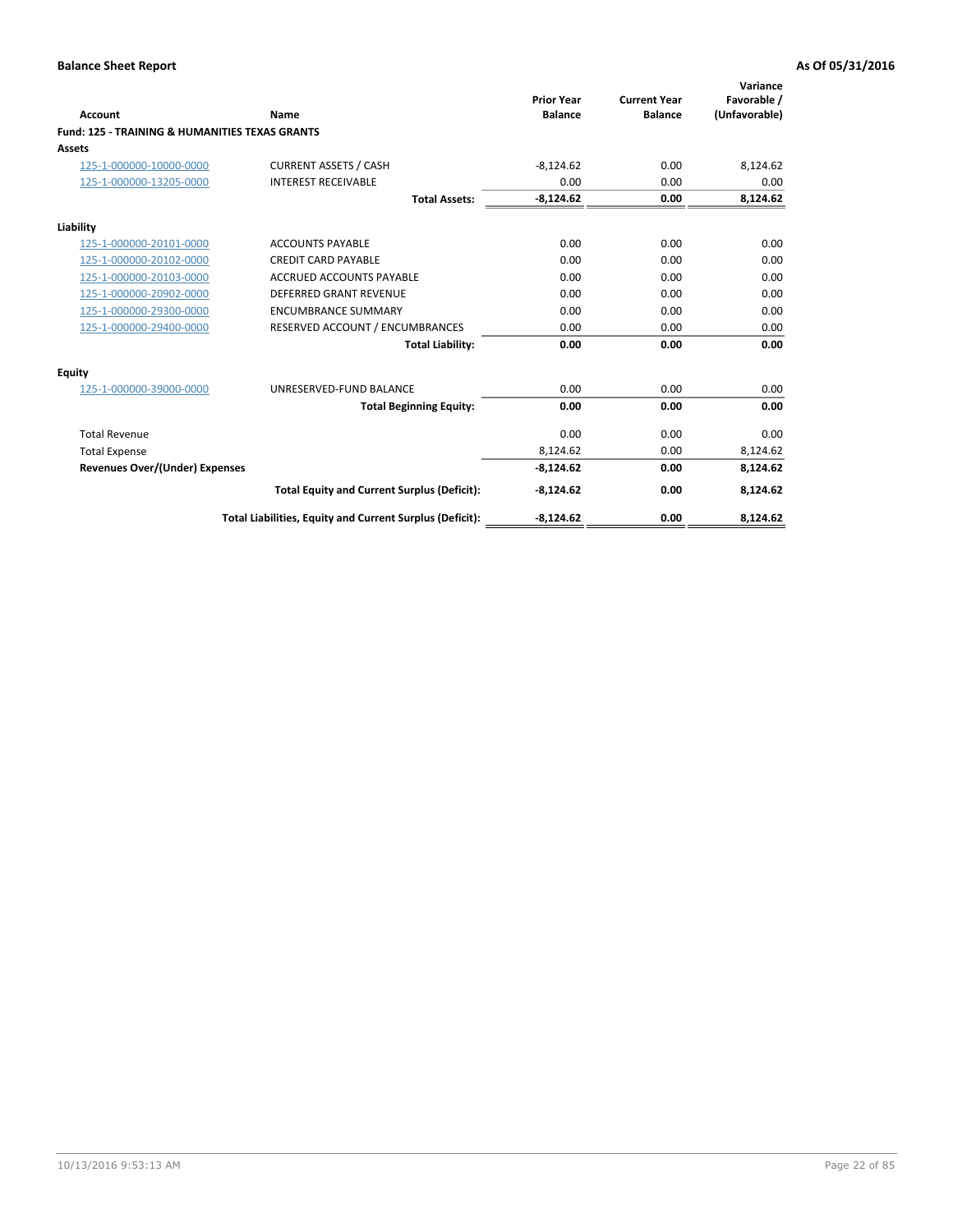| <b>Account</b>                                            | Name                                                     | <b>Prior Year</b><br><b>Balance</b> | <b>Current Year</b><br><b>Balance</b> | Variance<br>Favorable /<br>(Unfavorable) |
|-----------------------------------------------------------|----------------------------------------------------------|-------------------------------------|---------------------------------------|------------------------------------------|
| <b>Fund: 125 - TRAINING &amp; HUMANITIES TEXAS GRANTS</b> |                                                          |                                     |                                       |                                          |
| Assets                                                    |                                                          |                                     |                                       |                                          |
| 125-1-000000-10000-0000                                   | <b>CURRENT ASSETS / CASH</b>                             | $-8,124.62$                         | 0.00                                  | 8,124.62                                 |
| 125-1-000000-13205-0000                                   | <b>INTEREST RECEIVABLE</b>                               | 0.00                                | 0.00                                  | 0.00                                     |
|                                                           | <b>Total Assets:</b>                                     | $-8,124.62$                         | 0.00                                  | 8,124.62                                 |
| Liability                                                 |                                                          |                                     |                                       |                                          |
| 125-1-000000-20101-0000                                   | <b>ACCOUNTS PAYABLE</b>                                  | 0.00                                | 0.00                                  | 0.00                                     |
| 125-1-000000-20102-0000                                   | <b>CREDIT CARD PAYABLE</b>                               | 0.00                                | 0.00                                  | 0.00                                     |
| 125-1-000000-20103-0000                                   | <b>ACCRUED ACCOUNTS PAYABLE</b>                          | 0.00                                | 0.00                                  | 0.00                                     |
| 125-1-000000-20902-0000                                   | DEFERRED GRANT REVENUE                                   | 0.00                                | 0.00                                  | 0.00                                     |
| 125-1-000000-29300-0000                                   | <b>ENCUMBRANCE SUMMARY</b>                               | 0.00                                | 0.00                                  | 0.00                                     |
| 125-1-000000-29400-0000                                   | RESERVED ACCOUNT / ENCUMBRANCES                          | 0.00                                | 0.00                                  | 0.00                                     |
|                                                           | <b>Total Liability:</b>                                  | 0.00                                | 0.00                                  | 0.00                                     |
| Equity                                                    |                                                          |                                     |                                       |                                          |
| 125-1-000000-39000-0000                                   | UNRESERVED-FUND BALANCE                                  | 0.00                                | 0.00                                  | 0.00                                     |
|                                                           | <b>Total Beginning Equity:</b>                           | 0.00                                | 0.00                                  | 0.00                                     |
| <b>Total Revenue</b>                                      |                                                          | 0.00                                | 0.00                                  | 0.00                                     |
| <b>Total Expense</b>                                      |                                                          | 8,124.62                            | 0.00                                  | 8,124.62                                 |
| <b>Revenues Over/(Under) Expenses</b>                     |                                                          | $-8,124.62$                         | 0.00                                  | 8,124.62                                 |
|                                                           | <b>Total Equity and Current Surplus (Deficit):</b>       | $-8,124.62$                         | 0.00                                  | 8,124.62                                 |
|                                                           | Total Liabilities, Equity and Current Surplus (Deficit): | $-8,124.62$                         | 0.00                                  | 8,124.62                                 |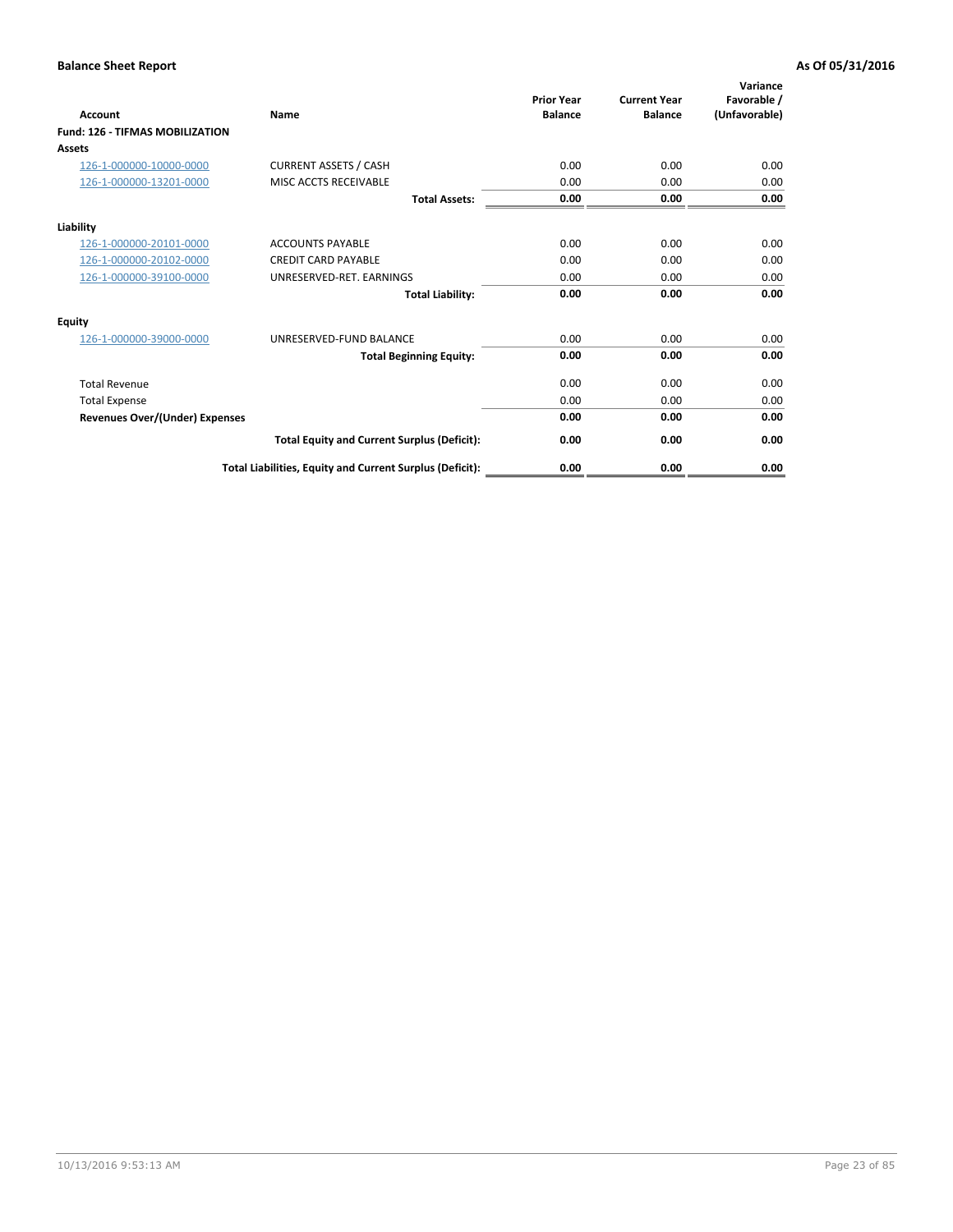| <b>Account</b>                         | Name                                                     | <b>Prior Year</b><br><b>Balance</b> | <b>Current Year</b><br><b>Balance</b> | Variance<br>Favorable /<br>(Unfavorable) |
|----------------------------------------|----------------------------------------------------------|-------------------------------------|---------------------------------------|------------------------------------------|
| <b>Fund: 126 - TIFMAS MOBILIZATION</b> |                                                          |                                     |                                       |                                          |
| Assets                                 |                                                          |                                     |                                       |                                          |
| 126-1-000000-10000-0000                | <b>CURRENT ASSETS / CASH</b>                             | 0.00                                | 0.00                                  | 0.00                                     |
| 126-1-000000-13201-0000                | MISC ACCTS RECEIVABLE                                    | 0.00                                | 0.00                                  | 0.00                                     |
|                                        | <b>Total Assets:</b>                                     | 0.00                                | 0.00                                  | 0.00                                     |
| Liability                              |                                                          |                                     |                                       |                                          |
| 126-1-000000-20101-0000                | <b>ACCOUNTS PAYABLE</b>                                  | 0.00                                | 0.00                                  | 0.00                                     |
| 126-1-000000-20102-0000                | <b>CREDIT CARD PAYABLE</b>                               | 0.00                                | 0.00                                  | 0.00                                     |
| 126-1-000000-39100-0000                | UNRESERVED-RET. EARNINGS                                 | 0.00                                | 0.00                                  | 0.00                                     |
|                                        | <b>Total Liability:</b>                                  | 0.00                                | 0.00                                  | 0.00                                     |
| Equity                                 |                                                          |                                     |                                       |                                          |
| 126-1-000000-39000-0000                | UNRESERVED-FUND BALANCE                                  | 0.00                                | 0.00                                  | 0.00                                     |
|                                        | <b>Total Beginning Equity:</b>                           | 0.00                                | 0.00                                  | 0.00                                     |
| <b>Total Revenue</b>                   |                                                          | 0.00                                | 0.00                                  | 0.00                                     |
| <b>Total Expense</b>                   |                                                          | 0.00                                | 0.00                                  | 0.00                                     |
| Revenues Over/(Under) Expenses         |                                                          | 0.00                                | 0.00                                  | 0.00                                     |
|                                        | <b>Total Equity and Current Surplus (Deficit):</b>       | 0.00                                | 0.00                                  | 0.00                                     |
|                                        | Total Liabilities, Equity and Current Surplus (Deficit): | 0.00                                | 0.00                                  | 0.00                                     |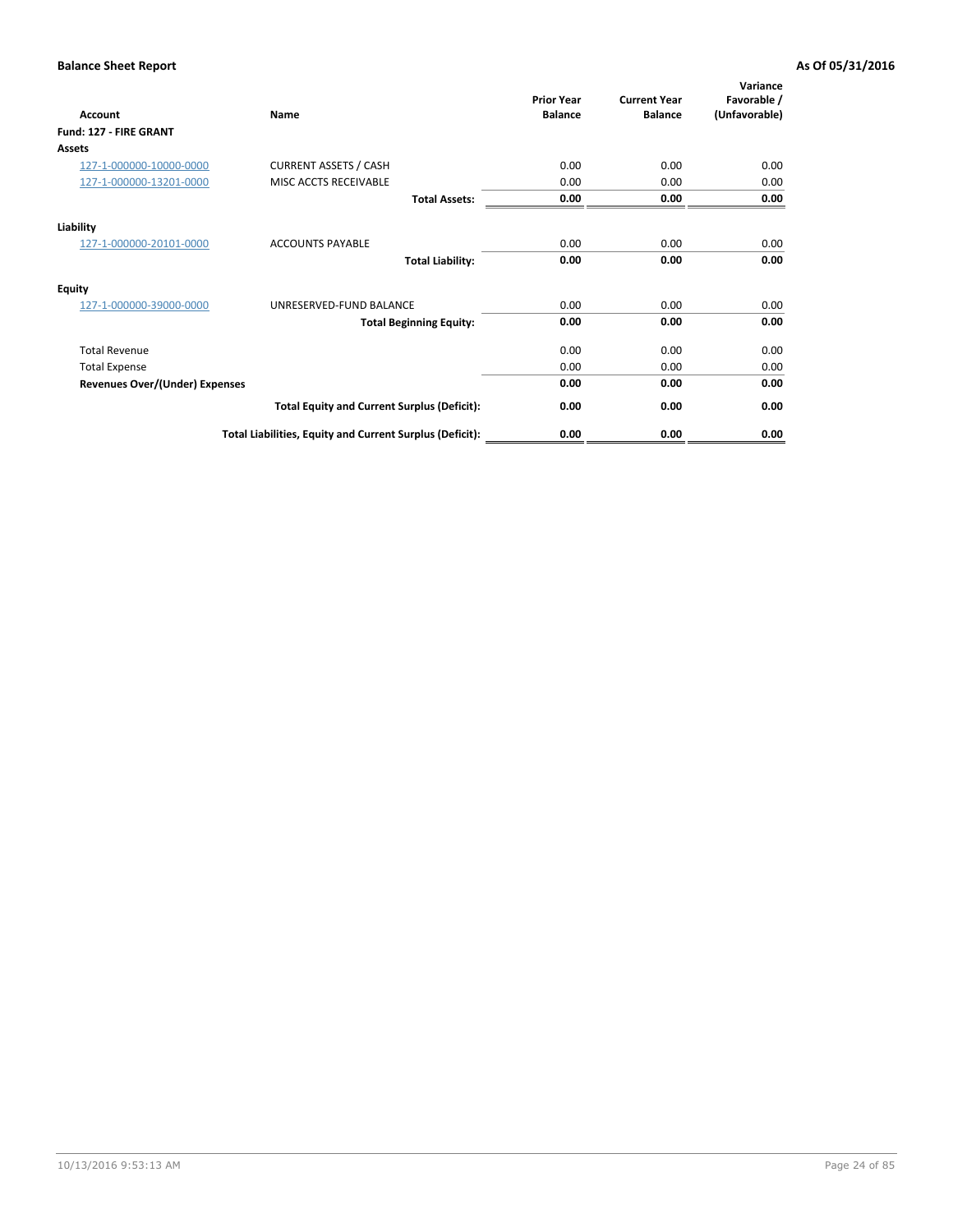| Account                               | Name                                                     | <b>Prior Year</b><br><b>Balance</b> | <b>Current Year</b><br><b>Balance</b> | Variance<br>Favorable /<br>(Unfavorable) |
|---------------------------------------|----------------------------------------------------------|-------------------------------------|---------------------------------------|------------------------------------------|
| Fund: 127 - FIRE GRANT                |                                                          |                                     |                                       |                                          |
| Assets                                |                                                          |                                     |                                       |                                          |
| 127-1-000000-10000-0000               | <b>CURRENT ASSETS / CASH</b>                             | 0.00                                | 0.00                                  | 0.00                                     |
| 127-1-000000-13201-0000               | MISC ACCTS RECEIVABLE                                    | 0.00                                | 0.00                                  | 0.00                                     |
|                                       | <b>Total Assets:</b>                                     | 0.00                                | 0.00                                  | 0.00                                     |
| Liability                             |                                                          |                                     |                                       |                                          |
| 127-1-000000-20101-0000               | <b>ACCOUNTS PAYABLE</b>                                  | 0.00                                | 0.00                                  | 0.00                                     |
|                                       | <b>Total Liability:</b>                                  | 0.00                                | 0.00                                  | 0.00                                     |
| <b>Equity</b>                         |                                                          |                                     |                                       |                                          |
| 127-1-000000-39000-0000               | UNRESERVED-FUND BALANCE                                  | 0.00                                | 0.00                                  | 0.00                                     |
|                                       | <b>Total Beginning Equity:</b>                           | 0.00                                | 0.00                                  | 0.00                                     |
| <b>Total Revenue</b>                  |                                                          | 0.00                                | 0.00                                  | 0.00                                     |
| <b>Total Expense</b>                  |                                                          | 0.00                                | 0.00                                  | 0.00                                     |
| <b>Revenues Over/(Under) Expenses</b> |                                                          | 0.00                                | 0.00                                  | 0.00                                     |
|                                       | <b>Total Equity and Current Surplus (Deficit):</b>       | 0.00                                | 0.00                                  | 0.00                                     |
|                                       | Total Liabilities, Equity and Current Surplus (Deficit): | 0.00                                | 0.00                                  | 0.00                                     |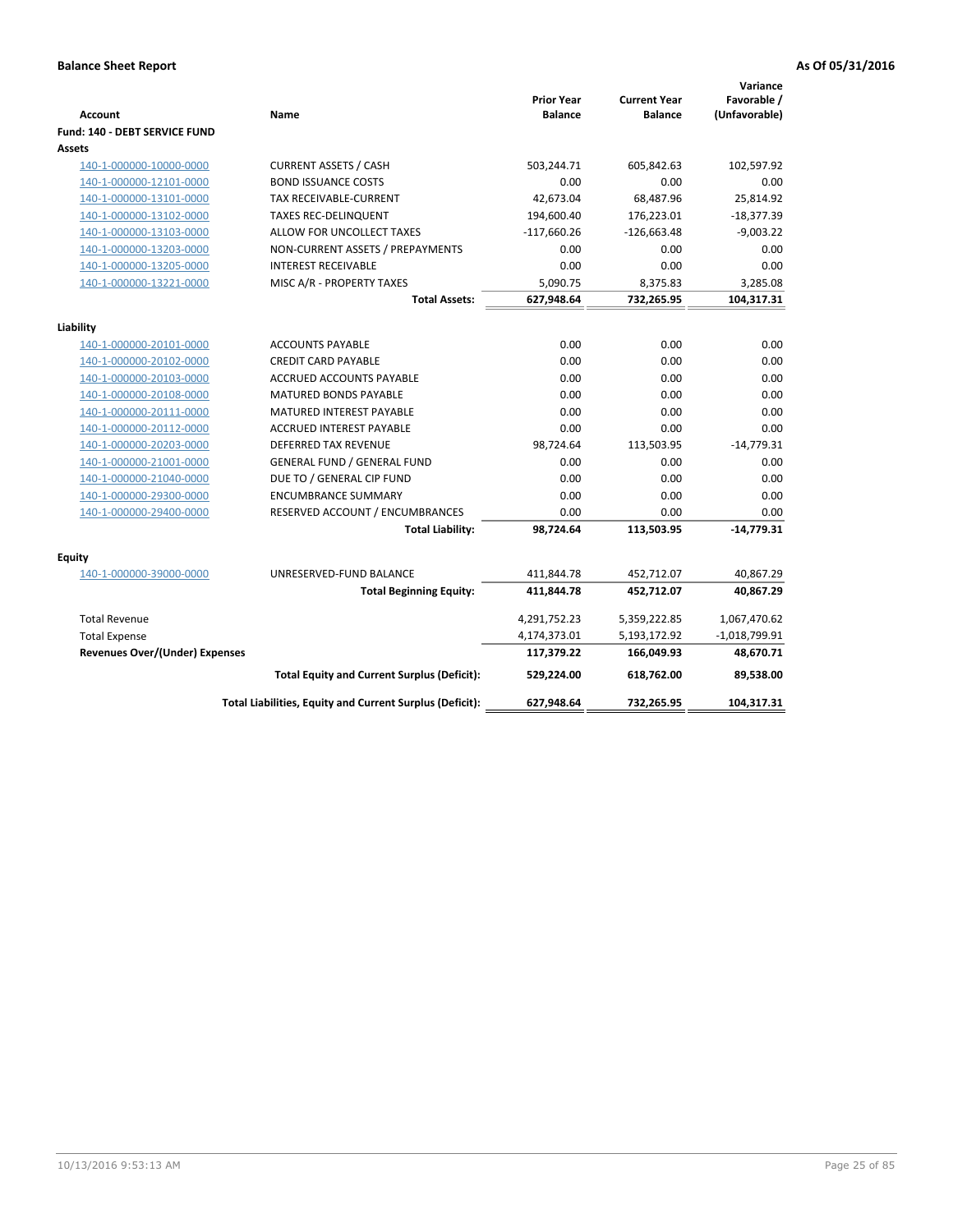| <b>Account</b>                        | Name                                                     | <b>Prior Year</b><br><b>Balance</b> | <b>Current Year</b><br><b>Balance</b> | Variance<br>Favorable /<br>(Unfavorable) |
|---------------------------------------|----------------------------------------------------------|-------------------------------------|---------------------------------------|------------------------------------------|
| Fund: 140 - DEBT SERVICE FUND         |                                                          |                                     |                                       |                                          |
| Assets                                |                                                          |                                     |                                       |                                          |
| 140-1-000000-10000-0000               | <b>CURRENT ASSETS / CASH</b>                             | 503,244.71                          | 605,842.63                            | 102,597.92                               |
| 140-1-000000-12101-0000               | <b>BOND ISSUANCE COSTS</b>                               | 0.00                                | 0.00                                  | 0.00                                     |
| 140-1-000000-13101-0000               | TAX RECEIVABLE-CURRENT                                   | 42,673.04                           | 68,487.96                             | 25,814.92                                |
| 140-1-000000-13102-0000               | <b>TAXES REC-DELINQUENT</b>                              | 194,600.40                          | 176,223.01                            | $-18,377.39$                             |
| 140-1-000000-13103-0000               | ALLOW FOR UNCOLLECT TAXES                                | $-117,660.26$                       | $-126,663.48$                         | $-9,003.22$                              |
| 140-1-000000-13203-0000               | NON-CURRENT ASSETS / PREPAYMENTS                         | 0.00                                | 0.00                                  | 0.00                                     |
| 140-1-000000-13205-0000               | <b>INTEREST RECEIVABLE</b>                               | 0.00                                | 0.00                                  | 0.00                                     |
| 140-1-000000-13221-0000               | MISC A/R - PROPERTY TAXES                                | 5,090.75                            | 8,375.83                              | 3,285.08                                 |
|                                       | <b>Total Assets:</b>                                     | 627,948.64                          | 732,265.95                            | 104,317.31                               |
| Liability                             |                                                          |                                     |                                       |                                          |
| 140-1-000000-20101-0000               | <b>ACCOUNTS PAYABLE</b>                                  | 0.00                                | 0.00                                  | 0.00                                     |
| 140-1-000000-20102-0000               | <b>CREDIT CARD PAYABLE</b>                               | 0.00                                | 0.00                                  | 0.00                                     |
| 140-1-000000-20103-0000               | ACCRUED ACCOUNTS PAYABLE                                 | 0.00                                | 0.00                                  | 0.00                                     |
| 140-1-000000-20108-0000               | <b>MATURED BONDS PAYABLE</b>                             | 0.00                                | 0.00                                  | 0.00                                     |
| 140-1-000000-20111-0000               | MATURED INTEREST PAYABLE                                 | 0.00                                | 0.00                                  | 0.00                                     |
| 140-1-000000-20112-0000               | <b>ACCRUED INTEREST PAYABLE</b>                          | 0.00                                | 0.00                                  | 0.00                                     |
| 140-1-000000-20203-0000               | <b>DEFERRED TAX REVENUE</b>                              | 98,724.64                           | 113,503.95                            | $-14,779.31$                             |
| 140-1-000000-21001-0000               | <b>GENERAL FUND / GENERAL FUND</b>                       | 0.00                                | 0.00                                  | 0.00                                     |
| 140-1-000000-21040-0000               | DUE TO / GENERAL CIP FUND                                | 0.00                                | 0.00                                  | 0.00                                     |
| 140-1-000000-29300-0000               | <b>ENCUMBRANCE SUMMARY</b>                               | 0.00                                | 0.00                                  | 0.00                                     |
| 140-1-000000-29400-0000               | RESERVED ACCOUNT / ENCUMBRANCES                          | 0.00                                | 0.00                                  | 0.00                                     |
|                                       | <b>Total Liability:</b>                                  | 98,724.64                           | 113,503.95                            | $-14,779.31$                             |
| Equity                                |                                                          |                                     |                                       |                                          |
| 140-1-000000-39000-0000               | UNRESERVED-FUND BALANCE                                  | 411,844.78                          | 452,712.07                            | 40,867.29                                |
|                                       | <b>Total Beginning Equity:</b>                           | 411,844.78                          | 452,712.07                            | 40,867.29                                |
| <b>Total Revenue</b>                  |                                                          | 4,291,752.23                        | 5,359,222.85                          | 1,067,470.62                             |
| <b>Total Expense</b>                  |                                                          | 4,174,373.01                        | 5,193,172.92                          | $-1,018,799.91$                          |
| <b>Revenues Over/(Under) Expenses</b> |                                                          | 117,379.22                          | 166,049.93                            | 48,670.71                                |
|                                       | <b>Total Equity and Current Surplus (Deficit):</b>       | 529,224.00                          | 618.762.00                            | 89,538.00                                |
|                                       | Total Liabilities, Equity and Current Surplus (Deficit): | 627,948.64                          | 732,265.95                            | 104,317.31                               |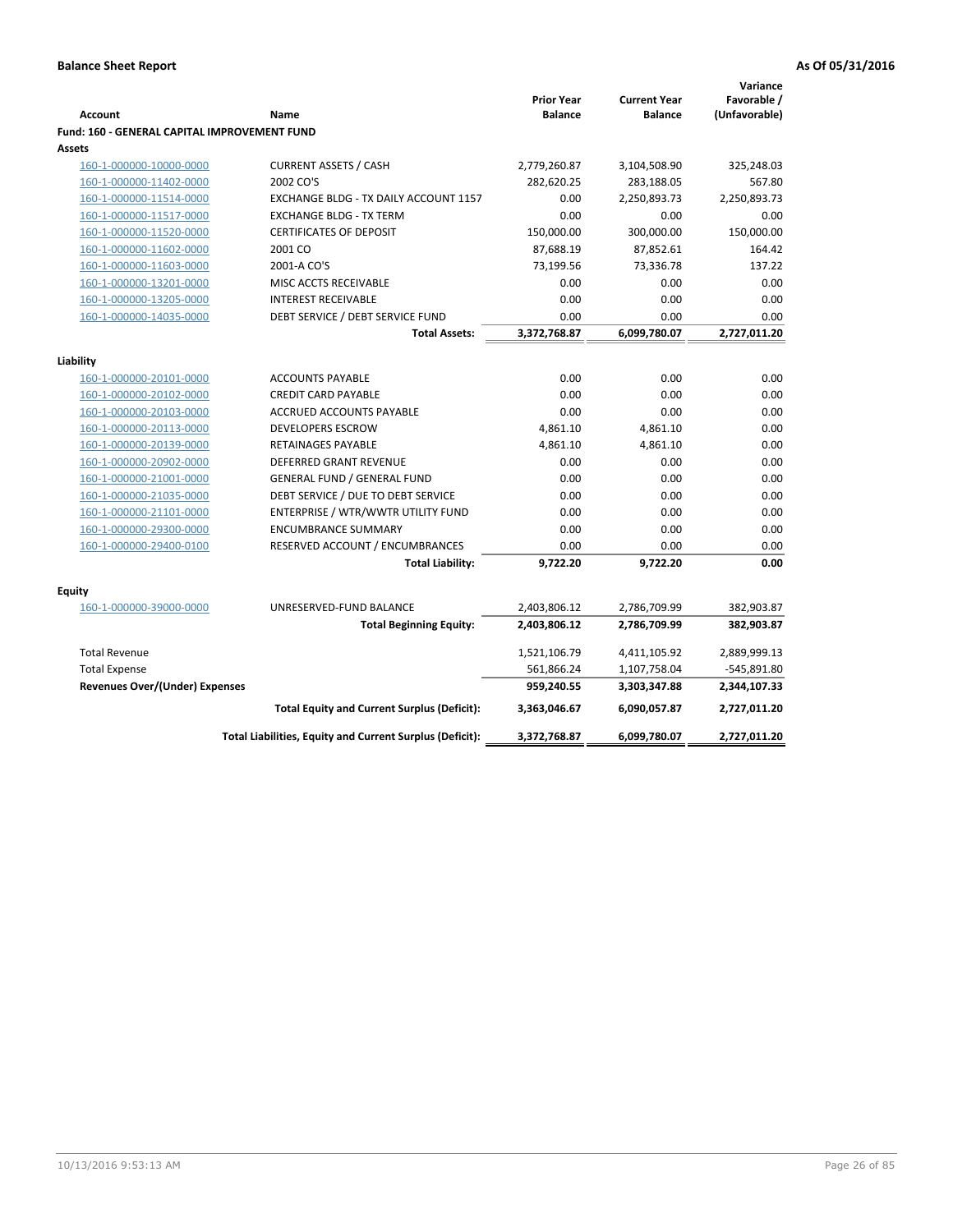|                                                     |                                                                          |                                     |                                       | Variance                     |
|-----------------------------------------------------|--------------------------------------------------------------------------|-------------------------------------|---------------------------------------|------------------------------|
| <b>Account</b>                                      | Name                                                                     | <b>Prior Year</b><br><b>Balance</b> | <b>Current Year</b><br><b>Balance</b> | Favorable /<br>(Unfavorable) |
| <b>Fund: 160 - GENERAL CAPITAL IMPROVEMENT FUND</b> |                                                                          |                                     |                                       |                              |
| Assets                                              |                                                                          |                                     |                                       |                              |
| 160-1-000000-10000-0000                             | <b>CURRENT ASSETS / CASH</b>                                             | 2,779,260.87                        | 3,104,508.90                          | 325,248.03                   |
| 160-1-000000-11402-0000                             | 2002 CO'S                                                                | 282,620.25                          | 283,188.05                            | 567.80                       |
| 160-1-000000-11514-0000                             | EXCHANGE BLDG - TX DAILY ACCOUNT 1157                                    | 0.00                                | 2,250,893.73                          | 2,250,893.73                 |
| 160-1-000000-11517-0000                             | <b>EXCHANGE BLDG - TX TERM</b>                                           | 0.00                                | 0.00                                  | 0.00                         |
| 160-1-000000-11520-0000                             | <b>CERTIFICATES OF DEPOSIT</b>                                           | 150,000.00                          | 300,000.00                            | 150,000.00                   |
| 160-1-000000-11602-0000                             | 2001 CO                                                                  | 87,688.19                           | 87,852.61                             | 164.42                       |
| 160-1-000000-11603-0000                             | 2001-A CO'S                                                              | 73,199.56                           | 73,336.78                             | 137.22                       |
| 160-1-000000-13201-0000                             | MISC ACCTS RECEIVABLE                                                    | 0.00                                | 0.00                                  | 0.00                         |
| 160-1-000000-13205-0000                             | <b>INTEREST RECEIVABLE</b>                                               | 0.00                                | 0.00                                  | 0.00                         |
| 160-1-000000-14035-0000                             | DEBT SERVICE / DEBT SERVICE FUND                                         | 0.00                                | 0.00                                  | 0.00                         |
|                                                     | <b>Total Assets:</b>                                                     | 3,372,768.87                        | 6,099,780.07                          | 2,727,011.20                 |
|                                                     |                                                                          |                                     |                                       |                              |
| Liability                                           |                                                                          |                                     |                                       |                              |
| 160-1-000000-20101-0000                             | <b>ACCOUNTS PAYABLE</b>                                                  | 0.00                                | 0.00                                  | 0.00                         |
| 160-1-000000-20102-0000                             | <b>CREDIT CARD PAYABLE</b>                                               | 0.00                                | 0.00                                  | 0.00                         |
| 160-1-000000-20103-0000                             | ACCRUED ACCOUNTS PAYABLE                                                 | 0.00                                | 0.00                                  | 0.00                         |
| 160-1-000000-20113-0000                             | <b>DEVELOPERS ESCROW</b>                                                 | 4,861.10                            | 4,861.10                              | 0.00                         |
| 160-1-000000-20139-0000                             | <b>RETAINAGES PAYABLE</b>                                                | 4,861.10                            | 4,861.10                              | 0.00                         |
| 160-1-000000-20902-0000                             | DEFERRED GRANT REVENUE                                                   | 0.00<br>0.00                        | 0.00<br>0.00                          | 0.00                         |
| 160-1-000000-21001-0000                             | <b>GENERAL FUND / GENERAL FUND</b>                                       |                                     |                                       | 0.00                         |
| 160-1-000000-21035-0000<br>160-1-000000-21101-0000  | DEBT SERVICE / DUE TO DEBT SERVICE<br>ENTERPRISE / WTR/WWTR UTILITY FUND | 0.00<br>0.00                        | 0.00<br>0.00                          | 0.00<br>0.00                 |
| 160-1-000000-29300-0000                             | <b>ENCUMBRANCE SUMMARY</b>                                               | 0.00                                | 0.00                                  | 0.00                         |
| 160-1-000000-29400-0100                             | RESERVED ACCOUNT / ENCUMBRANCES                                          | 0.00                                | 0.00                                  | 0.00                         |
|                                                     | <b>Total Liability:</b>                                                  | 9,722.20                            | 9,722.20                              | 0.00                         |
|                                                     |                                                                          |                                     |                                       |                              |
| <b>Equity</b>                                       |                                                                          |                                     |                                       |                              |
| 160-1-000000-39000-0000                             | UNRESERVED-FUND BALANCE                                                  | 2,403,806.12                        | 2,786,709.99                          | 382,903.87                   |
|                                                     | <b>Total Beginning Equity:</b>                                           | 2,403,806.12                        | 2,786,709.99                          | 382,903.87                   |
| <b>Total Revenue</b>                                |                                                                          | 1,521,106.79                        | 4,411,105.92                          | 2,889,999.13                 |
| <b>Total Expense</b>                                |                                                                          | 561,866.24                          | 1,107,758.04                          | -545,891.80                  |
| Revenues Over/(Under) Expenses                      |                                                                          | 959,240.55                          | 3,303,347.88                          | 2,344,107.33                 |
|                                                     | <b>Total Equity and Current Surplus (Deficit):</b>                       | 3,363,046.67                        | 6,090,057.87                          | 2,727,011.20                 |
|                                                     | Total Liabilities, Equity and Current Surplus (Deficit):                 | 3,372,768.87                        | 6,099,780.07                          | 2,727,011.20                 |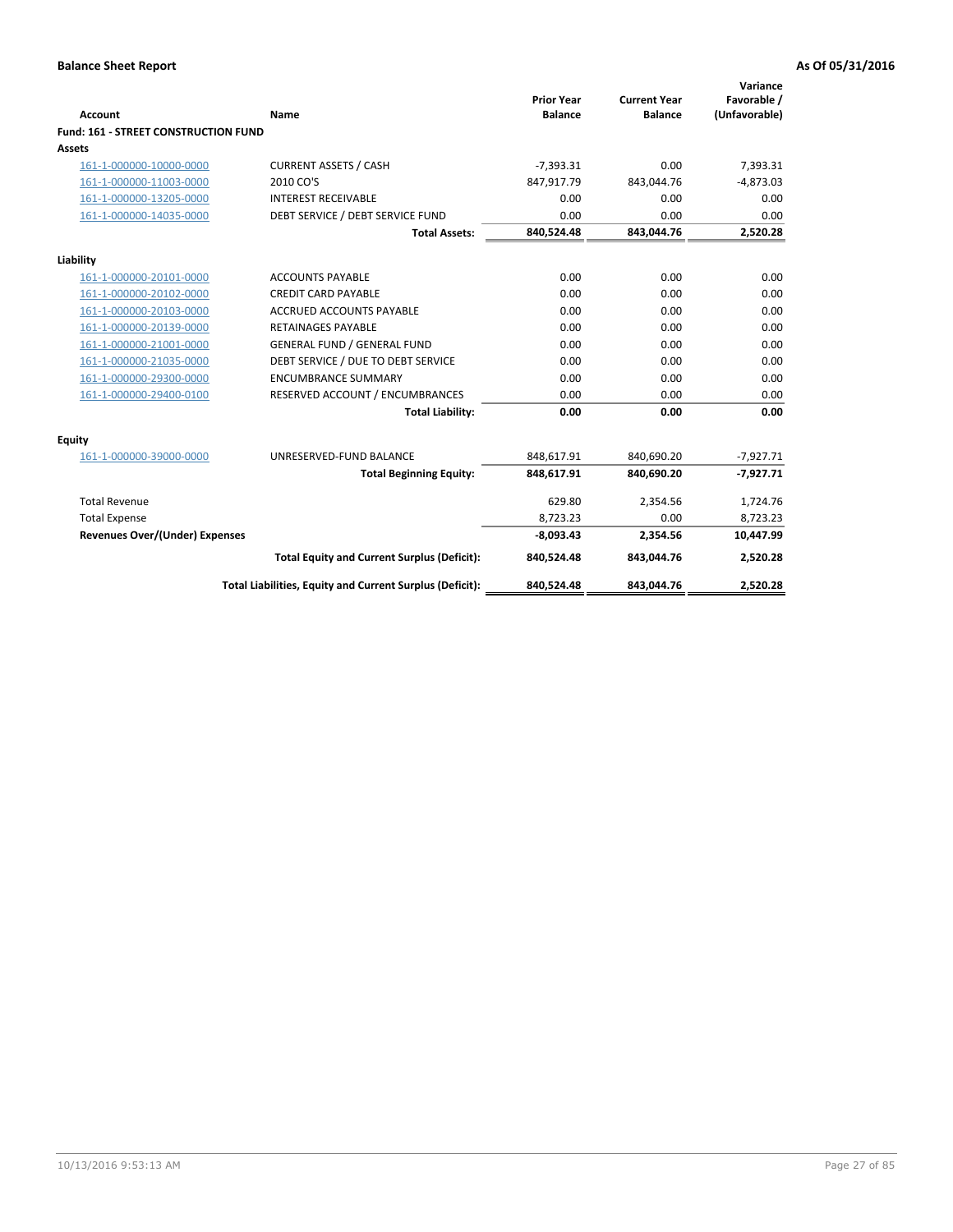| <b>Account</b>                       | Name                                                     | <b>Prior Year</b><br><b>Balance</b> | <b>Current Year</b><br><b>Balance</b> | Variance<br>Favorable /<br>(Unfavorable) |
|--------------------------------------|----------------------------------------------------------|-------------------------------------|---------------------------------------|------------------------------------------|
| Fund: 161 - STREET CONSTRUCTION FUND |                                                          |                                     |                                       |                                          |
| Assets                               |                                                          |                                     |                                       |                                          |
| 161-1-000000-10000-0000              | <b>CURRENT ASSETS / CASH</b>                             | $-7,393.31$                         | 0.00                                  | 7,393.31                                 |
| 161-1-000000-11003-0000              | 2010 CO'S                                                | 847,917.79                          | 843,044.76                            | $-4,873.03$                              |
| 161-1-000000-13205-0000              | <b>INTEREST RECEIVABLE</b>                               | 0.00                                | 0.00                                  | 0.00                                     |
| 161-1-000000-14035-0000              | DEBT SERVICE / DEBT SERVICE FUND                         | 0.00                                | 0.00                                  | 0.00                                     |
|                                      | <b>Total Assets:</b>                                     | 840,524.48                          | 843,044.76                            | 2,520.28                                 |
| Liability                            |                                                          |                                     |                                       |                                          |
| 161-1-000000-20101-0000              | <b>ACCOUNTS PAYABLE</b>                                  | 0.00                                | 0.00                                  | 0.00                                     |
| 161-1-000000-20102-0000              | <b>CREDIT CARD PAYABLE</b>                               | 0.00                                | 0.00                                  | 0.00                                     |
| 161-1-000000-20103-0000              | <b>ACCRUED ACCOUNTS PAYABLE</b>                          | 0.00                                | 0.00                                  | 0.00                                     |
| 161-1-000000-20139-0000              | <b>RETAINAGES PAYABLE</b>                                | 0.00                                | 0.00                                  | 0.00                                     |
| 161-1-000000-21001-0000              | <b>GENERAL FUND / GENERAL FUND</b>                       | 0.00                                | 0.00                                  | 0.00                                     |
| 161-1-000000-21035-0000              | DEBT SERVICE / DUE TO DEBT SERVICE                       | 0.00                                | 0.00                                  | 0.00                                     |
| 161-1-000000-29300-0000              | <b>ENCUMBRANCE SUMMARY</b>                               | 0.00                                | 0.00                                  | 0.00                                     |
| 161-1-000000-29400-0100              | RESERVED ACCOUNT / ENCUMBRANCES                          | 0.00                                | 0.00                                  | 0.00                                     |
|                                      | <b>Total Liability:</b>                                  | 0.00                                | 0.00                                  | 0.00                                     |
| <b>Equity</b>                        |                                                          |                                     |                                       |                                          |
| 161-1-000000-39000-0000              | UNRESERVED-FUND BALANCE                                  | 848,617.91                          | 840,690.20                            | $-7,927.71$                              |
|                                      | <b>Total Beginning Equity:</b>                           | 848,617.91                          | 840,690.20                            | $-7,927.71$                              |
| <b>Total Revenue</b>                 |                                                          | 629.80                              | 2,354.56                              | 1,724.76                                 |
| <b>Total Expense</b>                 |                                                          | 8,723.23                            | 0.00                                  | 8,723.23                                 |
| Revenues Over/(Under) Expenses       |                                                          | $-8,093.43$                         | 2,354.56                              | 10,447.99                                |
|                                      | <b>Total Equity and Current Surplus (Deficit):</b>       | 840,524.48                          | 843,044.76                            | 2,520.28                                 |
|                                      | Total Liabilities, Equity and Current Surplus (Deficit): | 840,524.48                          | 843,044.76                            | 2,520.28                                 |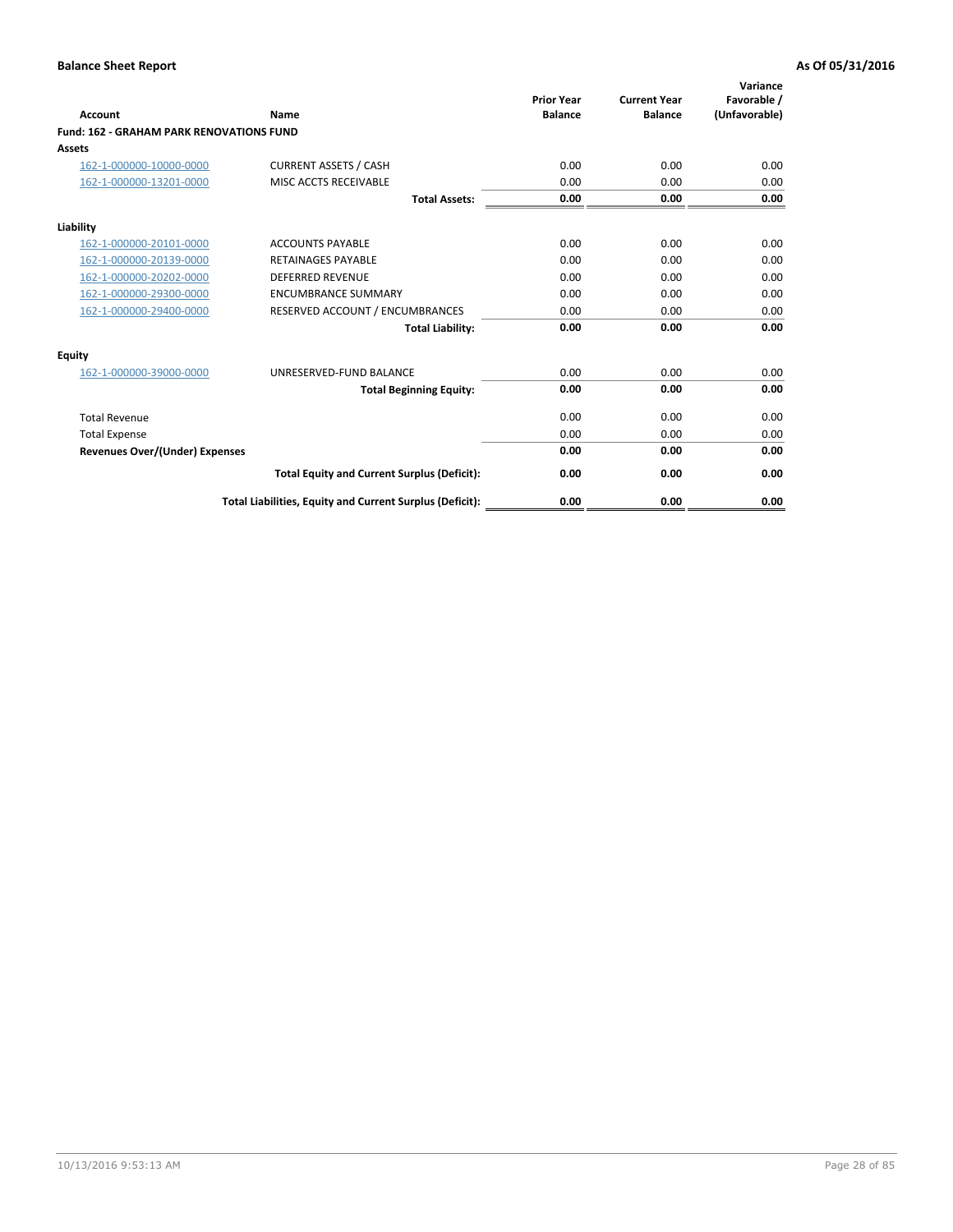| <b>Account</b>                                  | Name                                                     | <b>Prior Year</b><br><b>Balance</b> | <b>Current Year</b><br><b>Balance</b> | Variance<br>Favorable /<br>(Unfavorable) |
|-------------------------------------------------|----------------------------------------------------------|-------------------------------------|---------------------------------------|------------------------------------------|
| <b>Fund: 162 - GRAHAM PARK RENOVATIONS FUND</b> |                                                          |                                     |                                       |                                          |
| <b>Assets</b>                                   |                                                          |                                     |                                       |                                          |
| 162-1-000000-10000-0000                         | <b>CURRENT ASSETS / CASH</b>                             | 0.00                                | 0.00                                  | 0.00                                     |
| 162-1-000000-13201-0000                         | MISC ACCTS RECEIVABLE                                    | 0.00                                | 0.00                                  | 0.00                                     |
|                                                 | <b>Total Assets:</b>                                     | 0.00                                | 0.00                                  | 0.00                                     |
| Liability                                       |                                                          |                                     |                                       |                                          |
| 162-1-000000-20101-0000                         | <b>ACCOUNTS PAYABLE</b>                                  | 0.00                                | 0.00                                  | 0.00                                     |
| 162-1-000000-20139-0000                         | <b>RETAINAGES PAYABLE</b>                                | 0.00                                | 0.00                                  | 0.00                                     |
| 162-1-000000-20202-0000                         | <b>DEFERRED REVENUE</b>                                  | 0.00                                | 0.00                                  | 0.00                                     |
| 162-1-000000-29300-0000                         | <b>ENCUMBRANCE SUMMARY</b>                               | 0.00                                | 0.00                                  | 0.00                                     |
| 162-1-000000-29400-0000                         | RESERVED ACCOUNT / ENCUMBRANCES                          | 0.00                                | 0.00                                  | 0.00                                     |
|                                                 | <b>Total Liability:</b>                                  | 0.00                                | 0.00                                  | 0.00                                     |
| Equity                                          |                                                          |                                     |                                       |                                          |
| 162-1-000000-39000-0000                         | UNRESERVED-FUND BALANCE                                  | 0.00                                | 0.00                                  | 0.00                                     |
|                                                 | <b>Total Beginning Equity:</b>                           | 0.00                                | 0.00                                  | 0.00                                     |
| <b>Total Revenue</b>                            |                                                          | 0.00                                | 0.00                                  | 0.00                                     |
| <b>Total Expense</b>                            |                                                          | 0.00                                | 0.00                                  | 0.00                                     |
| <b>Revenues Over/(Under) Expenses</b>           |                                                          | 0.00                                | 0.00                                  | 0.00                                     |
|                                                 | <b>Total Equity and Current Surplus (Deficit):</b>       | 0.00                                | 0.00                                  | 0.00                                     |
|                                                 | Total Liabilities, Equity and Current Surplus (Deficit): | 0.00                                | 0.00                                  | 0.00                                     |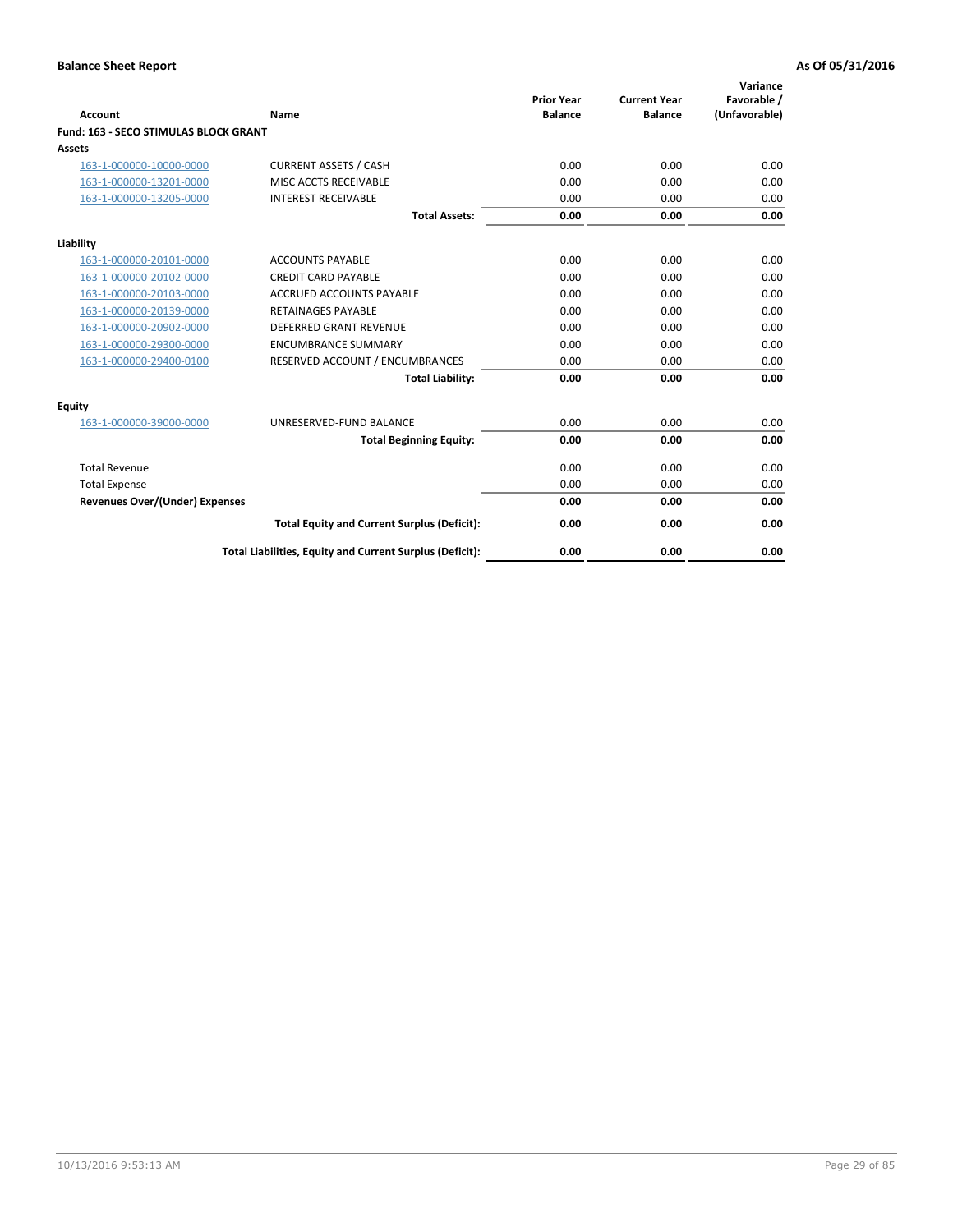| Account                                      | Name                                                     | <b>Prior Year</b><br><b>Balance</b> | <b>Current Year</b><br><b>Balance</b> | Variance<br>Favorable /<br>(Unfavorable) |
|----------------------------------------------|----------------------------------------------------------|-------------------------------------|---------------------------------------|------------------------------------------|
| <b>Fund: 163 - SECO STIMULAS BLOCK GRANT</b> |                                                          |                                     |                                       |                                          |
| <b>Assets</b>                                |                                                          |                                     |                                       |                                          |
| 163-1-000000-10000-0000                      | <b>CURRENT ASSETS / CASH</b>                             | 0.00                                | 0.00                                  | 0.00                                     |
| 163-1-000000-13201-0000                      | MISC ACCTS RECEIVABLE                                    | 0.00                                | 0.00                                  | 0.00                                     |
| 163-1-000000-13205-0000                      | <b>INTEREST RECEIVABLE</b>                               | 0.00                                | 0.00                                  | 0.00                                     |
|                                              | <b>Total Assets:</b>                                     | 0.00                                | 0.00                                  | 0.00                                     |
| Liability                                    |                                                          |                                     |                                       |                                          |
| 163-1-000000-20101-0000                      | <b>ACCOUNTS PAYABLE</b>                                  | 0.00                                | 0.00                                  | 0.00                                     |
| 163-1-000000-20102-0000                      | <b>CREDIT CARD PAYABLE</b>                               | 0.00                                | 0.00                                  | 0.00                                     |
| 163-1-000000-20103-0000                      | <b>ACCRUED ACCOUNTS PAYABLE</b>                          | 0.00                                | 0.00                                  | 0.00                                     |
| 163-1-000000-20139-0000                      | <b>RETAINAGES PAYABLE</b>                                | 0.00                                | 0.00                                  | 0.00                                     |
| 163-1-000000-20902-0000                      | <b>DEFERRED GRANT REVENUE</b>                            | 0.00                                | 0.00                                  | 0.00                                     |
| 163-1-000000-29300-0000                      | <b>ENCUMBRANCE SUMMARY</b>                               | 0.00                                | 0.00                                  | 0.00                                     |
| 163-1-000000-29400-0100                      | RESERVED ACCOUNT / ENCUMBRANCES                          | 0.00                                | 0.00                                  | 0.00                                     |
|                                              | <b>Total Liability:</b>                                  | 0.00                                | 0.00                                  | 0.00                                     |
| <b>Equity</b>                                |                                                          |                                     |                                       |                                          |
| 163-1-000000-39000-0000                      | UNRESERVED-FUND BALANCE                                  | 0.00                                | 0.00                                  | 0.00                                     |
|                                              | <b>Total Beginning Equity:</b>                           | 0.00                                | 0.00                                  | 0.00                                     |
| <b>Total Revenue</b>                         |                                                          | 0.00                                | 0.00                                  | 0.00                                     |
| <b>Total Expense</b>                         |                                                          | 0.00                                | 0.00                                  | 0.00                                     |
| Revenues Over/(Under) Expenses               |                                                          | 0.00                                | 0.00                                  | 0.00                                     |
|                                              | <b>Total Equity and Current Surplus (Deficit):</b>       | 0.00                                | 0.00                                  | 0.00                                     |
|                                              | Total Liabilities, Equity and Current Surplus (Deficit): | 0.00                                | 0.00                                  | 0.00                                     |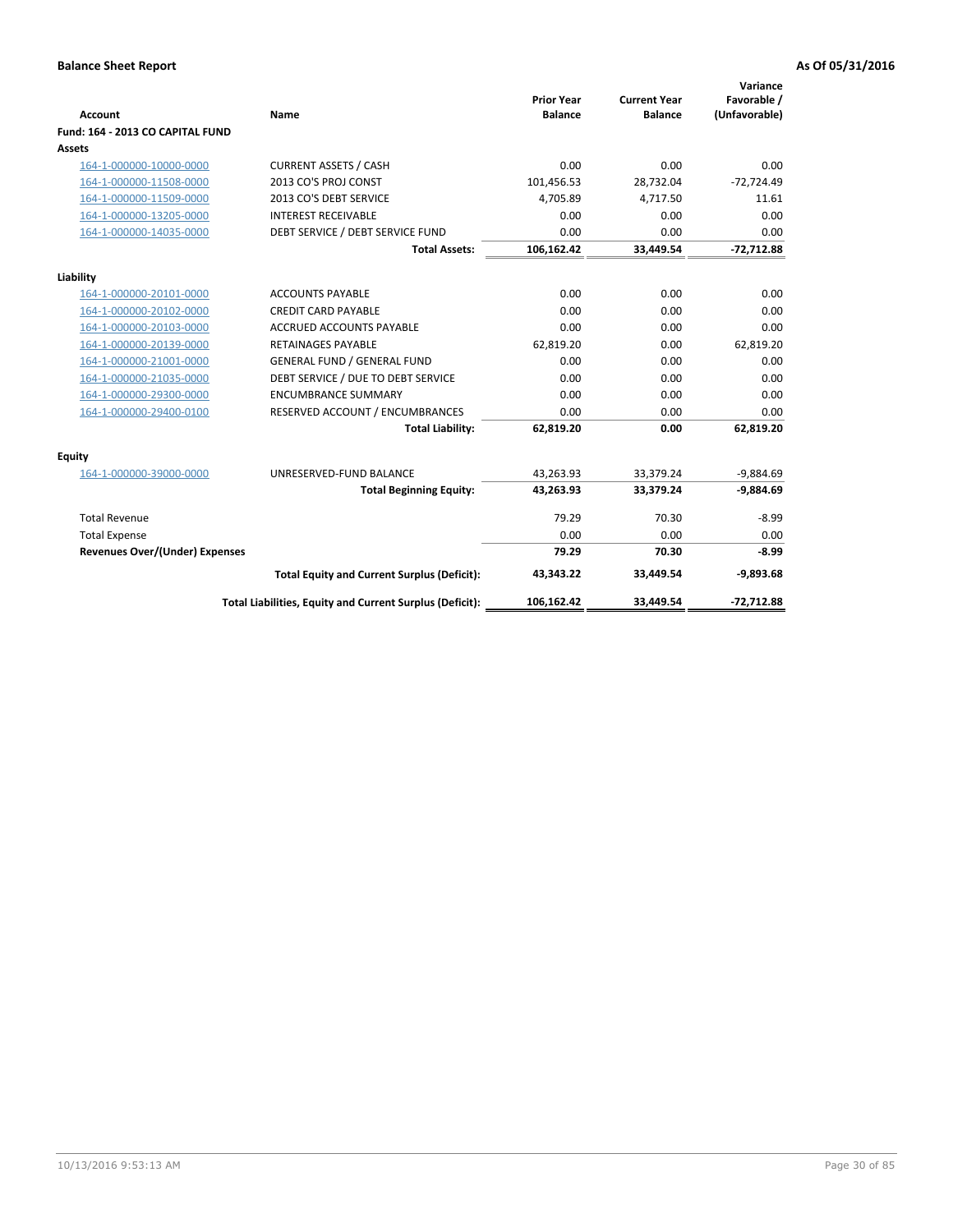| <b>Account</b>                        | Name                                                     | <b>Prior Year</b><br><b>Balance</b> | <b>Current Year</b><br><b>Balance</b> | Variance<br>Favorable /<br>(Unfavorable) |
|---------------------------------------|----------------------------------------------------------|-------------------------------------|---------------------------------------|------------------------------------------|
| Fund: 164 - 2013 CO CAPITAL FUND      |                                                          |                                     |                                       |                                          |
| Assets                                |                                                          |                                     |                                       |                                          |
| 164-1-000000-10000-0000               | <b>CURRENT ASSETS / CASH</b>                             | 0.00                                | 0.00                                  | 0.00                                     |
| 164-1-000000-11508-0000               | 2013 CO'S PROJ CONST                                     | 101,456.53                          | 28,732.04                             | $-72,724.49$                             |
| 164-1-000000-11509-0000               | 2013 CO'S DEBT SERVICE                                   | 4.705.89                            | 4.717.50                              | 11.61                                    |
| 164-1-000000-13205-0000               | <b>INTEREST RECEIVABLE</b>                               | 0.00                                | 0.00                                  | 0.00                                     |
| 164-1-000000-14035-0000               | DEBT SERVICE / DEBT SERVICE FUND                         | 0.00                                | 0.00                                  | 0.00                                     |
|                                       | <b>Total Assets:</b>                                     | 106,162.42                          | 33,449.54                             | $-72,712.88$                             |
| Liability                             |                                                          |                                     |                                       |                                          |
| 164-1-000000-20101-0000               | <b>ACCOUNTS PAYABLE</b>                                  | 0.00                                | 0.00                                  | 0.00                                     |
| 164-1-000000-20102-0000               | <b>CREDIT CARD PAYABLE</b>                               | 0.00                                | 0.00                                  | 0.00                                     |
| 164-1-000000-20103-0000               | <b>ACCRUED ACCOUNTS PAYABLE</b>                          | 0.00                                | 0.00                                  | 0.00                                     |
| 164-1-000000-20139-0000               | <b>RETAINAGES PAYABLE</b>                                | 62,819.20                           | 0.00                                  | 62,819.20                                |
| 164-1-000000-21001-0000               | <b>GENERAL FUND / GENERAL FUND</b>                       | 0.00                                | 0.00                                  | 0.00                                     |
| 164-1-000000-21035-0000               | DEBT SERVICE / DUE TO DEBT SERVICE                       | 0.00                                | 0.00                                  | 0.00                                     |
| 164-1-000000-29300-0000               | <b>ENCUMBRANCE SUMMARY</b>                               | 0.00                                | 0.00                                  | 0.00                                     |
| 164-1-000000-29400-0100               | RESERVED ACCOUNT / ENCUMBRANCES                          | 0.00                                | 0.00                                  | 0.00                                     |
|                                       | <b>Total Liability:</b>                                  | 62.819.20                           | 0.00                                  | 62,819.20                                |
| Equity                                |                                                          |                                     |                                       |                                          |
| 164-1-000000-39000-0000               | UNRESERVED-FUND BALANCE                                  | 43,263.93                           | 33,379.24                             | $-9,884.69$                              |
|                                       | <b>Total Beginning Equity:</b>                           | 43,263.93                           | 33,379.24                             | $-9,884.69$                              |
| <b>Total Revenue</b>                  |                                                          | 79.29                               | 70.30                                 | $-8.99$                                  |
| <b>Total Expense</b>                  |                                                          | 0.00                                | 0.00                                  | 0.00                                     |
| <b>Revenues Over/(Under) Expenses</b> |                                                          | 79.29                               | 70.30                                 | $-8.99$                                  |
|                                       | <b>Total Equity and Current Surplus (Deficit):</b>       | 43.343.22                           | 33.449.54                             | $-9.893.68$                              |
|                                       | Total Liabilities, Equity and Current Surplus (Deficit): | 106,162.42                          | 33,449.54                             | $-72.712.88$                             |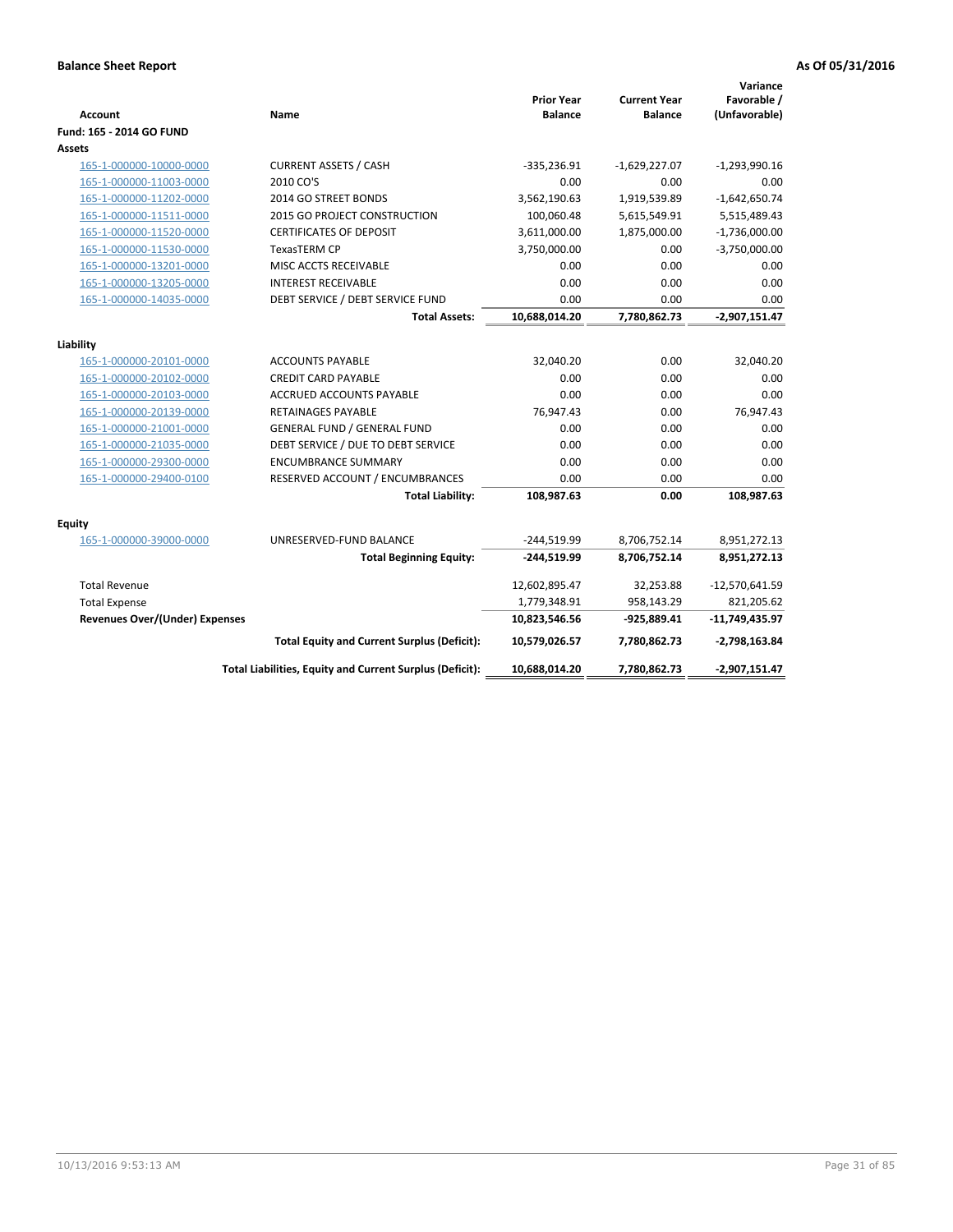| Account                               | Name                                                     | <b>Prior Year</b><br><b>Balance</b> | <b>Current Year</b><br><b>Balance</b> | Variance<br>Favorable /<br>(Unfavorable) |
|---------------------------------------|----------------------------------------------------------|-------------------------------------|---------------------------------------|------------------------------------------|
| Fund: 165 - 2014 GO FUND              |                                                          |                                     |                                       |                                          |
| Assets                                |                                                          |                                     |                                       |                                          |
| 165-1-000000-10000-0000               | <b>CURRENT ASSETS / CASH</b>                             | $-335,236.91$                       | $-1,629,227.07$                       | $-1,293,990.16$                          |
| 165-1-000000-11003-0000               | 2010 CO'S                                                | 0.00                                | 0.00                                  | 0.00                                     |
| 165-1-000000-11202-0000               | 2014 GO STREET BONDS                                     | 3,562,190.63                        | 1,919,539.89                          | $-1,642,650.74$                          |
| 165-1-000000-11511-0000               | 2015 GO PROJECT CONSTRUCTION                             | 100,060.48                          | 5,615,549.91                          | 5,515,489.43                             |
| 165-1-000000-11520-0000               | <b>CERTIFICATES OF DEPOSIT</b>                           | 3,611,000.00                        | 1,875,000.00                          | $-1,736,000.00$                          |
| 165-1-000000-11530-0000               | TexasTERM CP                                             | 3,750,000.00                        | 0.00                                  | $-3,750,000.00$                          |
| 165-1-000000-13201-0000               | MISC ACCTS RECEIVABLE                                    | 0.00                                | 0.00                                  | 0.00                                     |
| 165-1-000000-13205-0000               | <b>INTEREST RECEIVABLE</b>                               | 0.00                                | 0.00                                  | 0.00                                     |
| 165-1-000000-14035-0000               | DEBT SERVICE / DEBT SERVICE FUND                         | 0.00                                | 0.00                                  | 0.00                                     |
|                                       | <b>Total Assets:</b>                                     | 10,688,014.20                       | 7,780,862.73                          | $-2,907,151.47$                          |
| Liability                             |                                                          |                                     |                                       |                                          |
| 165-1-000000-20101-0000               | <b>ACCOUNTS PAYABLE</b>                                  | 32,040.20                           | 0.00                                  | 32,040.20                                |
| 165-1-000000-20102-0000               | <b>CREDIT CARD PAYABLE</b>                               | 0.00                                | 0.00                                  | 0.00                                     |
| 165-1-000000-20103-0000               | <b>ACCRUED ACCOUNTS PAYABLE</b>                          | 0.00                                | 0.00                                  | 0.00                                     |
| 165-1-000000-20139-0000               | <b>RETAINAGES PAYABLE</b>                                | 76,947.43                           | 0.00                                  | 76,947.43                                |
| 165-1-000000-21001-0000               | <b>GENERAL FUND / GENERAL FUND</b>                       | 0.00                                | 0.00                                  | 0.00                                     |
| 165-1-000000-21035-0000               | DEBT SERVICE / DUE TO DEBT SERVICE                       | 0.00                                | 0.00                                  | 0.00                                     |
| 165-1-000000-29300-0000               | <b>ENCUMBRANCE SUMMARY</b>                               | 0.00                                | 0.00                                  | 0.00                                     |
| 165-1-000000-29400-0100               | RESERVED ACCOUNT / ENCUMBRANCES                          | 0.00                                | 0.00                                  | 0.00                                     |
|                                       | <b>Total Liability:</b>                                  | 108,987.63                          | 0.00                                  | 108,987.63                               |
| <b>Equity</b>                         |                                                          |                                     |                                       |                                          |
| 165-1-000000-39000-0000               | UNRESERVED-FUND BALANCE                                  | $-244,519.99$                       | 8,706,752.14                          | 8,951,272.13                             |
|                                       | <b>Total Beginning Equity:</b>                           | -244,519.99                         | 8,706,752.14                          | 8,951,272.13                             |
| <b>Total Revenue</b>                  |                                                          | 12,602,895.47                       | 32,253.88                             | $-12,570,641.59$                         |
| <b>Total Expense</b>                  |                                                          | 1,779,348.91                        | 958,143.29                            | 821,205.62                               |
| <b>Revenues Over/(Under) Expenses</b> |                                                          | 10,823,546.56                       | -925,889.41                           | $-11,749,435.97$                         |
|                                       | <b>Total Equity and Current Surplus (Deficit):</b>       | 10,579,026.57                       | 7,780,862.73                          | $-2,798,163.84$                          |
|                                       | Total Liabilities, Equity and Current Surplus (Deficit): | 10,688,014.20                       | 7,780,862.73                          | $-2,907,151.47$                          |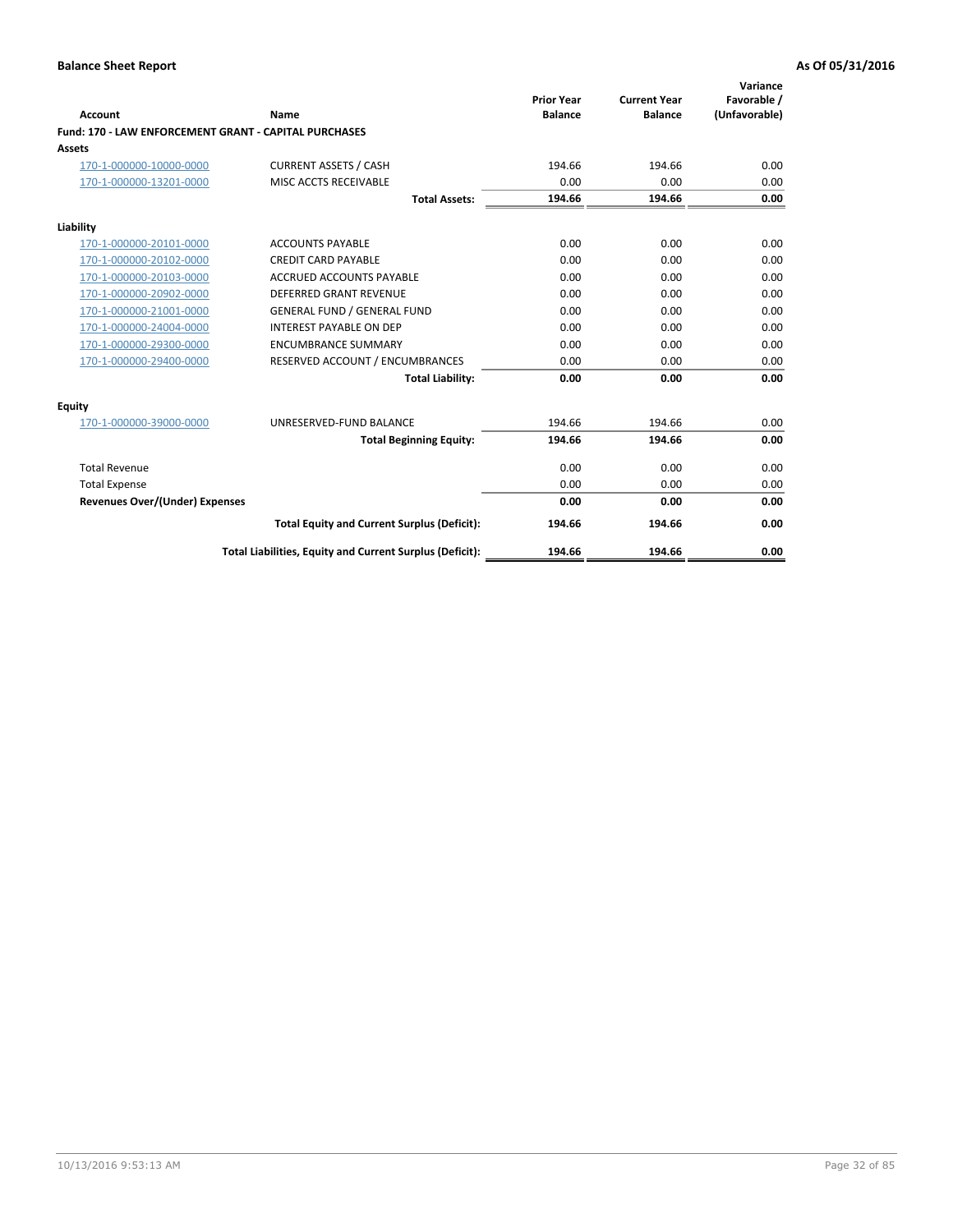| <b>Account</b>                                        | Name                                                     | <b>Prior Year</b><br><b>Balance</b> | <b>Current Year</b><br><b>Balance</b> | Variance<br>Favorable /<br>(Unfavorable) |
|-------------------------------------------------------|----------------------------------------------------------|-------------------------------------|---------------------------------------|------------------------------------------|
| Fund: 170 - LAW ENFORCEMENT GRANT - CAPITAL PURCHASES |                                                          |                                     |                                       |                                          |
| <b>Assets</b>                                         |                                                          |                                     |                                       |                                          |
| 170-1-000000-10000-0000                               | <b>CURRENT ASSETS / CASH</b>                             | 194.66                              | 194.66                                | 0.00                                     |
| 170-1-000000-13201-0000                               | MISC ACCTS RECEIVABLE                                    | 0.00                                | 0.00                                  | 0.00                                     |
|                                                       | <b>Total Assets:</b>                                     | 194.66                              | 194.66                                | 0.00                                     |
| Liability                                             |                                                          |                                     |                                       |                                          |
| 170-1-000000-20101-0000                               | <b>ACCOUNTS PAYABLE</b>                                  | 0.00                                | 0.00                                  | 0.00                                     |
| 170-1-000000-20102-0000                               | <b>CREDIT CARD PAYABLE</b>                               | 0.00                                | 0.00                                  | 0.00                                     |
| 170-1-000000-20103-0000                               | <b>ACCRUED ACCOUNTS PAYABLE</b>                          | 0.00                                | 0.00                                  | 0.00                                     |
| 170-1-000000-20902-0000                               | <b>DEFERRED GRANT REVENUE</b>                            | 0.00                                | 0.00                                  | 0.00                                     |
| 170-1-000000-21001-0000                               | <b>GENERAL FUND / GENERAL FUND</b>                       | 0.00                                | 0.00                                  | 0.00                                     |
| 170-1-000000-24004-0000                               | <b>INTEREST PAYABLE ON DEP</b>                           | 0.00                                | 0.00                                  | 0.00                                     |
| 170-1-000000-29300-0000                               | <b>ENCUMBRANCE SUMMARY</b>                               | 0.00                                | 0.00                                  | 0.00                                     |
| 170-1-000000-29400-0000                               | RESERVED ACCOUNT / ENCUMBRANCES                          | 0.00                                | 0.00                                  | 0.00                                     |
|                                                       | <b>Total Liability:</b>                                  | 0.00                                | 0.00                                  | 0.00                                     |
| <b>Equity</b>                                         |                                                          |                                     |                                       |                                          |
| 170-1-000000-39000-0000                               | UNRESERVED-FUND BALANCE                                  | 194.66                              | 194.66                                | 0.00                                     |
|                                                       | <b>Total Beginning Equity:</b>                           | 194.66                              | 194.66                                | 0.00                                     |
| <b>Total Revenue</b>                                  |                                                          | 0.00                                | 0.00                                  | 0.00                                     |
| <b>Total Expense</b>                                  |                                                          | 0.00                                | 0.00                                  | 0.00                                     |
| <b>Revenues Over/(Under) Expenses</b>                 |                                                          | 0.00                                | 0.00                                  | 0.00                                     |
|                                                       | <b>Total Equity and Current Surplus (Deficit):</b>       | 194.66                              | 194.66                                | 0.00                                     |
|                                                       | Total Liabilities, Equity and Current Surplus (Deficit): | 194.66                              | 194.66                                | 0.00                                     |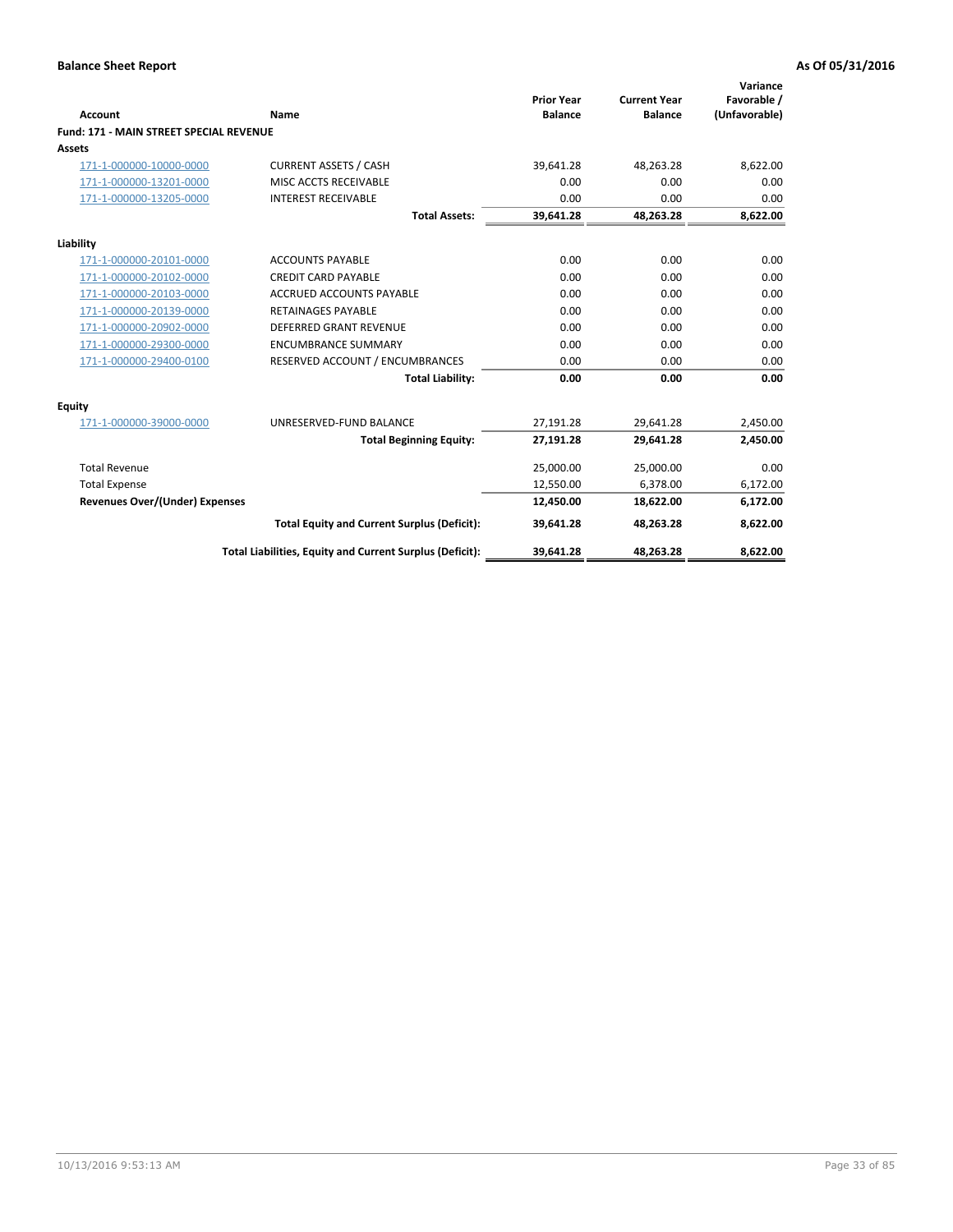|                                                |                                                          | <b>Prior Year</b> | <b>Current Year</b> | Variance<br>Favorable / |
|------------------------------------------------|----------------------------------------------------------|-------------------|---------------------|-------------------------|
| Account                                        | Name                                                     | <b>Balance</b>    | <b>Balance</b>      | (Unfavorable)           |
| <b>Fund: 171 - MAIN STREET SPECIAL REVENUE</b> |                                                          |                   |                     |                         |
| Assets                                         |                                                          |                   |                     |                         |
| 171-1-000000-10000-0000                        | <b>CURRENT ASSETS / CASH</b>                             | 39,641.28         | 48.263.28           | 8,622.00                |
| 171-1-000000-13201-0000                        | MISC ACCTS RECEIVABLE                                    | 0.00              | 0.00                | 0.00                    |
| 171-1-000000-13205-0000                        | <b>INTEREST RECEIVABLE</b>                               | 0.00              | 0.00                | 0.00                    |
|                                                | <b>Total Assets:</b>                                     | 39,641.28         | 48,263.28           | 8,622.00                |
| Liability                                      |                                                          |                   |                     |                         |
| 171-1-000000-20101-0000                        | <b>ACCOUNTS PAYABLE</b>                                  | 0.00              | 0.00                | 0.00                    |
| 171-1-000000-20102-0000                        | <b>CREDIT CARD PAYABLE</b>                               | 0.00              | 0.00                | 0.00                    |
| 171-1-000000-20103-0000                        | <b>ACCRUED ACCOUNTS PAYABLE</b>                          | 0.00              | 0.00                | 0.00                    |
| 171-1-000000-20139-0000                        | <b>RETAINAGES PAYABLE</b>                                | 0.00              | 0.00                | 0.00                    |
| 171-1-000000-20902-0000                        | <b>DEFERRED GRANT REVENUE</b>                            | 0.00              | 0.00                | 0.00                    |
| 171-1-000000-29300-0000                        | <b>ENCUMBRANCE SUMMARY</b>                               | 0.00              | 0.00                | 0.00                    |
| 171-1-000000-29400-0100                        | RESERVED ACCOUNT / ENCUMBRANCES                          | 0.00              | 0.00                | 0.00                    |
|                                                | <b>Total Liability:</b>                                  | 0.00              | 0.00                | 0.00                    |
| <b>Equity</b>                                  |                                                          |                   |                     |                         |
| 171-1-000000-39000-0000                        | UNRESERVED-FUND BALANCE                                  | 27,191.28         | 29,641.28           | 2,450.00                |
|                                                | <b>Total Beginning Equity:</b>                           | 27,191.28         | 29,641.28           | 2,450.00                |
| <b>Total Revenue</b>                           |                                                          | 25,000.00         | 25,000.00           | 0.00                    |
| <b>Total Expense</b>                           |                                                          | 12,550.00         | 6,378.00            | 6,172.00                |
| <b>Revenues Over/(Under) Expenses</b>          |                                                          | 12,450.00         | 18,622.00           | 6,172.00                |
|                                                | <b>Total Equity and Current Surplus (Deficit):</b>       | 39,641.28         | 48,263.28           | 8,622.00                |
|                                                | Total Liabilities, Equity and Current Surplus (Deficit): | 39,641.28         | 48,263.28           | 8,622.00                |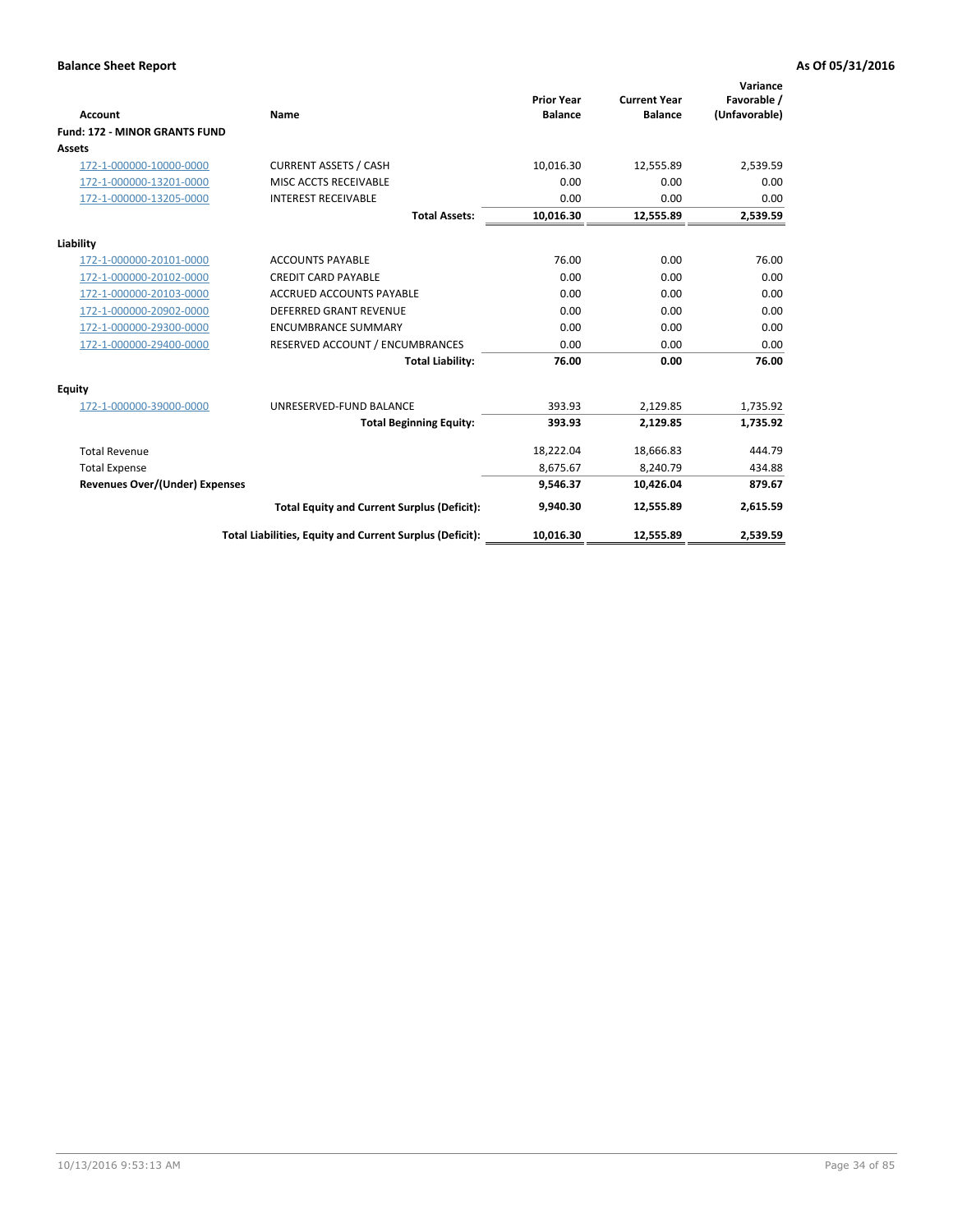|                                       |                                                          |                                     |                                       | Variance                     |
|---------------------------------------|----------------------------------------------------------|-------------------------------------|---------------------------------------|------------------------------|
| <b>Account</b>                        | Name                                                     | <b>Prior Year</b><br><b>Balance</b> | <b>Current Year</b><br><b>Balance</b> | Favorable /<br>(Unfavorable) |
| <b>Fund: 172 - MINOR GRANTS FUND</b>  |                                                          |                                     |                                       |                              |
| <b>Assets</b>                         |                                                          |                                     |                                       |                              |
| 172-1-000000-10000-0000               | <b>CURRENT ASSETS / CASH</b>                             | 10,016.30                           | 12,555.89                             | 2,539.59                     |
| 172-1-000000-13201-0000               | MISC ACCTS RECEIVABLE                                    | 0.00                                | 0.00                                  | 0.00                         |
| 172-1-000000-13205-0000               | <b>INTEREST RECEIVABLE</b>                               | 0.00                                | 0.00                                  | 0.00                         |
|                                       | <b>Total Assets:</b>                                     | 10,016.30                           | 12,555.89                             | 2,539.59                     |
| Liability                             |                                                          |                                     |                                       |                              |
| 172-1-000000-20101-0000               | <b>ACCOUNTS PAYABLE</b>                                  | 76.00                               | 0.00                                  | 76.00                        |
| 172-1-000000-20102-0000               | <b>CREDIT CARD PAYABLE</b>                               | 0.00                                | 0.00                                  | 0.00                         |
| 172-1-000000-20103-0000               | <b>ACCRUED ACCOUNTS PAYABLE</b>                          | 0.00                                | 0.00                                  | 0.00                         |
| 172-1-000000-20902-0000               | <b>DEFERRED GRANT REVENUE</b>                            | 0.00                                | 0.00                                  | 0.00                         |
| 172-1-000000-29300-0000               | <b>ENCUMBRANCE SUMMARY</b>                               | 0.00                                | 0.00                                  | 0.00                         |
| 172-1-000000-29400-0000               | RESERVED ACCOUNT / ENCUMBRANCES                          | 0.00                                | 0.00                                  | 0.00                         |
|                                       | <b>Total Liability:</b>                                  | 76.00                               | 0.00                                  | 76.00                        |
| Equity                                |                                                          |                                     |                                       |                              |
| 172-1-000000-39000-0000               | UNRESERVED-FUND BALANCE                                  | 393.93                              | 2,129.85                              | 1,735.92                     |
|                                       | <b>Total Beginning Equity:</b>                           | 393.93                              | 2,129.85                              | 1,735.92                     |
| <b>Total Revenue</b>                  |                                                          | 18,222.04                           | 18,666.83                             | 444.79                       |
| <b>Total Expense</b>                  |                                                          | 8.675.67                            | 8.240.79                              | 434.88                       |
| <b>Revenues Over/(Under) Expenses</b> |                                                          | 9,546.37                            | 10,426.04                             | 879.67                       |
|                                       | <b>Total Equity and Current Surplus (Deficit):</b>       | 9.940.30                            | 12.555.89                             | 2,615.59                     |
|                                       | Total Liabilities, Equity and Current Surplus (Deficit): | 10,016.30                           | 12,555.89                             | 2,539.59                     |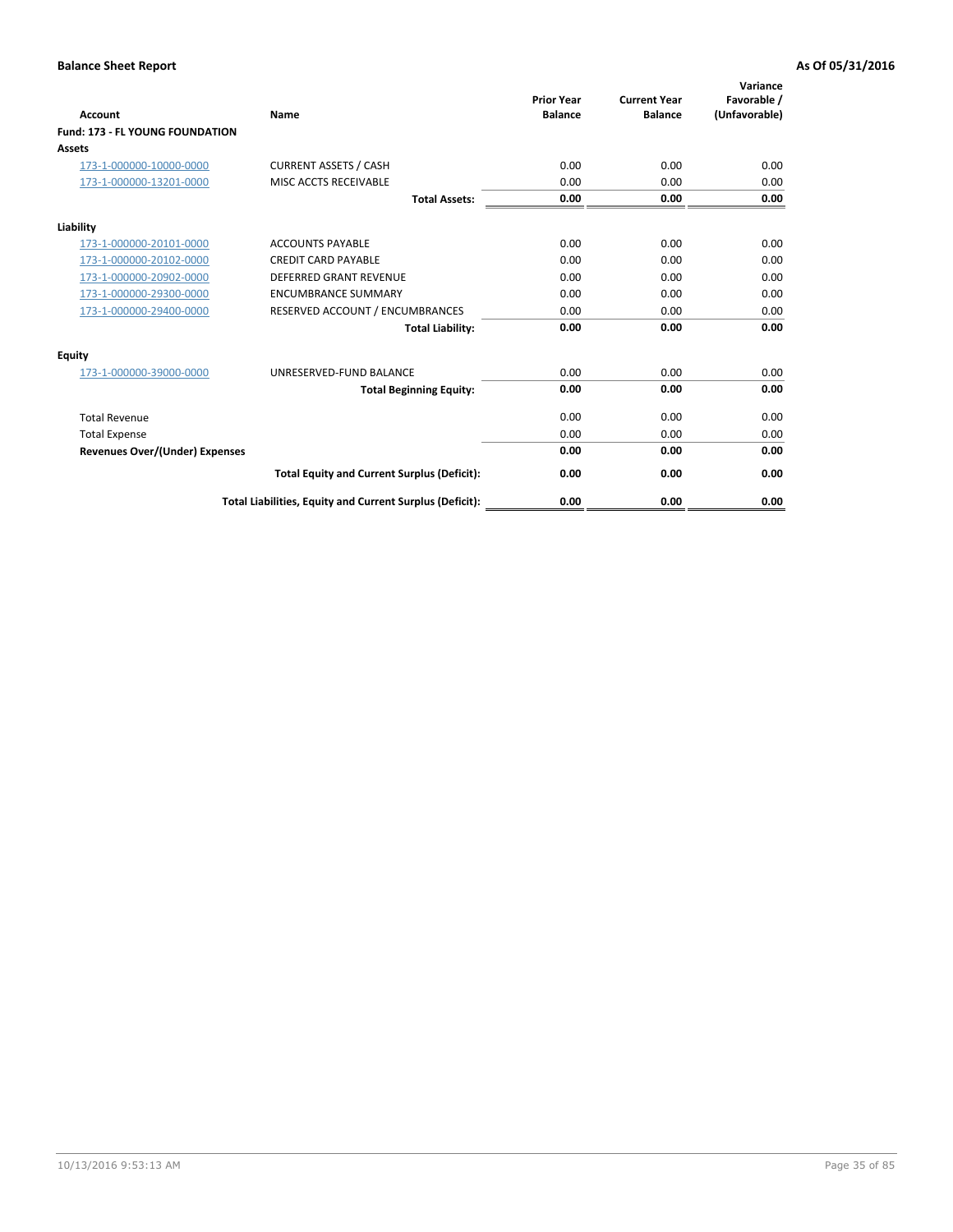| <b>Account</b>                         | <b>Name</b>                                              | <b>Prior Year</b><br><b>Balance</b> | <b>Current Year</b><br><b>Balance</b> | Variance<br>Favorable /<br>(Unfavorable) |
|----------------------------------------|----------------------------------------------------------|-------------------------------------|---------------------------------------|------------------------------------------|
| <b>Fund: 173 - FL YOUNG FOUNDATION</b> |                                                          |                                     |                                       |                                          |
| Assets                                 |                                                          |                                     |                                       |                                          |
| 173-1-000000-10000-0000                | <b>CURRENT ASSETS / CASH</b>                             | 0.00                                | 0.00                                  | 0.00                                     |
| 173-1-000000-13201-0000                | MISC ACCTS RECEIVABLE                                    | 0.00                                | 0.00                                  | 0.00                                     |
|                                        | <b>Total Assets:</b>                                     | 0.00                                | 0.00                                  | 0.00                                     |
| Liability                              |                                                          |                                     |                                       |                                          |
| 173-1-000000-20101-0000                | <b>ACCOUNTS PAYABLE</b>                                  | 0.00                                | 0.00                                  | 0.00                                     |
| 173-1-000000-20102-0000                | <b>CREDIT CARD PAYABLE</b>                               | 0.00                                | 0.00                                  | 0.00                                     |
| 173-1-000000-20902-0000                | <b>DEFERRED GRANT REVENUE</b>                            | 0.00                                | 0.00                                  | 0.00                                     |
| 173-1-000000-29300-0000                | <b>ENCUMBRANCE SUMMARY</b>                               | 0.00                                | 0.00                                  | 0.00                                     |
| 173-1-000000-29400-0000                | RESERVED ACCOUNT / ENCUMBRANCES                          | 0.00                                | 0.00                                  | 0.00                                     |
|                                        | <b>Total Liability:</b>                                  | 0.00                                | 0.00                                  | 0.00                                     |
| Equity                                 |                                                          |                                     |                                       |                                          |
| 173-1-000000-39000-0000                | UNRESERVED-FUND BALANCE                                  | 0.00                                | 0.00                                  | 0.00                                     |
|                                        | <b>Total Beginning Equity:</b>                           | 0.00                                | 0.00                                  | 0.00                                     |
| <b>Total Revenue</b>                   |                                                          | 0.00                                | 0.00                                  | 0.00                                     |
| <b>Total Expense</b>                   |                                                          | 0.00                                | 0.00                                  | 0.00                                     |
| <b>Revenues Over/(Under) Expenses</b>  |                                                          | 0.00                                | 0.00                                  | 0.00                                     |
|                                        | <b>Total Equity and Current Surplus (Deficit):</b>       | 0.00                                | 0.00                                  | 0.00                                     |
|                                        | Total Liabilities, Equity and Current Surplus (Deficit): | 0.00                                | 0.00                                  | 0.00                                     |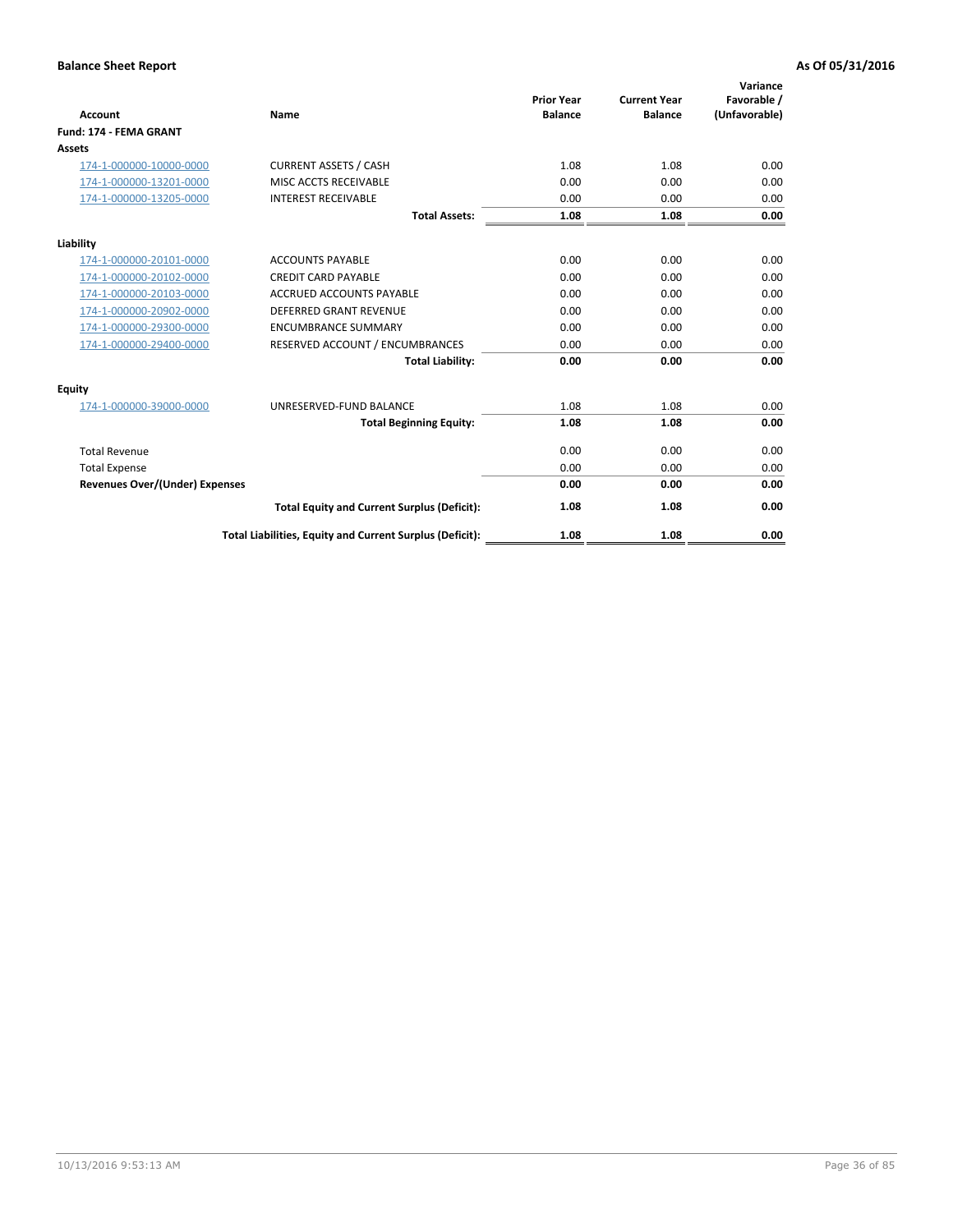| <b>Account</b>                        | <b>Name</b>                                              | <b>Prior Year</b><br><b>Balance</b> | <b>Current Year</b><br><b>Balance</b> | Variance<br>Favorable /<br>(Unfavorable) |
|---------------------------------------|----------------------------------------------------------|-------------------------------------|---------------------------------------|------------------------------------------|
| Fund: 174 - FEMA GRANT                |                                                          |                                     |                                       |                                          |
| Assets                                |                                                          |                                     |                                       |                                          |
| 174-1-000000-10000-0000               | <b>CURRENT ASSETS / CASH</b>                             | 1.08                                | 1.08                                  | 0.00                                     |
| 174-1-000000-13201-0000               | MISC ACCTS RECEIVABLE                                    | 0.00                                | 0.00                                  | 0.00                                     |
| 174-1-000000-13205-0000               | <b>INTEREST RECEIVABLE</b>                               | 0.00                                | 0.00                                  | 0.00                                     |
|                                       | <b>Total Assets:</b>                                     | 1.08                                | 1.08                                  | 0.00                                     |
| Liability                             |                                                          |                                     |                                       |                                          |
| 174-1-000000-20101-0000               | <b>ACCOUNTS PAYABLE</b>                                  | 0.00                                | 0.00                                  | 0.00                                     |
| 174-1-000000-20102-0000               | <b>CREDIT CARD PAYABLE</b>                               | 0.00                                | 0.00                                  | 0.00                                     |
| 174-1-000000-20103-0000               | <b>ACCRUED ACCOUNTS PAYABLE</b>                          | 0.00                                | 0.00                                  | 0.00                                     |
| 174-1-000000-20902-0000               | DEFERRED GRANT REVENUE                                   | 0.00                                | 0.00                                  | 0.00                                     |
| 174-1-000000-29300-0000               | <b>ENCUMBRANCE SUMMARY</b>                               | 0.00                                | 0.00                                  | 0.00                                     |
| 174-1-000000-29400-0000               | RESERVED ACCOUNT / ENCUMBRANCES                          | 0.00                                | 0.00                                  | 0.00                                     |
|                                       | <b>Total Liability:</b>                                  | 0.00                                | 0.00                                  | 0.00                                     |
| Equity                                |                                                          |                                     |                                       |                                          |
| 174-1-000000-39000-0000               | UNRESERVED-FUND BALANCE                                  | 1.08                                | 1.08                                  | 0.00                                     |
|                                       | <b>Total Beginning Equity:</b>                           | 1.08                                | 1.08                                  | 0.00                                     |
| <b>Total Revenue</b>                  |                                                          | 0.00                                | 0.00                                  | 0.00                                     |
| <b>Total Expense</b>                  |                                                          | 0.00                                | 0.00                                  | 0.00                                     |
| <b>Revenues Over/(Under) Expenses</b> |                                                          | 0.00                                | 0.00                                  | 0.00                                     |
|                                       | <b>Total Equity and Current Surplus (Deficit):</b>       | 1.08                                | 1.08                                  | 0.00                                     |
|                                       | Total Liabilities, Equity and Current Surplus (Deficit): | 1.08                                | 1.08                                  | 0.00                                     |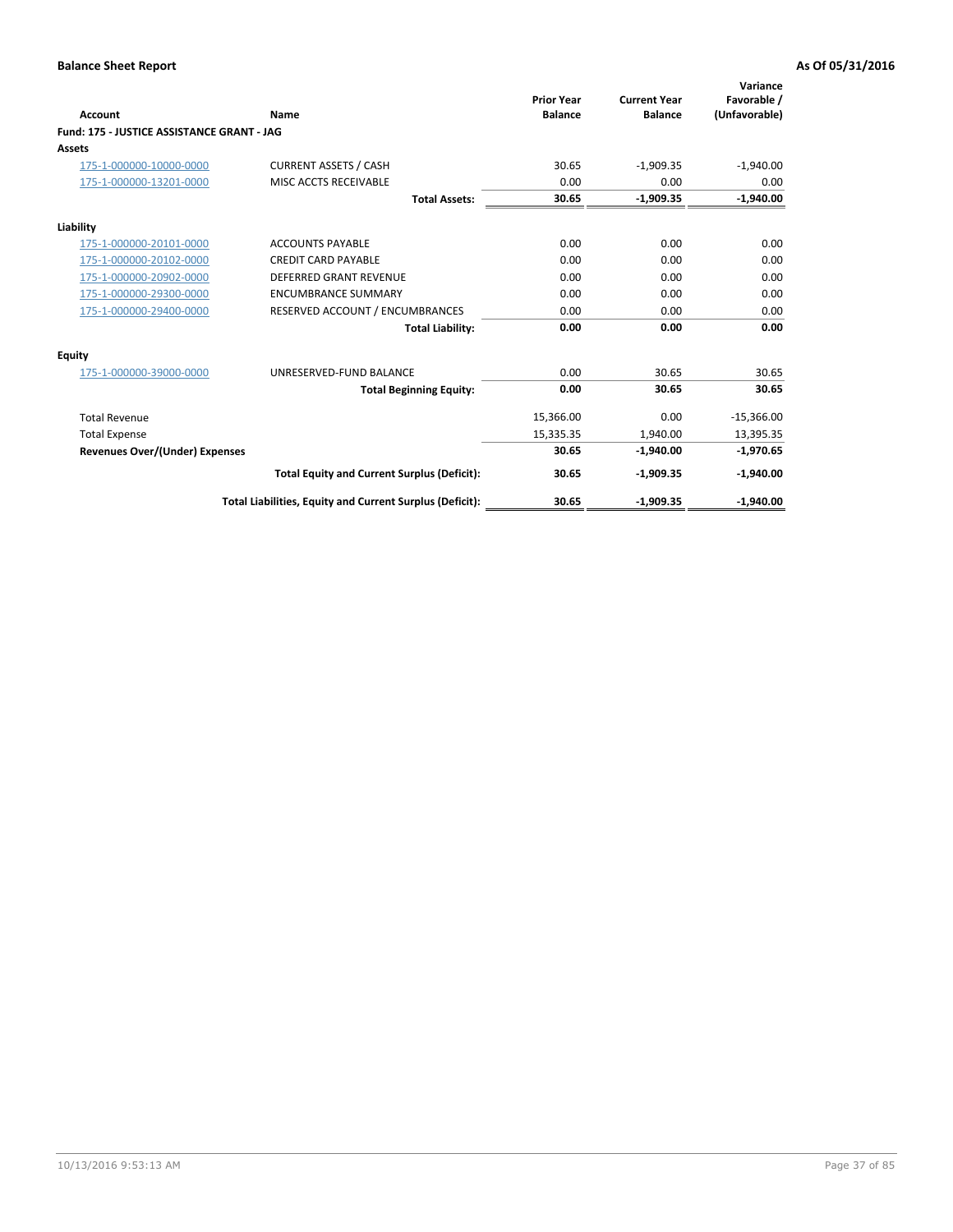| <b>Account</b>                             | Name                                                     | <b>Prior Year</b><br><b>Balance</b> | <b>Current Year</b><br><b>Balance</b> | Variance<br>Favorable /<br>(Unfavorable) |
|--------------------------------------------|----------------------------------------------------------|-------------------------------------|---------------------------------------|------------------------------------------|
| Fund: 175 - JUSTICE ASSISTANCE GRANT - JAG |                                                          |                                     |                                       |                                          |
| <b>Assets</b>                              |                                                          |                                     |                                       |                                          |
| 175-1-000000-10000-0000                    | <b>CURRENT ASSETS / CASH</b>                             | 30.65                               | $-1,909.35$                           | $-1,940.00$                              |
| 175-1-000000-13201-0000                    | <b>MISC ACCTS RECEIVABLE</b>                             | 0.00                                | 0.00                                  | 0.00                                     |
|                                            | <b>Total Assets:</b>                                     | 30.65                               | $-1,909.35$                           | $-1,940.00$                              |
| Liability                                  |                                                          |                                     |                                       |                                          |
| 175-1-000000-20101-0000                    | <b>ACCOUNTS PAYABLE</b>                                  | 0.00                                | 0.00                                  | 0.00                                     |
| 175-1-000000-20102-0000                    | <b>CREDIT CARD PAYABLE</b>                               | 0.00                                | 0.00                                  | 0.00                                     |
| 175-1-000000-20902-0000                    | DEFERRED GRANT REVENUE                                   | 0.00                                | 0.00                                  | 0.00                                     |
| 175-1-000000-29300-0000                    | <b>ENCUMBRANCE SUMMARY</b>                               | 0.00                                | 0.00                                  | 0.00                                     |
| 175-1-000000-29400-0000                    | RESERVED ACCOUNT / ENCUMBRANCES                          | 0.00                                | 0.00                                  | 0.00                                     |
|                                            | <b>Total Liability:</b>                                  | 0.00                                | 0.00                                  | 0.00                                     |
| <b>Equity</b>                              |                                                          |                                     |                                       |                                          |
| 175-1-000000-39000-0000                    | UNRESERVED-FUND BALANCE                                  | 0.00                                | 30.65                                 | 30.65                                    |
|                                            | <b>Total Beginning Equity:</b>                           | 0.00                                | 30.65                                 | 30.65                                    |
| <b>Total Revenue</b>                       |                                                          | 15,366.00                           | 0.00                                  | $-15,366.00$                             |
| <b>Total Expense</b>                       |                                                          | 15,335.35                           | 1.940.00                              | 13,395.35                                |
| <b>Revenues Over/(Under) Expenses</b>      |                                                          | 30.65                               | $-1,940.00$                           | $-1,970.65$                              |
|                                            | <b>Total Equity and Current Surplus (Deficit):</b>       | 30.65                               | $-1,909.35$                           | $-1,940.00$                              |
|                                            | Total Liabilities, Equity and Current Surplus (Deficit): | 30.65                               | $-1,909.35$                           | $-1,940.00$                              |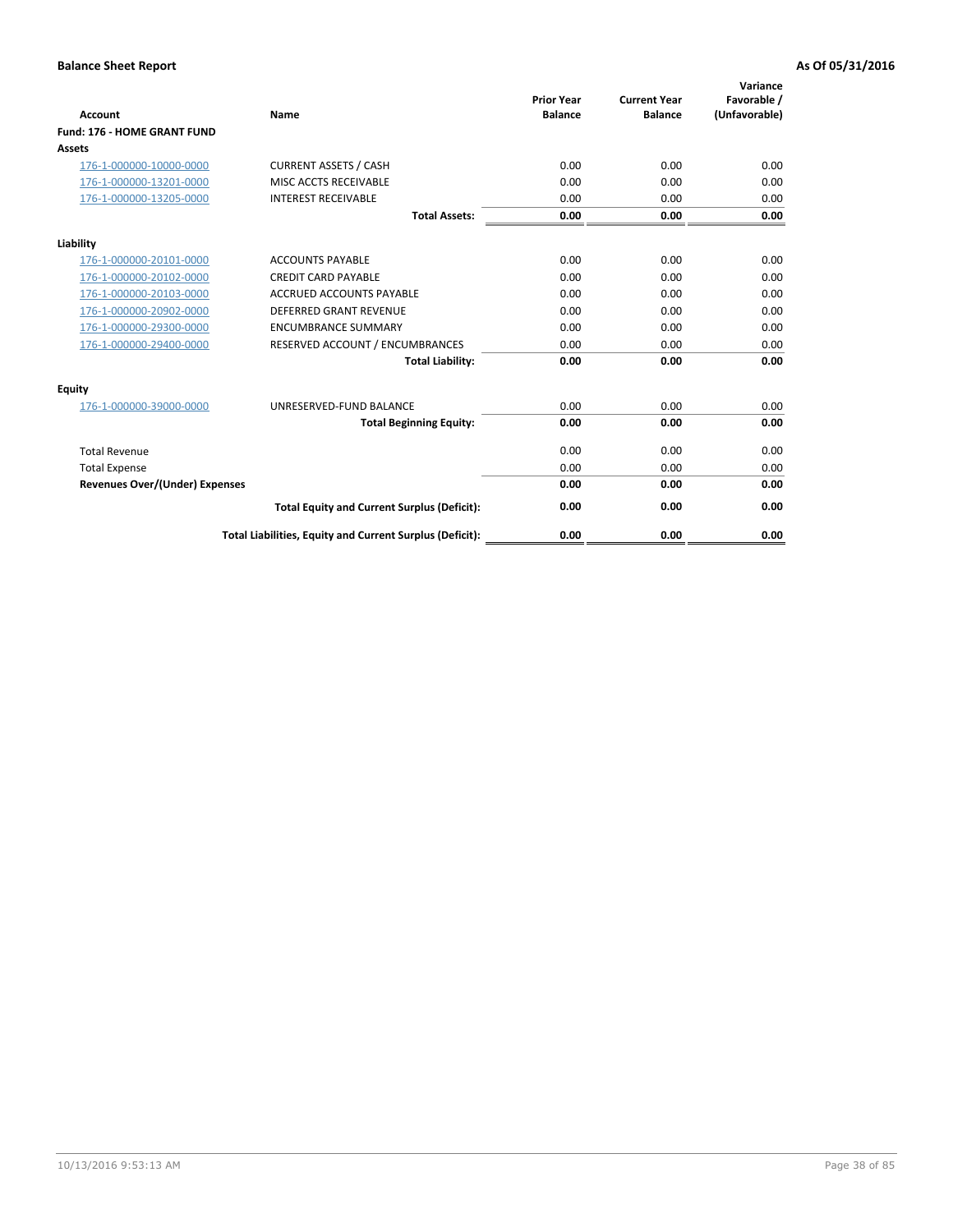| <b>Account</b>                        | <b>Name</b>                                              | <b>Prior Year</b><br><b>Balance</b> | <b>Current Year</b><br><b>Balance</b> | Variance<br>Favorable /<br>(Unfavorable) |
|---------------------------------------|----------------------------------------------------------|-------------------------------------|---------------------------------------|------------------------------------------|
| <b>Fund: 176 - HOME GRANT FUND</b>    |                                                          |                                     |                                       |                                          |
| Assets                                |                                                          |                                     |                                       |                                          |
| 176-1-000000-10000-0000               | <b>CURRENT ASSETS / CASH</b>                             | 0.00                                | 0.00                                  | 0.00                                     |
| 176-1-000000-13201-0000               | MISC ACCTS RECEIVABLE                                    | 0.00                                | 0.00                                  | 0.00                                     |
| 176-1-000000-13205-0000               | <b>INTEREST RECEIVABLE</b>                               | 0.00                                | 0.00                                  | 0.00                                     |
|                                       | <b>Total Assets:</b>                                     | 0.00                                | 0.00                                  | 0.00                                     |
| Liability                             |                                                          |                                     |                                       |                                          |
| 176-1-000000-20101-0000               | <b>ACCOUNTS PAYABLE</b>                                  | 0.00                                | 0.00                                  | 0.00                                     |
| 176-1-000000-20102-0000               | <b>CREDIT CARD PAYABLE</b>                               | 0.00                                | 0.00                                  | 0.00                                     |
| 176-1-000000-20103-0000               | <b>ACCRUED ACCOUNTS PAYABLE</b>                          | 0.00                                | 0.00                                  | 0.00                                     |
| 176-1-000000-20902-0000               | DEFERRED GRANT REVENUE                                   | 0.00                                | 0.00                                  | 0.00                                     |
| 176-1-000000-29300-0000               | <b>ENCUMBRANCE SUMMARY</b>                               | 0.00                                | 0.00                                  | 0.00                                     |
| 176-1-000000-29400-0000               | RESERVED ACCOUNT / ENCUMBRANCES                          | 0.00                                | 0.00                                  | 0.00                                     |
|                                       | <b>Total Liability:</b>                                  | 0.00                                | 0.00                                  | 0.00                                     |
| Equity                                |                                                          |                                     |                                       |                                          |
| 176-1-000000-39000-0000               | UNRESERVED-FUND BALANCE                                  | 0.00                                | 0.00                                  | 0.00                                     |
|                                       | <b>Total Beginning Equity:</b>                           | 0.00                                | 0.00                                  | 0.00                                     |
| <b>Total Revenue</b>                  |                                                          | 0.00                                | 0.00                                  | 0.00                                     |
| <b>Total Expense</b>                  |                                                          | 0.00                                | 0.00                                  | 0.00                                     |
| <b>Revenues Over/(Under) Expenses</b> |                                                          | 0.00                                | 0.00                                  | 0.00                                     |
|                                       | <b>Total Equity and Current Surplus (Deficit):</b>       | 0.00                                | 0.00                                  | 0.00                                     |
|                                       | Total Liabilities, Equity and Current Surplus (Deficit): | 0.00                                | 0.00                                  | 0.00                                     |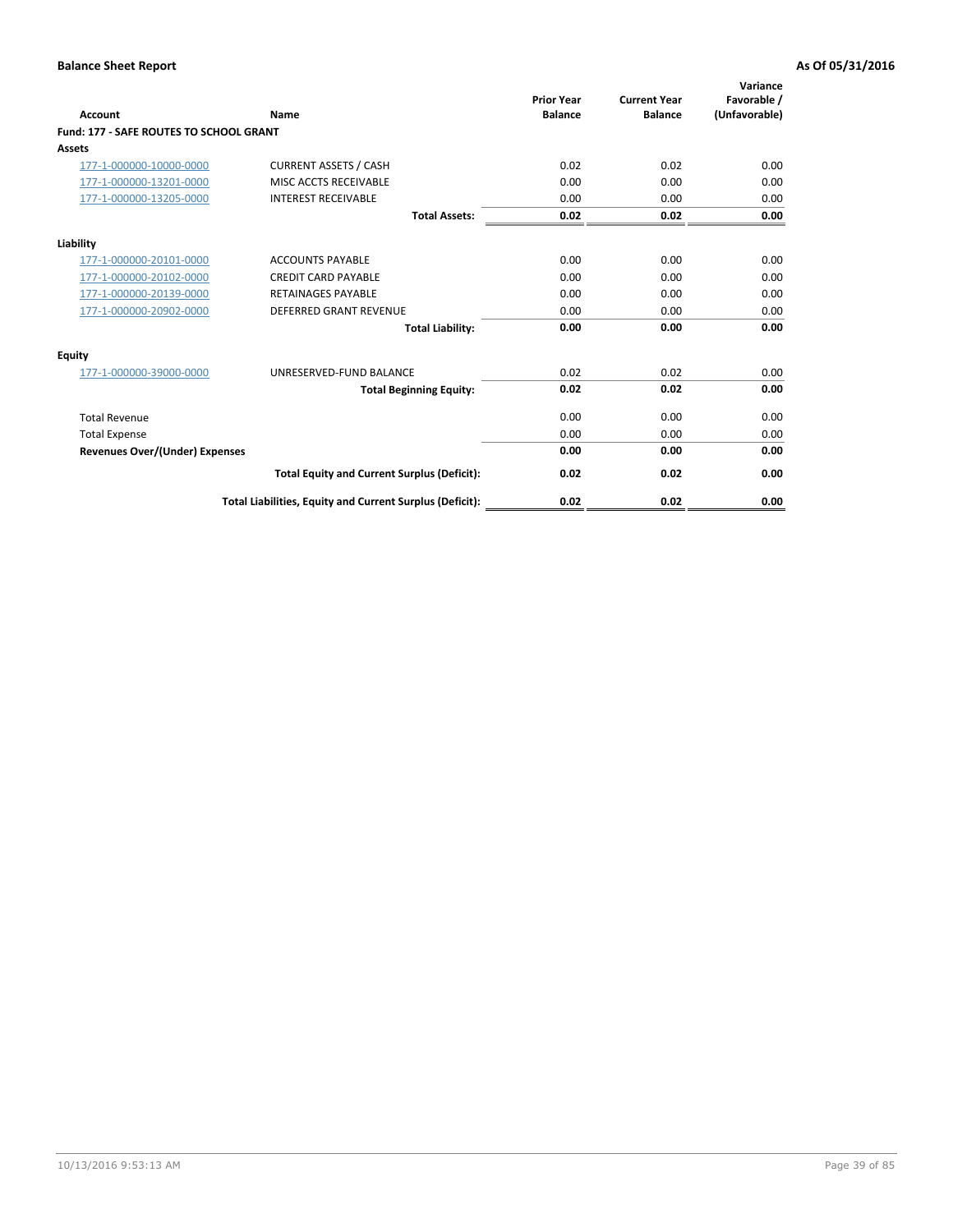| Account                                        | Name                                                     | <b>Prior Year</b><br><b>Balance</b> | <b>Current Year</b><br><b>Balance</b> | Variance<br>Favorable /<br>(Unfavorable) |
|------------------------------------------------|----------------------------------------------------------|-------------------------------------|---------------------------------------|------------------------------------------|
| <b>Fund: 177 - SAFE ROUTES TO SCHOOL GRANT</b> |                                                          |                                     |                                       |                                          |
| <b>Assets</b>                                  |                                                          |                                     |                                       |                                          |
| 177-1-000000-10000-0000                        | <b>CURRENT ASSETS / CASH</b>                             | 0.02                                | 0.02                                  | 0.00                                     |
| 177-1-000000-13201-0000                        | MISC ACCTS RECEIVABLE                                    | 0.00                                | 0.00                                  | 0.00                                     |
| 177-1-000000-13205-0000                        | <b>INTEREST RECEIVABLE</b>                               | 0.00                                | 0.00                                  | 0.00                                     |
|                                                | <b>Total Assets:</b>                                     | 0.02                                | 0.02                                  | 0.00                                     |
| Liability                                      |                                                          |                                     |                                       |                                          |
| 177-1-000000-20101-0000                        | <b>ACCOUNTS PAYABLE</b>                                  | 0.00                                | 0.00                                  | 0.00                                     |
| 177-1-000000-20102-0000                        | <b>CREDIT CARD PAYABLE</b>                               | 0.00                                | 0.00                                  | 0.00                                     |
| 177-1-000000-20139-0000                        | <b>RETAINAGES PAYABLE</b>                                | 0.00                                | 0.00                                  | 0.00                                     |
| 177-1-000000-20902-0000                        | <b>DEFERRED GRANT REVENUE</b>                            | 0.00                                | 0.00                                  | 0.00                                     |
|                                                | <b>Total Liability:</b>                                  | 0.00                                | 0.00                                  | 0.00                                     |
| Equity                                         |                                                          |                                     |                                       |                                          |
| 177-1-000000-39000-0000                        | UNRESERVED-FUND BALANCE                                  | 0.02                                | 0.02                                  | 0.00                                     |
|                                                | <b>Total Beginning Equity:</b>                           | 0.02                                | 0.02                                  | 0.00                                     |
| <b>Total Revenue</b>                           |                                                          | 0.00                                | 0.00                                  | 0.00                                     |
| <b>Total Expense</b>                           |                                                          | 0.00                                | 0.00                                  | 0.00                                     |
| Revenues Over/(Under) Expenses                 |                                                          | 0.00                                | 0.00                                  | 0.00                                     |
|                                                | <b>Total Equity and Current Surplus (Deficit):</b>       | 0.02                                | 0.02                                  | 0.00                                     |
|                                                | Total Liabilities, Equity and Current Surplus (Deficit): | 0.02                                | 0.02                                  | 0.00                                     |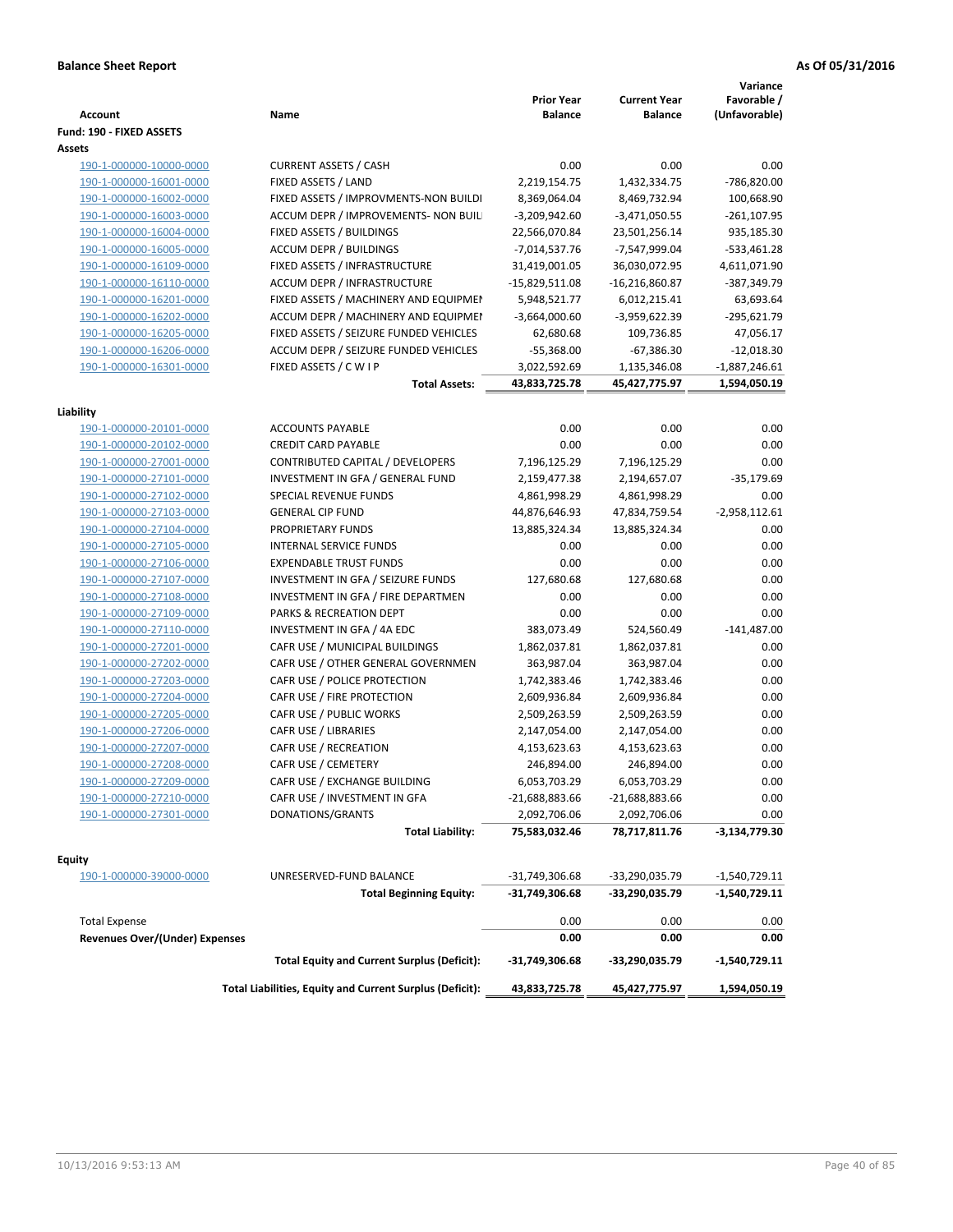| <b>Account</b>                                     | Name                                                            | <b>Prior Year</b><br><b>Balance</b> | <b>Current Year</b><br><b>Balance</b> | Variance<br>Favorable /<br>(Unfavorable) |
|----------------------------------------------------|-----------------------------------------------------------------|-------------------------------------|---------------------------------------|------------------------------------------|
| Fund: 190 - FIXED ASSETS                           |                                                                 |                                     |                                       |                                          |
| Assets<br>190-1-000000-10000-0000                  | <b>CURRENT ASSETS / CASH</b>                                    | 0.00                                | 0.00                                  | 0.00                                     |
| 190-1-000000-16001-0000                            | FIXED ASSETS / LAND                                             | 2,219,154.75                        | 1,432,334.75                          | -786,820.00                              |
|                                                    | FIXED ASSETS / IMPROVMENTS-NON BUILDI                           | 8,369,064.04                        |                                       | 100,668.90                               |
| 190-1-000000-16002-0000                            |                                                                 |                                     | 8,469,732.94                          |                                          |
| 190-1-000000-16003-0000<br>190-1-000000-16004-0000 | ACCUM DEPR / IMPROVEMENTS- NON BUIL<br>FIXED ASSETS / BUILDINGS | $-3,209,942.60$<br>22,566,070.84    | $-3,471,050.55$                       | $-261, 107.95$<br>935,185.30             |
| 190-1-000000-16005-0000                            | <b>ACCUM DEPR / BUILDINGS</b>                                   | $-7,014,537.76$                     | 23,501,256.14<br>-7,547,999.04        | $-533,461.28$                            |
| 190-1-000000-16109-0000                            | FIXED ASSETS / INFRASTRUCTURE                                   | 31,419,001.05                       | 36,030,072.95                         | 4,611,071.90                             |
| 190-1-000000-16110-0000                            | ACCUM DEPR / INFRASTRUCTURE                                     | $-15,829,511.08$                    | $-16,216,860.87$                      | -387,349.79                              |
| 190-1-000000-16201-0000                            | FIXED ASSETS / MACHINERY AND EQUIPMEN                           | 5,948,521.77                        | 6,012,215.41                          | 63,693.64                                |
| 190-1-000000-16202-0000                            | ACCUM DEPR / MACHINERY AND EQUIPMEI                             | $-3,664,000.60$                     | -3,959,622.39                         | -295,621.79                              |
| 190-1-000000-16205-0000                            | FIXED ASSETS / SEIZURE FUNDED VEHICLES                          | 62,680.68                           |                                       | 47,056.17                                |
| 190-1-000000-16206-0000                            | ACCUM DEPR / SEIZURE FUNDED VEHICLES                            | $-55,368.00$                        | 109,736.85<br>$-67,386.30$            | $-12,018.30$                             |
| 190-1-000000-16301-0000                            | FIXED ASSETS / C W I P                                          | 3,022,592.69                        | 1,135,346.08                          | $-1,887,246.61$                          |
|                                                    | <b>Total Assets:</b>                                            | 43,833,725.78                       | 45,427,775.97                         | 1,594,050.19                             |
|                                                    |                                                                 |                                     |                                       |                                          |
| Liability                                          |                                                                 |                                     |                                       |                                          |
| 190-1-000000-20101-0000                            | <b>ACCOUNTS PAYABLE</b>                                         | 0.00                                | 0.00                                  | 0.00                                     |
| 190-1-000000-20102-0000                            | <b>CREDIT CARD PAYABLE</b>                                      | 0.00                                | 0.00                                  | 0.00                                     |
| 190-1-000000-27001-0000                            | CONTRIBUTED CAPITAL / DEVELOPERS                                | 7,196,125.29                        | 7,196,125.29                          | 0.00                                     |
| 190-1-000000-27101-0000                            | INVESTMENT IN GFA / GENERAL FUND                                | 2,159,477.38                        | 2,194,657.07                          | $-35,179.69$                             |
| 190-1-000000-27102-0000                            | SPECIAL REVENUE FUNDS                                           | 4,861,998.29                        | 4,861,998.29                          | 0.00                                     |
| 190-1-000000-27103-0000                            | <b>GENERAL CIP FUND</b>                                         | 44,876,646.93                       | 47,834,759.54                         | $-2,958,112.61$                          |
| 190-1-000000-27104-0000                            | PROPRIETARY FUNDS                                               | 13,885,324.34                       | 13,885,324.34                         | 0.00                                     |
| 190-1-000000-27105-0000                            | <b>INTERNAL SERVICE FUNDS</b>                                   | 0.00                                | 0.00                                  | 0.00                                     |
| 190-1-000000-27106-0000                            | <b>EXPENDABLE TRUST FUNDS</b>                                   | 0.00                                | 0.00                                  | 0.00                                     |
| 190-1-000000-27107-0000                            | INVESTMENT IN GFA / SEIZURE FUNDS                               | 127,680.68                          | 127,680.68                            | 0.00                                     |
| 190-1-000000-27108-0000                            | INVESTMENT IN GFA / FIRE DEPARTMEN                              | 0.00                                | 0.00                                  | 0.00                                     |
| 190-1-000000-27109-0000                            | PARKS & RECREATION DEPT                                         | 0.00                                | 0.00                                  | 0.00                                     |
| 190-1-000000-27110-0000                            | INVESTMENT IN GFA / 4A EDC                                      | 383,073.49                          | 524,560.49                            | $-141,487.00$                            |
| 190-1-000000-27201-0000                            | CAFR USE / MUNICIPAL BUILDINGS                                  | 1,862,037.81                        | 1,862,037.81                          | 0.00                                     |
| 190-1-000000-27202-0000                            | CAFR USE / OTHER GENERAL GOVERNMEN                              | 363,987.04                          | 363,987.04                            | 0.00                                     |
| 190-1-000000-27203-0000                            | CAFR USE / POLICE PROTECTION                                    | 1,742,383.46                        | 1,742,383.46                          | 0.00                                     |
| 190-1-000000-27204-0000                            | CAFR USE / FIRE PROTECTION                                      | 2,609,936.84                        | 2,609,936.84                          | 0.00                                     |
| 190-1-000000-27205-0000                            | CAFR USE / PUBLIC WORKS                                         | 2,509,263.59                        | 2,509,263.59                          | 0.00                                     |
| 190-1-000000-27206-0000                            | CAFR USE / LIBRARIES                                            | 2,147,054.00                        | 2,147,054.00                          | 0.00                                     |
| 190-1-000000-27207-0000                            | CAFR USE / RECREATION                                           | 4,153,623.63                        | 4,153,623.63                          | 0.00                                     |
| 190-1-000000-27208-0000                            | CAFR USE / CEMETERY                                             | 246,894.00                          | 246,894.00                            | 0.00                                     |
| 190-1-000000-27209-0000                            | CAFR USE / EXCHANGE BUILDING                                    | 6,053,703.29                        | 6,053,703.29                          | 0.00                                     |
| 190-1-000000-27210-0000                            | CAFR USE / INVESTMENT IN GFA                                    | -21,688,883.66                      | -21,688,883.66                        | 0.00                                     |
| 190-1-000000-27301-0000                            | DONATIONS/GRANTS                                                | 2,092,706.06                        | 2,092,706.06                          | 0.00                                     |
|                                                    | <b>Total Liability:</b>                                         | 75,583,032.46                       | 78,717,811.76                         | -3,134,779.30                            |
| <b>Equity</b>                                      |                                                                 |                                     |                                       |                                          |
| 190-1-000000-39000-0000                            | UNRESERVED-FUND BALANCE                                         | -31,749,306.68                      | -33,290,035.79                        | -1,540,729.11                            |
|                                                    | <b>Total Beginning Equity:</b>                                  | -31,749,306.68                      | -33,290,035.79                        | -1,540,729.11                            |
|                                                    |                                                                 |                                     |                                       |                                          |
| <b>Total Expense</b>                               |                                                                 | 0.00                                | 0.00                                  | 0.00                                     |
| <b>Revenues Over/(Under) Expenses</b>              |                                                                 | 0.00                                | 0.00                                  | 0.00                                     |
|                                                    | <b>Total Equity and Current Surplus (Deficit):</b>              | -31,749,306.68                      | -33,290,035.79                        | -1,540,729.11                            |
|                                                    | Total Liabilities, Equity and Current Surplus (Deficit):        | 43,833,725.78                       | 45,427,775.97                         | 1,594,050.19                             |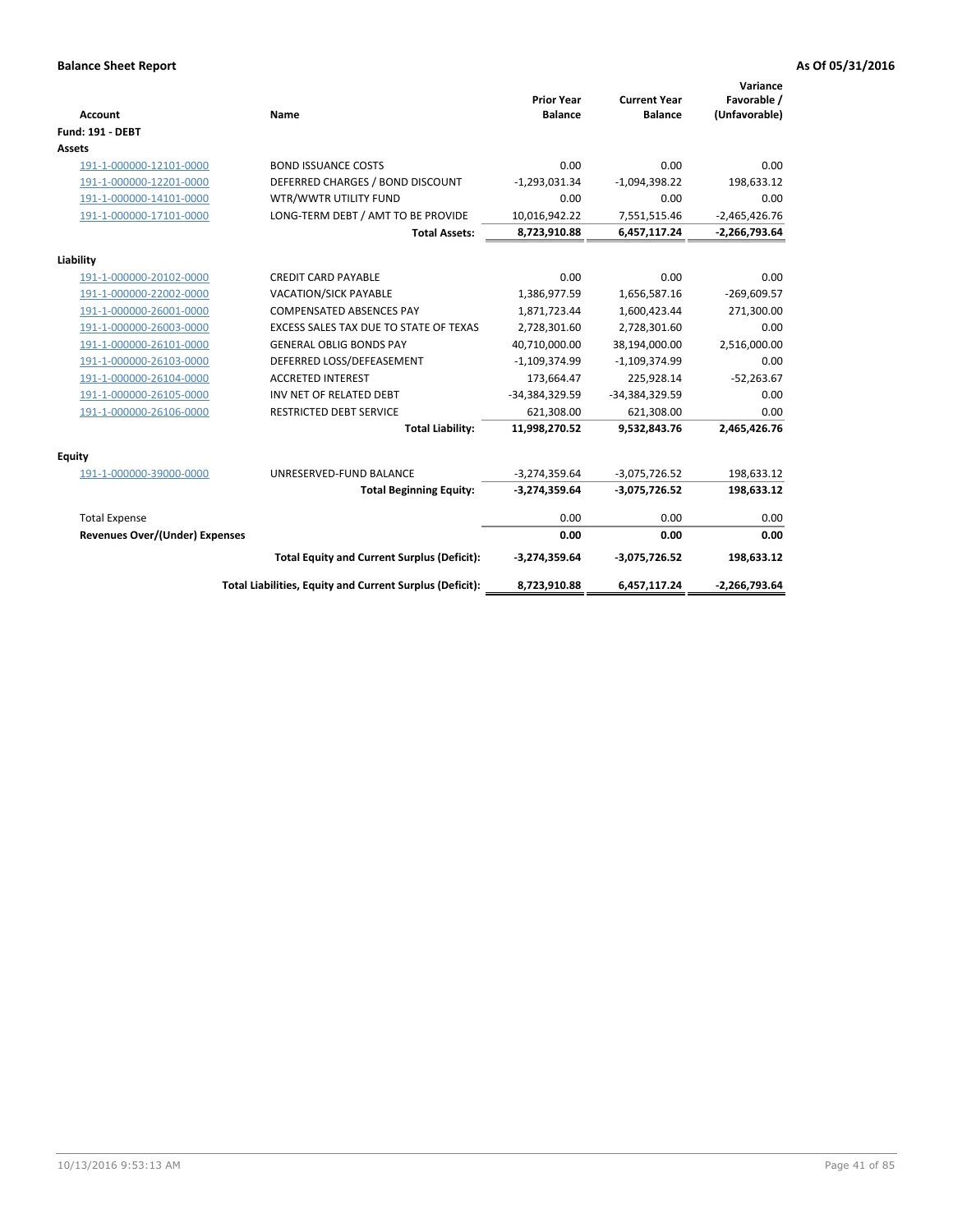| <b>Account</b>                 | Name                                                     | <b>Prior Year</b><br><b>Balance</b> | <b>Current Year</b><br><b>Balance</b> | Variance<br>Favorable /<br>(Unfavorable) |
|--------------------------------|----------------------------------------------------------|-------------------------------------|---------------------------------------|------------------------------------------|
| <b>Fund: 191 - DEBT</b>        |                                                          |                                     |                                       |                                          |
| <b>Assets</b>                  |                                                          |                                     |                                       |                                          |
| 191-1-000000-12101-0000        | <b>BOND ISSUANCE COSTS</b>                               | 0.00                                | 0.00                                  | 0.00                                     |
| 191-1-000000-12201-0000        | DEFERRED CHARGES / BOND DISCOUNT                         | $-1,293,031.34$                     | $-1,094,398.22$                       | 198,633.12                               |
| 191-1-000000-14101-0000        | WTR/WWTR UTILITY FUND                                    | 0.00                                | 0.00                                  | 0.00                                     |
| 191-1-000000-17101-0000        | LONG-TERM DEBT / AMT TO BE PROVIDE                       | 10,016,942.22                       | 7,551,515.46                          | $-2,465,426.76$                          |
|                                | <b>Total Assets:</b>                                     | 8,723,910.88                        | 6,457,117.24                          | $-2,266,793.64$                          |
| Liability                      |                                                          |                                     |                                       |                                          |
| 191-1-000000-20102-0000        | <b>CREDIT CARD PAYABLE</b>                               | 0.00                                | 0.00                                  | 0.00                                     |
| 191-1-000000-22002-0000        | <b>VACATION/SICK PAYABLE</b>                             | 1,386,977.59                        | 1,656,587.16                          | $-269,609.57$                            |
| 191-1-000000-26001-0000        | <b>COMPENSATED ABSENCES PAY</b>                          | 1,871,723.44                        | 1,600,423.44                          | 271,300.00                               |
| 191-1-000000-26003-0000        | EXCESS SALES TAX DUE TO STATE OF TEXAS                   | 2,728,301.60                        | 2,728,301.60                          | 0.00                                     |
| 191-1-000000-26101-0000        | <b>GENERAL OBLIG BONDS PAY</b>                           | 40,710,000.00                       | 38,194,000.00                         | 2,516,000.00                             |
| 191-1-000000-26103-0000        | DEFERRED LOSS/DEFEASEMENT                                | $-1,109,374.99$                     | $-1,109,374.99$                       | 0.00                                     |
| 191-1-000000-26104-0000        | <b>ACCRETED INTEREST</b>                                 | 173,664.47                          | 225,928.14                            | $-52,263.67$                             |
| 191-1-000000-26105-0000        | INV NET OF RELATED DEBT                                  | -34,384,329.59                      | -34,384,329.59                        | 0.00                                     |
| 191-1-000000-26106-0000        | <b>RESTRICTED DEBT SERVICE</b>                           | 621,308.00                          | 621,308.00                            | 0.00                                     |
|                                | <b>Total Liability:</b>                                  | 11,998,270.52                       | 9,532,843.76                          | 2,465,426.76                             |
| Equity                         |                                                          |                                     |                                       |                                          |
| 191-1-000000-39000-0000        | UNRESERVED-FUND BALANCE                                  | $-3,274,359.64$                     | $-3,075,726.52$                       | 198,633.12                               |
|                                | <b>Total Beginning Equity:</b>                           | $-3,274,359.64$                     | $-3,075,726.52$                       | 198,633.12                               |
| <b>Total Expense</b>           |                                                          | 0.00                                | 0.00                                  | 0.00                                     |
| Revenues Over/(Under) Expenses |                                                          | 0.00                                | 0.00                                  | 0.00                                     |
|                                | <b>Total Equity and Current Surplus (Deficit):</b>       | $-3,274,359.64$                     | $-3,075,726.52$                       | 198,633.12                               |
|                                | Total Liabilities, Equity and Current Surplus (Deficit): | 8,723,910.88                        | 6,457,117.24                          | $-2,266,793.64$                          |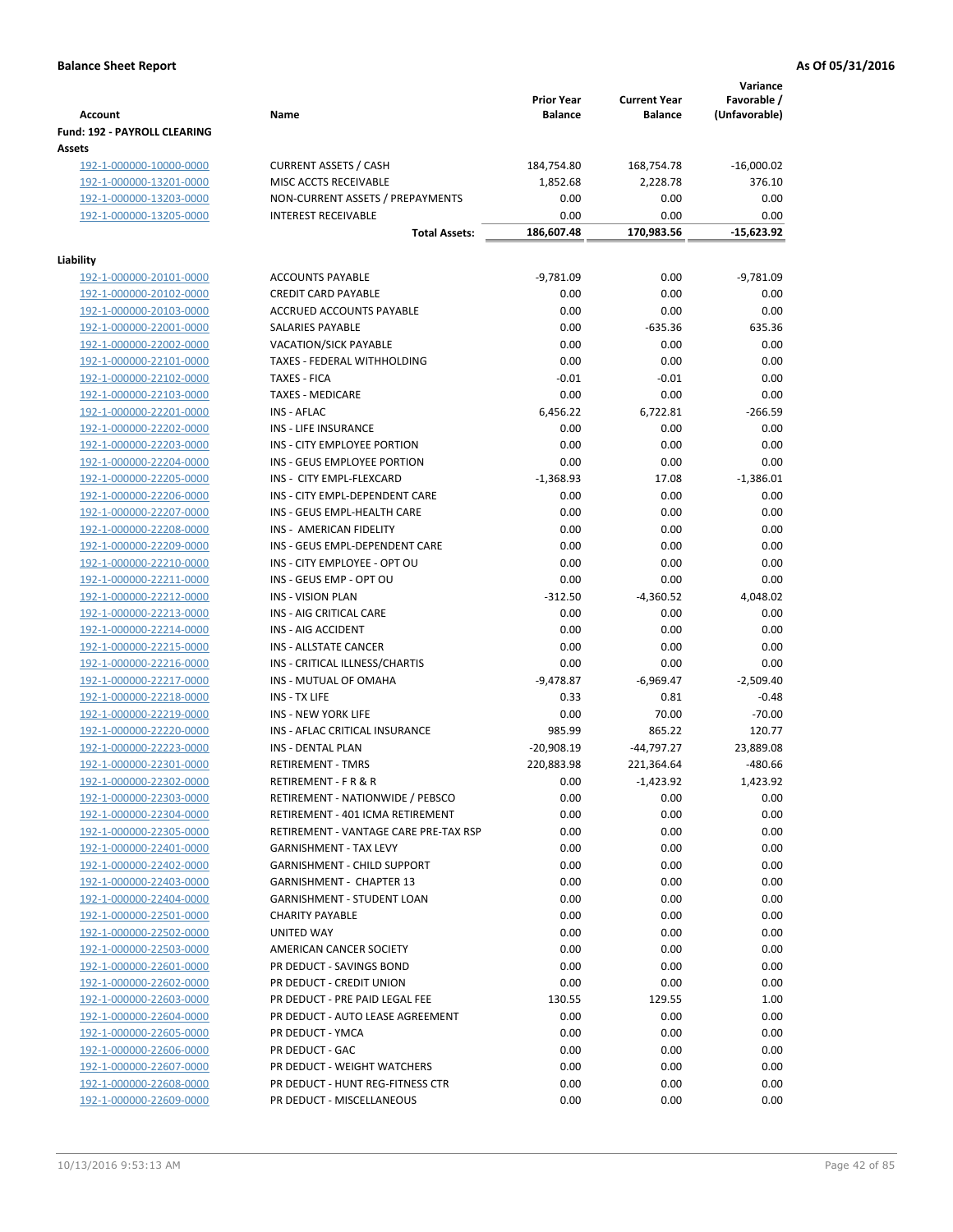| <b>Account</b>                                | Name                                  | <b>Prior Year</b><br><b>Balance</b> | <b>Current Year</b><br><b>Balance</b> | Variance<br>Favorable /<br>(Unfavorable) |
|-----------------------------------------------|---------------------------------------|-------------------------------------|---------------------------------------|------------------------------------------|
| <b>Fund: 192 - PAYROLL CLEARING</b><br>Assets |                                       |                                     |                                       |                                          |
| 192-1-000000-10000-0000                       | <b>CURRENT ASSETS / CASH</b>          | 184,754.80                          | 168,754.78                            | $-16,000.02$                             |
| 192-1-000000-13201-0000                       | MISC ACCTS RECEIVABLE                 | 1,852.68                            | 2,228.78                              | 376.10                                   |
| 192-1-000000-13203-0000                       | NON-CURRENT ASSETS / PREPAYMENTS      | 0.00                                | 0.00                                  | 0.00                                     |
| 192-1-000000-13205-0000                       | <b>INTEREST RECEIVABLE</b>            | 0.00                                | 0.00                                  | 0.00                                     |
|                                               | <b>Total Assets:</b>                  | 186,607.48                          | 170,983.56                            | $-15,623.92$                             |
| Liability                                     |                                       |                                     |                                       |                                          |
| 192-1-000000-20101-0000                       | <b>ACCOUNTS PAYABLE</b>               | $-9,781.09$                         | 0.00                                  | $-9,781.09$                              |
| 192-1-000000-20102-0000                       | <b>CREDIT CARD PAYABLE</b>            | 0.00                                | 0.00                                  | 0.00                                     |
| 192-1-000000-20103-0000                       | ACCRUED ACCOUNTS PAYABLE              | 0.00                                | 0.00                                  | 0.00                                     |
| 192-1-000000-22001-0000                       | SALARIES PAYABLE                      | 0.00                                | $-635.36$                             | 635.36                                   |
| 192-1-000000-22002-0000                       | <b>VACATION/SICK PAYABLE</b>          | 0.00                                | 0.00                                  | 0.00                                     |
| 192-1-000000-22101-0000                       | TAXES - FEDERAL WITHHOLDING           | 0.00                                | 0.00                                  | 0.00                                     |
| 192-1-000000-22102-0000                       | <b>TAXES - FICA</b>                   | $-0.01$                             | $-0.01$                               | 0.00                                     |
| 192-1-000000-22103-0000                       | <b>TAXES - MEDICARE</b>               | 0.00                                | 0.00                                  | 0.00                                     |
| 192-1-000000-22201-0000                       | INS - AFLAC                           | 6,456.22                            | 6,722.81                              | $-266.59$                                |
| 192-1-000000-22202-0000                       | INS - LIFE INSURANCE                  | 0.00                                | 0.00                                  | 0.00                                     |
| 192-1-000000-22203-0000                       | INS - CITY EMPLOYEE PORTION           | 0.00                                | 0.00                                  | 0.00                                     |
| 192-1-000000-22204-0000                       | INS - GEUS EMPLOYEE PORTION           | 0.00                                | 0.00                                  | 0.00                                     |
| 192-1-000000-22205-0000                       | INS - CITY EMPL-FLEXCARD              | $-1,368.93$                         | 17.08                                 | $-1,386.01$                              |
| 192-1-000000-22206-0000                       | INS - CITY EMPL-DEPENDENT CARE        | 0.00                                | 0.00                                  | 0.00                                     |
| 192-1-000000-22207-0000                       | INS - GEUS EMPL-HEALTH CARE           | 0.00                                | 0.00                                  | 0.00                                     |
| 192-1-000000-22208-0000                       | INS - AMERICAN FIDELITY               | 0.00                                | 0.00                                  | 0.00                                     |
| 192-1-000000-22209-0000                       | INS - GEUS EMPL-DEPENDENT CARE        | 0.00                                | 0.00                                  | 0.00                                     |
| 192-1-000000-22210-0000                       | INS - CITY EMPLOYEE - OPT OU          | 0.00                                | 0.00                                  | 0.00                                     |
| 192-1-000000-22211-0000                       | INS - GEUS EMP - OPT OU               | 0.00                                | 0.00                                  | 0.00                                     |
| 192-1-000000-22212-0000                       | <b>INS - VISION PLAN</b>              | $-312.50$                           | $-4,360.52$                           | 4,048.02                                 |
| 192-1-000000-22213-0000                       | INS - AIG CRITICAL CARE               | 0.00                                | 0.00                                  | 0.00                                     |
| 192-1-000000-22214-0000                       | INS - AIG ACCIDENT                    | 0.00                                | 0.00                                  | 0.00                                     |
| 192-1-000000-22215-0000                       | <b>INS - ALLSTATE CANCER</b>          | 0.00                                | 0.00                                  | 0.00                                     |
| 192-1-000000-22216-0000                       | INS - CRITICAL ILLNESS/CHARTIS        | 0.00                                | 0.00                                  | 0.00                                     |
| 192-1-000000-22217-0000                       | INS - MUTUAL OF OMAHA                 | $-9,478.87$                         | $-6,969.47$                           | $-2,509.40$                              |
| 192-1-000000-22218-0000                       | INS - TX LIFE                         | 0.33                                | 0.81                                  | $-0.48$                                  |
| 192-1-000000-22219-0000                       | <b>INS - NEW YORK LIFE</b>            | 0.00                                | 70.00                                 | $-70.00$                                 |
| 192-1-000000-22220-0000                       | INS - AFLAC CRITICAL INSURANCE        | 985.99                              | 865.22                                | 120.77                                   |
| 192-1-000000-22223-0000                       | <b>INS - DENTAL PLAN</b>              | $-20,908.19$                        | $-44,797.27$                          | 23,889.08                                |
| 192-1-000000-22301-0000                       | <b>RETIREMENT - TMRS</b>              | 220,883.98                          | 221,364.64                            | -480.66                                  |
| 192-1-000000-22302-0000                       | RETIREMENT - F R & R                  | 0.00                                | $-1,423.92$                           | 1,423.92                                 |
| 192-1-000000-22303-0000                       | RETIREMENT - NATIONWIDE / PEBSCO      | 0.00                                | 0.00                                  | 0.00                                     |
| 192-1-000000-22304-0000                       | RETIREMENT - 401 ICMA RETIREMENT      | 0.00                                | 0.00                                  | 0.00                                     |
| 192-1-000000-22305-0000                       | RETIREMENT - VANTAGE CARE PRE-TAX RSP | 0.00                                | 0.00                                  | 0.00                                     |
| 192-1-000000-22401-0000                       | <b>GARNISHMENT - TAX LEVY</b>         | 0.00                                | 0.00                                  | 0.00                                     |
| 192-1-000000-22402-0000                       | <b>GARNISHMENT - CHILD SUPPORT</b>    | 0.00                                | 0.00                                  | 0.00                                     |
| 192-1-000000-22403-0000                       | GARNISHMENT - CHAPTER 13              | 0.00                                | 0.00                                  | 0.00                                     |
| 192-1-000000-22404-0000                       | GARNISHMENT - STUDENT LOAN            | 0.00                                | 0.00                                  | 0.00                                     |
| 192-1-000000-22501-0000                       | <b>CHARITY PAYABLE</b>                | 0.00                                | 0.00                                  | 0.00                                     |
| 192-1-000000-22502-0000                       | UNITED WAY                            | 0.00                                | 0.00                                  | 0.00                                     |
| 192-1-000000-22503-0000                       | AMERICAN CANCER SOCIETY               | 0.00                                | 0.00                                  | 0.00                                     |
| 192-1-000000-22601-0000                       | PR DEDUCT - SAVINGS BOND              | 0.00                                | 0.00                                  | 0.00                                     |
| 192-1-000000-22602-0000                       | PR DEDUCT - CREDIT UNION              | 0.00                                | 0.00                                  | 0.00                                     |
| 192-1-000000-22603-0000                       | PR DEDUCT - PRE PAID LEGAL FEE        | 130.55                              | 129.55                                | 1.00                                     |
| 192-1-000000-22604-0000                       | PR DEDUCT - AUTO LEASE AGREEMENT      | 0.00                                | 0.00                                  | 0.00                                     |
| 192-1-000000-22605-0000                       | PR DEDUCT - YMCA                      | 0.00                                | 0.00                                  | 0.00                                     |
| 192-1-000000-22606-0000                       | PR DEDUCT - GAC                       | 0.00                                | 0.00                                  | 0.00                                     |
| 192-1-000000-22607-0000                       | PR DEDUCT - WEIGHT WATCHERS           | 0.00                                | 0.00                                  | 0.00                                     |
| 192-1-000000-22608-0000                       | PR DEDUCT - HUNT REG-FITNESS CTR      | 0.00                                | 0.00                                  | 0.00                                     |
| 192-1-000000-22609-0000                       | PR DEDUCT - MISCELLANEOUS             | 0.00                                | 0.00                                  | 0.00                                     |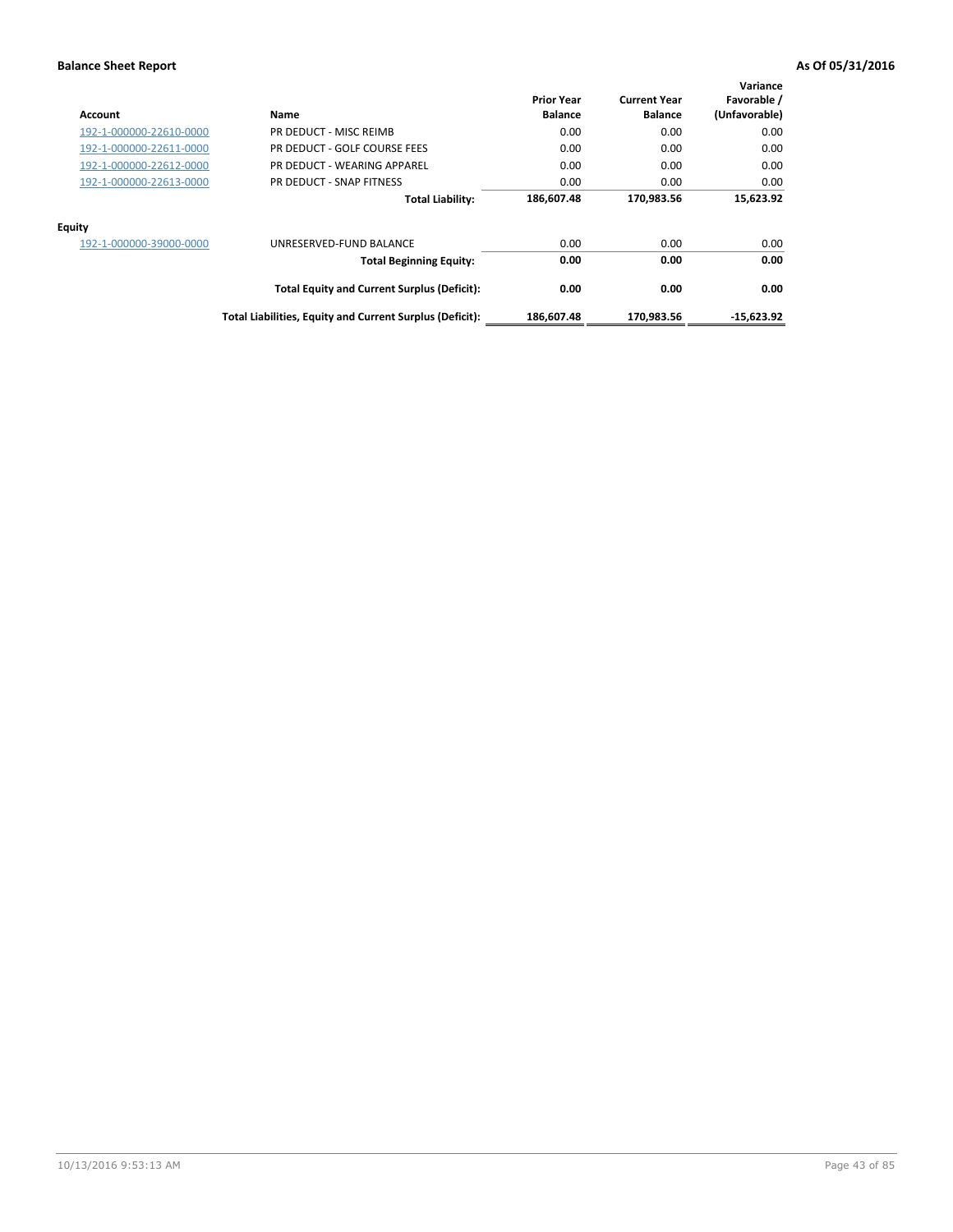| Account                 | Name                                                     | <b>Prior Year</b><br><b>Balance</b> | <b>Current Year</b><br><b>Balance</b> | Variance<br>Favorable /<br>(Unfavorable) |
|-------------------------|----------------------------------------------------------|-------------------------------------|---------------------------------------|------------------------------------------|
| 192-1-000000-22610-0000 | PR DEDUCT - MISC REIMB                                   | 0.00                                | 0.00                                  | 0.00                                     |
| 192-1-000000-22611-0000 | PR DEDUCT - GOLF COURSE FEES                             | 0.00                                | 0.00                                  | 0.00                                     |
| 192-1-000000-22612-0000 | PR DEDUCT - WEARING APPAREL                              | 0.00                                | 0.00                                  | 0.00                                     |
| 192-1-000000-22613-0000 | PR DEDUCT - SNAP FITNESS                                 | 0.00                                | 0.00                                  | 0.00                                     |
|                         | <b>Total Liability:</b>                                  | 186,607.48                          | 170,983.56                            | 15,623.92                                |
| <b>Equity</b>           |                                                          |                                     |                                       |                                          |
| 192-1-000000-39000-0000 | UNRESERVED-FUND BALANCE                                  | 0.00                                | 0.00                                  | 0.00                                     |
|                         | <b>Total Beginning Equity:</b>                           | 0.00                                | 0.00                                  | 0.00                                     |
|                         | <b>Total Equity and Current Surplus (Deficit):</b>       | 0.00                                | 0.00                                  | 0.00                                     |
|                         | Total Liabilities, Equity and Current Surplus (Deficit): | 186.607.48                          | 170.983.56                            | $-15.623.92$                             |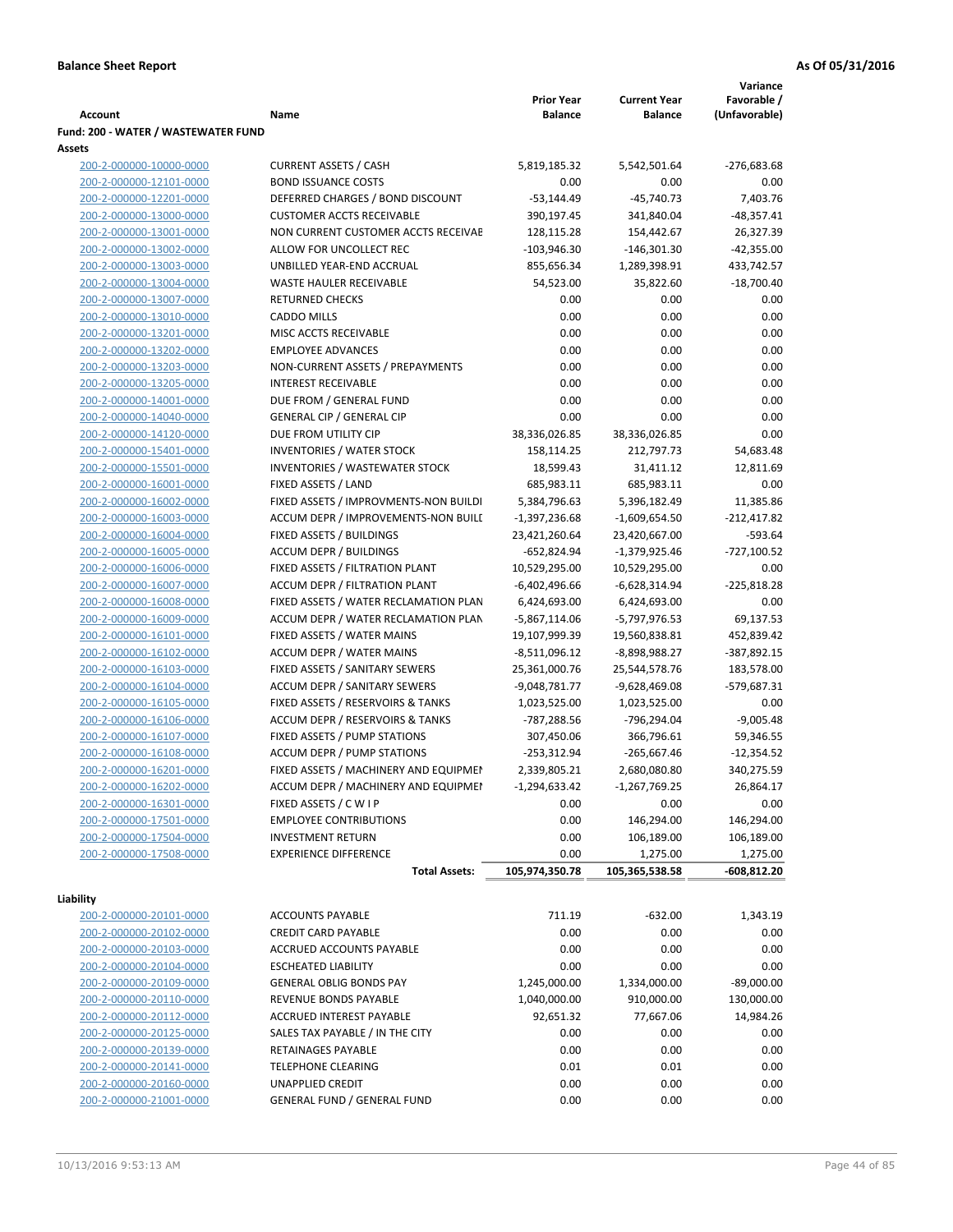|                                                    |                                                           |                                |                                  | Variance                 |
|----------------------------------------------------|-----------------------------------------------------------|--------------------------------|----------------------------------|--------------------------|
|                                                    |                                                           | <b>Prior Year</b>              | <b>Current Year</b>              | Favorable /              |
| Account                                            | Name                                                      | <b>Balance</b>                 | <b>Balance</b>                   | (Unfavorable)            |
| Fund: 200 - WATER / WASTEWATER FUND<br>Assets      |                                                           |                                |                                  |                          |
| 200-2-000000-10000-0000                            | <b>CURRENT ASSETS / CASH</b>                              | 5,819,185.32                   | 5,542,501.64                     | $-276,683.68$            |
| 200-2-000000-12101-0000                            | <b>BOND ISSUANCE COSTS</b>                                | 0.00                           | 0.00                             | 0.00                     |
| 200-2-000000-12201-0000                            | DEFERRED CHARGES / BOND DISCOUNT                          | $-53,144.49$                   | $-45,740.73$                     | 7,403.76                 |
| 200-2-000000-13000-0000                            | <b>CUSTOMER ACCTS RECEIVABLE</b>                          | 390,197.45                     | 341,840.04                       | $-48,357.41$             |
| 200-2-000000-13001-0000                            | NON CURRENT CUSTOMER ACCTS RECEIVAE                       | 128,115.28                     | 154,442.67                       | 26,327.39                |
| 200-2-000000-13002-0000                            | ALLOW FOR UNCOLLECT REC                                   | $-103,946.30$                  | $-146,301.30$                    | $-42,355.00$             |
| 200-2-000000-13003-0000                            | UNBILLED YEAR-END ACCRUAL                                 | 855,656.34                     | 1,289,398.91                     | 433,742.57               |
| 200-2-000000-13004-0000                            | <b>WASTE HAULER RECEIVABLE</b>                            | 54,523.00                      | 35,822.60                        | $-18,700.40$             |
| 200-2-000000-13007-0000                            | <b>RETURNED CHECKS</b>                                    | 0.00                           | 0.00                             | 0.00                     |
| 200-2-000000-13010-0000                            | <b>CADDO MILLS</b>                                        | 0.00                           | 0.00                             | 0.00                     |
| 200-2-000000-13201-0000                            | MISC ACCTS RECEIVABLE                                     | 0.00                           | 0.00                             | 0.00                     |
| 200-2-000000-13202-0000                            | <b>EMPLOYEE ADVANCES</b>                                  | 0.00                           | 0.00                             | 0.00                     |
| 200-2-000000-13203-0000                            | NON-CURRENT ASSETS / PREPAYMENTS                          | 0.00                           | 0.00                             | 0.00                     |
| 200-2-000000-13205-0000                            | <b>INTEREST RECEIVABLE</b>                                | 0.00                           | 0.00                             | 0.00                     |
| 200-2-000000-14001-0000                            | DUE FROM / GENERAL FUND                                   | 0.00                           | 0.00                             | 0.00                     |
| 200-2-000000-14040-0000                            | <b>GENERAL CIP / GENERAL CIP</b>                          | 0.00                           | 0.00                             | 0.00                     |
| 200-2-000000-14120-0000                            | DUE FROM UTILITY CIP                                      | 38,336,026.85                  | 38,336,026.85                    | 0.00                     |
| 200-2-000000-15401-0000                            | <b>INVENTORIES / WATER STOCK</b>                          | 158,114.25                     | 212,797.73                       | 54,683.48                |
| 200-2-000000-15501-0000                            | <b>INVENTORIES / WASTEWATER STOCK</b>                     | 18,599.43                      | 31,411.12                        | 12,811.69                |
| 200-2-000000-16001-0000                            | FIXED ASSETS / LAND                                       | 685,983.11                     | 685,983.11                       | 0.00                     |
| 200-2-000000-16002-0000                            | FIXED ASSETS / IMPROVMENTS-NON BUILDI                     | 5,384,796.63                   | 5,396,182.49                     | 11,385.86                |
| 200-2-000000-16003-0000                            | ACCUM DEPR / IMPROVEMENTS-NON BUILI                       | $-1,397,236.68$                | $-1,609,654.50$                  | $-212,417.82$            |
| 200-2-000000-16004-0000<br>200-2-000000-16005-0000 | FIXED ASSETS / BUILDINGS<br><b>ACCUM DEPR / BUILDINGS</b> | 23,421,260.64<br>$-652,824.94$ | 23,420,667.00<br>$-1,379,925.46$ | $-593.64$<br>-727,100.52 |
| 200-2-000000-16006-0000                            | FIXED ASSETS / FILTRATION PLANT                           | 10,529,295.00                  | 10,529,295.00                    | 0.00                     |
| 200-2-000000-16007-0000                            | ACCUM DEPR / FILTRATION PLANT                             | -6,402,496.66                  | -6,628,314.94                    | $-225,818.28$            |
| 200-2-000000-16008-0000                            | FIXED ASSETS / WATER RECLAMATION PLAN                     | 6,424,693.00                   | 6,424,693.00                     | 0.00                     |
| 200-2-000000-16009-0000                            | ACCUM DEPR / WATER RECLAMATION PLAN                       | $-5,867,114.06$                | -5,797,976.53                    | 69,137.53                |
| 200-2-000000-16101-0000                            | FIXED ASSETS / WATER MAINS                                | 19,107,999.39                  | 19,560,838.81                    | 452,839.42               |
| 200-2-000000-16102-0000                            | <b>ACCUM DEPR / WATER MAINS</b>                           | -8,511,096.12                  | -8,898,988.27                    | -387,892.15              |
| 200-2-000000-16103-0000                            | FIXED ASSETS / SANITARY SEWERS                            | 25,361,000.76                  | 25,544,578.76                    | 183,578.00               |
| 200-2-000000-16104-0000                            | <b>ACCUM DEPR / SANITARY SEWERS</b>                       | $-9,048,781.77$                | -9,628,469.08                    | -579,687.31              |
| 200-2-000000-16105-0000                            | FIXED ASSETS / RESERVOIRS & TANKS                         | 1,023,525.00                   | 1,023,525.00                     | 0.00                     |
| 200-2-000000-16106-0000                            | ACCUM DEPR / RESERVOIRS & TANKS                           | -787,288.56                    | -796,294.04                      | $-9,005.48$              |
| 200-2-000000-16107-0000                            | FIXED ASSETS / PUMP STATIONS                              | 307,450.06                     | 366,796.61                       | 59,346.55                |
| 200-2-000000-16108-0000                            | <b>ACCUM DEPR / PUMP STATIONS</b>                         | $-253,312.94$                  | $-265,667.46$                    | $-12,354.52$             |
| 200-2-000000-16201-0000                            | FIXED ASSETS / MACHINERY AND EQUIPMEN                     | 2,339,805.21                   | 2,680,080.80                     | 340,275.59               |
| 200-2-000000-16202-0000                            | ACCUM DEPR / MACHINERY AND EQUIPMEI                       | $-1,294,633.42$                | $-1,267,769.25$                  | 26,864.17                |
| 200-2-000000-16301-0000                            | FIXED ASSETS / C W I P                                    | 0.00                           | 0.00                             | 0.00                     |
| 200-2-000000-17501-0000                            | <b>EMPLOYEE CONTRIBUTIONS</b>                             | 0.00                           | 146,294.00                       | 146,294.00               |
| 200-2-000000-17504-0000                            | <b>INVESTMENT RETURN</b>                                  | 0.00                           | 106,189.00                       | 106,189.00               |
| 200-2-000000-17508-0000                            | <b>EXPERIENCE DIFFERENCE</b>                              | 0.00                           | 1,275.00                         | 1,275.00                 |
|                                                    | <b>Total Assets:</b>                                      | 105,974,350.78                 | 105,365,538.58                   | -608,812.20              |
| Liability                                          |                                                           |                                |                                  |                          |
| 200-2-000000-20101-0000                            | <b>ACCOUNTS PAYABLE</b>                                   | 711.19                         | $-632.00$                        | 1,343.19                 |
| 200-2-000000-20102-0000                            | <b>CREDIT CARD PAYABLE</b>                                | 0.00                           | 0.00                             | 0.00                     |
| 200-2-000000-20103-0000                            | ACCRUED ACCOUNTS PAYABLE                                  | 0.00                           | 0.00                             | 0.00                     |
| 200-2-000000-20104-0000                            | <b>ESCHEATED LIABILITY</b>                                | 0.00                           | 0.00                             | 0.00                     |
| 200-2-000000-20109-0000                            | <b>GENERAL OBLIG BONDS PAY</b>                            | 1,245,000.00                   | 1,334,000.00                     | $-89,000.00$             |
| 200-2-000000-20110-0000                            | REVENUE BONDS PAYABLE                                     | 1,040,000.00                   | 910,000.00                       | 130,000.00               |
| 200-2-000000-20112-0000                            | ACCRUED INTEREST PAYABLE                                  | 92,651.32                      | 77,667.06                        | 14,984.26                |
| 200-2-000000-20125-0000                            | SALES TAX PAYABLE / IN THE CITY                           | 0.00                           | 0.00                             | 0.00                     |
| 200-2-000000-20139-0000                            | RETAINAGES PAYABLE                                        | 0.00                           | 0.00                             | 0.00                     |
| 200-2-000000-20141-0000                            | <b>TELEPHONE CLEARING</b>                                 | 0.01                           | 0.01                             | 0.00                     |
| 200-2-000000-20160-0000                            | <b>UNAPPLIED CREDIT</b>                                   | 0.00                           | 0.00                             | 0.00                     |
| 200-2-000000-21001-0000                            | <b>GENERAL FUND / GENERAL FUND</b>                        | 0.00                           | 0.00                             | 0.00                     |
|                                                    |                                                           |                                |                                  |                          |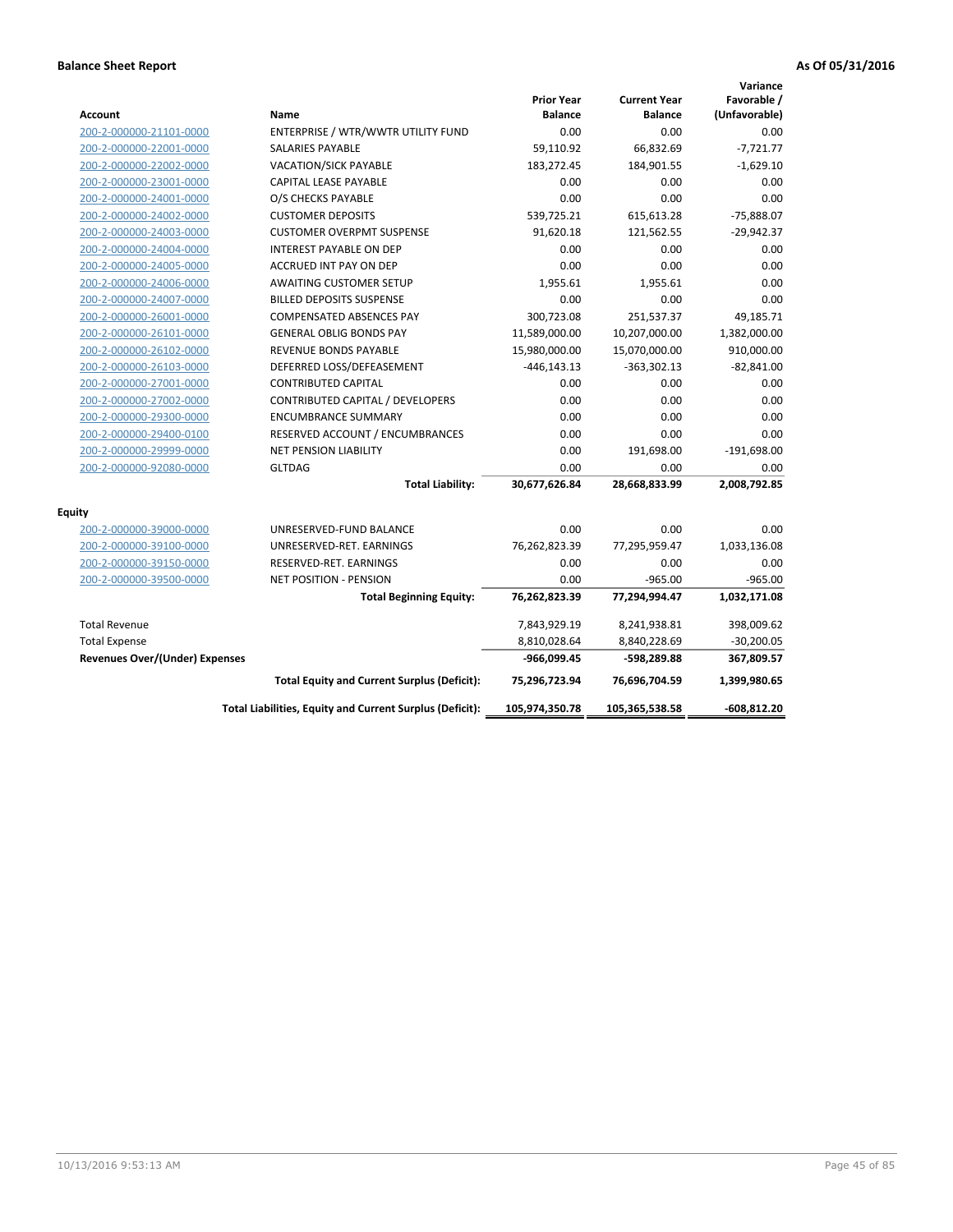| <b>Account</b>                        | Name                                                     | <b>Prior Year</b><br><b>Balance</b> | <b>Current Year</b><br><b>Balance</b> | Variance<br>Favorable /<br>(Unfavorable) |
|---------------------------------------|----------------------------------------------------------|-------------------------------------|---------------------------------------|------------------------------------------|
| 200-2-000000-21101-0000               | ENTERPRISE / WTR/WWTR UTILITY FUND                       | 0.00                                | 0.00                                  | 0.00                                     |
| 200-2-000000-22001-0000               | <b>SALARIES PAYABLE</b>                                  | 59,110.92                           | 66,832.69                             | $-7,721.77$                              |
| 200-2-000000-22002-0000               | <b>VACATION/SICK PAYABLE</b>                             | 183,272.45                          | 184,901.55                            | $-1,629.10$                              |
| 200-2-000000-23001-0000               | CAPITAL LEASE PAYABLE                                    | 0.00                                | 0.00                                  | 0.00                                     |
| 200-2-000000-24001-0000               | O/S CHECKS PAYABLE                                       | 0.00                                | 0.00                                  | 0.00                                     |
| 200-2-000000-24002-0000               | <b>CUSTOMER DEPOSITS</b>                                 | 539,725.21                          | 615,613.28                            | -75,888.07                               |
| 200-2-000000-24003-0000               | <b>CUSTOMER OVERPMT SUSPENSE</b>                         | 91,620.18                           | 121,562.55                            | $-29,942.37$                             |
| 200-2-000000-24004-0000               | <b>INTEREST PAYABLE ON DEP</b>                           | 0.00                                | 0.00                                  | 0.00                                     |
| 200-2-000000-24005-0000               | ACCRUED INT PAY ON DEP                                   | 0.00                                | 0.00                                  | 0.00                                     |
| 200-2-000000-24006-0000               | <b>AWAITING CUSTOMER SETUP</b>                           | 1,955.61                            | 1,955.61                              | 0.00                                     |
| 200-2-000000-24007-0000               | <b>BILLED DEPOSITS SUSPENSE</b>                          | 0.00                                | 0.00                                  | 0.00                                     |
| 200-2-000000-26001-0000               | <b>COMPENSATED ABSENCES PAY</b>                          | 300,723.08                          | 251,537.37                            | 49,185.71                                |
| 200-2-000000-26101-0000               | <b>GENERAL OBLIG BONDS PAY</b>                           | 11,589,000.00                       | 10,207,000.00                         | 1,382,000.00                             |
| 200-2-000000-26102-0000               | <b>REVENUE BONDS PAYABLE</b>                             | 15,980,000.00                       | 15,070,000.00                         | 910,000.00                               |
| 200-2-000000-26103-0000               | DEFERRED LOSS/DEFEASEMENT                                | $-446, 143.13$                      | $-363,302.13$                         | $-82,841.00$                             |
| 200-2-000000-27001-0000               | <b>CONTRIBUTED CAPITAL</b>                               | 0.00                                | 0.00                                  | 0.00                                     |
| 200-2-000000-27002-0000               | CONTRIBUTED CAPITAL / DEVELOPERS                         | 0.00                                | 0.00                                  | 0.00                                     |
| 200-2-000000-29300-0000               | <b>ENCUMBRANCE SUMMARY</b>                               | 0.00                                | 0.00                                  | 0.00                                     |
| 200-2-000000-29400-0100               | RESERVED ACCOUNT / ENCUMBRANCES                          | 0.00                                | 0.00                                  | 0.00                                     |
| 200-2-000000-29999-0000               | <b>NET PENSION LIABILITY</b>                             | 0.00                                | 191,698.00                            | $-191,698.00$                            |
| 200-2-000000-92080-0000               | <b>GLTDAG</b>                                            | 0.00                                | 0.00                                  | 0.00                                     |
|                                       | <b>Total Liability:</b>                                  | 30,677,626.84                       | 28,668,833.99                         | 2,008,792.85                             |
| <b>Equity</b>                         |                                                          |                                     |                                       |                                          |
| 200-2-000000-39000-0000               | UNRESERVED-FUND BALANCE                                  | 0.00                                | 0.00                                  | 0.00                                     |
| 200-2-000000-39100-0000               | UNRESERVED-RET. EARNINGS                                 | 76,262,823.39                       | 77,295,959.47                         | 1,033,136.08                             |
| 200-2-000000-39150-0000               | RESERVED-RET. EARNINGS                                   | 0.00                                | 0.00                                  | 0.00                                     |
| 200-2-000000-39500-0000               | <b>NET POSITION - PENSION</b>                            | 0.00                                | $-965.00$                             | $-965.00$                                |
|                                       | <b>Total Beginning Equity:</b>                           | 76,262,823.39                       | 77,294,994.47                         | 1,032,171.08                             |
| <b>Total Revenue</b>                  |                                                          | 7,843,929.19                        | 8,241,938.81                          | 398,009.62                               |
| <b>Total Expense</b>                  |                                                          | 8,810,028.64                        | 8,840,228.69                          | $-30,200.05$                             |
| <b>Revenues Over/(Under) Expenses</b> |                                                          | -966,099.45                         | -598,289.88                           | 367,809.57                               |
|                                       | <b>Total Equity and Current Surplus (Deficit):</b>       | 75,296,723.94                       | 76,696,704.59                         | 1,399,980.65                             |
|                                       | Total Liabilities, Equity and Current Surplus (Deficit): | 105,974,350.78                      | 105,365,538.58                        | $-608,812.20$                            |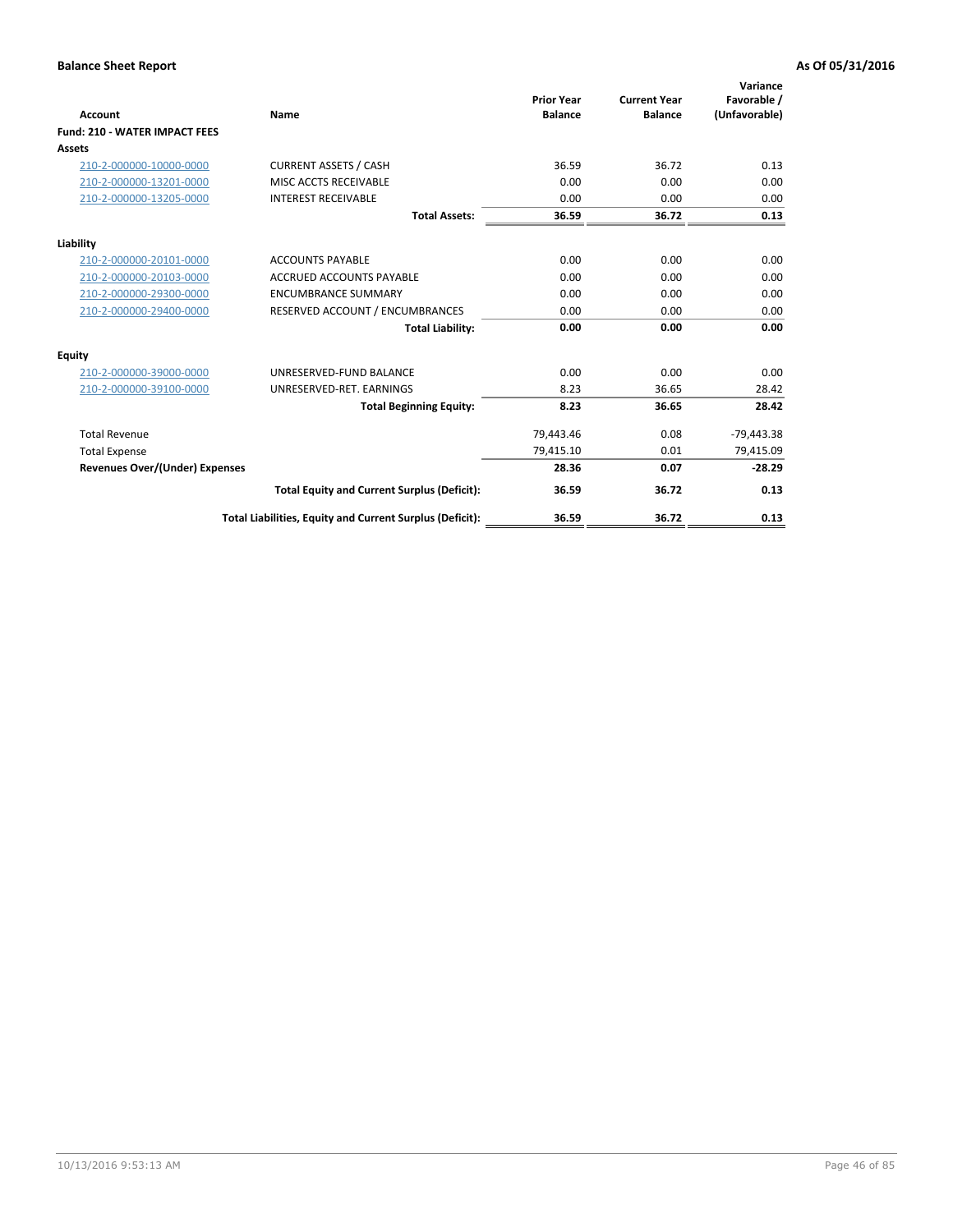| <b>Account</b>                        | Name                                                     | <b>Prior Year</b><br><b>Balance</b> | <b>Current Year</b><br><b>Balance</b> | Variance<br>Favorable /<br>(Unfavorable) |
|---------------------------------------|----------------------------------------------------------|-------------------------------------|---------------------------------------|------------------------------------------|
| <b>Fund: 210 - WATER IMPACT FEES</b>  |                                                          |                                     |                                       |                                          |
| <b>Assets</b>                         |                                                          |                                     |                                       |                                          |
| 210-2-000000-10000-0000               | <b>CURRENT ASSETS / CASH</b>                             | 36.59                               | 36.72                                 | 0.13                                     |
| 210-2-000000-13201-0000               | MISC ACCTS RECEIVABLE                                    | 0.00                                | 0.00                                  | 0.00                                     |
| 210-2-000000-13205-0000               | <b>INTEREST RECEIVABLE</b>                               | 0.00                                | 0.00                                  | 0.00                                     |
|                                       | <b>Total Assets:</b>                                     | 36.59                               | 36.72                                 | 0.13                                     |
| Liability                             |                                                          |                                     |                                       |                                          |
| 210-2-000000-20101-0000               | <b>ACCOUNTS PAYABLE</b>                                  | 0.00                                | 0.00                                  | 0.00                                     |
| 210-2-000000-20103-0000               | <b>ACCRUED ACCOUNTS PAYABLE</b>                          | 0.00                                | 0.00                                  | 0.00                                     |
| 210-2-000000-29300-0000               | <b>ENCUMBRANCE SUMMARY</b>                               | 0.00                                | 0.00                                  | 0.00                                     |
| 210-2-000000-29400-0000               | RESERVED ACCOUNT / ENCUMBRANCES                          | 0.00                                | 0.00                                  | 0.00                                     |
|                                       | <b>Total Liability:</b>                                  | 0.00                                | 0.00                                  | 0.00                                     |
| <b>Equity</b>                         |                                                          |                                     |                                       |                                          |
| 210-2-000000-39000-0000               | UNRESERVED-FUND BALANCE                                  | 0.00                                | 0.00                                  | 0.00                                     |
| 210-2-000000-39100-0000               | UNRESERVED-RET. EARNINGS                                 | 8.23                                | 36.65                                 | 28.42                                    |
|                                       | <b>Total Beginning Equity:</b>                           | 8.23                                | 36.65                                 | 28.42                                    |
| <b>Total Revenue</b>                  |                                                          | 79,443.46                           | 0.08                                  | $-79,443.38$                             |
| <b>Total Expense</b>                  |                                                          | 79,415.10                           | 0.01                                  | 79,415.09                                |
| <b>Revenues Over/(Under) Expenses</b> |                                                          | 28.36                               | 0.07                                  | $-28.29$                                 |
|                                       | <b>Total Equity and Current Surplus (Deficit):</b>       | 36.59                               | 36.72                                 | 0.13                                     |
|                                       | Total Liabilities, Equity and Current Surplus (Deficit): | 36.59                               | 36.72                                 | 0.13                                     |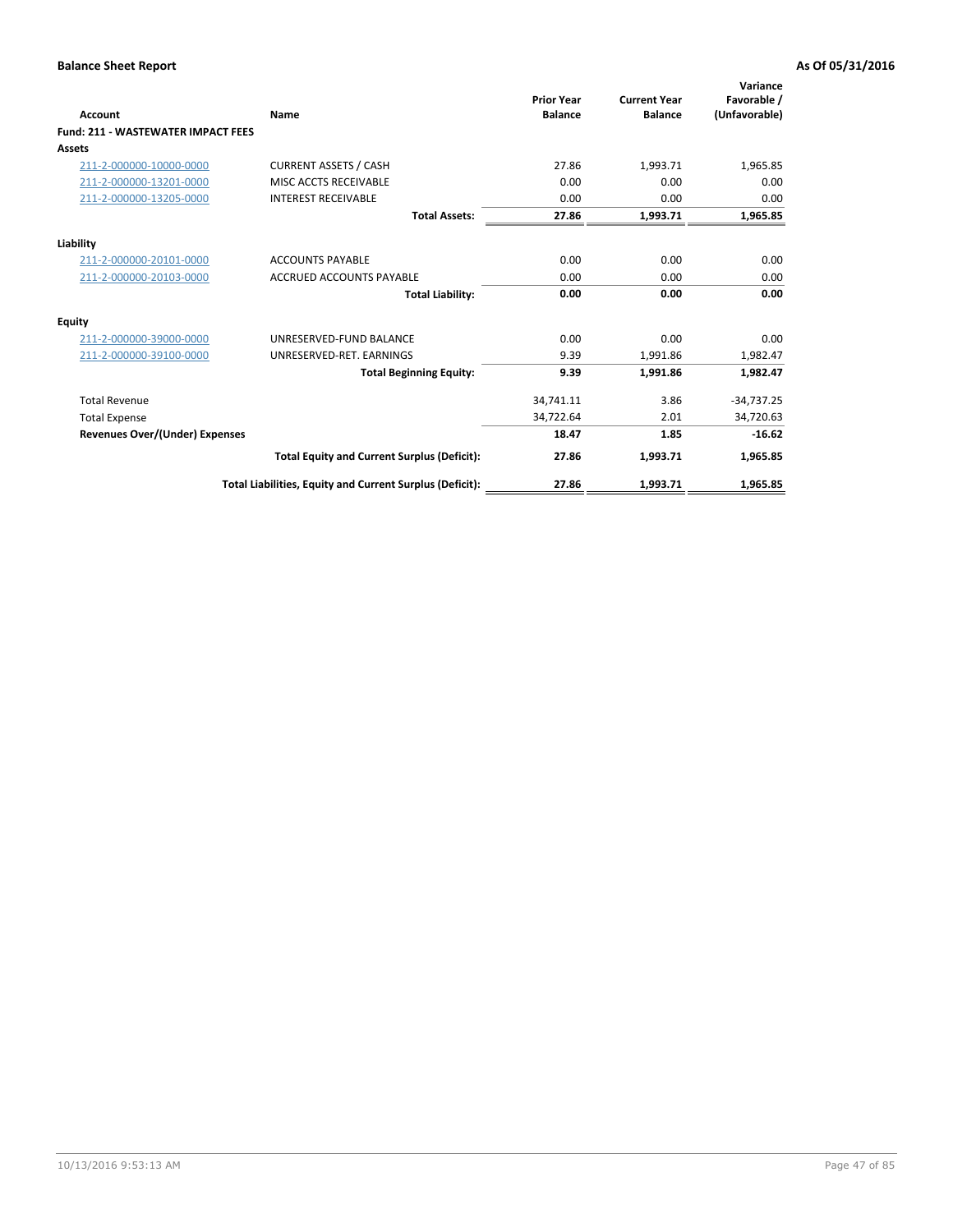| Account                                   | Name                                                     | <b>Prior Year</b><br><b>Balance</b> | <b>Current Year</b><br><b>Balance</b> | Variance<br>Favorable /<br>(Unfavorable) |
|-------------------------------------------|----------------------------------------------------------|-------------------------------------|---------------------------------------|------------------------------------------|
| <b>Fund: 211 - WASTEWATER IMPACT FEES</b> |                                                          |                                     |                                       |                                          |
| <b>Assets</b>                             |                                                          |                                     |                                       |                                          |
| 211-2-000000-10000-0000                   | <b>CURRENT ASSETS / CASH</b>                             | 27.86                               | 1,993.71                              | 1,965.85                                 |
| 211-2-000000-13201-0000                   | MISC ACCTS RECEIVABLE                                    | 0.00                                | 0.00                                  | 0.00                                     |
| 211-2-000000-13205-0000                   | <b>INTEREST RECEIVABLE</b>                               | 0.00                                | 0.00                                  | 0.00                                     |
|                                           | <b>Total Assets:</b>                                     | 27.86                               | 1,993.71                              | 1,965.85                                 |
| Liability                                 |                                                          |                                     |                                       |                                          |
| 211-2-000000-20101-0000                   | <b>ACCOUNTS PAYABLE</b>                                  | 0.00                                | 0.00                                  | 0.00                                     |
| 211-2-000000-20103-0000                   | <b>ACCRUED ACCOUNTS PAYABLE</b>                          | 0.00                                | 0.00                                  | 0.00                                     |
|                                           | <b>Total Liability:</b>                                  | 0.00                                | 0.00                                  | 0.00                                     |
| Equity                                    |                                                          |                                     |                                       |                                          |
| 211-2-000000-39000-0000                   | UNRESERVED-FUND BALANCE                                  | 0.00                                | 0.00                                  | 0.00                                     |
| 211-2-000000-39100-0000                   | UNRESERVED-RET. EARNINGS                                 | 9.39                                | 1,991.86                              | 1,982.47                                 |
|                                           | <b>Total Beginning Equity:</b>                           | 9.39                                | 1,991.86                              | 1,982.47                                 |
| <b>Total Revenue</b>                      |                                                          | 34,741.11                           | 3.86                                  | $-34,737.25$                             |
| <b>Total Expense</b>                      |                                                          | 34,722.64                           | 2.01                                  | 34,720.63                                |
| <b>Revenues Over/(Under) Expenses</b>     |                                                          | 18.47                               | 1.85                                  | $-16.62$                                 |
|                                           | <b>Total Equity and Current Surplus (Deficit):</b>       | 27.86                               | 1,993.71                              | 1,965.85                                 |
|                                           | Total Liabilities, Equity and Current Surplus (Deficit): | 27.86                               | 1,993.71                              | 1.965.85                                 |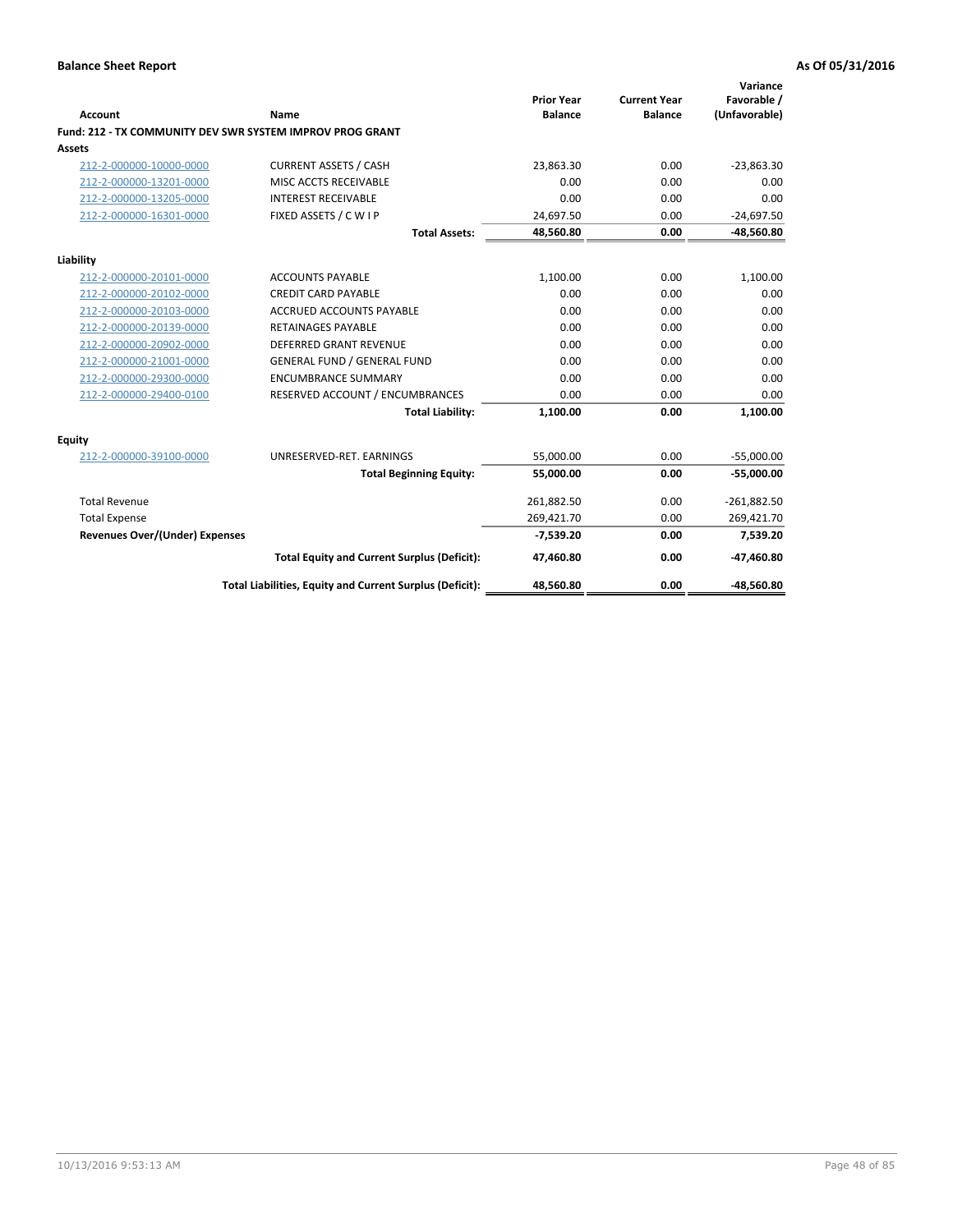| <b>Account</b>                        | Name                                                      | <b>Prior Year</b><br><b>Balance</b> | <b>Current Year</b><br><b>Balance</b> | Variance<br>Favorable /<br>(Unfavorable) |
|---------------------------------------|-----------------------------------------------------------|-------------------------------------|---------------------------------------|------------------------------------------|
|                                       | Fund: 212 - TX COMMUNITY DEV SWR SYSTEM IMPROV PROG GRANT |                                     |                                       |                                          |
| <b>Assets</b>                         |                                                           |                                     |                                       |                                          |
| 212-2-000000-10000-0000               | <b>CURRENT ASSETS / CASH</b>                              | 23,863.30                           | 0.00                                  | $-23,863.30$                             |
| 212-2-000000-13201-0000               | MISC ACCTS RECEIVABLE                                     | 0.00                                | 0.00                                  | 0.00                                     |
| 212-2-000000-13205-0000               | <b>INTEREST RECEIVABLE</b>                                | 0.00                                | 0.00                                  | 0.00                                     |
| 212-2-000000-16301-0000               | FIXED ASSETS / C W I P                                    | 24,697.50                           | 0.00                                  | $-24,697.50$                             |
|                                       | <b>Total Assets:</b>                                      | 48,560.80                           | 0.00                                  | -48,560.80                               |
| Liability                             |                                                           |                                     |                                       |                                          |
| 212-2-000000-20101-0000               | <b>ACCOUNTS PAYABLE</b>                                   | 1,100.00                            | 0.00                                  | 1,100.00                                 |
| 212-2-000000-20102-0000               | <b>CREDIT CARD PAYABLE</b>                                | 0.00                                | 0.00                                  | 0.00                                     |
| 212-2-000000-20103-0000               | <b>ACCRUED ACCOUNTS PAYABLE</b>                           | 0.00                                | 0.00                                  | 0.00                                     |
| 212-2-000000-20139-0000               | <b>RETAINAGES PAYABLE</b>                                 | 0.00                                | 0.00                                  | 0.00                                     |
| 212-2-000000-20902-0000               | <b>DEFERRED GRANT REVENUE</b>                             | 0.00                                | 0.00                                  | 0.00                                     |
| 212-2-000000-21001-0000               | <b>GENERAL FUND / GENERAL FUND</b>                        | 0.00                                | 0.00                                  | 0.00                                     |
| 212-2-000000-29300-0000               | <b>ENCUMBRANCE SUMMARY</b>                                | 0.00                                | 0.00                                  | 0.00                                     |
| 212-2-000000-29400-0100               | RESERVED ACCOUNT / ENCUMBRANCES                           | 0.00                                | 0.00                                  | 0.00                                     |
|                                       | <b>Total Liability:</b>                                   | 1,100.00                            | 0.00                                  | 1,100.00                                 |
| <b>Equity</b>                         |                                                           |                                     |                                       |                                          |
| 212-2-000000-39100-0000               | UNRESERVED-RET. EARNINGS                                  | 55,000.00                           | 0.00                                  | $-55,000.00$                             |
|                                       | <b>Total Beginning Equity:</b>                            | 55,000.00                           | 0.00                                  | $-55,000.00$                             |
| <b>Total Revenue</b>                  |                                                           | 261,882.50                          | 0.00                                  | $-261,882.50$                            |
| <b>Total Expense</b>                  |                                                           | 269,421.70                          | 0.00                                  | 269,421.70                               |
| <b>Revenues Over/(Under) Expenses</b> |                                                           | $-7,539.20$                         | 0.00                                  | 7,539.20                                 |
|                                       | <b>Total Equity and Current Surplus (Deficit):</b>        | 47,460.80                           | 0.00                                  | -47,460.80                               |
|                                       | Total Liabilities, Equity and Current Surplus (Deficit):  | 48,560.80                           | 0.00                                  | -48,560.80                               |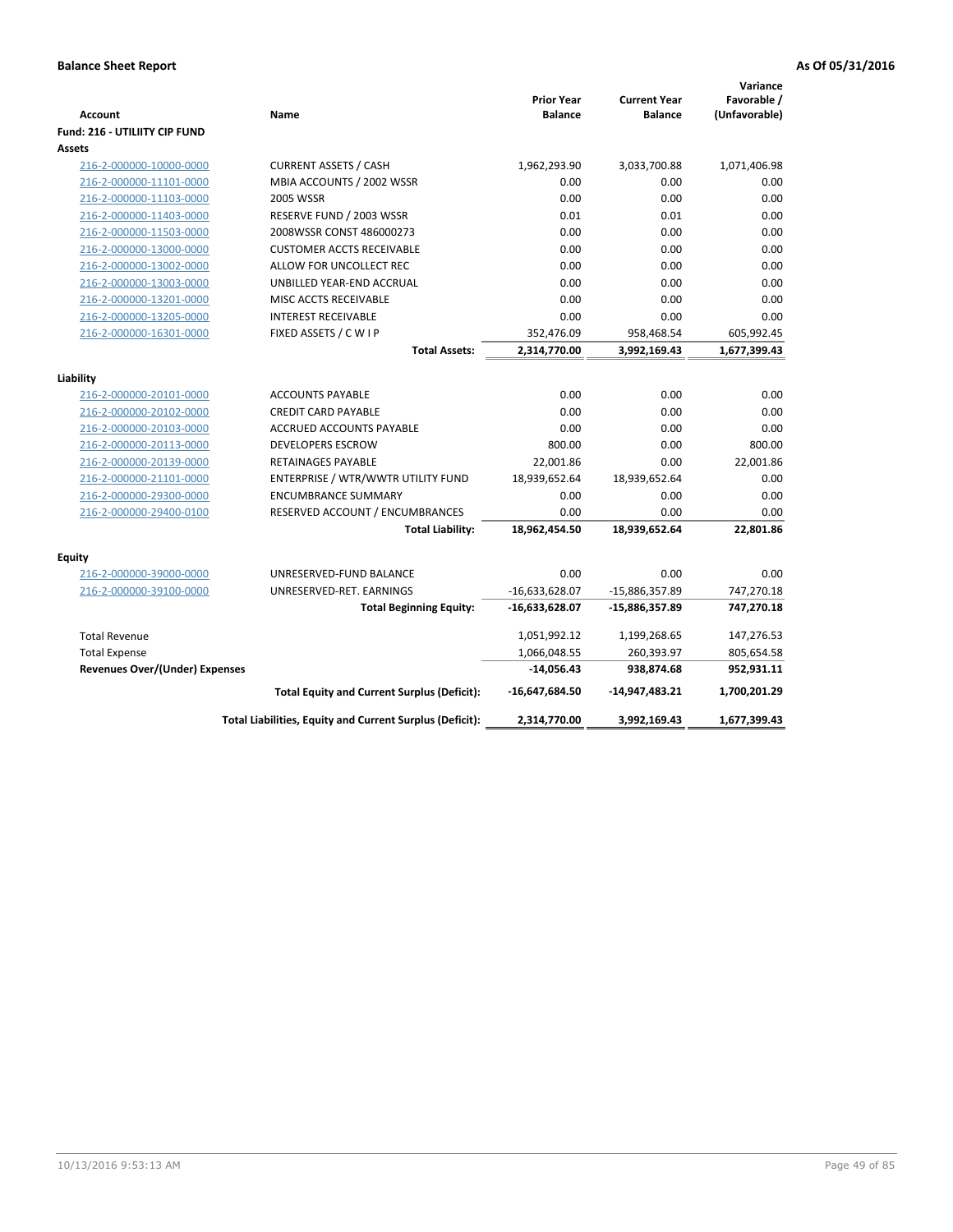| Favorable /<br><b>Prior Year</b><br><b>Current Year</b><br>(Unfavorable)<br><b>Balance</b><br><b>Balance</b><br><b>Account</b><br>Name<br><b>Fund: 216 - UTILIITY CIP FUND</b><br><b>Assets</b><br><b>CURRENT ASSETS / CASH</b><br>1,962,293.90<br>3,033,700.88<br>1,071,406.98<br>216-2-000000-10000-0000<br>MBIA ACCOUNTS / 2002 WSSR<br>0.00<br>0.00<br>0.00<br>216-2-000000-11101-0000<br>216-2-000000-11103-0000<br><b>2005 WSSR</b><br>0.00<br>0.00<br>0.00<br>RESERVE FUND / 2003 WSSR<br>0.01<br>0.01<br>0.00<br>216-2-000000-11403-0000<br>2008WSSR CONST 486000273<br>0.00<br>0.00<br>0.00<br>216-2-000000-11503-0000<br>0.00<br>0.00<br>216-2-000000-13000-0000<br><b>CUSTOMER ACCTS RECEIVABLE</b><br>0.00<br>0.00<br>216-2-000000-13002-0000<br>ALLOW FOR UNCOLLECT REC<br>0.00<br>0.00<br>0.00<br>0.00<br>0.00<br>216-2-000000-13003-0000<br>UNBILLED YEAR-END ACCRUAL<br>216-2-000000-13201-0000<br>0.00<br>0.00<br>0.00<br>MISC ACCTS RECEIVABLE<br>0.00<br>216-2-000000-13205-0000<br><b>INTEREST RECEIVABLE</b><br>0.00<br>0.00<br>FIXED ASSETS / C W I P<br>352,476.09<br>605,992.45<br>216-2-000000-16301-0000<br>958,468.54<br><b>Total Assets:</b><br>2,314,770.00<br>3,992,169.43<br>1,677,399.43<br>Liability<br><b>ACCOUNTS PAYABLE</b><br>0.00<br>0.00<br>216-2-000000-20101-0000<br>0.00<br>0.00<br>216-2-000000-20102-0000<br><b>CREDIT CARD PAYABLE</b><br>0.00<br>0.00<br>0.00<br>0.00<br>0.00<br>216-2-000000-20103-0000<br><b>ACCRUED ACCOUNTS PAYABLE</b><br>800.00<br>800.00<br>216-2-000000-20113-0000<br><b>DEVELOPERS ESCROW</b><br>0.00<br>22,001.86<br>0.00<br>22,001.86<br>216-2-000000-20139-0000<br><b>RETAINAGES PAYABLE</b><br>18,939,652.64<br>0.00<br>216-2-000000-21101-0000<br>ENTERPRISE / WTR/WWTR UTILITY FUND<br>18,939,652.64<br>216-2-000000-29300-0000<br>0.00<br>0.00<br>0.00<br><b>ENCUMBRANCE SUMMARY</b><br>0.00<br>216-2-000000-29400-0100<br>RESERVED ACCOUNT / ENCUMBRANCES<br>0.00<br>0.00<br>22,801.86<br><b>Total Liability:</b><br>18,962,454.50<br>18,939,652.64<br><b>Equity</b><br>216-2-000000-39000-0000<br>0.00<br>0.00<br>0.00<br>UNRESERVED-FUND BALANCE<br>216-2-000000-39100-0000<br>UNRESERVED-RET. EARNINGS<br>$-16,633,628.07$<br>-15,886,357.89<br>747,270.18<br>747,270.18<br><b>Total Beginning Equity:</b><br>$-16,633,628.07$<br>-15,886,357.89<br><b>Total Revenue</b><br>1,051,992.12<br>1,199,268.65<br>147,276.53<br>260,393.97<br>1,066,048.55<br>805,654.58<br><b>Total Expense</b><br>952,931.11<br><b>Revenues Over/(Under) Expenses</b><br>$-14,056.43$<br>938,874.68<br>1,700,201.29<br><b>Total Equity and Current Surplus (Deficit):</b><br>$-16,647,684.50$<br>$-14,947,483.21$<br>Total Liabilities, Equity and Current Surplus (Deficit):<br>2,314,770.00<br>3,992,169.43<br>1,677,399.43 |  |  | Variance |
|----------------------------------------------------------------------------------------------------------------------------------------------------------------------------------------------------------------------------------------------------------------------------------------------------------------------------------------------------------------------------------------------------------------------------------------------------------------------------------------------------------------------------------------------------------------------------------------------------------------------------------------------------------------------------------------------------------------------------------------------------------------------------------------------------------------------------------------------------------------------------------------------------------------------------------------------------------------------------------------------------------------------------------------------------------------------------------------------------------------------------------------------------------------------------------------------------------------------------------------------------------------------------------------------------------------------------------------------------------------------------------------------------------------------------------------------------------------------------------------------------------------------------------------------------------------------------------------------------------------------------------------------------------------------------------------------------------------------------------------------------------------------------------------------------------------------------------------------------------------------------------------------------------------------------------------------------------------------------------------------------------------------------------------------------------------------------------------------------------------------------------------------------------------------------------------------------------------------------------------------------------------------------------------------------------------------------------------------------------------------------------------------------------------------------------------------------------------------------------------------------------------------------------------------------------------------------------------------------------------------------------------------------------------------------------------------------------------------------------------------------------------------------------------------|--|--|----------|
|                                                                                                                                                                                                                                                                                                                                                                                                                                                                                                                                                                                                                                                                                                                                                                                                                                                                                                                                                                                                                                                                                                                                                                                                                                                                                                                                                                                                                                                                                                                                                                                                                                                                                                                                                                                                                                                                                                                                                                                                                                                                                                                                                                                                                                                                                                                                                                                                                                                                                                                                                                                                                                                                                                                                                                                              |  |  |          |
|                                                                                                                                                                                                                                                                                                                                                                                                                                                                                                                                                                                                                                                                                                                                                                                                                                                                                                                                                                                                                                                                                                                                                                                                                                                                                                                                                                                                                                                                                                                                                                                                                                                                                                                                                                                                                                                                                                                                                                                                                                                                                                                                                                                                                                                                                                                                                                                                                                                                                                                                                                                                                                                                                                                                                                                              |  |  |          |
|                                                                                                                                                                                                                                                                                                                                                                                                                                                                                                                                                                                                                                                                                                                                                                                                                                                                                                                                                                                                                                                                                                                                                                                                                                                                                                                                                                                                                                                                                                                                                                                                                                                                                                                                                                                                                                                                                                                                                                                                                                                                                                                                                                                                                                                                                                                                                                                                                                                                                                                                                                                                                                                                                                                                                                                              |  |  |          |
|                                                                                                                                                                                                                                                                                                                                                                                                                                                                                                                                                                                                                                                                                                                                                                                                                                                                                                                                                                                                                                                                                                                                                                                                                                                                                                                                                                                                                                                                                                                                                                                                                                                                                                                                                                                                                                                                                                                                                                                                                                                                                                                                                                                                                                                                                                                                                                                                                                                                                                                                                                                                                                                                                                                                                                                              |  |  |          |
|                                                                                                                                                                                                                                                                                                                                                                                                                                                                                                                                                                                                                                                                                                                                                                                                                                                                                                                                                                                                                                                                                                                                                                                                                                                                                                                                                                                                                                                                                                                                                                                                                                                                                                                                                                                                                                                                                                                                                                                                                                                                                                                                                                                                                                                                                                                                                                                                                                                                                                                                                                                                                                                                                                                                                                                              |  |  |          |
|                                                                                                                                                                                                                                                                                                                                                                                                                                                                                                                                                                                                                                                                                                                                                                                                                                                                                                                                                                                                                                                                                                                                                                                                                                                                                                                                                                                                                                                                                                                                                                                                                                                                                                                                                                                                                                                                                                                                                                                                                                                                                                                                                                                                                                                                                                                                                                                                                                                                                                                                                                                                                                                                                                                                                                                              |  |  |          |
|                                                                                                                                                                                                                                                                                                                                                                                                                                                                                                                                                                                                                                                                                                                                                                                                                                                                                                                                                                                                                                                                                                                                                                                                                                                                                                                                                                                                                                                                                                                                                                                                                                                                                                                                                                                                                                                                                                                                                                                                                                                                                                                                                                                                                                                                                                                                                                                                                                                                                                                                                                                                                                                                                                                                                                                              |  |  |          |
|                                                                                                                                                                                                                                                                                                                                                                                                                                                                                                                                                                                                                                                                                                                                                                                                                                                                                                                                                                                                                                                                                                                                                                                                                                                                                                                                                                                                                                                                                                                                                                                                                                                                                                                                                                                                                                                                                                                                                                                                                                                                                                                                                                                                                                                                                                                                                                                                                                                                                                                                                                                                                                                                                                                                                                                              |  |  |          |
|                                                                                                                                                                                                                                                                                                                                                                                                                                                                                                                                                                                                                                                                                                                                                                                                                                                                                                                                                                                                                                                                                                                                                                                                                                                                                                                                                                                                                                                                                                                                                                                                                                                                                                                                                                                                                                                                                                                                                                                                                                                                                                                                                                                                                                                                                                                                                                                                                                                                                                                                                                                                                                                                                                                                                                                              |  |  |          |
|                                                                                                                                                                                                                                                                                                                                                                                                                                                                                                                                                                                                                                                                                                                                                                                                                                                                                                                                                                                                                                                                                                                                                                                                                                                                                                                                                                                                                                                                                                                                                                                                                                                                                                                                                                                                                                                                                                                                                                                                                                                                                                                                                                                                                                                                                                                                                                                                                                                                                                                                                                                                                                                                                                                                                                                              |  |  |          |
|                                                                                                                                                                                                                                                                                                                                                                                                                                                                                                                                                                                                                                                                                                                                                                                                                                                                                                                                                                                                                                                                                                                                                                                                                                                                                                                                                                                                                                                                                                                                                                                                                                                                                                                                                                                                                                                                                                                                                                                                                                                                                                                                                                                                                                                                                                                                                                                                                                                                                                                                                                                                                                                                                                                                                                                              |  |  |          |
|                                                                                                                                                                                                                                                                                                                                                                                                                                                                                                                                                                                                                                                                                                                                                                                                                                                                                                                                                                                                                                                                                                                                                                                                                                                                                                                                                                                                                                                                                                                                                                                                                                                                                                                                                                                                                                                                                                                                                                                                                                                                                                                                                                                                                                                                                                                                                                                                                                                                                                                                                                                                                                                                                                                                                                                              |  |  |          |
|                                                                                                                                                                                                                                                                                                                                                                                                                                                                                                                                                                                                                                                                                                                                                                                                                                                                                                                                                                                                                                                                                                                                                                                                                                                                                                                                                                                                                                                                                                                                                                                                                                                                                                                                                                                                                                                                                                                                                                                                                                                                                                                                                                                                                                                                                                                                                                                                                                                                                                                                                                                                                                                                                                                                                                                              |  |  |          |
|                                                                                                                                                                                                                                                                                                                                                                                                                                                                                                                                                                                                                                                                                                                                                                                                                                                                                                                                                                                                                                                                                                                                                                                                                                                                                                                                                                                                                                                                                                                                                                                                                                                                                                                                                                                                                                                                                                                                                                                                                                                                                                                                                                                                                                                                                                                                                                                                                                                                                                                                                                                                                                                                                                                                                                                              |  |  |          |
|                                                                                                                                                                                                                                                                                                                                                                                                                                                                                                                                                                                                                                                                                                                                                                                                                                                                                                                                                                                                                                                                                                                                                                                                                                                                                                                                                                                                                                                                                                                                                                                                                                                                                                                                                                                                                                                                                                                                                                                                                                                                                                                                                                                                                                                                                                                                                                                                                                                                                                                                                                                                                                                                                                                                                                                              |  |  |          |
|                                                                                                                                                                                                                                                                                                                                                                                                                                                                                                                                                                                                                                                                                                                                                                                                                                                                                                                                                                                                                                                                                                                                                                                                                                                                                                                                                                                                                                                                                                                                                                                                                                                                                                                                                                                                                                                                                                                                                                                                                                                                                                                                                                                                                                                                                                                                                                                                                                                                                                                                                                                                                                                                                                                                                                                              |  |  |          |
|                                                                                                                                                                                                                                                                                                                                                                                                                                                                                                                                                                                                                                                                                                                                                                                                                                                                                                                                                                                                                                                                                                                                                                                                                                                                                                                                                                                                                                                                                                                                                                                                                                                                                                                                                                                                                                                                                                                                                                                                                                                                                                                                                                                                                                                                                                                                                                                                                                                                                                                                                                                                                                                                                                                                                                                              |  |  |          |
|                                                                                                                                                                                                                                                                                                                                                                                                                                                                                                                                                                                                                                                                                                                                                                                                                                                                                                                                                                                                                                                                                                                                                                                                                                                                                                                                                                                                                                                                                                                                                                                                                                                                                                                                                                                                                                                                                                                                                                                                                                                                                                                                                                                                                                                                                                                                                                                                                                                                                                                                                                                                                                                                                                                                                                                              |  |  |          |
|                                                                                                                                                                                                                                                                                                                                                                                                                                                                                                                                                                                                                                                                                                                                                                                                                                                                                                                                                                                                                                                                                                                                                                                                                                                                                                                                                                                                                                                                                                                                                                                                                                                                                                                                                                                                                                                                                                                                                                                                                                                                                                                                                                                                                                                                                                                                                                                                                                                                                                                                                                                                                                                                                                                                                                                              |  |  |          |
|                                                                                                                                                                                                                                                                                                                                                                                                                                                                                                                                                                                                                                                                                                                                                                                                                                                                                                                                                                                                                                                                                                                                                                                                                                                                                                                                                                                                                                                                                                                                                                                                                                                                                                                                                                                                                                                                                                                                                                                                                                                                                                                                                                                                                                                                                                                                                                                                                                                                                                                                                                                                                                                                                                                                                                                              |  |  |          |
|                                                                                                                                                                                                                                                                                                                                                                                                                                                                                                                                                                                                                                                                                                                                                                                                                                                                                                                                                                                                                                                                                                                                                                                                                                                                                                                                                                                                                                                                                                                                                                                                                                                                                                                                                                                                                                                                                                                                                                                                                                                                                                                                                                                                                                                                                                                                                                                                                                                                                                                                                                                                                                                                                                                                                                                              |  |  |          |
|                                                                                                                                                                                                                                                                                                                                                                                                                                                                                                                                                                                                                                                                                                                                                                                                                                                                                                                                                                                                                                                                                                                                                                                                                                                                                                                                                                                                                                                                                                                                                                                                                                                                                                                                                                                                                                                                                                                                                                                                                                                                                                                                                                                                                                                                                                                                                                                                                                                                                                                                                                                                                                                                                                                                                                                              |  |  |          |
|                                                                                                                                                                                                                                                                                                                                                                                                                                                                                                                                                                                                                                                                                                                                                                                                                                                                                                                                                                                                                                                                                                                                                                                                                                                                                                                                                                                                                                                                                                                                                                                                                                                                                                                                                                                                                                                                                                                                                                                                                                                                                                                                                                                                                                                                                                                                                                                                                                                                                                                                                                                                                                                                                                                                                                                              |  |  |          |
|                                                                                                                                                                                                                                                                                                                                                                                                                                                                                                                                                                                                                                                                                                                                                                                                                                                                                                                                                                                                                                                                                                                                                                                                                                                                                                                                                                                                                                                                                                                                                                                                                                                                                                                                                                                                                                                                                                                                                                                                                                                                                                                                                                                                                                                                                                                                                                                                                                                                                                                                                                                                                                                                                                                                                                                              |  |  |          |
|                                                                                                                                                                                                                                                                                                                                                                                                                                                                                                                                                                                                                                                                                                                                                                                                                                                                                                                                                                                                                                                                                                                                                                                                                                                                                                                                                                                                                                                                                                                                                                                                                                                                                                                                                                                                                                                                                                                                                                                                                                                                                                                                                                                                                                                                                                                                                                                                                                                                                                                                                                                                                                                                                                                                                                                              |  |  |          |
|                                                                                                                                                                                                                                                                                                                                                                                                                                                                                                                                                                                                                                                                                                                                                                                                                                                                                                                                                                                                                                                                                                                                                                                                                                                                                                                                                                                                                                                                                                                                                                                                                                                                                                                                                                                                                                                                                                                                                                                                                                                                                                                                                                                                                                                                                                                                                                                                                                                                                                                                                                                                                                                                                                                                                                                              |  |  |          |
|                                                                                                                                                                                                                                                                                                                                                                                                                                                                                                                                                                                                                                                                                                                                                                                                                                                                                                                                                                                                                                                                                                                                                                                                                                                                                                                                                                                                                                                                                                                                                                                                                                                                                                                                                                                                                                                                                                                                                                                                                                                                                                                                                                                                                                                                                                                                                                                                                                                                                                                                                                                                                                                                                                                                                                                              |  |  |          |
|                                                                                                                                                                                                                                                                                                                                                                                                                                                                                                                                                                                                                                                                                                                                                                                                                                                                                                                                                                                                                                                                                                                                                                                                                                                                                                                                                                                                                                                                                                                                                                                                                                                                                                                                                                                                                                                                                                                                                                                                                                                                                                                                                                                                                                                                                                                                                                                                                                                                                                                                                                                                                                                                                                                                                                                              |  |  |          |
|                                                                                                                                                                                                                                                                                                                                                                                                                                                                                                                                                                                                                                                                                                                                                                                                                                                                                                                                                                                                                                                                                                                                                                                                                                                                                                                                                                                                                                                                                                                                                                                                                                                                                                                                                                                                                                                                                                                                                                                                                                                                                                                                                                                                                                                                                                                                                                                                                                                                                                                                                                                                                                                                                                                                                                                              |  |  |          |
|                                                                                                                                                                                                                                                                                                                                                                                                                                                                                                                                                                                                                                                                                                                                                                                                                                                                                                                                                                                                                                                                                                                                                                                                                                                                                                                                                                                                                                                                                                                                                                                                                                                                                                                                                                                                                                                                                                                                                                                                                                                                                                                                                                                                                                                                                                                                                                                                                                                                                                                                                                                                                                                                                                                                                                                              |  |  |          |
|                                                                                                                                                                                                                                                                                                                                                                                                                                                                                                                                                                                                                                                                                                                                                                                                                                                                                                                                                                                                                                                                                                                                                                                                                                                                                                                                                                                                                                                                                                                                                                                                                                                                                                                                                                                                                                                                                                                                                                                                                                                                                                                                                                                                                                                                                                                                                                                                                                                                                                                                                                                                                                                                                                                                                                                              |  |  |          |
|                                                                                                                                                                                                                                                                                                                                                                                                                                                                                                                                                                                                                                                                                                                                                                                                                                                                                                                                                                                                                                                                                                                                                                                                                                                                                                                                                                                                                                                                                                                                                                                                                                                                                                                                                                                                                                                                                                                                                                                                                                                                                                                                                                                                                                                                                                                                                                                                                                                                                                                                                                                                                                                                                                                                                                                              |  |  |          |
|                                                                                                                                                                                                                                                                                                                                                                                                                                                                                                                                                                                                                                                                                                                                                                                                                                                                                                                                                                                                                                                                                                                                                                                                                                                                                                                                                                                                                                                                                                                                                                                                                                                                                                                                                                                                                                                                                                                                                                                                                                                                                                                                                                                                                                                                                                                                                                                                                                                                                                                                                                                                                                                                                                                                                                                              |  |  |          |
|                                                                                                                                                                                                                                                                                                                                                                                                                                                                                                                                                                                                                                                                                                                                                                                                                                                                                                                                                                                                                                                                                                                                                                                                                                                                                                                                                                                                                                                                                                                                                                                                                                                                                                                                                                                                                                                                                                                                                                                                                                                                                                                                                                                                                                                                                                                                                                                                                                                                                                                                                                                                                                                                                                                                                                                              |  |  |          |
|                                                                                                                                                                                                                                                                                                                                                                                                                                                                                                                                                                                                                                                                                                                                                                                                                                                                                                                                                                                                                                                                                                                                                                                                                                                                                                                                                                                                                                                                                                                                                                                                                                                                                                                                                                                                                                                                                                                                                                                                                                                                                                                                                                                                                                                                                                                                                                                                                                                                                                                                                                                                                                                                                                                                                                                              |  |  |          |
|                                                                                                                                                                                                                                                                                                                                                                                                                                                                                                                                                                                                                                                                                                                                                                                                                                                                                                                                                                                                                                                                                                                                                                                                                                                                                                                                                                                                                                                                                                                                                                                                                                                                                                                                                                                                                                                                                                                                                                                                                                                                                                                                                                                                                                                                                                                                                                                                                                                                                                                                                                                                                                                                                                                                                                                              |  |  |          |
|                                                                                                                                                                                                                                                                                                                                                                                                                                                                                                                                                                                                                                                                                                                                                                                                                                                                                                                                                                                                                                                                                                                                                                                                                                                                                                                                                                                                                                                                                                                                                                                                                                                                                                                                                                                                                                                                                                                                                                                                                                                                                                                                                                                                                                                                                                                                                                                                                                                                                                                                                                                                                                                                                                                                                                                              |  |  |          |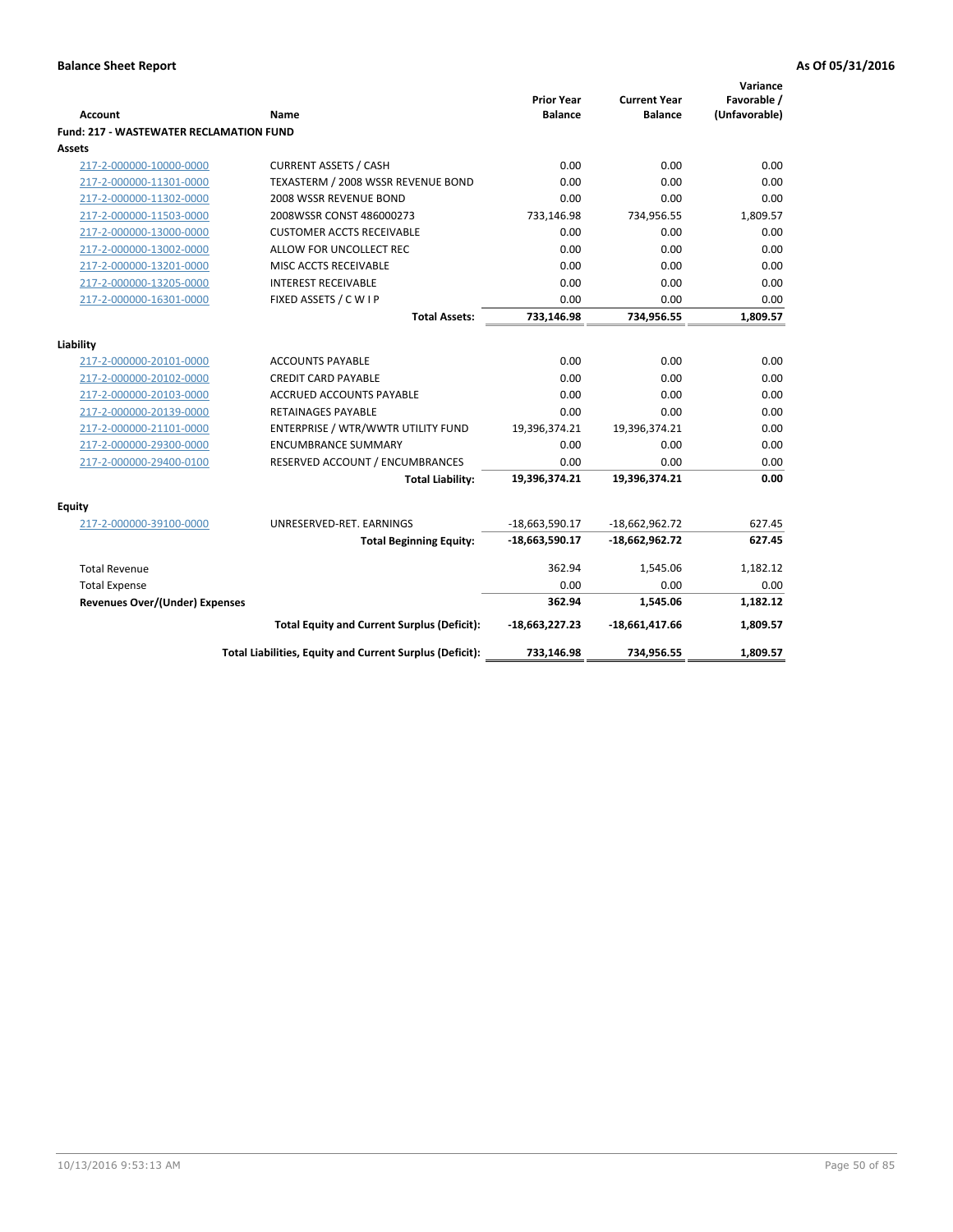| Account                                        | Name                                                     | <b>Prior Year</b><br><b>Balance</b> | <b>Current Year</b><br><b>Balance</b> | Variance<br>Favorable /<br>(Unfavorable) |
|------------------------------------------------|----------------------------------------------------------|-------------------------------------|---------------------------------------|------------------------------------------|
| <b>Fund: 217 - WASTEWATER RECLAMATION FUND</b> |                                                          |                                     |                                       |                                          |
| <b>Assets</b>                                  |                                                          |                                     |                                       |                                          |
| 217-2-000000-10000-0000                        | <b>CURRENT ASSETS / CASH</b>                             | 0.00                                | 0.00                                  | 0.00                                     |
| 217-2-000000-11301-0000                        | TEXASTERM / 2008 WSSR REVENUE BOND                       | 0.00                                | 0.00                                  | 0.00                                     |
| 217-2-000000-11302-0000                        | 2008 WSSR REVENUE BOND                                   | 0.00                                | 0.00                                  | 0.00                                     |
| 217-2-000000-11503-0000                        | 2008WSSR CONST 486000273                                 | 733,146.98                          | 734,956.55                            | 1,809.57                                 |
| 217-2-000000-13000-0000                        | <b>CUSTOMER ACCTS RECEIVABLE</b>                         | 0.00                                | 0.00                                  | 0.00                                     |
| 217-2-000000-13002-0000                        | ALLOW FOR UNCOLLECT REC                                  | 0.00                                | 0.00                                  | 0.00                                     |
| 217-2-000000-13201-0000                        | MISC ACCTS RECEIVABLE                                    | 0.00                                | 0.00                                  | 0.00                                     |
| 217-2-000000-13205-0000                        | <b>INTEREST RECEIVABLE</b>                               | 0.00                                | 0.00                                  | 0.00                                     |
| 217-2-000000-16301-0000                        | FIXED ASSETS / C W I P                                   | 0.00                                | 0.00                                  | 0.00                                     |
|                                                | <b>Total Assets:</b>                                     | 733,146.98                          | 734,956.55                            | 1,809.57                                 |
|                                                |                                                          |                                     |                                       |                                          |
| Liability                                      |                                                          |                                     |                                       |                                          |
| 217-2-000000-20101-0000                        | <b>ACCOUNTS PAYABLE</b>                                  | 0.00                                | 0.00                                  | 0.00                                     |
| 217-2-000000-20102-0000                        | <b>CREDIT CARD PAYABLE</b>                               | 0.00                                | 0.00                                  | 0.00                                     |
| 217-2-000000-20103-0000                        | <b>ACCRUED ACCOUNTS PAYABLE</b>                          | 0.00                                | 0.00                                  | 0.00                                     |
| 217-2-000000-20139-0000                        | RETAINAGES PAYABLE                                       | 0.00                                | 0.00                                  | 0.00                                     |
| 217-2-000000-21101-0000                        | ENTERPRISE / WTR/WWTR UTILITY FUND                       | 19,396,374.21                       | 19,396,374.21                         | 0.00                                     |
| 217-2-000000-29300-0000                        | <b>ENCUMBRANCE SUMMARY</b>                               | 0.00                                | 0.00                                  | 0.00                                     |
| 217-2-000000-29400-0100                        | RESERVED ACCOUNT / ENCUMBRANCES                          | 0.00                                | 0.00                                  | 0.00                                     |
|                                                | <b>Total Liability:</b>                                  | 19,396,374.21                       | 19,396,374.21                         | 0.00                                     |
| <b>Equity</b>                                  |                                                          |                                     |                                       |                                          |
| 217-2-000000-39100-0000                        | UNRESERVED-RET. EARNINGS                                 | $-18,663,590.17$                    | $-18,662,962.72$                      | 627.45                                   |
|                                                | <b>Total Beginning Equity:</b>                           | -18,663,590.17                      | $-18,662,962.72$                      | 627.45                                   |
| <b>Total Revenue</b>                           |                                                          | 362.94                              | 1,545.06                              | 1,182.12                                 |
| <b>Total Expense</b>                           |                                                          | 0.00                                | 0.00                                  | 0.00                                     |
| Revenues Over/(Under) Expenses                 |                                                          | 362.94                              | 1,545.06                              | 1,182.12                                 |
|                                                | <b>Total Equity and Current Surplus (Deficit):</b>       | $-18,663,227.23$                    | $-18,661,417.66$                      | 1,809.57                                 |
|                                                | Total Liabilities, Equity and Current Surplus (Deficit): | 733,146.98                          | 734,956.55                            | 1,809.57                                 |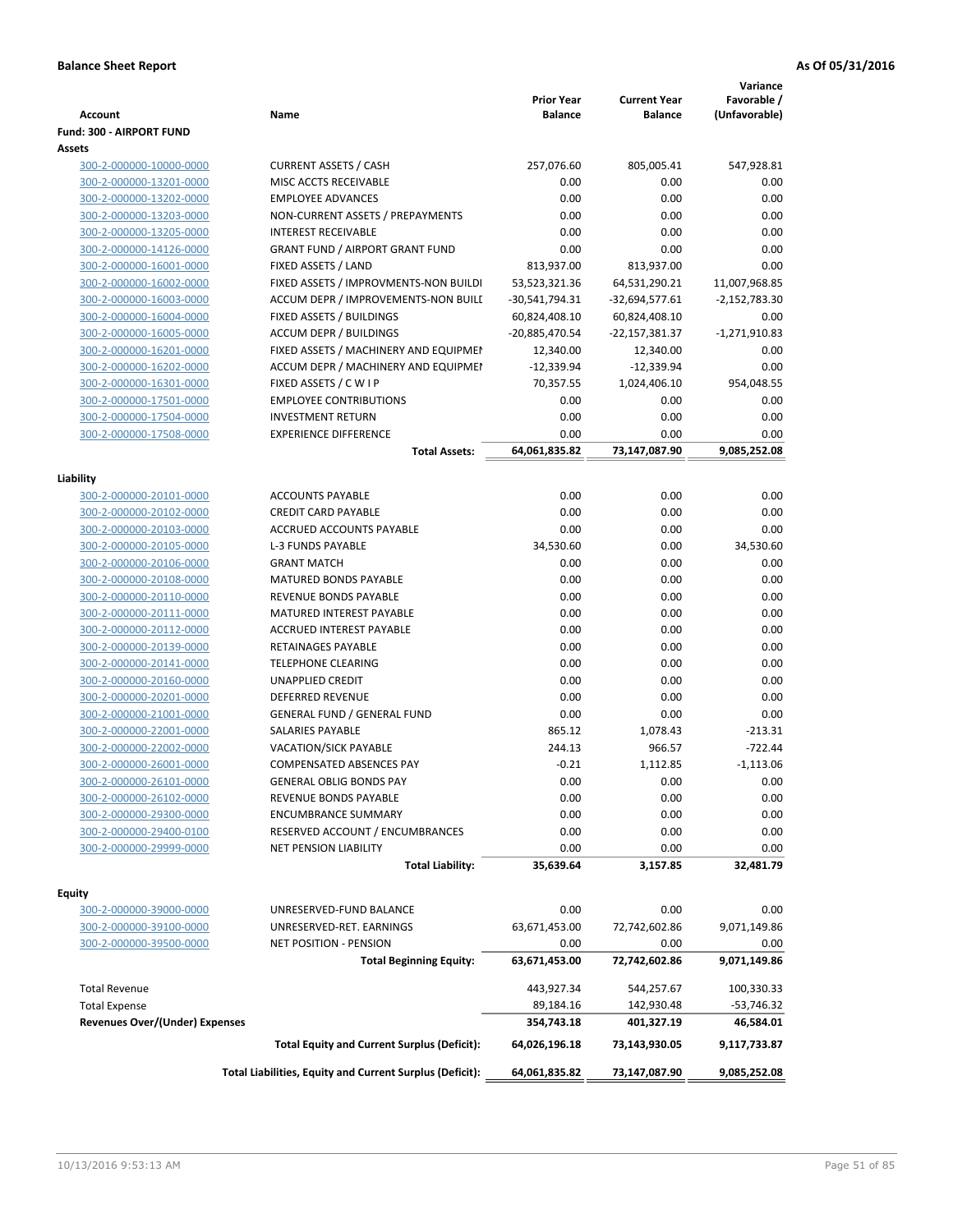| <b>Account</b>                                     | Name                                                            | <b>Prior Year</b><br><b>Balance</b> | <b>Current Year</b><br>Balance | Variance<br>Favorable /<br>(Unfavorable) |
|----------------------------------------------------|-----------------------------------------------------------------|-------------------------------------|--------------------------------|------------------------------------------|
| Fund: 300 - AIRPORT FUND                           |                                                                 |                                     |                                |                                          |
| Assets                                             |                                                                 |                                     |                                |                                          |
| 300-2-000000-10000-0000                            | <b>CURRENT ASSETS / CASH</b>                                    | 257,076.60                          | 805,005.41                     | 547,928.81                               |
| 300-2-000000-13201-0000                            | MISC ACCTS RECEIVABLE                                           | 0.00                                | 0.00                           | 0.00                                     |
| 300-2-000000-13202-0000                            | <b>EMPLOYEE ADVANCES</b>                                        | 0.00                                | 0.00                           | 0.00                                     |
| 300-2-000000-13203-0000                            | NON-CURRENT ASSETS / PREPAYMENTS                                | 0.00                                | 0.00                           | 0.00                                     |
| 300-2-000000-13205-0000                            | <b>INTEREST RECEIVABLE</b>                                      | 0.00                                | 0.00                           | 0.00                                     |
| 300-2-000000-14126-0000                            | <b>GRANT FUND / AIRPORT GRANT FUND</b>                          | 0.00                                | 0.00                           | 0.00                                     |
| 300-2-000000-16001-0000                            | FIXED ASSETS / LAND                                             | 813,937.00                          | 813,937.00                     | 0.00                                     |
| 300-2-000000-16002-0000                            | FIXED ASSETS / IMPROVMENTS-NON BUILDI                           | 53,523,321.36                       | 64,531,290.21                  | 11,007,968.85                            |
| 300-2-000000-16003-0000                            | ACCUM DEPR / IMPROVEMENTS-NON BUILI                             | -30,541,794.31                      | $-32,694,577.61$               | $-2,152,783.30$                          |
| 300-2-000000-16004-0000                            | FIXED ASSETS / BUILDINGS                                        | 60,824,408.10                       | 60,824,408.10                  | 0.00                                     |
| 300-2-000000-16005-0000                            | <b>ACCUM DEPR / BUILDINGS</b>                                   | -20,885,470.54                      | -22,157,381.37                 | $-1,271,910.83$                          |
| 300-2-000000-16201-0000                            | FIXED ASSETS / MACHINERY AND EQUIPMEN                           | 12,340.00                           | 12,340.00                      | 0.00                                     |
| 300-2-000000-16202-0000                            | ACCUM DEPR / MACHINERY AND EQUIPMEI                             | $-12,339.94$                        | $-12,339.94$                   | 0.00                                     |
| 300-2-000000-16301-0000                            | FIXED ASSETS / C W I P                                          | 70,357.55                           | 1,024,406.10                   | 954,048.55                               |
| 300-2-000000-17501-0000                            | <b>EMPLOYEE CONTRIBUTIONS</b>                                   | 0.00                                | 0.00                           | 0.00                                     |
| 300-2-000000-17504-0000                            | <b>INVESTMENT RETURN</b>                                        | 0.00                                | 0.00                           | 0.00                                     |
| 300-2-000000-17508-0000                            | <b>EXPERIENCE DIFFERENCE</b>                                    | 0.00                                | 0.00                           | 0.00                                     |
|                                                    | <b>Total Assets:</b>                                            | 64,061,835.82                       | 73,147,087.90                  | 9,085,252.08                             |
|                                                    |                                                                 |                                     |                                |                                          |
| Liability                                          |                                                                 |                                     |                                |                                          |
| 300-2-000000-20101-0000                            | <b>ACCOUNTS PAYABLE</b>                                         | 0.00                                | 0.00                           | 0.00                                     |
| 300-2-000000-20102-0000                            | <b>CREDIT CARD PAYABLE</b>                                      | 0.00                                | 0.00                           | 0.00                                     |
| 300-2-000000-20103-0000                            | ACCRUED ACCOUNTS PAYABLE                                        | 0.00                                | 0.00                           | 0.00                                     |
| 300-2-000000-20105-0000                            | <b>L-3 FUNDS PAYABLE</b>                                        | 34,530.60                           | 0.00                           | 34,530.60                                |
| 300-2-000000-20106-0000                            | <b>GRANT MATCH</b>                                              | 0.00                                | 0.00                           | 0.00                                     |
| 300-2-000000-20108-0000                            | <b>MATURED BONDS PAYABLE</b>                                    | 0.00                                | 0.00                           | 0.00                                     |
| 300-2-000000-20110-0000                            | REVENUE BONDS PAYABLE                                           | 0.00                                | 0.00                           | 0.00                                     |
| 300-2-000000-20111-0000                            | MATURED INTEREST PAYABLE                                        | 0.00                                | 0.00                           | 0.00                                     |
| 300-2-000000-20112-0000                            | <b>ACCRUED INTEREST PAYABLE</b>                                 | 0.00                                | 0.00                           | 0.00                                     |
| 300-2-000000-20139-0000                            | RETAINAGES PAYABLE                                              | 0.00                                | 0.00                           | 0.00                                     |
| 300-2-000000-20141-0000                            | <b>TELEPHONE CLEARING</b>                                       | 0.00                                | 0.00                           | 0.00                                     |
| 300-2-000000-20160-0000                            | UNAPPLIED CREDIT                                                | 0.00                                | 0.00                           | 0.00<br>0.00                             |
| 300-2-000000-20201-0000                            | DEFERRED REVENUE                                                | 0.00                                | 0.00                           |                                          |
| 300-2-000000-21001-0000                            | <b>GENERAL FUND / GENERAL FUND</b>                              | 0.00                                | 0.00                           | 0.00                                     |
| 300-2-000000-22001-0000                            | SALARIES PAYABLE                                                | 865.12                              | 1,078.43                       | $-213.31$                                |
| 300-2-000000-22002-0000                            | VACATION/SICK PAYABLE                                           | 244.13                              | 966.57                         | $-722.44$                                |
| 300-2-000000-26001-0000                            | COMPENSATED ABSENCES PAY                                        | $-0.21$                             | 1,112.85                       | $-1,113.06$                              |
| 300-2-000000-26101-0000                            | <b>GENERAL OBLIG BONDS PAY</b><br>REVENUE BONDS PAYABLE         | 0.00                                | 0.00                           | 0.00                                     |
| 300-2-000000-26102-0000                            |                                                                 | 0.00                                | 0.00                           | 0.00                                     |
| 300-2-000000-29300-0000                            | <b>ENCUMBRANCE SUMMARY</b>                                      | 0.00                                | 0.00                           | 0.00                                     |
| 300-2-000000-29400-0100<br>300-2-000000-29999-0000 | RESERVED ACCOUNT / ENCUMBRANCES<br><b>NET PENSION LIABILITY</b> | 0.00<br>0.00                        | 0.00<br>0.00                   | 0.00<br>0.00                             |
|                                                    | <b>Total Liability:</b>                                         | 35,639.64                           | 3,157.85                       | 32,481.79                                |
|                                                    |                                                                 |                                     |                                |                                          |
| Fquity<br>300-2-000000-39000-0000                  | UNRESERVED-FUND BALANCE                                         | 0.00                                | 0.00                           | 0.00                                     |
|                                                    | UNRESERVED-RET. EARNINGS                                        | 63,671,453.00                       | 72,742,602.86                  |                                          |
| 300-2-000000-39100-0000<br>300-2-000000-39500-0000 | <b>NET POSITION - PENSION</b>                                   | 0.00                                | 0.00                           | 9,071,149.86<br>0.00                     |
|                                                    | <b>Total Beginning Equity:</b>                                  | 63,671,453.00                       | 72,742,602.86                  | 9,071,149.86                             |
|                                                    |                                                                 |                                     |                                |                                          |
| <b>Total Revenue</b>                               |                                                                 | 443,927.34                          | 544,257.67                     | 100,330.33                               |
| <b>Total Expense</b>                               |                                                                 | 89,184.16                           | 142,930.48                     | -53,746.32                               |
| <b>Revenues Over/(Under) Expenses</b>              |                                                                 | 354,743.18                          | 401,327.19                     | 46,584.01                                |
|                                                    | <b>Total Equity and Current Surplus (Deficit):</b>              | 64,026,196.18                       | 73,143,930.05                  | 9,117,733.87                             |
|                                                    | Total Liabilities, Equity and Current Surplus (Deficit):        | 64,061,835.82                       | 73,147,087.90                  | 9,085,252.08                             |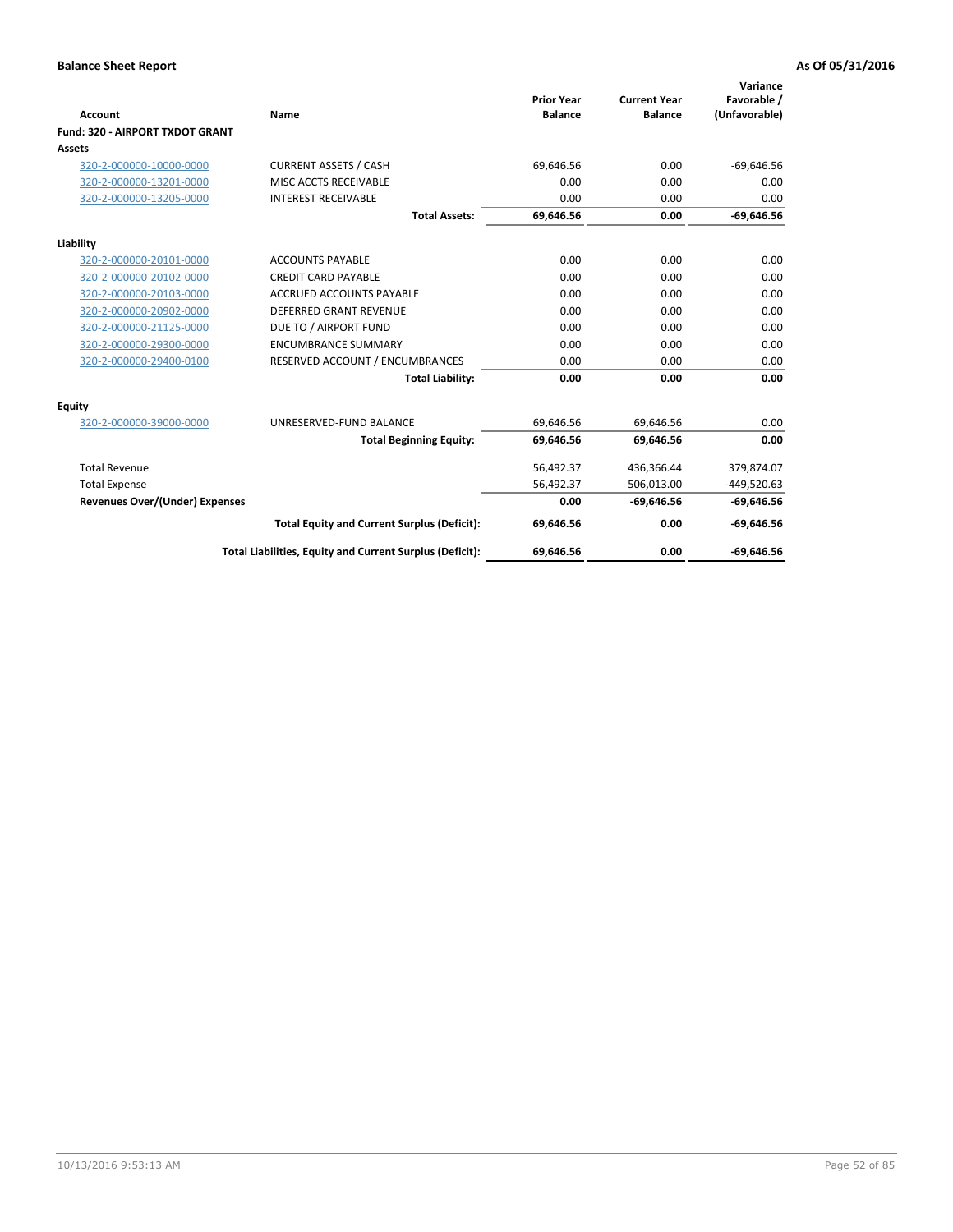|                                 |                                                          |                                     |                                       | Variance                     |
|---------------------------------|----------------------------------------------------------|-------------------------------------|---------------------------------------|------------------------------|
| <b>Account</b>                  | Name                                                     | <b>Prior Year</b><br><b>Balance</b> | <b>Current Year</b><br><b>Balance</b> | Favorable /<br>(Unfavorable) |
| Fund: 320 - AIRPORT TXDOT GRANT |                                                          |                                     |                                       |                              |
| <b>Assets</b>                   |                                                          |                                     |                                       |                              |
| 320-2-000000-10000-0000         | <b>CURRENT ASSETS / CASH</b>                             | 69,646.56                           | 0.00                                  | $-69,646.56$                 |
| 320-2-000000-13201-0000         | MISC ACCTS RECEIVABLE                                    | 0.00                                | 0.00                                  | 0.00                         |
| 320-2-000000-13205-0000         | <b>INTEREST RECEIVABLE</b>                               | 0.00                                | 0.00                                  | 0.00                         |
|                                 | <b>Total Assets:</b>                                     | 69,646.56                           | 0.00                                  | $-69,646.56$                 |
| Liability                       |                                                          |                                     |                                       |                              |
| 320-2-000000-20101-0000         | <b>ACCOUNTS PAYABLE</b>                                  | 0.00                                | 0.00                                  | 0.00                         |
| 320-2-000000-20102-0000         | <b>CREDIT CARD PAYABLE</b>                               | 0.00                                | 0.00                                  | 0.00                         |
| 320-2-000000-20103-0000         | <b>ACCRUED ACCOUNTS PAYABLE</b>                          | 0.00                                | 0.00                                  | 0.00                         |
| 320-2-000000-20902-0000         | <b>DEFERRED GRANT REVENUE</b>                            | 0.00                                | 0.00                                  | 0.00                         |
| 320-2-000000-21125-0000         | DUE TO / AIRPORT FUND                                    | 0.00                                | 0.00                                  | 0.00                         |
| 320-2-000000-29300-0000         | <b>ENCUMBRANCE SUMMARY</b>                               | 0.00                                | 0.00                                  | 0.00                         |
| 320-2-000000-29400-0100         | RESERVED ACCOUNT / ENCUMBRANCES                          | 0.00                                | 0.00                                  | 0.00                         |
|                                 | <b>Total Liability:</b>                                  | 0.00                                | 0.00                                  | 0.00                         |
| <b>Equity</b>                   |                                                          |                                     |                                       |                              |
| 320-2-000000-39000-0000         | UNRESERVED-FUND BALANCE                                  | 69,646.56                           | 69,646.56                             | 0.00                         |
|                                 | <b>Total Beginning Equity:</b>                           | 69,646.56                           | 69.646.56                             | 0.00                         |
| <b>Total Revenue</b>            |                                                          | 56,492.37                           | 436,366.44                            | 379,874.07                   |
| <b>Total Expense</b>            |                                                          | 56,492.37                           | 506,013.00                            | $-449,520.63$                |
| Revenues Over/(Under) Expenses  |                                                          | 0.00                                | $-69.646.56$                          | $-69,646.56$                 |
|                                 | <b>Total Equity and Current Surplus (Deficit):</b>       | 69,646.56                           | 0.00                                  | $-69,646.56$                 |
|                                 | Total Liabilities, Equity and Current Surplus (Deficit): | 69.646.56                           | 0.00                                  | $-69.646.56$                 |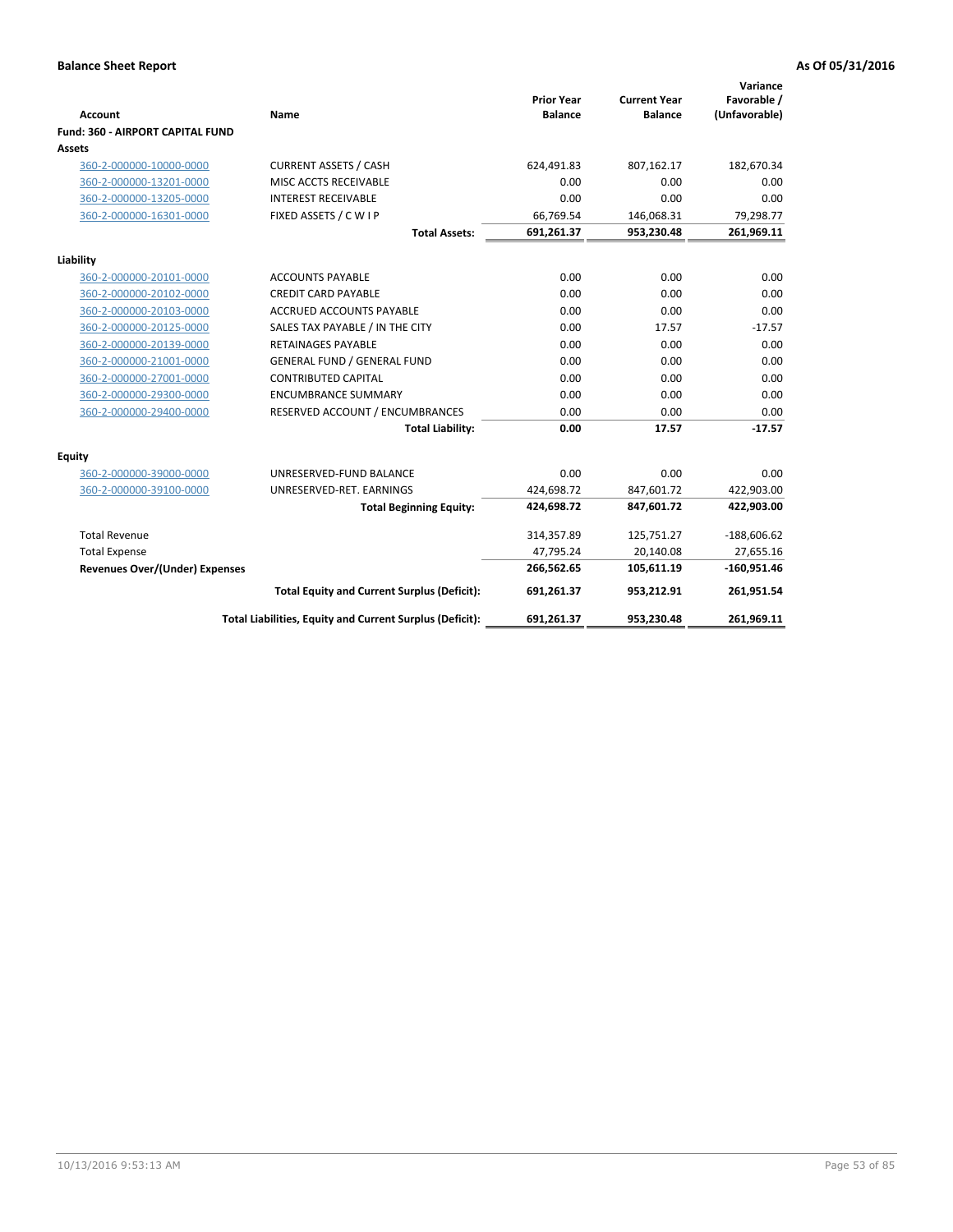| <b>Account</b>                          | Name                                                     | <b>Prior Year</b><br><b>Balance</b> | <b>Current Year</b><br><b>Balance</b> | Variance<br>Favorable /<br>(Unfavorable) |
|-----------------------------------------|----------------------------------------------------------|-------------------------------------|---------------------------------------|------------------------------------------|
| <b>Fund: 360 - AIRPORT CAPITAL FUND</b> |                                                          |                                     |                                       |                                          |
| Assets                                  |                                                          |                                     |                                       |                                          |
| 360-2-000000-10000-0000                 | <b>CURRENT ASSETS / CASH</b>                             | 624,491.83                          | 807,162.17                            | 182,670.34                               |
| 360-2-000000-13201-0000                 | MISC ACCTS RECEIVABLE                                    | 0.00                                | 0.00                                  | 0.00                                     |
| 360-2-000000-13205-0000                 | <b>INTEREST RECEIVABLE</b>                               | 0.00                                | 0.00                                  | 0.00                                     |
| 360-2-000000-16301-0000                 | FIXED ASSETS / C W I P                                   | 66,769.54                           | 146,068.31                            | 79,298.77                                |
|                                         | <b>Total Assets:</b>                                     | 691,261.37                          | 953,230.48                            | 261,969.11                               |
| Liability                               |                                                          |                                     |                                       |                                          |
| 360-2-000000-20101-0000                 | <b>ACCOUNTS PAYABLE</b>                                  | 0.00                                | 0.00                                  | 0.00                                     |
| 360-2-000000-20102-0000                 | <b>CREDIT CARD PAYABLE</b>                               | 0.00                                | 0.00                                  | 0.00                                     |
| 360-2-000000-20103-0000                 | <b>ACCRUED ACCOUNTS PAYABLE</b>                          | 0.00                                | 0.00                                  | 0.00                                     |
| 360-2-000000-20125-0000                 | SALES TAX PAYABLE / IN THE CITY                          | 0.00                                | 17.57                                 | $-17.57$                                 |
| 360-2-000000-20139-0000                 | <b>RETAINAGES PAYABLE</b>                                | 0.00                                | 0.00                                  | 0.00                                     |
| 360-2-000000-21001-0000                 | <b>GENERAL FUND / GENERAL FUND</b>                       | 0.00                                | 0.00                                  | 0.00                                     |
| 360-2-000000-27001-0000                 | <b>CONTRIBUTED CAPITAL</b>                               | 0.00                                | 0.00                                  | 0.00                                     |
| 360-2-000000-29300-0000                 | <b>ENCUMBRANCE SUMMARY</b>                               | 0.00                                | 0.00                                  | 0.00                                     |
| 360-2-000000-29400-0000                 | RESERVED ACCOUNT / ENCUMBRANCES                          | 0.00                                | 0.00                                  | 0.00                                     |
|                                         | <b>Total Liability:</b>                                  | 0.00                                | 17.57                                 | $-17.57$                                 |
| Equity                                  |                                                          |                                     |                                       |                                          |
| 360-2-000000-39000-0000                 | UNRESERVED-FUND BALANCE                                  | 0.00                                | 0.00                                  | 0.00                                     |
| 360-2-000000-39100-0000                 | UNRESERVED-RET. EARNINGS                                 | 424,698.72                          | 847,601.72                            | 422,903.00                               |
|                                         | <b>Total Beginning Equity:</b>                           | 424,698.72                          | 847,601.72                            | 422,903.00                               |
| <b>Total Revenue</b>                    |                                                          | 314,357.89                          | 125,751.27                            | $-188,606.62$                            |
| <b>Total Expense</b>                    |                                                          | 47,795.24                           | 20,140.08                             | 27,655.16                                |
| Revenues Over/(Under) Expenses          |                                                          | 266,562.65                          | 105,611.19                            | $-160,951.46$                            |
|                                         | <b>Total Equity and Current Surplus (Deficit):</b>       | 691,261.37                          | 953,212.91                            | 261,951.54                               |
|                                         | Total Liabilities, Equity and Current Surplus (Deficit): | 691,261.37                          | 953,230.48                            | 261,969.11                               |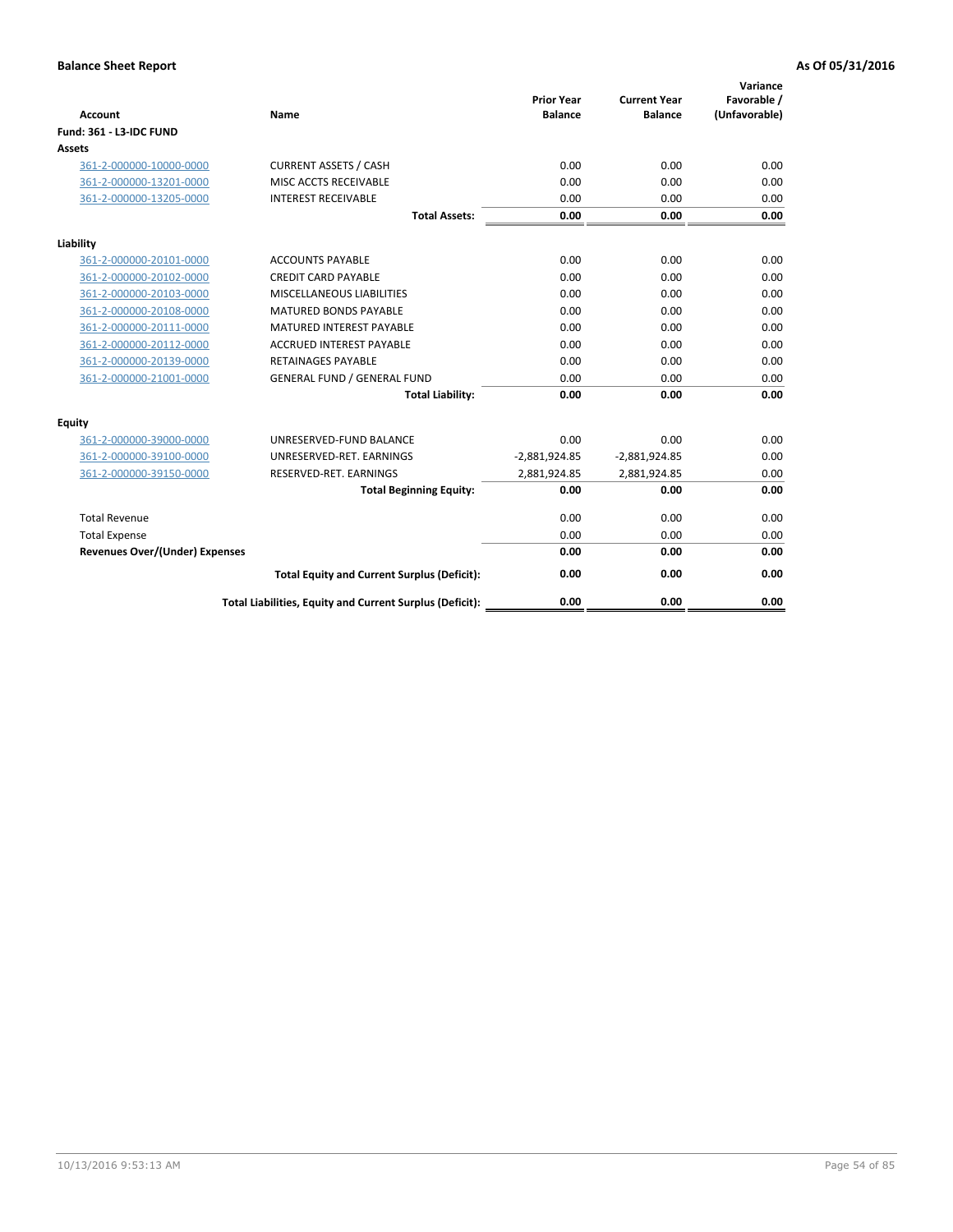| <b>Account</b>                        | <b>Name</b>                                              | <b>Prior Year</b><br><b>Balance</b> | <b>Current Year</b><br><b>Balance</b> | Variance<br>Favorable /<br>(Unfavorable) |
|---------------------------------------|----------------------------------------------------------|-------------------------------------|---------------------------------------|------------------------------------------|
| <b>Fund: 361 - L3-IDC FUND</b>        |                                                          |                                     |                                       |                                          |
| Assets                                |                                                          |                                     |                                       |                                          |
| 361-2-000000-10000-0000               | <b>CURRENT ASSETS / CASH</b>                             | 0.00                                | 0.00                                  | 0.00                                     |
| 361-2-000000-13201-0000               | MISC ACCTS RECEIVABLE                                    | 0.00                                | 0.00                                  | 0.00                                     |
| 361-2-000000-13205-0000               | <b>INTEREST RECEIVABLE</b>                               | 0.00                                | 0.00                                  | 0.00                                     |
|                                       | <b>Total Assets:</b>                                     | 0.00                                | 0.00                                  | 0.00                                     |
| Liability                             |                                                          |                                     |                                       |                                          |
| 361-2-000000-20101-0000               | <b>ACCOUNTS PAYABLE</b>                                  | 0.00                                | 0.00                                  | 0.00                                     |
| 361-2-000000-20102-0000               | <b>CREDIT CARD PAYABLE</b>                               | 0.00                                | 0.00                                  | 0.00                                     |
| 361-2-000000-20103-0000               | MISCELLANEOUS LIABILITIES                                | 0.00                                | 0.00                                  | 0.00                                     |
| 361-2-000000-20108-0000               | <b>MATURED BONDS PAYABLE</b>                             | 0.00                                | 0.00                                  | 0.00                                     |
| 361-2-000000-20111-0000               | <b>MATURED INTEREST PAYABLE</b>                          | 0.00                                | 0.00                                  | 0.00                                     |
| 361-2-000000-20112-0000               | <b>ACCRUED INTEREST PAYABLE</b>                          | 0.00                                | 0.00                                  | 0.00                                     |
| 361-2-000000-20139-0000               | <b>RETAINAGES PAYABLE</b>                                | 0.00                                | 0.00                                  | 0.00                                     |
| 361-2-000000-21001-0000               | <b>GENERAL FUND / GENERAL FUND</b>                       | 0.00                                | 0.00                                  | 0.00                                     |
|                                       | <b>Total Liability:</b>                                  | 0.00                                | 0.00                                  | 0.00                                     |
| Equity                                |                                                          |                                     |                                       |                                          |
| 361-2-000000-39000-0000               | UNRESERVED-FUND BALANCE                                  | 0.00                                | 0.00                                  | 0.00                                     |
| 361-2-000000-39100-0000               | UNRESERVED-RET. EARNINGS                                 | $-2,881,924.85$                     | $-2,881,924.85$                       | 0.00                                     |
| 361-2-000000-39150-0000               | RESERVED-RET. EARNINGS                                   | 2,881,924.85                        | 2,881,924.85                          | 0.00                                     |
|                                       | <b>Total Beginning Equity:</b>                           | 0.00                                | 0.00                                  | 0.00                                     |
| <b>Total Revenue</b>                  |                                                          | 0.00                                | 0.00                                  | 0.00                                     |
| <b>Total Expense</b>                  |                                                          | 0.00                                | 0.00                                  | 0.00                                     |
| <b>Revenues Over/(Under) Expenses</b> |                                                          | 0.00                                | 0.00                                  | 0.00                                     |
|                                       | <b>Total Equity and Current Surplus (Deficit):</b>       | 0.00                                | 0.00                                  | 0.00                                     |
|                                       | Total Liabilities, Equity and Current Surplus (Deficit): | 0.00                                | 0.00                                  | 0.00                                     |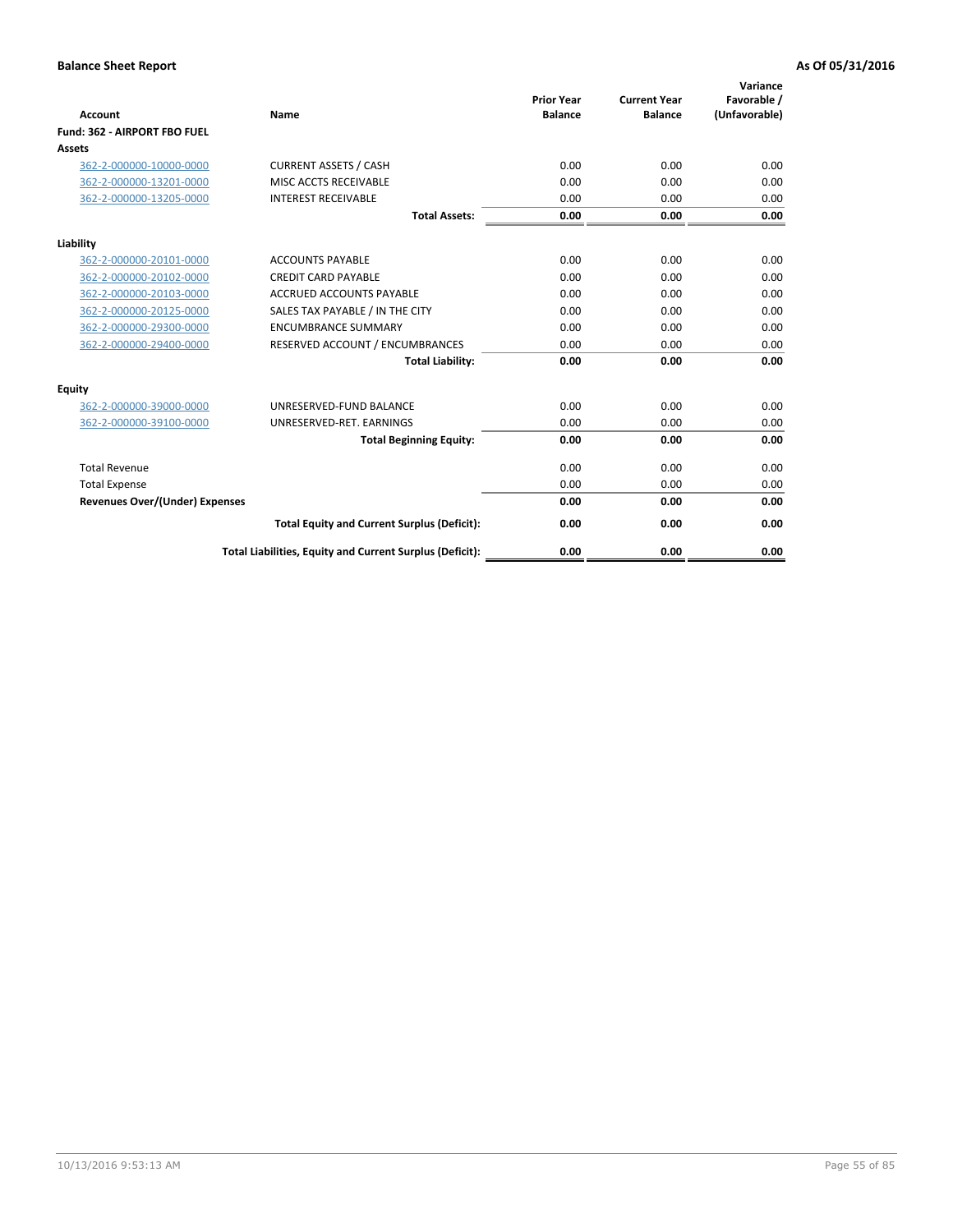|                                       |                                                          |                                     |                                       | Variance                     |
|---------------------------------------|----------------------------------------------------------|-------------------------------------|---------------------------------------|------------------------------|
| Account                               | Name                                                     | <b>Prior Year</b><br><b>Balance</b> | <b>Current Year</b><br><b>Balance</b> | Favorable /<br>(Unfavorable) |
| Fund: 362 - AIRPORT FBO FUEL          |                                                          |                                     |                                       |                              |
| Assets                                |                                                          |                                     |                                       |                              |
| 362-2-000000-10000-0000               | <b>CURRENT ASSETS / CASH</b>                             | 0.00                                | 0.00                                  | 0.00                         |
| 362-2-000000-13201-0000               | MISC ACCTS RECEIVABLE                                    | 0.00                                | 0.00                                  | 0.00                         |
| 362-2-000000-13205-0000               | <b>INTEREST RECEIVABLE</b>                               | 0.00                                | 0.00                                  | 0.00                         |
|                                       | <b>Total Assets:</b>                                     | 0.00                                | 0.00                                  | 0.00                         |
| Liability                             |                                                          |                                     |                                       |                              |
| 362-2-000000-20101-0000               | <b>ACCOUNTS PAYABLE</b>                                  | 0.00                                | 0.00                                  | 0.00                         |
| 362-2-000000-20102-0000               | <b>CREDIT CARD PAYABLE</b>                               | 0.00                                | 0.00                                  | 0.00                         |
| 362-2-000000-20103-0000               | <b>ACCRUED ACCOUNTS PAYABLE</b>                          | 0.00                                | 0.00                                  | 0.00                         |
| 362-2-000000-20125-0000               | SALES TAX PAYABLE / IN THE CITY                          | 0.00                                | 0.00                                  | 0.00                         |
| 362-2-000000-29300-0000               | <b>ENCUMBRANCE SUMMARY</b>                               | 0.00                                | 0.00                                  | 0.00                         |
| 362-2-000000-29400-0000               | RESERVED ACCOUNT / ENCUMBRANCES                          | 0.00                                | 0.00                                  | 0.00                         |
|                                       | <b>Total Liability:</b>                                  | 0.00                                | 0.00                                  | 0.00                         |
| Equity                                |                                                          |                                     |                                       |                              |
| 362-2-000000-39000-0000               | UNRESERVED-FUND BALANCE                                  | 0.00                                | 0.00                                  | 0.00                         |
| 362-2-000000-39100-0000               | UNRESERVED-RET. EARNINGS                                 | 0.00                                | 0.00                                  | 0.00                         |
|                                       | <b>Total Beginning Equity:</b>                           | 0.00                                | 0.00                                  | 0.00                         |
| <b>Total Revenue</b>                  |                                                          | 0.00                                | 0.00                                  | 0.00                         |
| <b>Total Expense</b>                  |                                                          | 0.00                                | 0.00                                  | 0.00                         |
| <b>Revenues Over/(Under) Expenses</b> |                                                          | 0.00                                | 0.00                                  | 0.00                         |
|                                       | <b>Total Equity and Current Surplus (Deficit):</b>       | 0.00                                | 0.00                                  | 0.00                         |
|                                       | Total Liabilities, Equity and Current Surplus (Deficit): | 0.00                                | 0.00                                  | 0.00                         |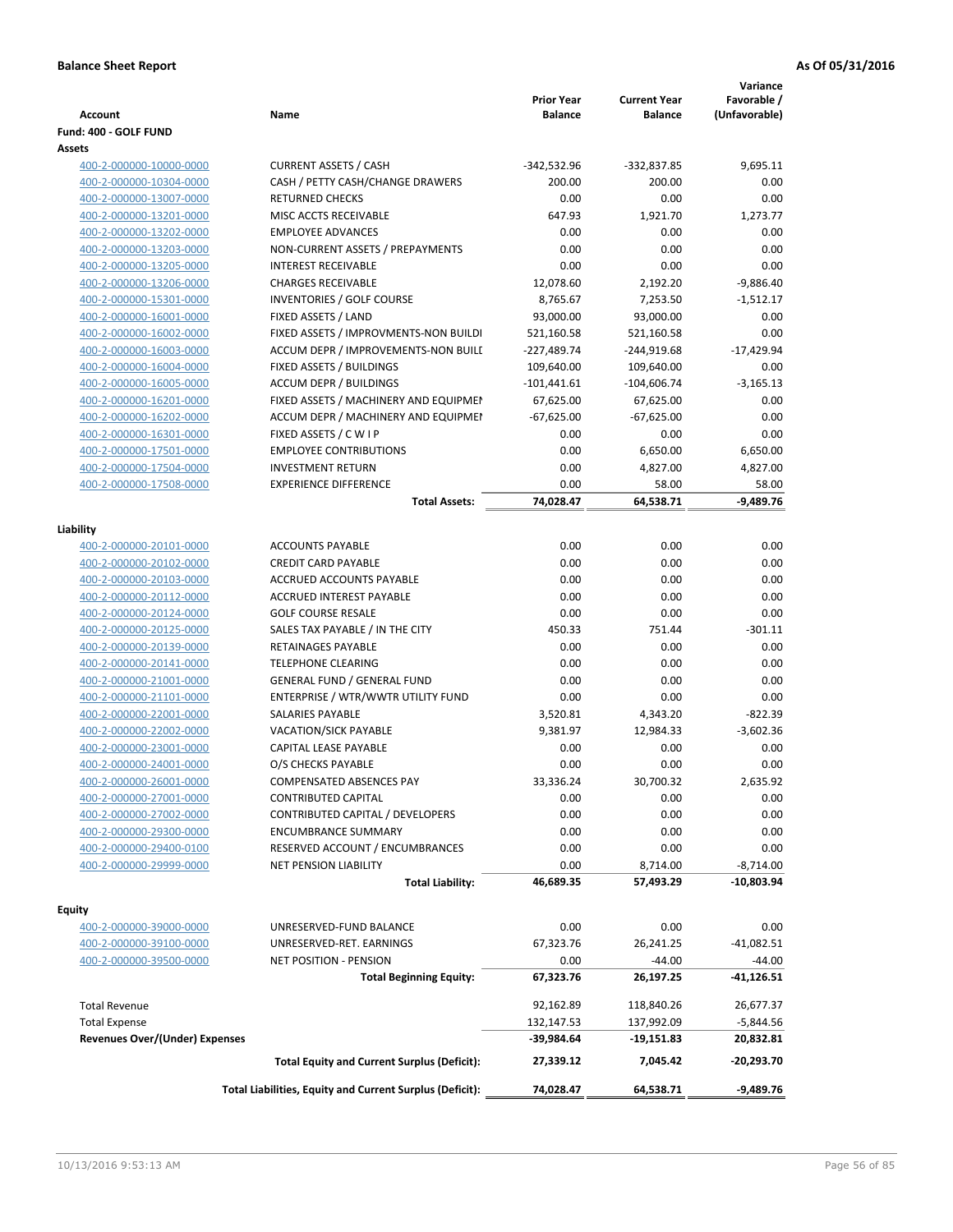| <b>Account</b>                                     | Name                                                          | <b>Prior Year</b><br><b>Balance</b> | <b>Current Year</b><br>Balance | Variance<br>Favorable /<br>(Unfavorable) |
|----------------------------------------------------|---------------------------------------------------------------|-------------------------------------|--------------------------------|------------------------------------------|
| Fund: 400 - GOLF FUND                              |                                                               |                                     |                                |                                          |
| Assets                                             |                                                               |                                     |                                |                                          |
| 400-2-000000-10000-0000                            | <b>CURRENT ASSETS / CASH</b>                                  | $-342,532.96$                       | -332,837.85                    | 9,695.11                                 |
| 400-2-000000-10304-0000                            | CASH / PETTY CASH/CHANGE DRAWERS                              | 200.00                              | 200.00                         | 0.00                                     |
| 400-2-000000-13007-0000                            | <b>RETURNED CHECKS</b>                                        | 0.00                                | 0.00                           | 0.00                                     |
| 400-2-000000-13201-0000                            | MISC ACCTS RECEIVABLE                                         | 647.93                              | 1,921.70                       | 1,273.77                                 |
| 400-2-000000-13202-0000                            | <b>EMPLOYEE ADVANCES</b>                                      | 0.00                                | 0.00                           | 0.00                                     |
| 400-2-000000-13203-0000                            | NON-CURRENT ASSETS / PREPAYMENTS                              | 0.00                                | 0.00                           | 0.00                                     |
| 400-2-000000-13205-0000                            | <b>INTEREST RECEIVABLE</b>                                    | 0.00                                | 0.00                           | 0.00                                     |
| 400-2-000000-13206-0000                            | <b>CHARGES RECEIVABLE</b>                                     | 12,078.60                           | 2,192.20                       | $-9,886.40$                              |
| 400-2-000000-15301-0000                            | INVENTORIES / GOLF COURSE                                     | 8,765.67                            | 7,253.50                       | $-1,512.17$                              |
| 400-2-000000-16001-0000                            | FIXED ASSETS / LAND                                           | 93,000.00                           | 93,000.00                      | 0.00                                     |
| 400-2-000000-16002-0000                            | FIXED ASSETS / IMPROVMENTS-NON BUILDI                         | 521,160.58                          | 521,160.58                     | 0.00                                     |
| 400-2-000000-16003-0000                            | ACCUM DEPR / IMPROVEMENTS-NON BUILI                           | $-227,489.74$                       | -244,919.68                    | $-17,429.94$                             |
| 400-2-000000-16004-0000                            | FIXED ASSETS / BUILDINGS                                      | 109,640.00                          | 109,640.00                     | 0.00                                     |
| 400-2-000000-16005-0000                            | <b>ACCUM DEPR / BUILDINGS</b>                                 | $-101,441.61$                       | $-104,606.74$                  | $-3,165.13$                              |
| 400-2-000000-16201-0000                            | FIXED ASSETS / MACHINERY AND EQUIPMEN                         | 67,625.00                           | 67,625.00                      | 0.00                                     |
| 400-2-000000-16202-0000                            | ACCUM DEPR / MACHINERY AND EQUIPMEI                           | $-67,625.00$                        | $-67,625.00$                   | 0.00                                     |
| 400-2-000000-16301-0000                            | FIXED ASSETS / C W I P                                        | 0.00                                | 0.00                           | 0.00                                     |
| 400-2-000000-17501-0000                            | <b>EMPLOYEE CONTRIBUTIONS</b>                                 | 0.00                                | 6,650.00                       | 6,650.00                                 |
| 400-2-000000-17504-0000                            | <b>INVESTMENT RETURN</b>                                      | 0.00                                | 4,827.00                       | 4,827.00                                 |
| 400-2-000000-17508-0000                            | <b>EXPERIENCE DIFFERENCE</b>                                  | 0.00                                | 58.00                          | 58.00                                    |
|                                                    | <b>Total Assets:</b>                                          | 74,028.47                           | 64,538.71                      | $-9,489.76$                              |
|                                                    |                                                               |                                     |                                |                                          |
| Liability                                          |                                                               |                                     |                                |                                          |
| 400-2-000000-20101-0000                            | <b>ACCOUNTS PAYABLE</b>                                       | 0.00                                | 0.00                           | 0.00                                     |
| 400-2-000000-20102-0000                            | <b>CREDIT CARD PAYABLE</b>                                    | 0.00                                | 0.00                           | 0.00                                     |
| 400-2-000000-20103-0000                            | ACCRUED ACCOUNTS PAYABLE                                      | 0.00                                | 0.00                           | 0.00                                     |
| 400-2-000000-20112-0000                            | ACCRUED INTEREST PAYABLE                                      | 0.00                                | 0.00                           | 0.00                                     |
| 400-2-000000-20124-0000                            | <b>GOLF COURSE RESALE</b>                                     | 0.00                                | 0.00                           | 0.00                                     |
| 400-2-000000-20125-0000                            | SALES TAX PAYABLE / IN THE CITY                               | 450.33                              | 751.44                         | $-301.11$                                |
| 400-2-000000-20139-0000                            | RETAINAGES PAYABLE                                            | 0.00                                | 0.00                           | 0.00                                     |
| 400-2-000000-20141-0000                            | <b>TELEPHONE CLEARING</b>                                     | 0.00                                | 0.00                           | 0.00                                     |
| 400-2-000000-21001-0000                            | <b>GENERAL FUND / GENERAL FUND</b>                            | 0.00                                | 0.00                           | 0.00                                     |
| 400-2-000000-21101-0000                            | ENTERPRISE / WTR/WWTR UTILITY FUND<br><b>SALARIES PAYABLE</b> | 0.00                                | 0.00                           | 0.00                                     |
| 400-2-000000-22001-0000<br>400-2-000000-22002-0000 |                                                               | 3,520.81                            | 4,343.20                       | $-822.39$<br>$-3.602.36$                 |
| 400-2-000000-23001-0000                            | VACATION/SICK PAYABLE<br>CAPITAL LEASE PAYABLE                | 9,381.97<br>0.00                    | 12,984.33<br>0.00              |                                          |
|                                                    |                                                               | 0.00                                | 0.00                           | 0.00<br>0.00                             |
| 400-2-000000-24001-0000                            | O/S CHECKS PAYABLE                                            |                                     |                                | 2,635.92                                 |
| 400-2-000000-26001-0000                            | COMPENSATED ABSENCES PAY                                      | 33,336.24                           | 30,700.32                      | 0.00                                     |
| 400-2-000000-27001-0000<br>400-2-000000-27002-0000 | CONTRIBUTED CAPITAL<br>CONTRIBUTED CAPITAL / DEVELOPERS       | 0.00                                | 0.00                           |                                          |
| 400-2-000000-29300-0000                            |                                                               | 0.00                                | 0.00                           | 0.00                                     |
| 400-2-000000-29400-0100                            | <b>ENCUMBRANCE SUMMARY</b><br>RESERVED ACCOUNT / ENCUMBRANCES | 0.00<br>0.00                        | 0.00<br>0.00                   | 0.00<br>0.00                             |
| 400-2-000000-29999-0000                            | <b>NET PENSION LIABILITY</b>                                  | 0.00                                | 8,714.00                       | $-8,714.00$                              |
|                                                    | <b>Total Liability:</b>                                       | 46,689.35                           | 57,493.29                      | $-10,803.94$                             |
|                                                    |                                                               |                                     |                                |                                          |
| Equity                                             |                                                               |                                     |                                |                                          |
| 400-2-000000-39000-0000                            | UNRESERVED-FUND BALANCE                                       | 0.00                                | 0.00                           | 0.00                                     |
| 400-2-000000-39100-0000                            | UNRESERVED-RET. EARNINGS                                      | 67,323.76                           | 26,241.25                      | $-41,082.51$                             |
| 400-2-000000-39500-0000                            | NET POSITION - PENSION                                        | 0.00                                | $-44.00$                       | $-44.00$                                 |
|                                                    | <b>Total Beginning Equity:</b>                                | 67,323.76                           | 26,197.25                      | -41,126.51                               |
|                                                    |                                                               |                                     |                                |                                          |
| <b>Total Revenue</b>                               |                                                               | 92,162.89                           | 118,840.26                     | 26,677.37                                |
| <b>Total Expense</b>                               |                                                               | 132,147.53                          | 137,992.09                     | $-5,844.56$                              |
| <b>Revenues Over/(Under) Expenses</b>              |                                                               | -39,984.64                          | -19,151.83                     | 20,832.81                                |
|                                                    | <b>Total Equity and Current Surplus (Deficit):</b>            | 27,339.12                           | 7,045.42                       | -20,293.70                               |
|                                                    | Total Liabilities, Equity and Current Surplus (Deficit):      | 74,028.47                           | 64,538.71                      | $-9,489.76$                              |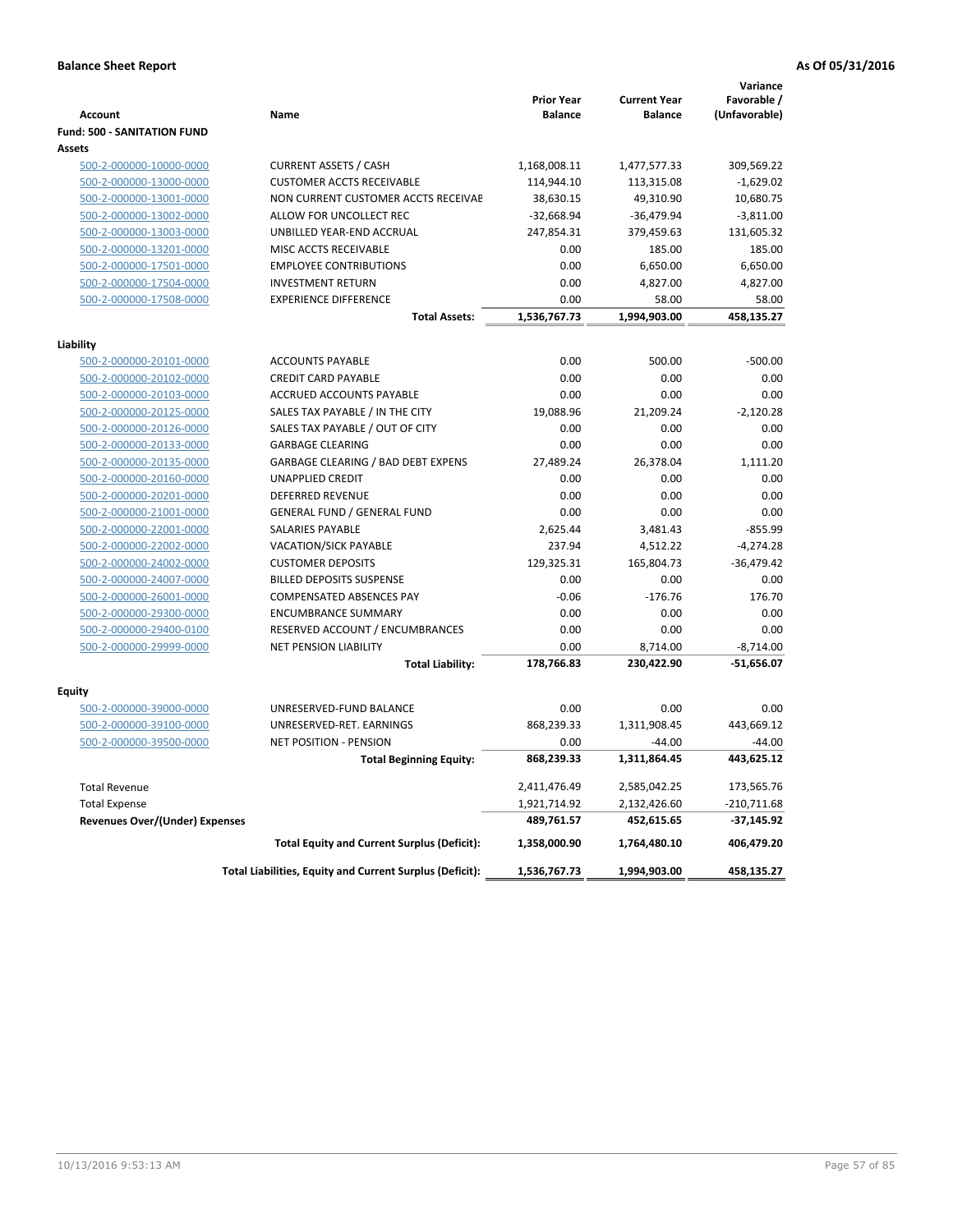|                                                    |                                                                  | <b>Prior Year</b>       | <b>Current Year</b>     | Variance<br>Favorable /  |
|----------------------------------------------------|------------------------------------------------------------------|-------------------------|-------------------------|--------------------------|
| <b>Account</b>                                     | Name                                                             | <b>Balance</b>          | <b>Balance</b>          | (Unfavorable)            |
| <b>Fund: 500 - SANITATION FUND</b>                 |                                                                  |                         |                         |                          |
| Assets                                             |                                                                  |                         |                         |                          |
| 500-2-000000-10000-0000                            | <b>CURRENT ASSETS / CASH</b><br><b>CUSTOMER ACCTS RECEIVABLE</b> | 1,168,008.11            | 1,477,577.33            | 309,569.22               |
| 500-2-000000-13000-0000<br>500-2-000000-13001-0000 | NON CURRENT CUSTOMER ACCTS RECEIVAE                              | 114,944.10<br>38,630.15 | 113,315.08<br>49,310.90 | $-1,629.02$<br>10,680.75 |
| 500-2-000000-13002-0000                            | ALLOW FOR UNCOLLECT REC                                          | $-32,668.94$            | $-36,479.94$            | $-3,811.00$              |
| 500-2-000000-13003-0000                            | UNBILLED YEAR-END ACCRUAL                                        | 247,854.31              | 379,459.63              | 131,605.32               |
| 500-2-000000-13201-0000                            | MISC ACCTS RECEIVABLE                                            | 0.00                    | 185.00                  | 185.00                   |
| 500-2-000000-17501-0000                            | <b>EMPLOYEE CONTRIBUTIONS</b>                                    | 0.00                    | 6,650.00                | 6,650.00                 |
| 500-2-000000-17504-0000                            | <b>INVESTMENT RETURN</b>                                         | 0.00                    | 4,827.00                | 4,827.00                 |
| 500-2-000000-17508-0000                            | <b>EXPERIENCE DIFFERENCE</b>                                     | 0.00                    | 58.00                   | 58.00                    |
|                                                    | <b>Total Assets:</b>                                             | 1,536,767.73            | 1,994,903.00            | 458,135.27               |
|                                                    |                                                                  |                         |                         |                          |
| Liability                                          |                                                                  |                         |                         |                          |
| 500-2-000000-20101-0000                            | <b>ACCOUNTS PAYABLE</b>                                          | 0.00                    | 500.00                  | $-500.00$                |
| 500-2-000000-20102-0000                            | <b>CREDIT CARD PAYABLE</b>                                       | 0.00                    | 0.00                    | 0.00                     |
| 500-2-000000-20103-0000                            | ACCRUED ACCOUNTS PAYABLE                                         | 0.00                    | 0.00                    | 0.00                     |
| 500-2-000000-20125-0000                            | SALES TAX PAYABLE / IN THE CITY                                  | 19,088.96               | 21,209.24               | $-2,120.28$              |
| 500-2-000000-20126-0000                            | SALES TAX PAYABLE / OUT OF CITY                                  | 0.00                    | 0.00                    | 0.00                     |
| 500-2-000000-20133-0000                            | <b>GARBAGE CLEARING</b>                                          | 0.00                    | 0.00                    | 0.00                     |
| 500-2-000000-20135-0000                            | GARBAGE CLEARING / BAD DEBT EXPENS                               | 27,489.24               | 26,378.04               | 1,111.20                 |
| 500-2-000000-20160-0000                            | <b>UNAPPLIED CREDIT</b>                                          | 0.00                    | 0.00                    | 0.00                     |
| 500-2-000000-20201-0000                            | <b>DEFERRED REVENUE</b>                                          | 0.00                    | 0.00                    | 0.00                     |
| 500-2-000000-21001-0000                            | <b>GENERAL FUND / GENERAL FUND</b>                               | 0.00                    | 0.00                    | 0.00                     |
| 500-2-000000-22001-0000                            | SALARIES PAYABLE                                                 | 2,625.44                | 3,481.43                | $-855.99$                |
| 500-2-000000-22002-0000                            | <b>VACATION/SICK PAYABLE</b>                                     | 237.94                  | 4,512.22                | $-4,274.28$              |
| 500-2-000000-24002-0000                            | <b>CUSTOMER DEPOSITS</b>                                         | 129,325.31              | 165,804.73              | $-36,479.42$             |
| 500-2-000000-24007-0000                            | <b>BILLED DEPOSITS SUSPENSE</b>                                  | 0.00                    | 0.00                    | 0.00                     |
| 500-2-000000-26001-0000                            | COMPENSATED ABSENCES PAY                                         | $-0.06$                 | $-176.76$               | 176.70                   |
| 500-2-000000-29300-0000                            | <b>ENCUMBRANCE SUMMARY</b>                                       | 0.00                    | 0.00                    | 0.00                     |
| 500-2-000000-29400-0100                            | RESERVED ACCOUNT / ENCUMBRANCES                                  | 0.00                    | 0.00                    | 0.00                     |
| 500-2-000000-29999-0000                            | <b>NET PENSION LIABILITY</b>                                     | 0.00                    | 8,714.00                | $-8,714.00$              |
|                                                    | <b>Total Liability:</b>                                          | 178,766.83              | 230,422.90              | $-51,656.07$             |
| Equity                                             |                                                                  |                         |                         |                          |
| 500-2-000000-39000-0000                            | UNRESERVED-FUND BALANCE                                          | 0.00                    | 0.00                    | 0.00                     |
| 500-2-000000-39100-0000                            | UNRESERVED-RET. EARNINGS                                         | 868,239.33              | 1,311,908.45            | 443,669.12               |
| 500-2-000000-39500-0000                            | <b>NET POSITION - PENSION</b>                                    | 0.00                    | $-44.00$                | $-44.00$                 |
|                                                    | <b>Total Beginning Equity:</b>                                   | 868,239.33              | 1,311,864.45            | 443,625.12               |
| <b>Total Revenue</b>                               |                                                                  | 2,411,476.49            | 2,585,042.25            | 173,565.76               |
| <b>Total Expense</b>                               |                                                                  | 1,921,714.92            | 2,132,426.60            | $-210,711.68$            |
| <b>Revenues Over/(Under) Expenses</b>              |                                                                  | 489,761.57              | 452,615.65              | $-37,145.92$             |
|                                                    | <b>Total Equity and Current Surplus (Deficit):</b>               | 1,358,000.90            | 1,764,480.10            | 406,479.20               |
|                                                    | Total Liabilities, Equity and Current Surplus (Deficit):         | 1,536,767.73            | 1,994,903.00            | 458,135.27               |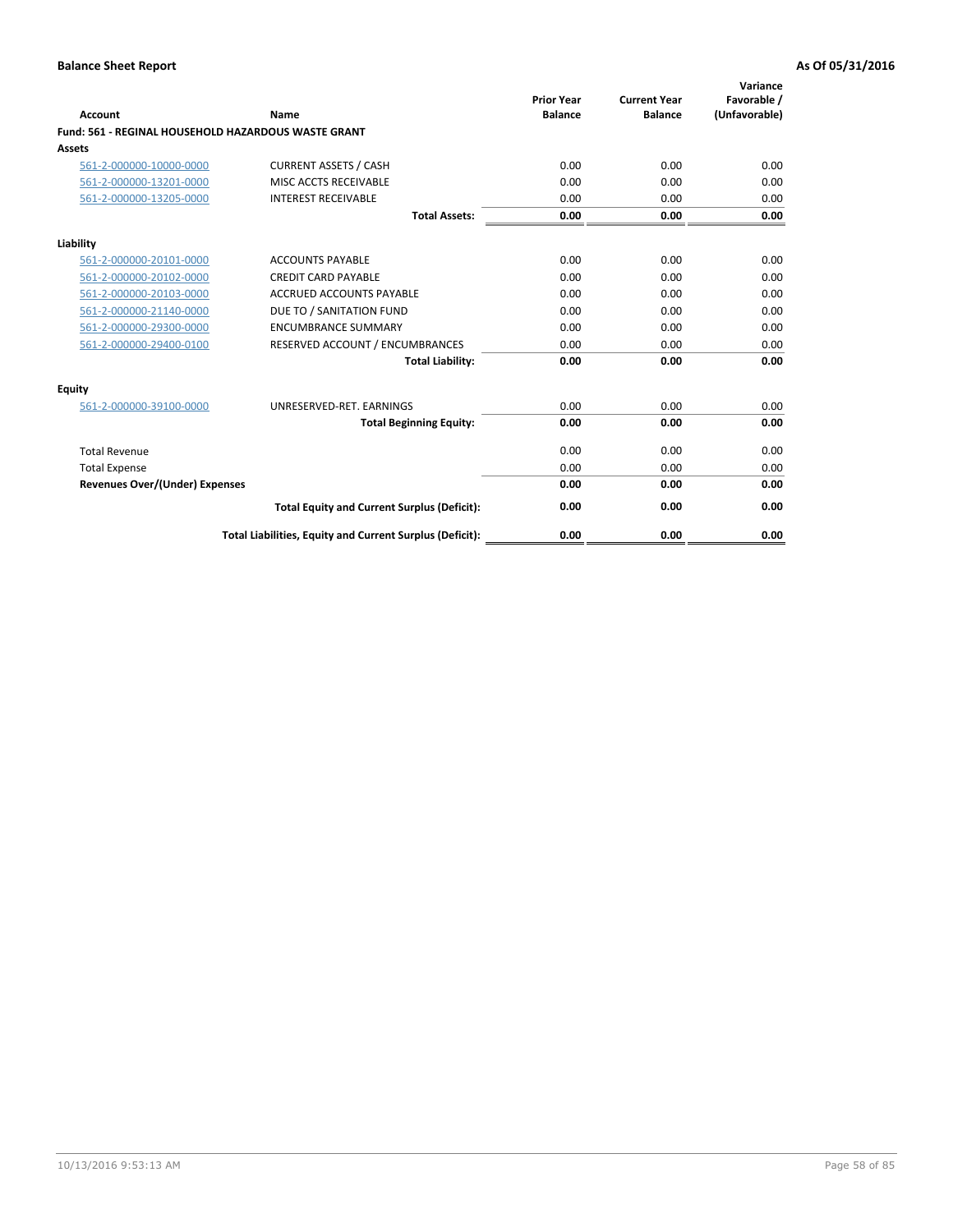| Account                                                    | Name                                                     | <b>Prior Year</b><br><b>Balance</b> | <b>Current Year</b><br><b>Balance</b> | Variance<br>Favorable /<br>(Unfavorable) |
|------------------------------------------------------------|----------------------------------------------------------|-------------------------------------|---------------------------------------|------------------------------------------|
| <b>Fund: 561 - REGINAL HOUSEHOLD HAZARDOUS WASTE GRANT</b> |                                                          |                                     |                                       |                                          |
| <b>Assets</b>                                              |                                                          |                                     |                                       |                                          |
| 561-2-000000-10000-0000                                    | <b>CURRENT ASSETS / CASH</b>                             | 0.00                                | 0.00                                  | 0.00                                     |
| 561-2-000000-13201-0000                                    | MISC ACCTS RECEIVABLE                                    | 0.00                                | 0.00                                  | 0.00                                     |
| 561-2-000000-13205-0000                                    | <b>INTEREST RECEIVABLE</b>                               | 0.00                                | 0.00                                  | 0.00                                     |
|                                                            | <b>Total Assets:</b>                                     | 0.00                                | 0.00                                  | 0.00                                     |
| Liability                                                  |                                                          |                                     |                                       |                                          |
| 561-2-000000-20101-0000                                    | <b>ACCOUNTS PAYABLE</b>                                  | 0.00                                | 0.00                                  | 0.00                                     |
| 561-2-000000-20102-0000                                    | <b>CREDIT CARD PAYABLE</b>                               | 0.00                                | 0.00                                  | 0.00                                     |
| 561-2-000000-20103-0000                                    | <b>ACCRUED ACCOUNTS PAYABLE</b>                          | 0.00                                | 0.00                                  | 0.00                                     |
| 561-2-000000-21140-0000                                    | DUE TO / SANITATION FUND                                 | 0.00                                | 0.00                                  | 0.00                                     |
| 561-2-000000-29300-0000                                    | <b>ENCUMBRANCE SUMMARY</b>                               | 0.00                                | 0.00                                  | 0.00                                     |
| 561-2-000000-29400-0100                                    | RESERVED ACCOUNT / ENCUMBRANCES                          | 0.00                                | 0.00                                  | 0.00                                     |
|                                                            | <b>Total Liability:</b>                                  | 0.00                                | 0.00                                  | 0.00                                     |
| <b>Equity</b>                                              |                                                          |                                     |                                       |                                          |
| 561-2-000000-39100-0000                                    | UNRESERVED-RET. EARNINGS                                 | 0.00                                | 0.00                                  | 0.00                                     |
|                                                            | <b>Total Beginning Equity:</b>                           | 0.00                                | 0.00                                  | 0.00                                     |
| <b>Total Revenue</b>                                       |                                                          | 0.00                                | 0.00                                  | 0.00                                     |
| <b>Total Expense</b>                                       |                                                          | 0.00                                | 0.00                                  | 0.00                                     |
| <b>Revenues Over/(Under) Expenses</b>                      |                                                          | 0.00                                | 0.00                                  | 0.00                                     |
|                                                            | <b>Total Equity and Current Surplus (Deficit):</b>       | 0.00                                | 0.00                                  | 0.00                                     |
|                                                            | Total Liabilities, Equity and Current Surplus (Deficit): | 0.00                                | 0.00                                  | 0.00                                     |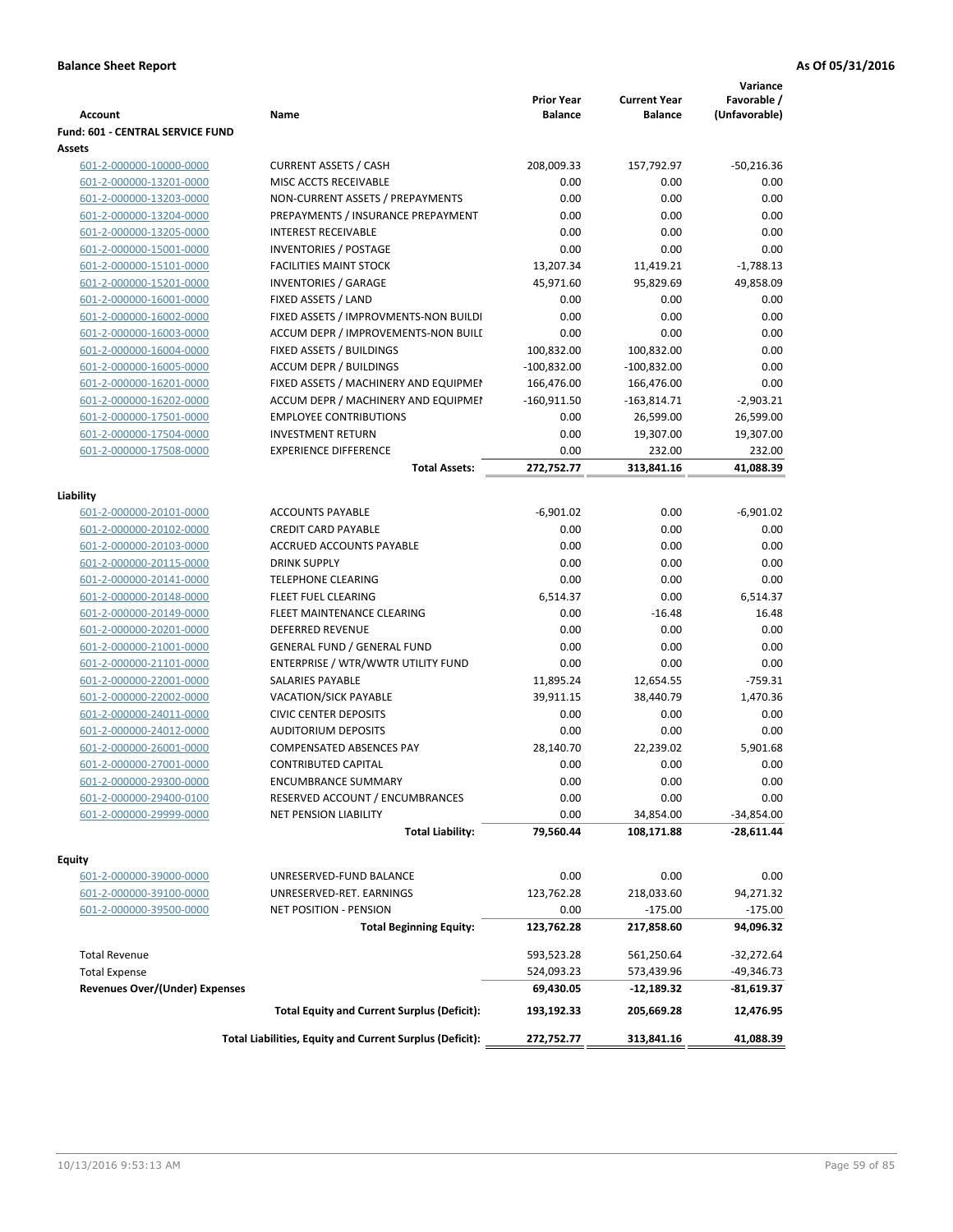| <b>Account</b>                        | Name                                                     | <b>Prior Year</b><br><b>Balance</b> | <b>Current Year</b><br><b>Balance</b> | Variance<br>Favorable /<br>(Unfavorable) |
|---------------------------------------|----------------------------------------------------------|-------------------------------------|---------------------------------------|------------------------------------------|
| Fund: 601 - CENTRAL SERVICE FUND      |                                                          |                                     |                                       |                                          |
| Assets                                |                                                          |                                     |                                       |                                          |
| 601-2-000000-10000-0000               | <b>CURRENT ASSETS / CASH</b>                             | 208,009.33                          | 157,792.97                            | $-50,216.36$                             |
| 601-2-000000-13201-0000               | MISC ACCTS RECEIVABLE                                    | 0.00                                | 0.00                                  | 0.00                                     |
| 601-2-000000-13203-0000               | NON-CURRENT ASSETS / PREPAYMENTS                         | 0.00                                | 0.00                                  | 0.00                                     |
| 601-2-000000-13204-0000               | PREPAYMENTS / INSURANCE PREPAYMENT                       | 0.00                                | 0.00                                  | 0.00                                     |
| 601-2-000000-13205-0000               | <b>INTEREST RECEIVABLE</b>                               | 0.00                                | 0.00                                  | 0.00                                     |
| 601-2-000000-15001-0000               | <b>INVENTORIES / POSTAGE</b>                             | 0.00                                | 0.00                                  | 0.00                                     |
| 601-2-000000-15101-0000               | <b>FACILITIES MAINT STOCK</b>                            | 13,207.34                           | 11,419.21                             | $-1,788.13$                              |
| 601-2-000000-15201-0000               | <b>INVENTORIES / GARAGE</b>                              | 45,971.60                           | 95,829.69                             | 49,858.09                                |
| 601-2-000000-16001-0000               | FIXED ASSETS / LAND                                      | 0.00                                | 0.00                                  | 0.00                                     |
| 601-2-000000-16002-0000               | FIXED ASSETS / IMPROVMENTS-NON BUILDI                    | 0.00                                | 0.00                                  | 0.00                                     |
| 601-2-000000-16003-0000               | ACCUM DEPR / IMPROVEMENTS-NON BUILI                      | 0.00                                | 0.00                                  | 0.00                                     |
| 601-2-000000-16004-0000               | FIXED ASSETS / BUILDINGS                                 | 100,832.00                          | 100,832.00                            | 0.00                                     |
| 601-2-000000-16005-0000               | <b>ACCUM DEPR / BUILDINGS</b>                            | $-100,832.00$                       | $-100,832.00$                         | 0.00                                     |
| 601-2-000000-16201-0000               | FIXED ASSETS / MACHINERY AND EQUIPMEN                    | 166,476.00                          | 166,476.00                            | 0.00                                     |
| 601-2-000000-16202-0000               | ACCUM DEPR / MACHINERY AND EQUIPMEI                      | $-160,911.50$                       | $-163,814.71$                         | $-2,903.21$                              |
| 601-2-000000-17501-0000               | <b>EMPLOYEE CONTRIBUTIONS</b>                            | 0.00                                | 26,599.00                             | 26,599.00                                |
| 601-2-000000-17504-0000               | <b>INVESTMENT RETURN</b>                                 | 0.00                                | 19,307.00                             | 19,307.00                                |
| 601-2-000000-17508-0000               | <b>EXPERIENCE DIFFERENCE</b>                             | 0.00                                | 232.00                                | 232.00                                   |
|                                       | <b>Total Assets:</b>                                     | 272,752.77                          | 313,841.16                            | 41,088.39                                |
| Liability                             |                                                          |                                     |                                       |                                          |
| 601-2-000000-20101-0000               | <b>ACCOUNTS PAYABLE</b>                                  | $-6,901.02$                         | 0.00                                  | $-6,901.02$                              |
| 601-2-000000-20102-0000               | <b>CREDIT CARD PAYABLE</b>                               | 0.00                                | 0.00                                  | 0.00                                     |
| 601-2-000000-20103-0000               | ACCRUED ACCOUNTS PAYABLE                                 | 0.00                                | 0.00                                  | 0.00                                     |
| 601-2-000000-20115-0000               | <b>DRINK SUPPLY</b>                                      | 0.00                                | 0.00                                  | 0.00                                     |
| 601-2-000000-20141-0000               | <b>TELEPHONE CLEARING</b>                                | 0.00                                | 0.00                                  | 0.00                                     |
| 601-2-000000-20148-0000               | FLEET FUEL CLEARING                                      | 6,514.37                            | 0.00                                  | 6,514.37                                 |
| 601-2-000000-20149-0000               | FLEET MAINTENANCE CLEARING                               | 0.00                                | $-16.48$                              | 16.48                                    |
| 601-2-000000-20201-0000               | <b>DEFERRED REVENUE</b>                                  | 0.00                                | 0.00                                  | 0.00                                     |
| 601-2-000000-21001-0000               | <b>GENERAL FUND / GENERAL FUND</b>                       | 0.00                                | 0.00                                  | 0.00                                     |
| 601-2-000000-21101-0000               | ENTERPRISE / WTR/WWTR UTILITY FUND                       | 0.00                                | 0.00                                  | 0.00                                     |
| 601-2-000000-22001-0000               | <b>SALARIES PAYABLE</b>                                  | 11,895.24                           | 12,654.55                             | $-759.31$                                |
| 601-2-000000-22002-0000               | VACATION/SICK PAYABLE                                    | 39,911.15                           | 38,440.79                             | 1,470.36                                 |
| 601-2-000000-24011-0000               | <b>CIVIC CENTER DEPOSITS</b>                             | 0.00                                | 0.00                                  | 0.00                                     |
| 601-2-000000-24012-0000               | <b>AUDITORIUM DEPOSITS</b>                               | 0.00                                | 0.00                                  | 0.00                                     |
| 601-2-000000-26001-0000               | COMPENSATED ABSENCES PAY                                 | 28,140.70                           | 22,239.02                             | 5.901.68                                 |
| 601-2-000000-27001-0000               | <b>CONTRIBUTED CAPITAL</b>                               | 0.00                                | 0.00                                  | 0.00                                     |
| 601-2-000000-29300-0000               | <b>ENCUMBRANCE SUMMARY</b>                               | 0.00                                | 0.00                                  | 0.00                                     |
| 601-2-000000-29400-0100               | RESERVED ACCOUNT / ENCUMBRANCES                          | 0.00                                | 0.00                                  | 0.00                                     |
| 601-2-000000-29999-0000               | NET PENSION LIABILITY                                    | 0.00                                | 34,854.00                             | $-34,854.00$                             |
|                                       | <b>Total Liability:</b>                                  | 79,560.44                           | 108,171.88                            | $-28,611.44$                             |
| Equity                                |                                                          |                                     |                                       |                                          |
| 601-2-000000-39000-0000               | UNRESERVED-FUND BALANCE                                  | 0.00                                | 0.00                                  | 0.00                                     |
| 601-2-000000-39100-0000               | UNRESERVED-RET. EARNINGS                                 | 123,762.28                          | 218,033.60                            | 94,271.32                                |
| 601-2-000000-39500-0000               | NET POSITION - PENSION                                   | 0.00                                | $-175.00$                             | $-175.00$                                |
|                                       | <b>Total Beginning Equity:</b>                           | 123,762.28                          | 217,858.60                            | 94,096.32                                |
|                                       |                                                          |                                     |                                       |                                          |
| <b>Total Revenue</b>                  |                                                          | 593,523.28                          | 561,250.64                            | $-32,272.64$                             |
| <b>Total Expense</b>                  |                                                          | 524,093.23                          | 573,439.96                            | $-49,346.73$                             |
| <b>Revenues Over/(Under) Expenses</b> |                                                          | 69,430.05                           | -12,189.32                            | -81,619.37                               |
|                                       | <b>Total Equity and Current Surplus (Deficit):</b>       | 193,192.33                          | 205,669.28                            | 12,476.95                                |
|                                       | Total Liabilities, Equity and Current Surplus (Deficit): | 272,752.77                          | 313,841.16                            | 41,088.39                                |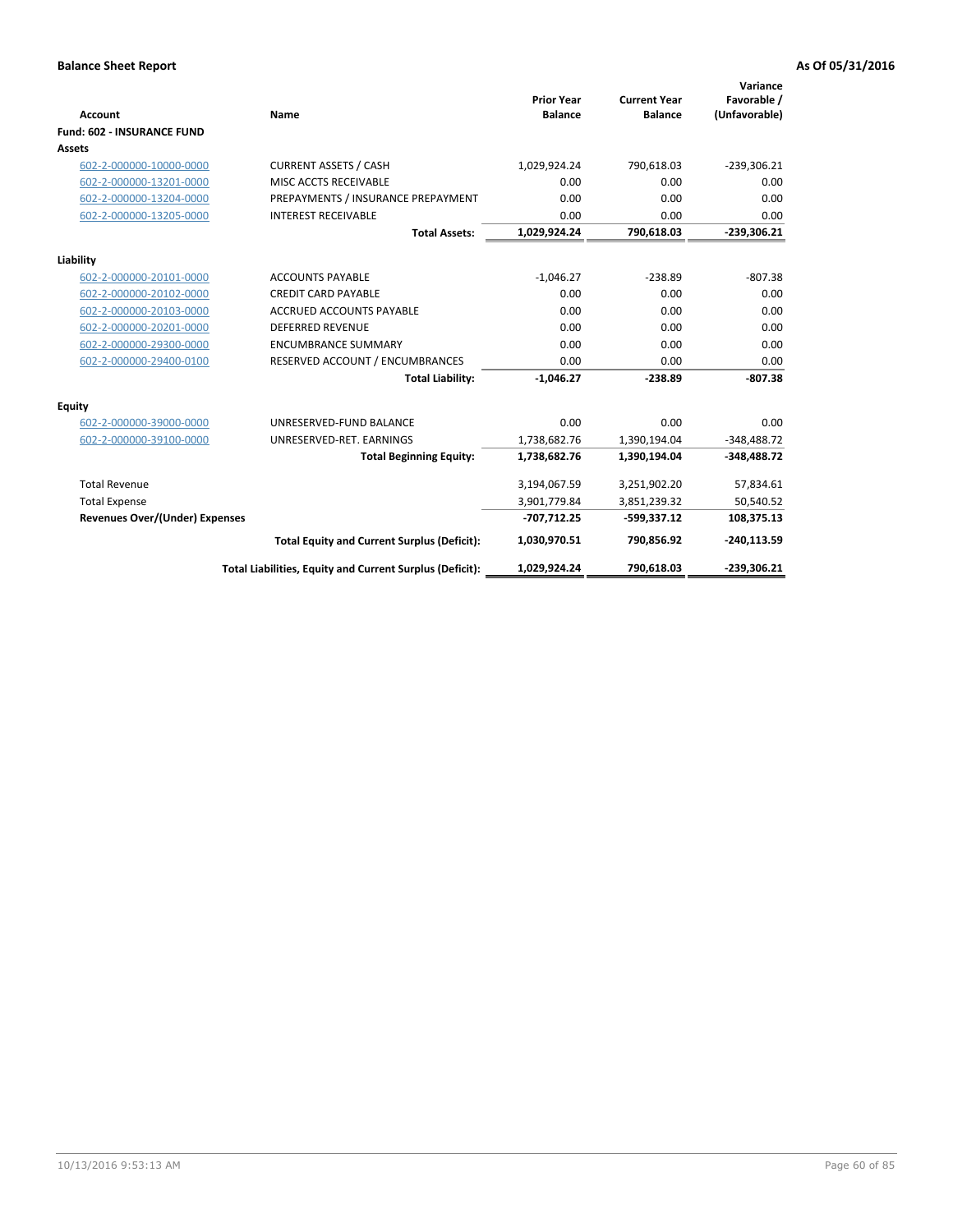|                                       |                                                          |                                     |                                       | Variance                     |
|---------------------------------------|----------------------------------------------------------|-------------------------------------|---------------------------------------|------------------------------|
| <b>Account</b>                        | <b>Name</b>                                              | <b>Prior Year</b><br><b>Balance</b> | <b>Current Year</b><br><b>Balance</b> | Favorable /<br>(Unfavorable) |
| <b>Fund: 602 - INSURANCE FUND</b>     |                                                          |                                     |                                       |                              |
| <b>Assets</b>                         |                                                          |                                     |                                       |                              |
| 602-2-000000-10000-0000               | <b>CURRENT ASSETS / CASH</b>                             | 1,029,924.24                        | 790,618.03                            | $-239,306.21$                |
| 602-2-000000-13201-0000               | MISC ACCTS RECEIVABLE                                    | 0.00                                | 0.00                                  | 0.00                         |
| 602-2-000000-13204-0000               | PREPAYMENTS / INSURANCE PREPAYMENT                       | 0.00                                | 0.00                                  | 0.00                         |
| 602-2-000000-13205-0000               | <b>INTEREST RECEIVABLE</b>                               | 0.00                                | 0.00                                  | 0.00                         |
|                                       | <b>Total Assets:</b>                                     | 1,029,924.24                        | 790,618.03                            | $-239,306.21$                |
| Liability                             |                                                          |                                     |                                       |                              |
| 602-2-000000-20101-0000               | <b>ACCOUNTS PAYABLE</b>                                  | $-1,046.27$                         | $-238.89$                             | $-807.38$                    |
| 602-2-000000-20102-0000               | <b>CREDIT CARD PAYABLE</b>                               | 0.00                                | 0.00                                  | 0.00                         |
| 602-2-000000-20103-0000               | <b>ACCRUED ACCOUNTS PAYABLE</b>                          | 0.00                                | 0.00                                  | 0.00                         |
| 602-2-000000-20201-0000               | <b>DEFERRED REVENUE</b>                                  | 0.00                                | 0.00                                  | 0.00                         |
| 602-2-000000-29300-0000               | <b>ENCUMBRANCE SUMMARY</b>                               | 0.00                                | 0.00                                  | 0.00                         |
| 602-2-000000-29400-0100               | RESERVED ACCOUNT / ENCUMBRANCES                          | 0.00                                | 0.00                                  | 0.00                         |
|                                       | <b>Total Liability:</b>                                  | $-1,046.27$                         | $-238.89$                             | $-807.38$                    |
| <b>Equity</b>                         |                                                          |                                     |                                       |                              |
| 602-2-000000-39000-0000               | UNRESERVED-FUND BALANCE                                  | 0.00                                | 0.00                                  | 0.00                         |
| 602-2-000000-39100-0000               | UNRESERVED-RET. EARNINGS                                 | 1,738,682.76                        | 1,390,194.04                          | $-348,488.72$                |
|                                       | <b>Total Beginning Equity:</b>                           | 1,738,682.76                        | 1,390,194.04                          | $-348,488.72$                |
| <b>Total Revenue</b>                  |                                                          | 3,194,067.59                        | 3,251,902.20                          | 57,834.61                    |
| <b>Total Expense</b>                  |                                                          | 3,901,779.84                        | 3,851,239.32                          | 50,540.52                    |
| <b>Revenues Over/(Under) Expenses</b> |                                                          | $-707,712.25$                       | $-599,337.12$                         | 108,375.13                   |
|                                       | <b>Total Equity and Current Surplus (Deficit):</b>       | 1,030,970.51                        | 790,856.92                            | $-240,113.59$                |
|                                       | Total Liabilities, Equity and Current Surplus (Deficit): | 1,029,924.24                        | 790,618.03                            | $-239.306.21$                |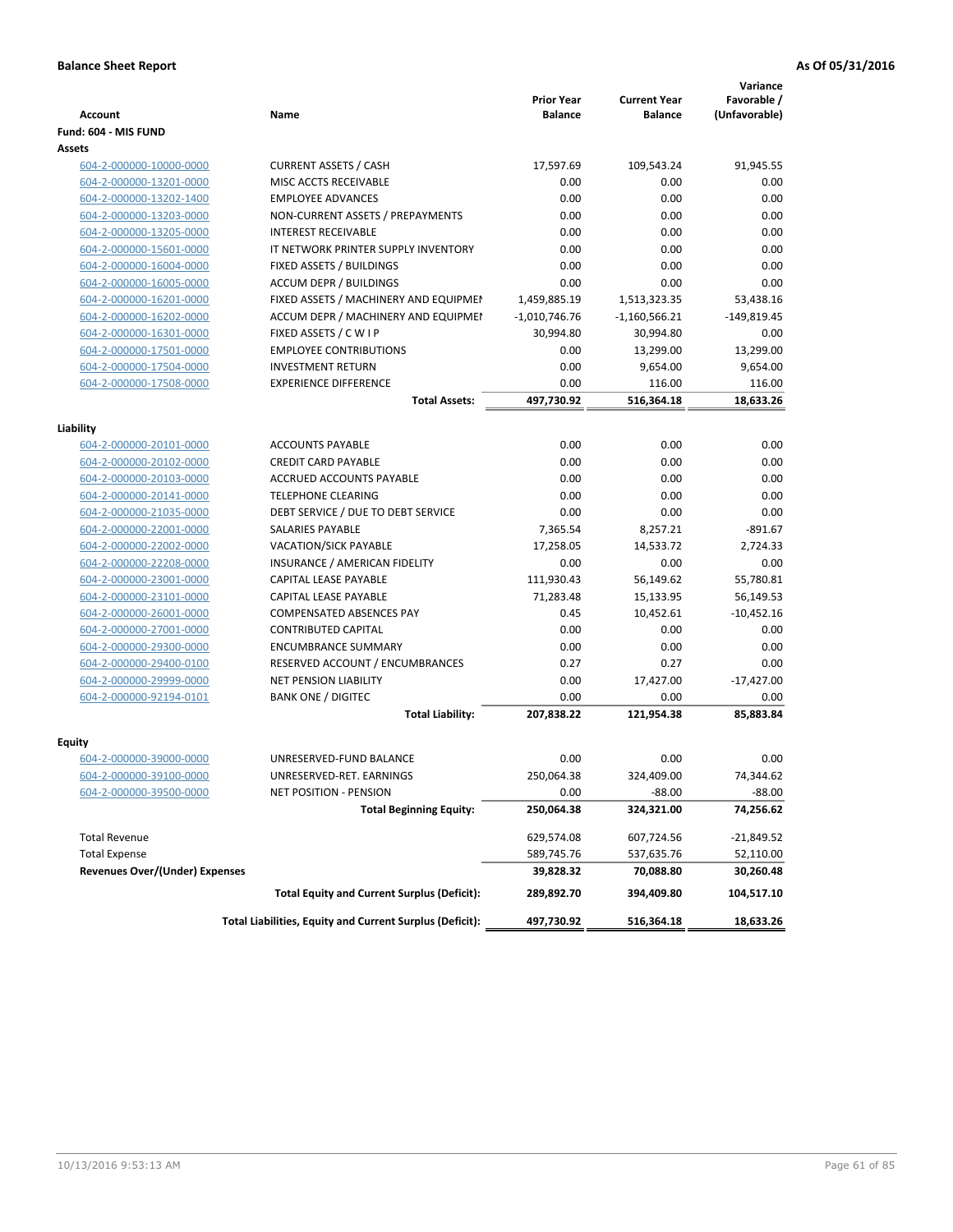|                                                    |                                                          | <b>Prior Year</b> | <b>Current Year</b> | Variance<br>Favorable / |
|----------------------------------------------------|----------------------------------------------------------|-------------------|---------------------|-------------------------|
| <b>Account</b>                                     | <b>Name</b>                                              | <b>Balance</b>    | <b>Balance</b>      | (Unfavorable)           |
| Fund: 604 - MIS FUND                               |                                                          |                   |                     |                         |
| Assets                                             |                                                          |                   |                     |                         |
| 604-2-000000-10000-0000                            | <b>CURRENT ASSETS / CASH</b>                             | 17,597.69         | 109,543.24          | 91,945.55               |
| 604-2-000000-13201-0000                            | MISC ACCTS RECEIVABLE                                    | 0.00              | 0.00                | 0.00                    |
| 604-2-000000-13202-1400                            | <b>EMPLOYEE ADVANCES</b>                                 | 0.00              | 0.00                | 0.00                    |
| 604-2-000000-13203-0000                            | NON-CURRENT ASSETS / PREPAYMENTS                         | 0.00              | 0.00                | 0.00                    |
| 604-2-000000-13205-0000                            | <b>INTEREST RECEIVABLE</b>                               | 0.00              | 0.00                | 0.00                    |
| 604-2-000000-15601-0000                            | IT NETWORK PRINTER SUPPLY INVENTORY                      | 0.00              | 0.00                | 0.00                    |
| 604-2-000000-16004-0000                            | <b>FIXED ASSETS / BUILDINGS</b>                          | 0.00              | 0.00                | 0.00                    |
| 604-2-000000-16005-0000                            | <b>ACCUM DEPR / BUILDINGS</b>                            | 0.00              | 0.00                | 0.00                    |
| 604-2-000000-16201-0000                            | FIXED ASSETS / MACHINERY AND EQUIPMEN                    | 1,459,885.19      | 1,513,323.35        | 53,438.16               |
| 604-2-000000-16202-0000                            | ACCUM DEPR / MACHINERY AND EQUIPMEI                      | $-1,010,746.76$   | $-1,160,566.21$     | $-149,819.45$           |
| 604-2-000000-16301-0000                            | FIXED ASSETS / C W I P                                   | 30,994.80         | 30,994.80           | 0.00                    |
| 604-2-000000-17501-0000                            | <b>EMPLOYEE CONTRIBUTIONS</b>                            | 0.00              | 13,299.00           | 13,299.00               |
| 604-2-000000-17504-0000                            | <b>INVESTMENT RETURN</b>                                 | 0.00              | 9,654.00            | 9,654.00                |
| 604-2-000000-17508-0000                            | <b>EXPERIENCE DIFFERENCE</b>                             | 0.00              | 116.00              | 116.00                  |
|                                                    | <b>Total Assets:</b>                                     | 497,730.92        | 516,364.18          | 18,633.26               |
|                                                    |                                                          |                   |                     |                         |
| Liability                                          |                                                          |                   |                     |                         |
| 604-2-000000-20101-0000                            | <b>ACCOUNTS PAYABLE</b>                                  | 0.00              | 0.00                | 0.00                    |
| 604-2-000000-20102-0000                            | <b>CREDIT CARD PAYABLE</b>                               | 0.00              | 0.00                | 0.00                    |
| 604-2-000000-20103-0000                            | <b>ACCRUED ACCOUNTS PAYABLE</b>                          | 0.00              | 0.00                | 0.00                    |
| 604-2-000000-20141-0000                            | <b>TELEPHONE CLEARING</b>                                | 0.00              | 0.00                | 0.00                    |
| 604-2-000000-21035-0000                            | DEBT SERVICE / DUE TO DEBT SERVICE                       | 0.00              | 0.00                | 0.00                    |
| 604-2-000000-22001-0000                            | SALARIES PAYABLE                                         | 7,365.54          | 8,257.21            | $-891.67$               |
| 604-2-000000-22002-0000                            | VACATION/SICK PAYABLE                                    | 17,258.05         | 14,533.72           | 2,724.33                |
| 604-2-000000-22208-0000                            | INSURANCE / AMERICAN FIDELITY                            | 0.00              | 0.00                | 0.00                    |
| 604-2-000000-23001-0000                            | CAPITAL LEASE PAYABLE                                    | 111,930.43        | 56,149.62           | 55,780.81               |
| 604-2-000000-23101-0000                            | <b>CAPITAL LEASE PAYABLE</b>                             | 71,283.48         | 15,133.95           | 56,149.53               |
| 604-2-000000-26001-0000                            | COMPENSATED ABSENCES PAY                                 | 0.45              | 10,452.61           | $-10,452.16$            |
| 604-2-000000-27001-0000                            | <b>CONTRIBUTED CAPITAL</b>                               | 0.00              | 0.00                | 0.00                    |
| 604-2-000000-29300-0000                            | <b>ENCUMBRANCE SUMMARY</b>                               | 0.00              | 0.00                | 0.00                    |
| 604-2-000000-29400-0100                            | RESERVED ACCOUNT / ENCUMBRANCES                          | 0.27              | 0.27                | 0.00                    |
| 604-2-000000-29999-0000                            | NET PENSION LIABILITY                                    | 0.00              | 17,427.00           | $-17,427.00$            |
| 604-2-000000-92194-0101                            | <b>BANK ONE / DIGITEC</b>                                | 0.00              | 0.00                | 0.00                    |
|                                                    | <b>Total Liability:</b>                                  | 207,838.22        | 121,954.38          | 85,883.84               |
| Equity                                             |                                                          |                   |                     |                         |
|                                                    | UNRESERVED-FUND BALANCE                                  | 0.00              | 0.00                | 0.00                    |
| 604-2-000000-39000-0000                            |                                                          | 250,064.38        | 324,409.00          | 74,344.62               |
| 604-2-000000-39100-0000<br>604-2-000000-39500-0000 | UNRESERVED-RET. EARNINGS<br>NET POSITION - PENSION       | 0.00              | $-88.00$            | $-88.00$                |
|                                                    |                                                          |                   |                     | 74,256.62               |
|                                                    | <b>Total Beginning Equity:</b>                           | 250,064.38        | 324,321.00          |                         |
| <b>Total Revenue</b>                               |                                                          | 629,574.08        | 607,724.56          | -21,849.52              |
| <b>Total Expense</b>                               |                                                          | 589,745.76        | 537,635.76          | 52,110.00               |
| <b>Revenues Over/(Under) Expenses</b>              |                                                          | 39,828.32         | 70,088.80           | 30,260.48               |
|                                                    | <b>Total Equity and Current Surplus (Deficit):</b>       | 289,892.70        | 394,409.80          | 104,517.10              |
|                                                    | Total Liabilities, Equity and Current Surplus (Deficit): | 497,730.92        | 516,364.18          | 18,633.26               |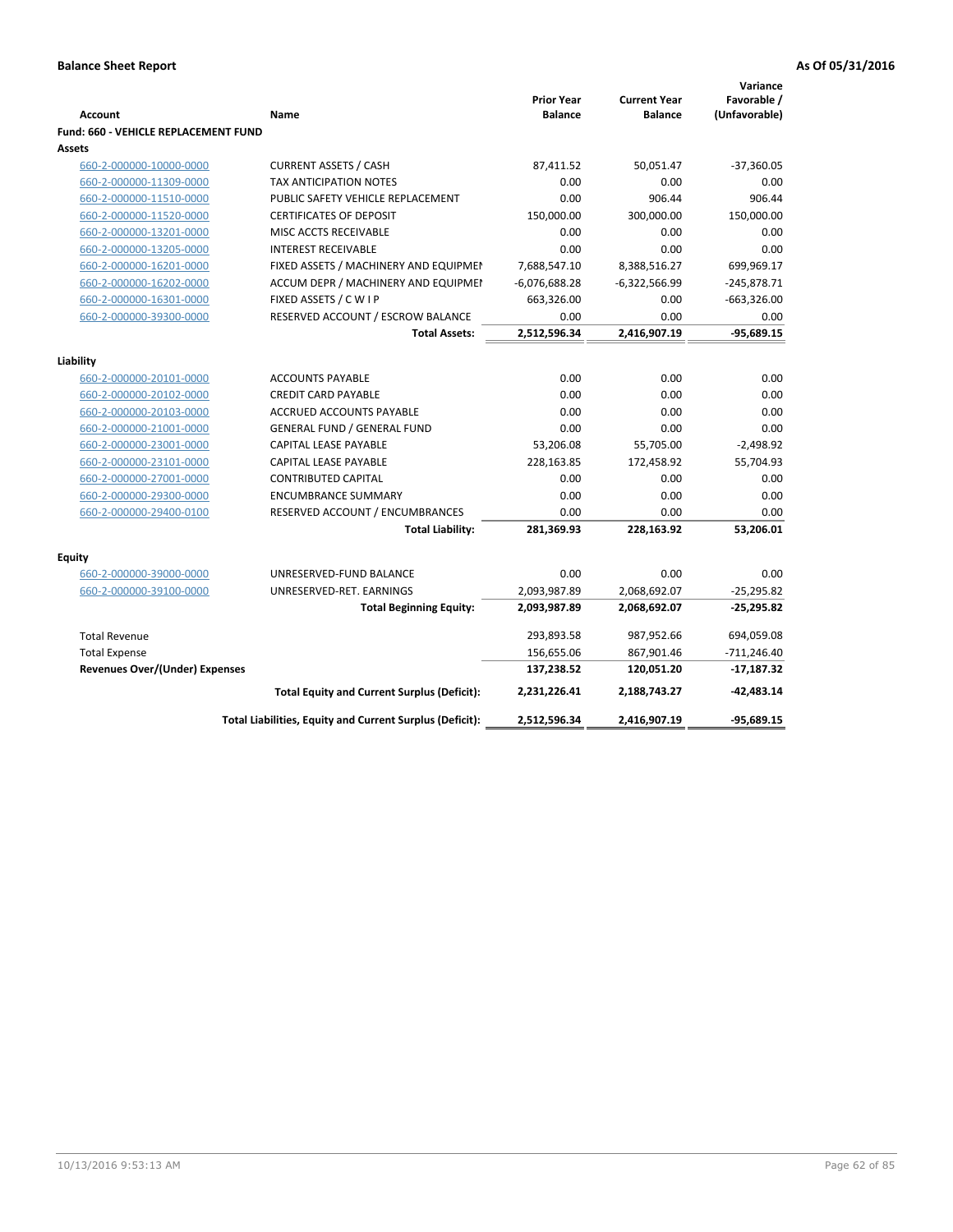|                                      |                                                          |                                     |                                       | Variance                     |
|--------------------------------------|----------------------------------------------------------|-------------------------------------|---------------------------------------|------------------------------|
| <b>Account</b>                       | Name                                                     | <b>Prior Year</b><br><b>Balance</b> | <b>Current Year</b><br><b>Balance</b> | Favorable /<br>(Unfavorable) |
| Fund: 660 - VEHICLE REPLACEMENT FUND |                                                          |                                     |                                       |                              |
| Assets                               |                                                          |                                     |                                       |                              |
| 660-2-000000-10000-0000              | <b>CURRENT ASSETS / CASH</b>                             | 87,411.52                           | 50,051.47                             | $-37,360.05$                 |
| 660-2-000000-11309-0000              | <b>TAX ANTICIPATION NOTES</b>                            | 0.00                                | 0.00                                  | 0.00                         |
| 660-2-000000-11510-0000              | PUBLIC SAFETY VEHICLE REPLACEMENT                        | 0.00                                | 906.44                                | 906.44                       |
| 660-2-000000-11520-0000              | <b>CERTIFICATES OF DEPOSIT</b>                           | 150,000.00                          | 300,000.00                            | 150,000.00                   |
| 660-2-000000-13201-0000              | MISC ACCTS RECEIVABLE                                    | 0.00                                | 0.00                                  | 0.00                         |
| 660-2-000000-13205-0000              | <b>INTEREST RECEIVABLE</b>                               | 0.00                                | 0.00                                  | 0.00                         |
| 660-2-000000-16201-0000              | FIXED ASSETS / MACHINERY AND EQUIPMEN                    | 7,688,547.10                        | 8,388,516.27                          | 699,969.17                   |
| 660-2-000000-16202-0000              | ACCUM DEPR / MACHINERY AND EQUIPMEI                      | $-6,076,688.28$                     | $-6,322,566.99$                       | $-245,878.71$                |
| 660-2-000000-16301-0000              | FIXED ASSETS / C W I P                                   | 663,326.00                          | 0.00                                  | $-663,326.00$                |
| 660-2-000000-39300-0000              | RESERVED ACCOUNT / ESCROW BALANCE                        | 0.00                                | 0.00                                  | 0.00                         |
|                                      | <b>Total Assets:</b>                                     | 2,512,596.34                        | 2,416,907.19                          | $-95,689.15$                 |
|                                      |                                                          |                                     |                                       |                              |
| Liability                            |                                                          |                                     |                                       |                              |
| 660-2-000000-20101-0000              | <b>ACCOUNTS PAYABLE</b>                                  | 0.00                                | 0.00                                  | 0.00                         |
| 660-2-000000-20102-0000              | <b>CREDIT CARD PAYABLE</b>                               | 0.00                                | 0.00                                  | 0.00                         |
| 660-2-000000-20103-0000              | <b>ACCRUED ACCOUNTS PAYABLE</b>                          | 0.00                                | 0.00                                  | 0.00                         |
| 660-2-000000-21001-0000              | <b>GENERAL FUND / GENERAL FUND</b>                       | 0.00                                | 0.00                                  | 0.00                         |
| 660-2-000000-23001-0000              | <b>CAPITAL LEASE PAYABLE</b>                             | 53,206.08                           | 55,705.00                             | $-2,498.92$                  |
| 660-2-000000-23101-0000              | <b>CAPITAL LEASE PAYABLE</b>                             | 228,163.85                          | 172,458.92                            | 55,704.93                    |
| 660-2-000000-27001-0000              | <b>CONTRIBUTED CAPITAL</b>                               | 0.00                                | 0.00                                  | 0.00                         |
| 660-2-000000-29300-0000              | <b>ENCUMBRANCE SUMMARY</b>                               | 0.00                                | 0.00                                  | 0.00                         |
| 660-2-000000-29400-0100              | RESERVED ACCOUNT / ENCUMBRANCES                          | 0.00                                | 0.00                                  | 0.00                         |
|                                      | <b>Total Liability:</b>                                  | 281,369.93                          | 228,163.92                            | 53,206.01                    |
| <b>Equity</b>                        |                                                          |                                     |                                       |                              |
| 660-2-000000-39000-0000              | UNRESERVED-FUND BALANCE                                  | 0.00                                | 0.00                                  | 0.00                         |
| 660-2-000000-39100-0000              | UNRESERVED-RET. EARNINGS                                 | 2,093,987.89                        | 2,068,692.07                          | $-25,295.82$                 |
|                                      | <b>Total Beginning Equity:</b>                           | 2,093,987.89                        | 2,068,692.07                          | $-25,295.82$                 |
| <b>Total Revenue</b>                 |                                                          | 293,893.58                          | 987,952.66                            | 694,059.08                   |
| <b>Total Expense</b>                 |                                                          | 156,655.06                          | 867,901.46                            | $-711,246.40$                |
| Revenues Over/(Under) Expenses       |                                                          | 137,238.52                          | 120,051.20                            | $-17,187.32$                 |
|                                      | <b>Total Equity and Current Surplus (Deficit):</b>       | 2,231,226.41                        | 2,188,743.27                          | $-42,483.14$                 |
|                                      | Total Liabilities, Equity and Current Surplus (Deficit): | 2,512,596.34                        | 2,416,907.19                          | $-95,689.15$                 |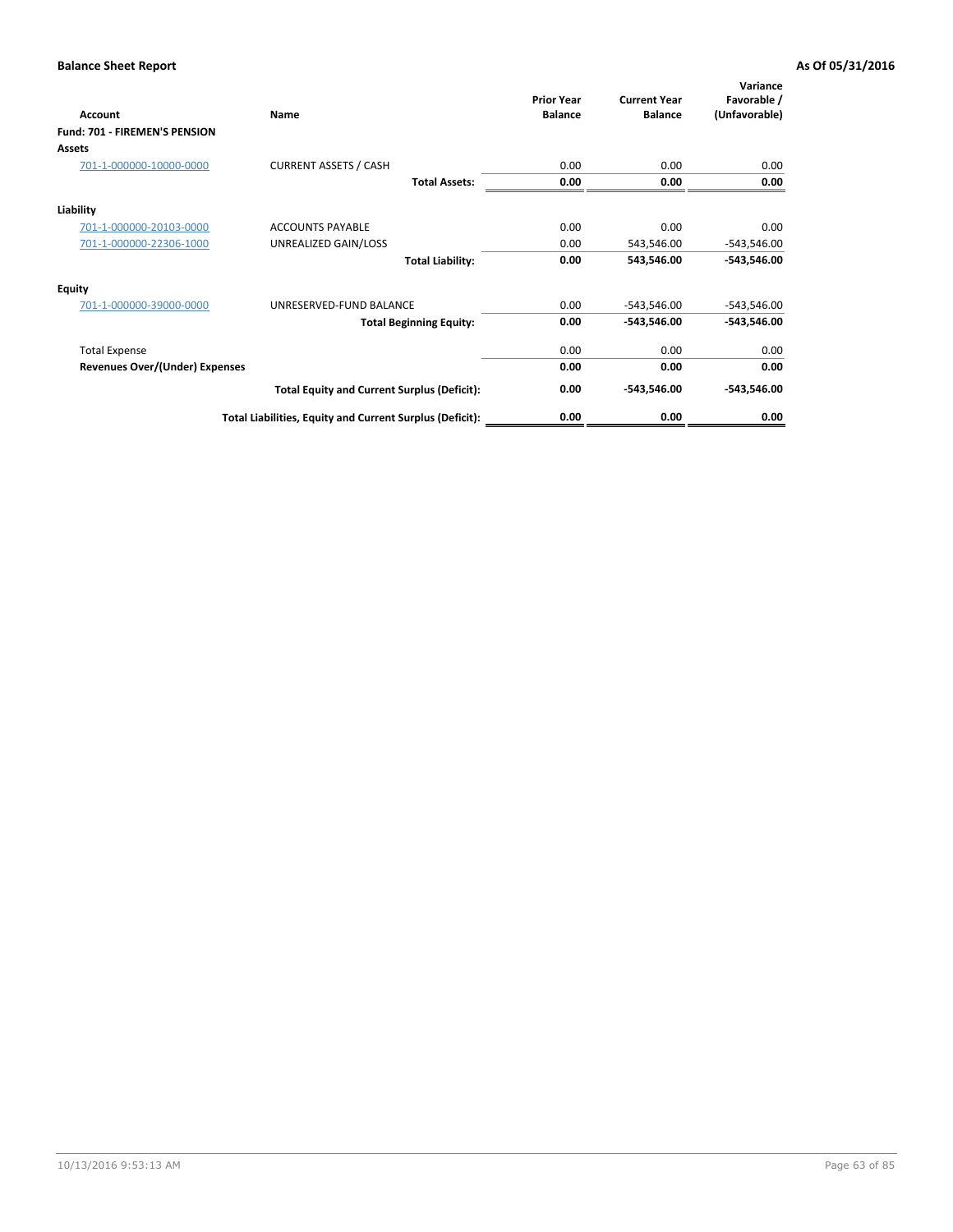| Account                               | Name                                                     | <b>Prior Year</b><br><b>Balance</b> | <b>Current Year</b><br><b>Balance</b> | Variance<br>Favorable /<br>(Unfavorable) |
|---------------------------------------|----------------------------------------------------------|-------------------------------------|---------------------------------------|------------------------------------------|
| <b>Fund: 701 - FIREMEN'S PENSION</b>  |                                                          |                                     |                                       |                                          |
| <b>Assets</b>                         |                                                          |                                     |                                       |                                          |
| 701-1-000000-10000-0000               | <b>CURRENT ASSETS / CASH</b>                             | 0.00                                | 0.00                                  | 0.00                                     |
|                                       | <b>Total Assets:</b>                                     | 0.00                                | 0.00                                  | 0.00                                     |
| Liability                             |                                                          |                                     |                                       |                                          |
| 701-1-000000-20103-0000               | <b>ACCOUNTS PAYABLE</b>                                  | 0.00                                | 0.00                                  | 0.00                                     |
| 701-1-000000-22306-1000               | UNREALIZED GAIN/LOSS                                     | 0.00                                | 543,546.00                            | $-543,546.00$                            |
|                                       | <b>Total Liability:</b>                                  | 0.00                                | 543,546.00                            | $-543,546.00$                            |
| <b>Equity</b>                         |                                                          |                                     |                                       |                                          |
| 701-1-000000-39000-0000               | UNRESERVED-FUND BALANCE                                  | 0.00                                | $-543,546.00$                         | $-543,546.00$                            |
|                                       | <b>Total Beginning Equity:</b>                           | 0.00                                | -543,546.00                           | -543,546.00                              |
| <b>Total Expense</b>                  |                                                          | 0.00                                | 0.00                                  | 0.00                                     |
| <b>Revenues Over/(Under) Expenses</b> |                                                          | 0.00                                | 0.00                                  | 0.00                                     |
|                                       | <b>Total Equity and Current Surplus (Deficit):</b>       | 0.00                                | -543,546.00                           | $-543,546.00$                            |
|                                       | Total Liabilities, Equity and Current Surplus (Deficit): | 0.00                                | 0.00                                  | 0.00                                     |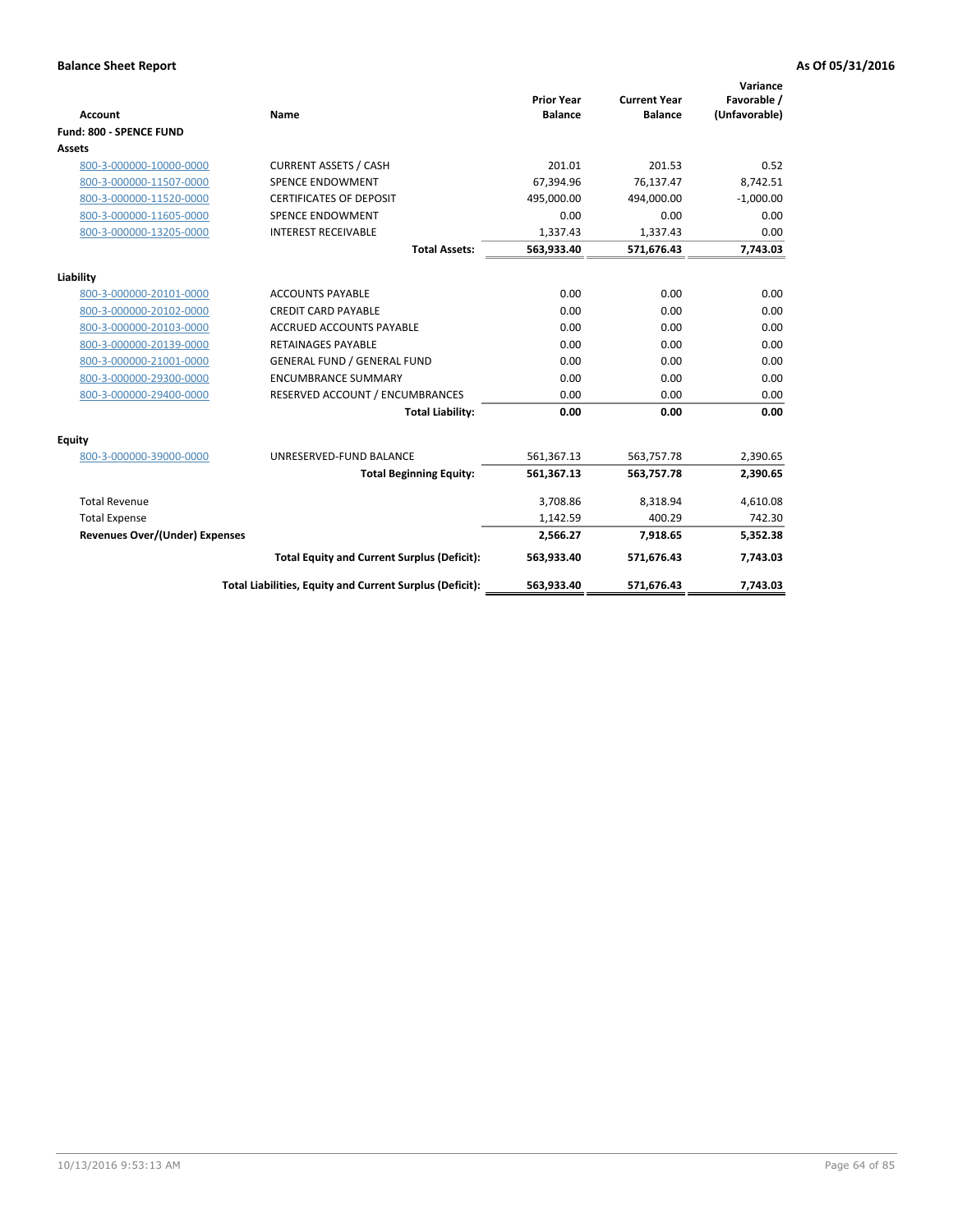|                                       |                                                          |                                     |                                       | Variance                     |
|---------------------------------------|----------------------------------------------------------|-------------------------------------|---------------------------------------|------------------------------|
| <b>Account</b>                        | Name                                                     | <b>Prior Year</b><br><b>Balance</b> | <b>Current Year</b><br><b>Balance</b> | Favorable /<br>(Unfavorable) |
| Fund: 800 - SPENCE FUND               |                                                          |                                     |                                       |                              |
| Assets                                |                                                          |                                     |                                       |                              |
| 800-3-000000-10000-0000               | <b>CURRENT ASSETS / CASH</b>                             | 201.01                              | 201.53                                | 0.52                         |
| 800-3-000000-11507-0000               | <b>SPENCE ENDOWMENT</b>                                  | 67,394.96                           | 76,137.47                             | 8,742.51                     |
| 800-3-000000-11520-0000               | <b>CERTIFICATES OF DEPOSIT</b>                           | 495,000.00                          | 494,000.00                            | $-1,000.00$                  |
| 800-3-000000-11605-0000               | <b>SPENCE ENDOWMENT</b>                                  | 0.00                                | 0.00                                  | 0.00                         |
| 800-3-000000-13205-0000               | <b>INTEREST RECEIVABLE</b>                               | 1,337.43                            | 1,337.43                              | 0.00                         |
|                                       | <b>Total Assets:</b>                                     | 563,933.40                          | 571,676.43                            | 7,743.03                     |
| Liability                             |                                                          |                                     |                                       |                              |
| 800-3-000000-20101-0000               | <b>ACCOUNTS PAYABLE</b>                                  | 0.00                                | 0.00                                  | 0.00                         |
| 800-3-000000-20102-0000               | <b>CREDIT CARD PAYABLE</b>                               | 0.00                                | 0.00                                  | 0.00                         |
| 800-3-000000-20103-0000               | <b>ACCRUED ACCOUNTS PAYABLE</b>                          | 0.00                                | 0.00                                  | 0.00                         |
| 800-3-000000-20139-0000               | <b>RETAINAGES PAYABLE</b>                                | 0.00                                | 0.00                                  | 0.00                         |
| 800-3-000000-21001-0000               | <b>GENERAL FUND / GENERAL FUND</b>                       | 0.00                                | 0.00                                  | 0.00                         |
| 800-3-000000-29300-0000               | <b>ENCUMBRANCE SUMMARY</b>                               | 0.00                                | 0.00                                  | 0.00                         |
| 800-3-000000-29400-0000               | RESERVED ACCOUNT / ENCUMBRANCES                          | 0.00                                | 0.00                                  | 0.00                         |
|                                       | <b>Total Liability:</b>                                  | 0.00                                | 0.00                                  | 0.00                         |
| Equity                                |                                                          |                                     |                                       |                              |
| 800-3-000000-39000-0000               | UNRESERVED-FUND BALANCE                                  | 561,367.13                          | 563,757.78                            | 2,390.65                     |
|                                       | <b>Total Beginning Equity:</b>                           | 561,367.13                          | 563,757.78                            | 2,390.65                     |
| <b>Total Revenue</b>                  |                                                          | 3,708.86                            | 8,318.94                              | 4,610.08                     |
| <b>Total Expense</b>                  |                                                          | 1,142.59                            | 400.29                                | 742.30                       |
| <b>Revenues Over/(Under) Expenses</b> |                                                          | 2,566.27                            | 7,918.65                              | 5,352.38                     |
|                                       | <b>Total Equity and Current Surplus (Deficit):</b>       | 563,933.40                          | 571,676.43                            | 7,743.03                     |
|                                       | Total Liabilities, Equity and Current Surplus (Deficit): | 563,933.40                          | 571,676.43                            | 7,743.03                     |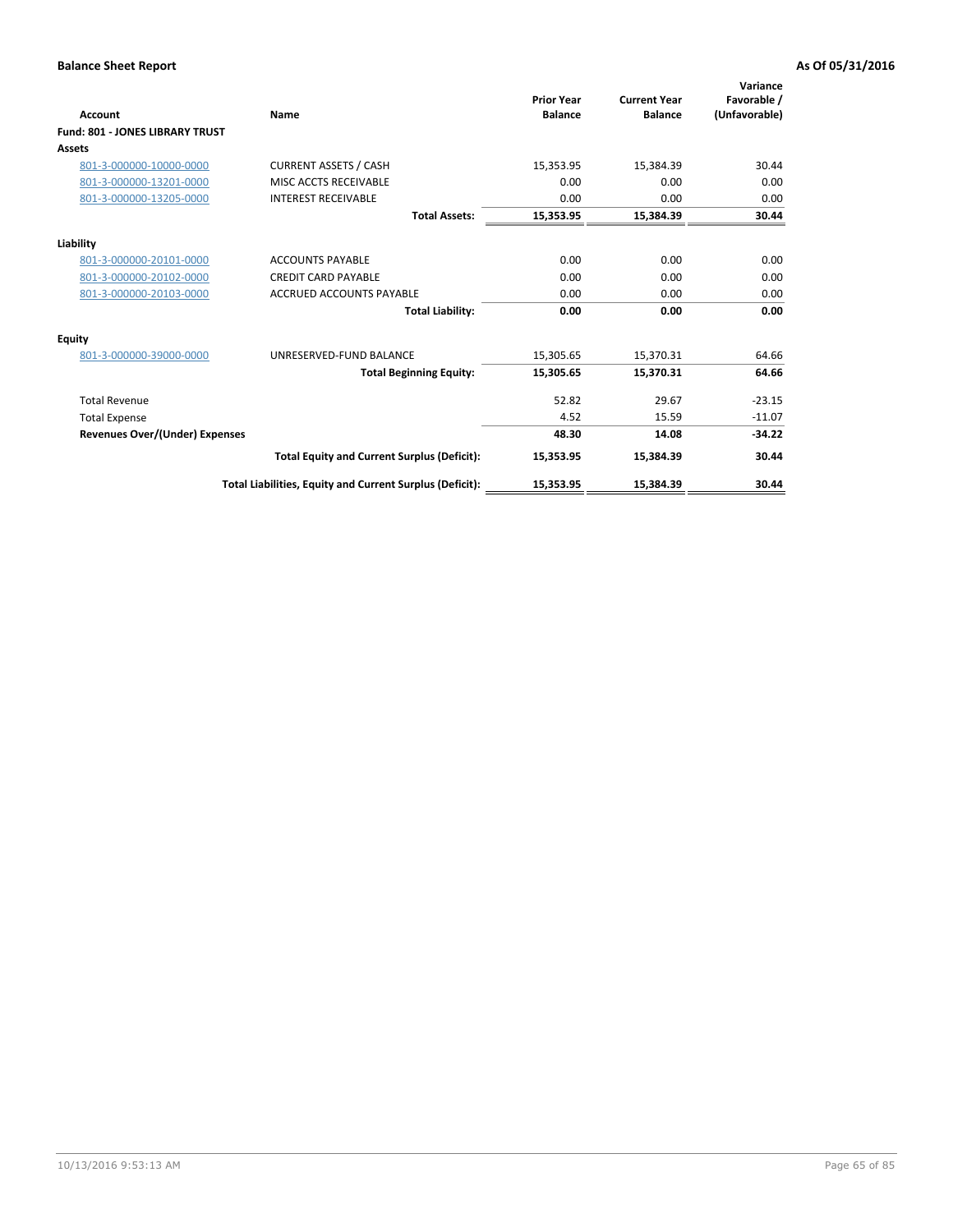|                                        |                                                          | <b>Prior Year</b> | <b>Current Year</b> | Variance<br>Favorable / |
|----------------------------------------|----------------------------------------------------------|-------------------|---------------------|-------------------------|
| Account                                | Name                                                     | <b>Balance</b>    | <b>Balance</b>      | (Unfavorable)           |
| <b>Fund: 801 - JONES LIBRARY TRUST</b> |                                                          |                   |                     |                         |
| Assets                                 |                                                          |                   |                     |                         |
| 801-3-000000-10000-0000                | <b>CURRENT ASSETS / CASH</b>                             | 15,353.95         | 15,384.39           | 30.44                   |
| 801-3-000000-13201-0000                | MISC ACCTS RECEIVABLE                                    | 0.00              | 0.00                | 0.00                    |
| 801-3-000000-13205-0000                | <b>INTEREST RECEIVABLE</b>                               | 0.00              | 0.00                | 0.00                    |
|                                        | <b>Total Assets:</b>                                     | 15,353.95         | 15,384.39           | 30.44                   |
| Liability                              |                                                          |                   |                     |                         |
| 801-3-000000-20101-0000                | <b>ACCOUNTS PAYABLE</b>                                  | 0.00              | 0.00                | 0.00                    |
| 801-3-000000-20102-0000                | <b>CREDIT CARD PAYABLE</b>                               | 0.00              | 0.00                | 0.00                    |
| 801-3-000000-20103-0000                | <b>ACCRUED ACCOUNTS PAYABLE</b>                          | 0.00              | 0.00                | 0.00                    |
|                                        | <b>Total Liability:</b>                                  | 0.00              | 0.00                | 0.00                    |
| Equity                                 |                                                          |                   |                     |                         |
| 801-3-000000-39000-0000                | UNRESERVED-FUND BALANCE                                  | 15,305.65         | 15,370.31           | 64.66                   |
|                                        | <b>Total Beginning Equity:</b>                           | 15,305.65         | 15,370.31           | 64.66                   |
| <b>Total Revenue</b>                   |                                                          | 52.82             | 29.67               | $-23.15$                |
| <b>Total Expense</b>                   |                                                          | 4.52              | 15.59               | $-11.07$                |
| <b>Revenues Over/(Under) Expenses</b>  |                                                          | 48.30             | 14.08               | $-34.22$                |
|                                        | <b>Total Equity and Current Surplus (Deficit):</b>       | 15,353.95         | 15,384.39           | 30.44                   |
|                                        | Total Liabilities, Equity and Current Surplus (Deficit): | 15,353.95         | 15,384.39           | 30.44                   |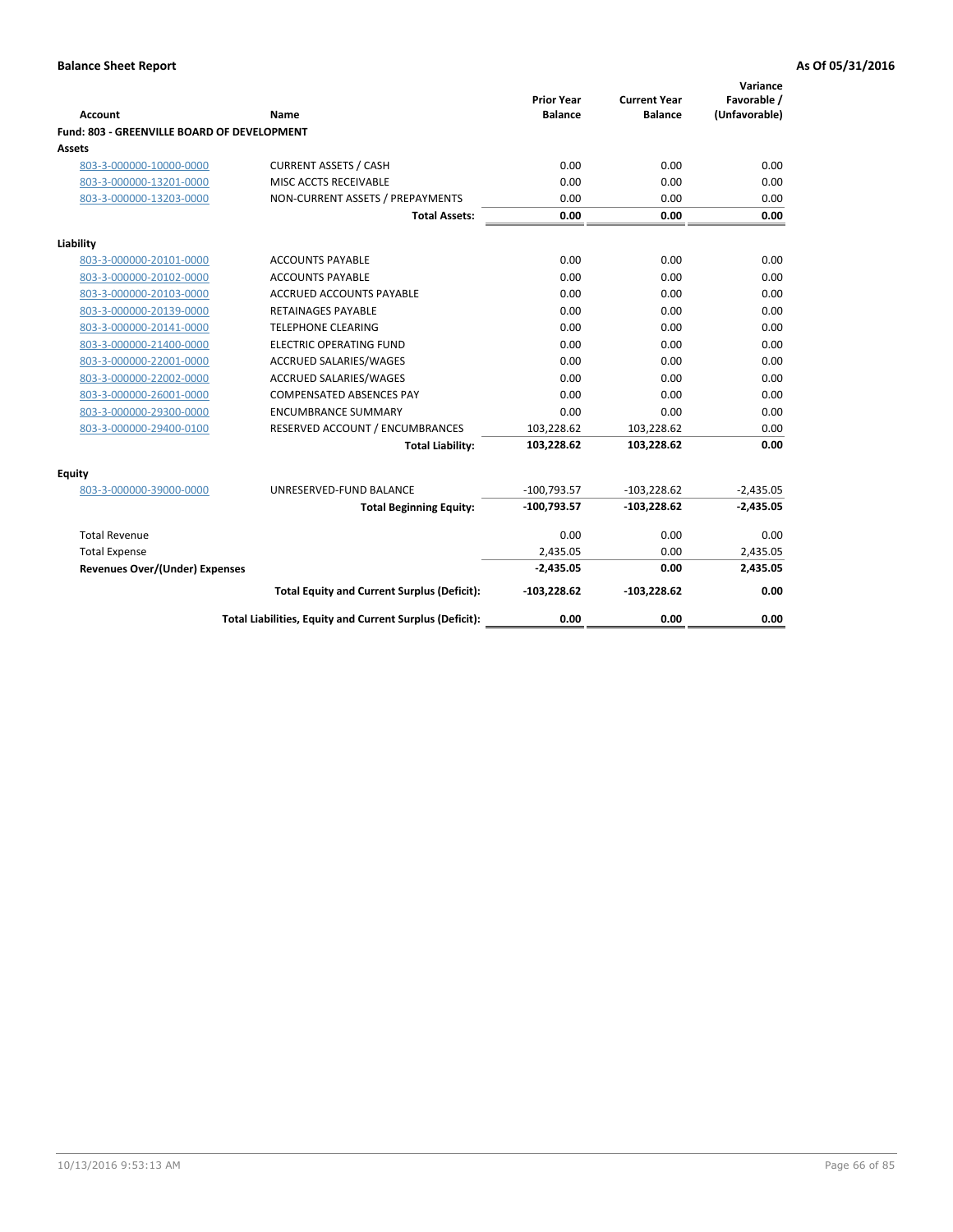| Account                                     | <b>Name</b>                                              | <b>Prior Year</b><br><b>Balance</b> | <b>Current Year</b><br><b>Balance</b> | Variance<br>Favorable /<br>(Unfavorable) |
|---------------------------------------------|----------------------------------------------------------|-------------------------------------|---------------------------------------|------------------------------------------|
| Fund: 803 - GREENVILLE BOARD OF DEVELOPMENT |                                                          |                                     |                                       |                                          |
| Assets                                      |                                                          |                                     |                                       |                                          |
| 803-3-000000-10000-0000                     | <b>CURRENT ASSETS / CASH</b>                             | 0.00                                | 0.00                                  | 0.00                                     |
| 803-3-000000-13201-0000                     | MISC ACCTS RECEIVABLE                                    | 0.00                                | 0.00                                  | 0.00                                     |
| 803-3-000000-13203-0000                     | NON-CURRENT ASSETS / PREPAYMENTS                         | 0.00                                | 0.00                                  | 0.00                                     |
|                                             | <b>Total Assets:</b>                                     | 0.00                                | 0.00                                  | 0.00                                     |
| Liability                                   |                                                          |                                     |                                       |                                          |
| 803-3-000000-20101-0000                     | <b>ACCOUNTS PAYABLE</b>                                  | 0.00                                | 0.00                                  | 0.00                                     |
| 803-3-000000-20102-0000                     | <b>ACCOUNTS PAYABLE</b>                                  | 0.00                                | 0.00                                  | 0.00                                     |
| 803-3-000000-20103-0000                     | <b>ACCRUED ACCOUNTS PAYABLE</b>                          | 0.00                                | 0.00                                  | 0.00                                     |
| 803-3-000000-20139-0000                     | RETAINAGES PAYABLE                                       | 0.00                                | 0.00                                  | 0.00                                     |
| 803-3-000000-20141-0000                     | <b>TELEPHONE CLEARING</b>                                | 0.00                                | 0.00                                  | 0.00                                     |
| 803-3-000000-21400-0000                     | <b>ELECTRIC OPERATING FUND</b>                           | 0.00                                | 0.00                                  | 0.00                                     |
| 803-3-000000-22001-0000                     | ACCRUED SALARIES/WAGES                                   | 0.00                                | 0.00                                  | 0.00                                     |
| 803-3-000000-22002-0000                     | <b>ACCRUED SALARIES/WAGES</b>                            | 0.00                                | 0.00                                  | 0.00                                     |
| 803-3-000000-26001-0000                     | <b>COMPENSATED ABSENCES PAY</b>                          | 0.00                                | 0.00                                  | 0.00                                     |
| 803-3-000000-29300-0000                     | <b>ENCUMBRANCE SUMMARY</b>                               | 0.00                                | 0.00                                  | 0.00                                     |
| 803-3-000000-29400-0100                     | RESERVED ACCOUNT / ENCUMBRANCES                          | 103,228.62                          | 103,228.62                            | 0.00                                     |
|                                             | <b>Total Liability:</b>                                  | 103,228.62                          | 103,228.62                            | 0.00                                     |
| <b>Equity</b>                               |                                                          |                                     |                                       |                                          |
| 803-3-000000-39000-0000                     | UNRESERVED-FUND BALANCE                                  | $-100,793.57$                       | $-103,228.62$                         | $-2,435.05$                              |
|                                             | <b>Total Beginning Equity:</b>                           | $-100,793.57$                       | $-103,228.62$                         | $-2,435.05$                              |
| <b>Total Revenue</b>                        |                                                          | 0.00                                | 0.00                                  | 0.00                                     |
| <b>Total Expense</b>                        |                                                          | 2,435.05                            | 0.00                                  | 2,435.05                                 |
| <b>Revenues Over/(Under) Expenses</b>       |                                                          | $-2,435.05$                         | 0.00                                  | 2,435.05                                 |
|                                             | <b>Total Equity and Current Surplus (Deficit):</b>       | $-103,228.62$                       | $-103,228.62$                         | 0.00                                     |
|                                             | Total Liabilities, Equity and Current Surplus (Deficit): | 0.00                                | 0.00                                  | 0.00                                     |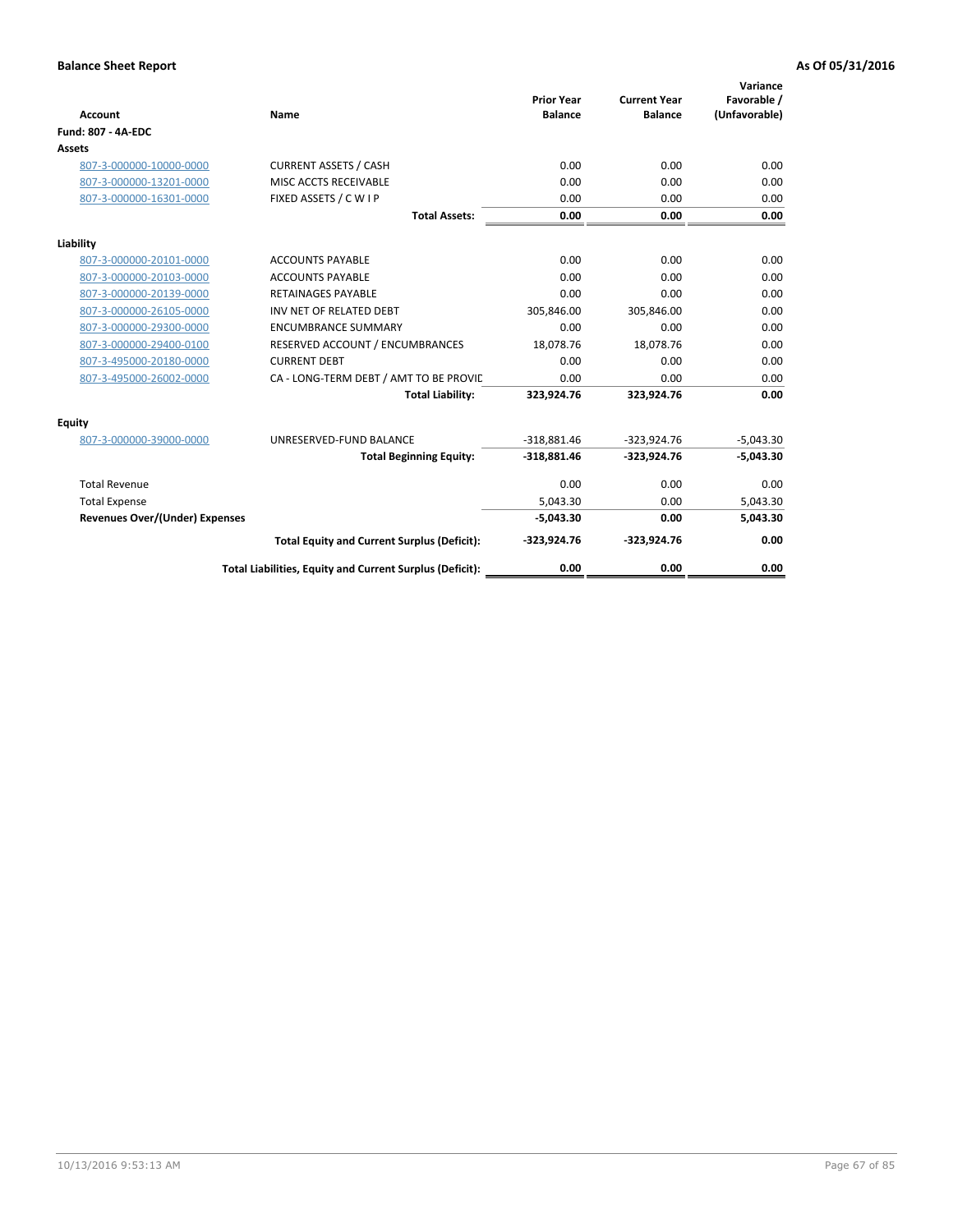| <b>Account</b>                 | Name                                                     | <b>Prior Year</b><br><b>Balance</b> | <b>Current Year</b><br><b>Balance</b> | Variance<br>Favorable /<br>(Unfavorable) |
|--------------------------------|----------------------------------------------------------|-------------------------------------|---------------------------------------|------------------------------------------|
| <b>Fund: 807 - 4A-EDC</b>      |                                                          |                                     |                                       |                                          |
| <b>Assets</b>                  |                                                          |                                     |                                       |                                          |
| 807-3-000000-10000-0000        | <b>CURRENT ASSETS / CASH</b>                             | 0.00                                | 0.00                                  | 0.00                                     |
| 807-3-000000-13201-0000        | MISC ACCTS RECEIVABLE                                    | 0.00                                | 0.00                                  | 0.00                                     |
| 807-3-000000-16301-0000        | FIXED ASSETS / C W I P                                   | 0.00                                | 0.00                                  | 0.00                                     |
|                                | <b>Total Assets:</b>                                     | 0.00                                | 0.00                                  | 0.00                                     |
| Liability                      |                                                          |                                     |                                       |                                          |
| 807-3-000000-20101-0000        | <b>ACCOUNTS PAYABLE</b>                                  | 0.00                                | 0.00                                  | 0.00                                     |
| 807-3-000000-20103-0000        | <b>ACCOUNTS PAYABLE</b>                                  | 0.00                                | 0.00                                  | 0.00                                     |
| 807-3-000000-20139-0000        | <b>RETAINAGES PAYABLE</b>                                | 0.00                                | 0.00                                  | 0.00                                     |
| 807-3-000000-26105-0000        | INV NET OF RELATED DEBT                                  | 305,846.00                          | 305,846.00                            | 0.00                                     |
| 807-3-000000-29300-0000        | <b>ENCUMBRANCE SUMMARY</b>                               | 0.00                                | 0.00                                  | 0.00                                     |
| 807-3-000000-29400-0100        | RESERVED ACCOUNT / ENCUMBRANCES                          | 18,078.76                           | 18,078.76                             | 0.00                                     |
| 807-3-495000-20180-0000        | <b>CURRENT DEBT</b>                                      | 0.00                                | 0.00                                  | 0.00                                     |
| 807-3-495000-26002-0000        | CA - LONG-TERM DEBT / AMT TO BE PROVIL                   | 0.00                                | 0.00                                  | 0.00                                     |
|                                | <b>Total Liability:</b>                                  | 323,924.76                          | 323,924.76                            | 0.00                                     |
| Equity                         |                                                          |                                     |                                       |                                          |
| 807-3-000000-39000-0000        | UNRESERVED-FUND BALANCE                                  | $-318,881.46$                       | $-323,924.76$                         | $-5,043.30$                              |
|                                | <b>Total Beginning Equity:</b>                           | $-318,881.46$                       | $-323,924.76$                         | $-5,043.30$                              |
| <b>Total Revenue</b>           |                                                          | 0.00                                | 0.00                                  | 0.00                                     |
| <b>Total Expense</b>           |                                                          | 5,043.30                            | 0.00                                  | 5,043.30                                 |
| Revenues Over/(Under) Expenses |                                                          | $-5,043.30$                         | 0.00                                  | 5,043.30                                 |
|                                | <b>Total Equity and Current Surplus (Deficit):</b>       | $-323,924.76$                       | $-323,924.76$                         | 0.00                                     |
|                                | Total Liabilities, Equity and Current Surplus (Deficit): | 0.00                                | 0.00                                  | 0.00                                     |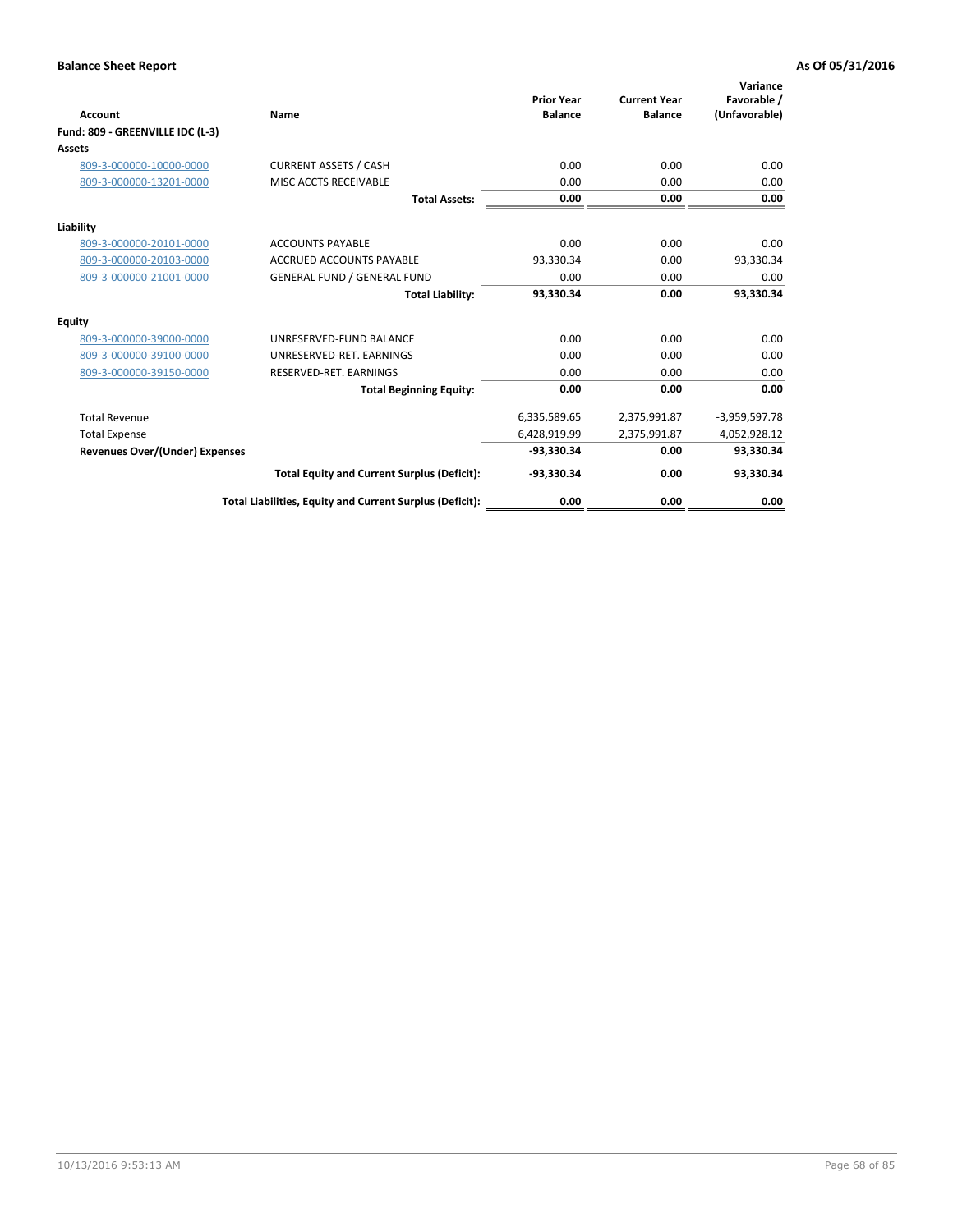| <b>Account</b>                        | <b>Name</b>                                              | <b>Prior Year</b><br><b>Balance</b> | <b>Current Year</b><br><b>Balance</b> | Variance<br>Favorable /<br>(Unfavorable) |
|---------------------------------------|----------------------------------------------------------|-------------------------------------|---------------------------------------|------------------------------------------|
| Fund: 809 - GREENVILLE IDC (L-3)      |                                                          |                                     |                                       |                                          |
| Assets                                |                                                          |                                     |                                       |                                          |
| 809-3-000000-10000-0000               | <b>CURRENT ASSETS / CASH</b>                             | 0.00                                | 0.00                                  | 0.00                                     |
| 809-3-000000-13201-0000               | MISC ACCTS RECEIVABLE                                    | 0.00                                | 0.00                                  | 0.00                                     |
|                                       | <b>Total Assets:</b>                                     | 0.00                                | 0.00                                  | 0.00                                     |
| Liability                             |                                                          |                                     |                                       |                                          |
| 809-3-000000-20101-0000               | <b>ACCOUNTS PAYABLE</b>                                  | 0.00                                | 0.00                                  | 0.00                                     |
| 809-3-000000-20103-0000               | <b>ACCRUED ACCOUNTS PAYABLE</b>                          | 93,330.34                           | 0.00                                  | 93,330.34                                |
| 809-3-000000-21001-0000               | <b>GENERAL FUND / GENERAL FUND</b>                       | 0.00                                | 0.00                                  | 0.00                                     |
|                                       | <b>Total Liability:</b>                                  | 93,330.34                           | 0.00                                  | 93,330.34                                |
| Equity                                |                                                          |                                     |                                       |                                          |
| 809-3-000000-39000-0000               | UNRESERVED-FUND BALANCE                                  | 0.00                                | 0.00                                  | 0.00                                     |
| 809-3-000000-39100-0000               | UNRESERVED-RET. EARNINGS                                 | 0.00                                | 0.00                                  | 0.00                                     |
| 809-3-000000-39150-0000               | RESERVED-RET. EARNINGS                                   | 0.00                                | 0.00                                  | 0.00                                     |
|                                       | <b>Total Beginning Equity:</b>                           | 0.00                                | 0.00                                  | 0.00                                     |
| <b>Total Revenue</b>                  |                                                          | 6,335,589.65                        | 2,375,991.87                          | $-3,959,597.78$                          |
| <b>Total Expense</b>                  |                                                          | 6,428,919.99                        | 2,375,991.87                          | 4,052,928.12                             |
| <b>Revenues Over/(Under) Expenses</b> |                                                          | -93.330.34                          | 0.00                                  | 93,330.34                                |
|                                       | <b>Total Equity and Current Surplus (Deficit):</b>       | $-93,330.34$                        | 0.00                                  | 93,330.34                                |
|                                       | Total Liabilities, Equity and Current Surplus (Deficit): | 0.00                                | 0.00                                  | 0.00                                     |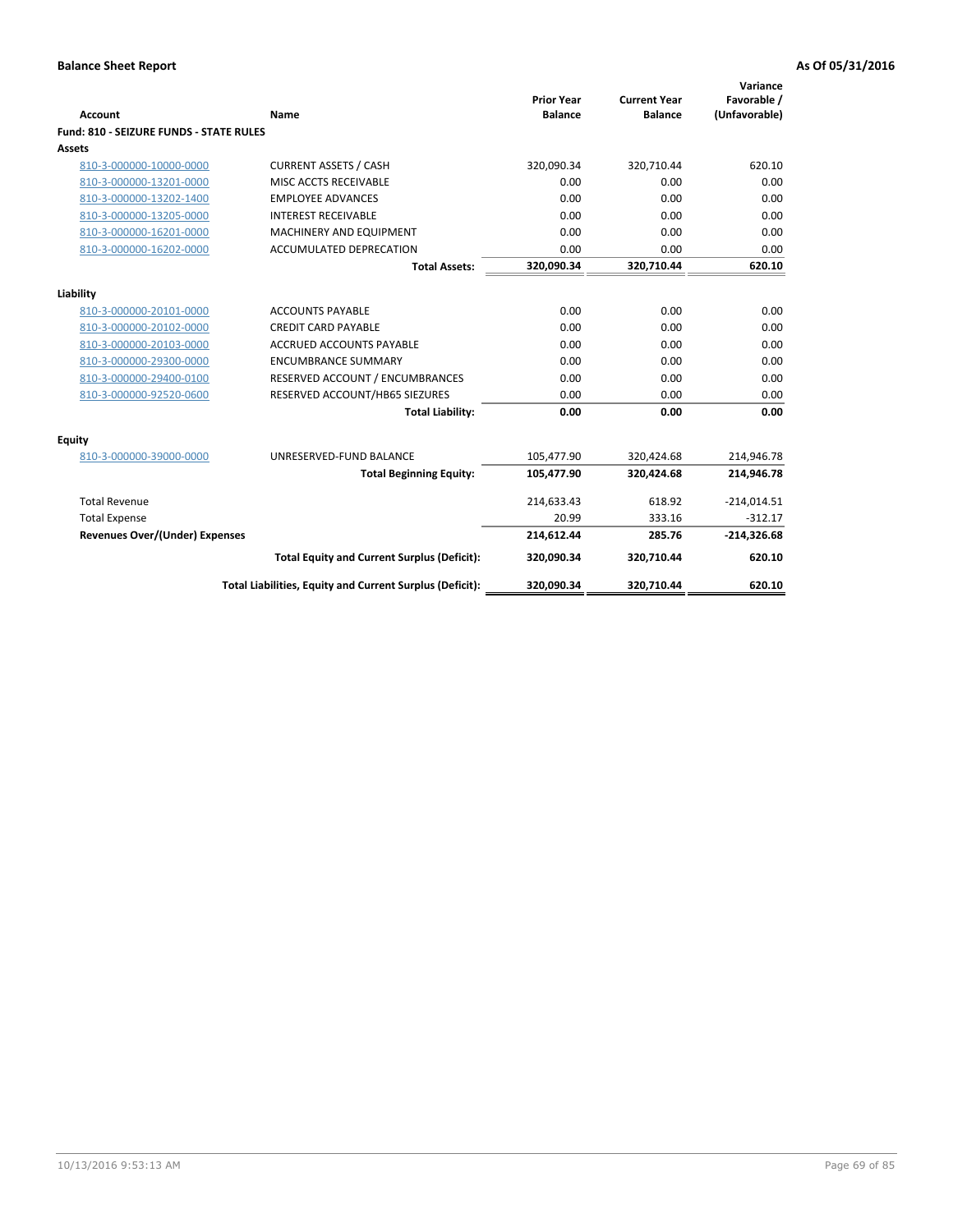| <b>Account</b>                          | Name                                                     | <b>Prior Year</b><br><b>Balance</b> | <b>Current Year</b><br><b>Balance</b> | Variance<br>Favorable /<br>(Unfavorable) |
|-----------------------------------------|----------------------------------------------------------|-------------------------------------|---------------------------------------|------------------------------------------|
| Fund: 810 - SEIZURE FUNDS - STATE RULES |                                                          |                                     |                                       |                                          |
| Assets                                  |                                                          |                                     |                                       |                                          |
| 810-3-000000-10000-0000                 | <b>CURRENT ASSETS / CASH</b>                             | 320,090.34                          | 320,710.44                            | 620.10                                   |
| 810-3-000000-13201-0000                 | MISC ACCTS RECEIVABLE                                    | 0.00                                | 0.00                                  | 0.00                                     |
| 810-3-000000-13202-1400                 | <b>EMPLOYEE ADVANCES</b>                                 | 0.00                                | 0.00                                  | 0.00                                     |
| 810-3-000000-13205-0000                 | <b>INTEREST RECEIVABLE</b>                               | 0.00                                | 0.00                                  | 0.00                                     |
| 810-3-000000-16201-0000                 | MACHINERY AND EQUIPMENT                                  | 0.00                                | 0.00                                  | 0.00                                     |
| 810-3-000000-16202-0000                 | <b>ACCUMULATED DEPRECATION</b>                           | 0.00                                | 0.00                                  | 0.00                                     |
|                                         | <b>Total Assets:</b>                                     | 320,090.34                          | 320,710.44                            | 620.10                                   |
|                                         |                                                          |                                     |                                       |                                          |
| Liability                               |                                                          |                                     |                                       |                                          |
| 810-3-000000-20101-0000                 | <b>ACCOUNTS PAYABLE</b>                                  | 0.00                                | 0.00                                  | 0.00                                     |
| 810-3-000000-20102-0000                 | <b>CREDIT CARD PAYABLE</b>                               | 0.00                                | 0.00                                  | 0.00                                     |
| 810-3-000000-20103-0000                 | <b>ACCRUED ACCOUNTS PAYABLE</b>                          | 0.00                                | 0.00                                  | 0.00                                     |
| 810-3-000000-29300-0000                 | <b>ENCUMBRANCE SUMMARY</b>                               | 0.00                                | 0.00                                  | 0.00                                     |
| 810-3-000000-29400-0100                 | RESERVED ACCOUNT / ENCUMBRANCES                          | 0.00                                | 0.00                                  | 0.00                                     |
| 810-3-000000-92520-0600                 | RESERVED ACCOUNT/HB65 SIEZURES                           | 0.00                                | 0.00                                  | 0.00                                     |
|                                         | <b>Total Liability:</b>                                  | 0.00                                | 0.00                                  | 0.00                                     |
| Equity                                  |                                                          |                                     |                                       |                                          |
| 810-3-000000-39000-0000                 | UNRESERVED-FUND BALANCE                                  | 105,477.90                          | 320,424.68                            | 214,946.78                               |
|                                         | <b>Total Beginning Equity:</b>                           | 105,477.90                          | 320,424.68                            | 214,946.78                               |
| <b>Total Revenue</b>                    |                                                          | 214,633.43                          | 618.92                                | $-214,014.51$                            |
| <b>Total Expense</b>                    |                                                          | 20.99                               | 333.16                                | $-312.17$                                |
| Revenues Over/(Under) Expenses          |                                                          | 214,612.44                          | 285.76                                | $-214,326.68$                            |
|                                         | <b>Total Equity and Current Surplus (Deficit):</b>       | 320,090.34                          | 320,710.44                            | 620.10                                   |
|                                         | Total Liabilities, Equity and Current Surplus (Deficit): | 320,090.34                          | 320,710.44                            | 620.10                                   |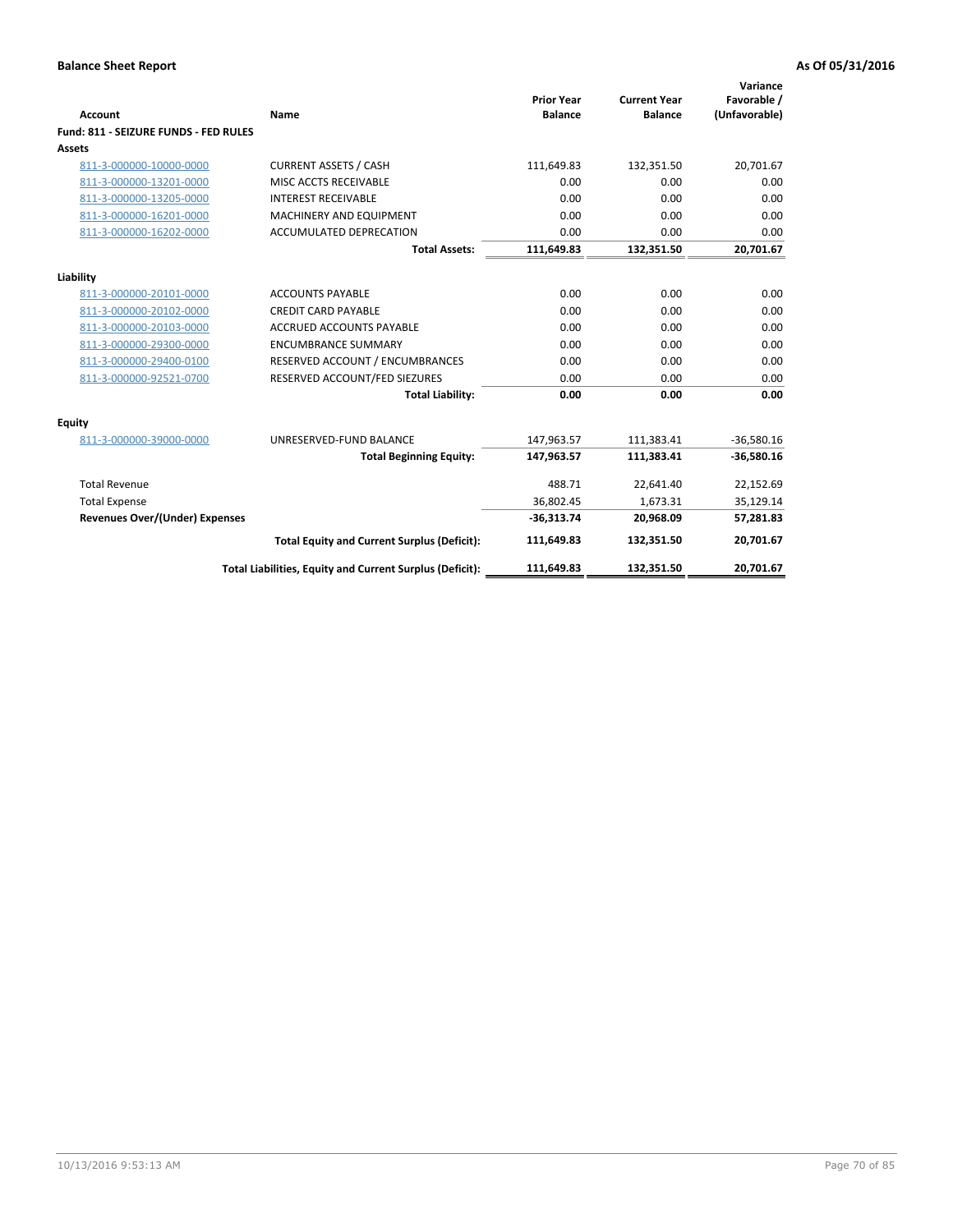| Account                               | Name                                                     | <b>Prior Year</b><br><b>Balance</b> | <b>Current Year</b><br><b>Balance</b> | Variance<br>Favorable /<br>(Unfavorable) |
|---------------------------------------|----------------------------------------------------------|-------------------------------------|---------------------------------------|------------------------------------------|
| Fund: 811 - SEIZURE FUNDS - FED RULES |                                                          |                                     |                                       |                                          |
| <b>Assets</b>                         |                                                          |                                     |                                       |                                          |
| 811-3-000000-10000-0000               | <b>CURRENT ASSETS / CASH</b>                             | 111,649.83                          | 132,351.50                            | 20,701.67                                |
| 811-3-000000-13201-0000               | MISC ACCTS RECEIVABLE                                    | 0.00                                | 0.00                                  | 0.00                                     |
| 811-3-000000-13205-0000               | <b>INTEREST RECEIVABLE</b>                               | 0.00                                | 0.00                                  | 0.00                                     |
| 811-3-000000-16201-0000               | <b>MACHINERY AND EQUIPMENT</b>                           | 0.00                                | 0.00                                  | 0.00                                     |
| 811-3-000000-16202-0000               | ACCUMULATED DEPRECATION                                  | 0.00                                | 0.00                                  | 0.00                                     |
|                                       | <b>Total Assets:</b>                                     | 111,649.83                          | 132,351.50                            | 20,701.67                                |
| Liability                             |                                                          |                                     |                                       |                                          |
| 811-3-000000-20101-0000               | <b>ACCOUNTS PAYABLE</b>                                  | 0.00                                | 0.00                                  | 0.00                                     |
| 811-3-000000-20102-0000               | <b>CREDIT CARD PAYABLE</b>                               | 0.00                                | 0.00                                  | 0.00                                     |
| 811-3-000000-20103-0000               | <b>ACCRUED ACCOUNTS PAYABLE</b>                          | 0.00                                | 0.00                                  | 0.00                                     |
| 811-3-000000-29300-0000               | <b>ENCUMBRANCE SUMMARY</b>                               | 0.00                                | 0.00                                  | 0.00                                     |
| 811-3-000000-29400-0100               | RESERVED ACCOUNT / ENCUMBRANCES                          | 0.00                                | 0.00                                  | 0.00                                     |
| 811-3-000000-92521-0700               | RESERVED ACCOUNT/FED SIEZURES                            | 0.00                                | 0.00                                  | 0.00                                     |
|                                       | <b>Total Liability:</b>                                  | 0.00                                | 0.00                                  | 0.00                                     |
| Equity                                |                                                          |                                     |                                       |                                          |
| 811-3-000000-39000-0000               | UNRESERVED-FUND BALANCE                                  | 147,963.57                          | 111,383.41                            | $-36,580.16$                             |
|                                       | <b>Total Beginning Equity:</b>                           | 147,963.57                          | 111,383.41                            | $-36,580.16$                             |
| <b>Total Revenue</b>                  |                                                          | 488.71                              | 22,641.40                             | 22,152.69                                |
| <b>Total Expense</b>                  |                                                          | 36,802.45                           | 1,673.31                              | 35,129.14                                |
| <b>Revenues Over/(Under) Expenses</b> |                                                          | $-36,313.74$                        | 20,968.09                             | 57,281.83                                |
|                                       | <b>Total Equity and Current Surplus (Deficit):</b>       | 111,649.83                          | 132,351.50                            | 20,701.67                                |
|                                       | Total Liabilities, Equity and Current Surplus (Deficit): | 111,649.83                          | 132.351.50                            | 20.701.67                                |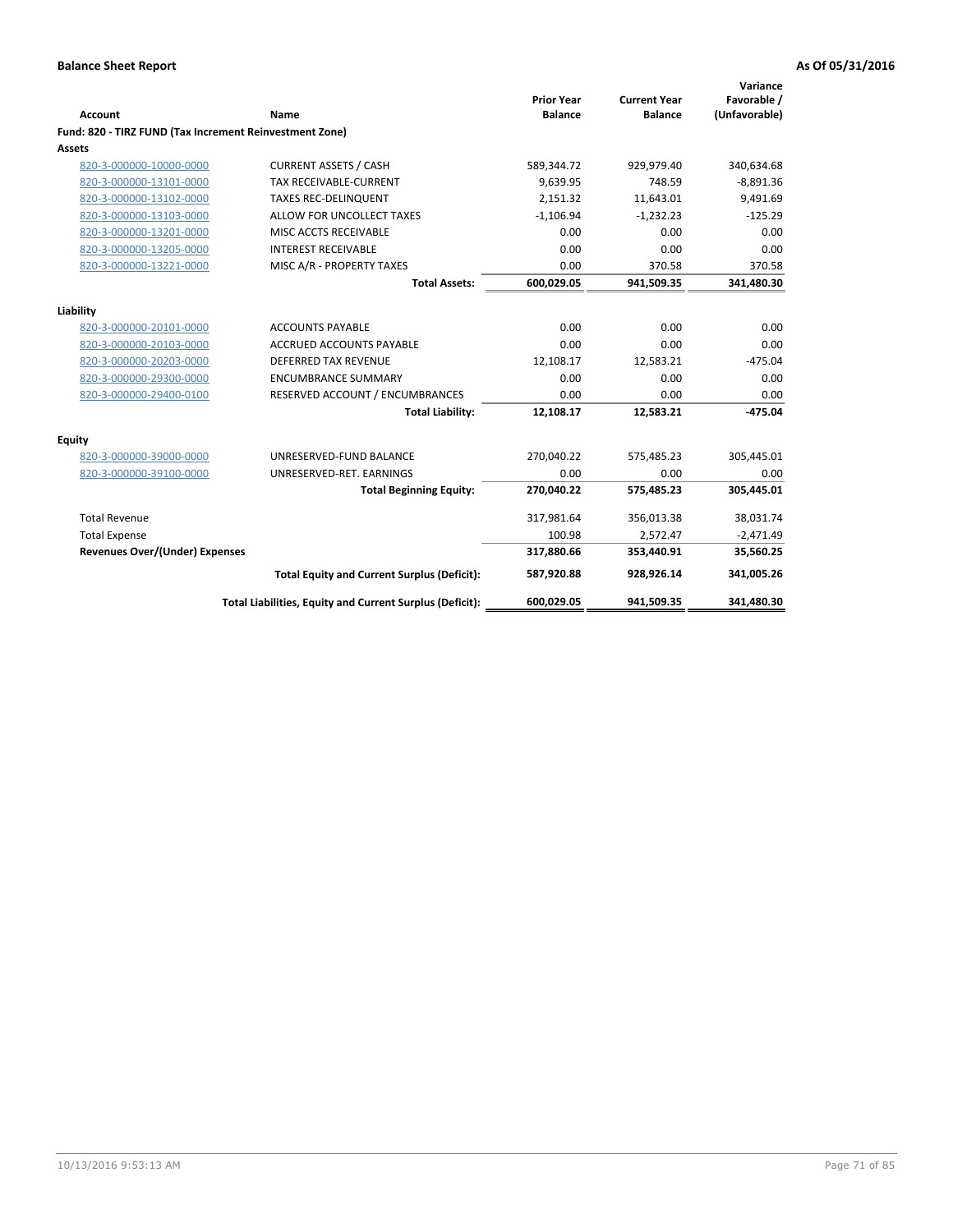| <b>Account</b>                                          | Name                                                     | <b>Prior Year</b><br><b>Balance</b> | <b>Current Year</b><br><b>Balance</b> | Variance<br>Favorable /<br>(Unfavorable) |
|---------------------------------------------------------|----------------------------------------------------------|-------------------------------------|---------------------------------------|------------------------------------------|
| Fund: 820 - TIRZ FUND (Tax Increment Reinvestment Zone) |                                                          |                                     |                                       |                                          |
| <b>Assets</b>                                           |                                                          |                                     |                                       |                                          |
| 820-3-000000-10000-0000                                 | <b>CURRENT ASSETS / CASH</b>                             | 589,344.72                          | 929,979.40                            | 340,634.68                               |
| 820-3-000000-13101-0000                                 | <b>TAX RECEIVABLE-CURRENT</b>                            | 9,639.95                            | 748.59                                | $-8,891.36$                              |
| 820-3-000000-13102-0000                                 | <b>TAXES REC-DELINQUENT</b>                              | 2,151.32                            | 11.643.01                             | 9,491.69                                 |
| 820-3-000000-13103-0000                                 | ALLOW FOR UNCOLLECT TAXES                                | $-1,106.94$                         | $-1,232.23$                           | $-125.29$                                |
| 820-3-000000-13201-0000                                 | MISC ACCTS RECEIVABLE                                    | 0.00                                | 0.00                                  | 0.00                                     |
| 820-3-000000-13205-0000                                 | <b>INTEREST RECEIVABLE</b>                               | 0.00                                | 0.00                                  | 0.00                                     |
| 820-3-000000-13221-0000                                 | MISC A/R - PROPERTY TAXES                                | 0.00                                | 370.58                                | 370.58                                   |
|                                                         | <b>Total Assets:</b>                                     | 600,029.05                          | 941,509.35                            | 341,480.30                               |
| Liability                                               |                                                          |                                     |                                       |                                          |
| 820-3-000000-20101-0000                                 | <b>ACCOUNTS PAYABLE</b>                                  | 0.00                                | 0.00                                  | 0.00                                     |
| 820-3-000000-20103-0000                                 | ACCRUED ACCOUNTS PAYABLE                                 | 0.00                                | 0.00                                  | 0.00                                     |
| 820-3-000000-20203-0000                                 | <b>DEFERRED TAX REVENUE</b>                              | 12,108.17                           | 12,583.21                             | $-475.04$                                |
| 820-3-000000-29300-0000                                 | <b>ENCUMBRANCE SUMMARY</b>                               | 0.00                                | 0.00                                  | 0.00                                     |
| 820-3-000000-29400-0100                                 | RESERVED ACCOUNT / ENCUMBRANCES                          | 0.00                                | 0.00                                  | 0.00                                     |
|                                                         | <b>Total Liability:</b>                                  | 12,108.17                           | 12,583.21                             | $-475.04$                                |
| Equity                                                  |                                                          |                                     |                                       |                                          |
| 820-3-000000-39000-0000                                 | UNRESERVED-FUND BALANCE                                  | 270,040.22                          | 575,485.23                            | 305,445.01                               |
| 820-3-000000-39100-0000                                 | UNRESERVED-RET. EARNINGS                                 | 0.00                                | 0.00                                  | 0.00                                     |
|                                                         | <b>Total Beginning Equity:</b>                           | 270,040.22                          | 575,485.23                            | 305,445.01                               |
| <b>Total Revenue</b>                                    |                                                          | 317,981.64                          | 356,013.38                            | 38,031.74                                |
| <b>Total Expense</b>                                    |                                                          | 100.98                              | 2,572.47                              | $-2,471.49$                              |
| <b>Revenues Over/(Under) Expenses</b>                   |                                                          | 317,880.66                          | 353,440.91                            | 35,560.25                                |
|                                                         | <b>Total Equity and Current Surplus (Deficit):</b>       | 587,920.88                          | 928,926.14                            | 341,005.26                               |
|                                                         | Total Liabilities, Equity and Current Surplus (Deficit): | 600,029.05                          | 941,509.35                            | 341,480.30                               |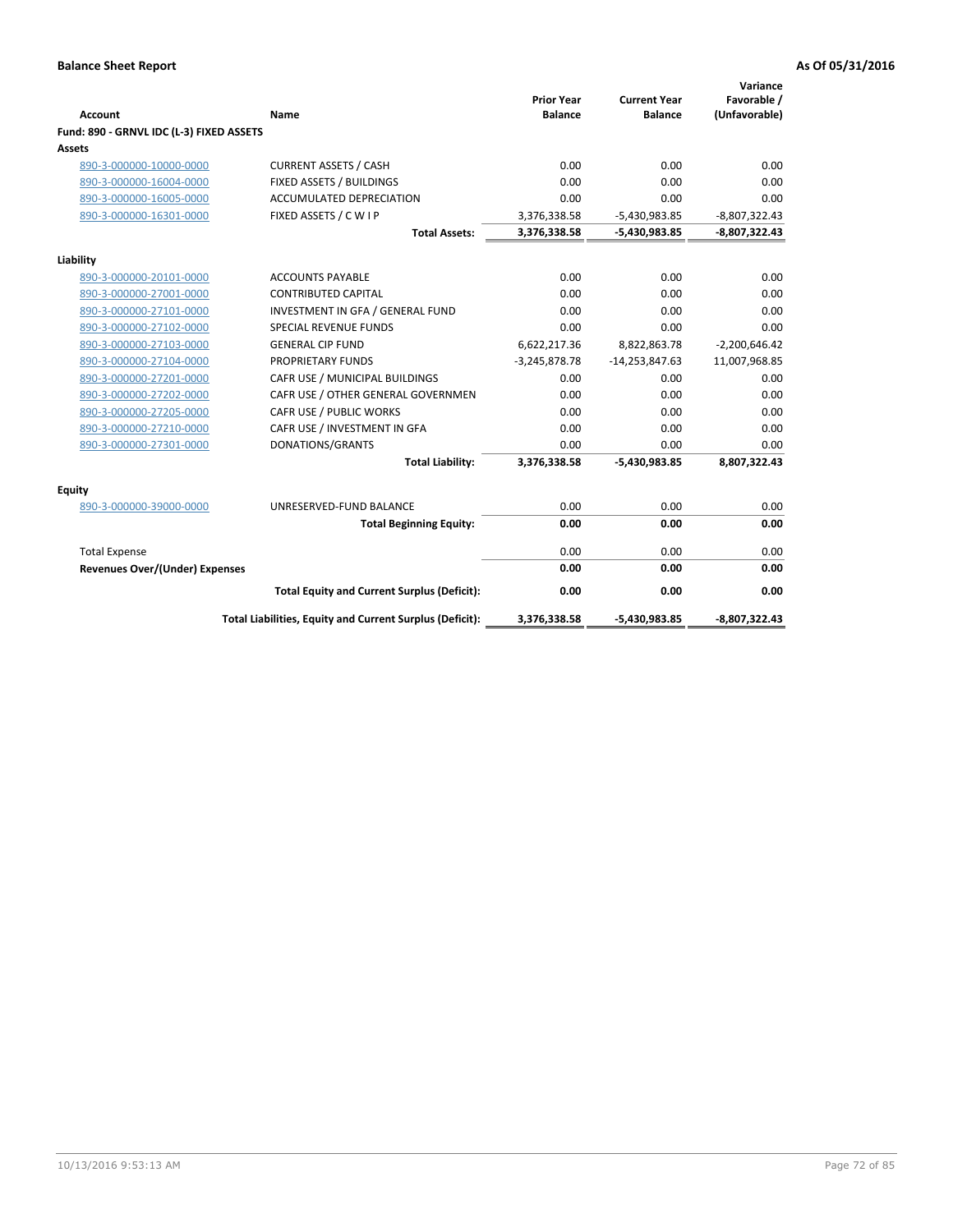| <b>Account</b>                           | Name                                                     | <b>Prior Year</b><br><b>Balance</b> | <b>Current Year</b><br><b>Balance</b> | Variance<br>Favorable /<br>(Unfavorable) |
|------------------------------------------|----------------------------------------------------------|-------------------------------------|---------------------------------------|------------------------------------------|
| Fund: 890 - GRNVL IDC (L-3) FIXED ASSETS |                                                          |                                     |                                       |                                          |
| Assets                                   |                                                          |                                     |                                       |                                          |
| 890-3-000000-10000-0000                  | <b>CURRENT ASSETS / CASH</b>                             | 0.00                                | 0.00                                  | 0.00                                     |
| 890-3-000000-16004-0000                  | FIXED ASSETS / BUILDINGS                                 | 0.00                                | 0.00                                  | 0.00                                     |
| 890-3-000000-16005-0000                  | <b>ACCUMULATED DEPRECIATION</b>                          | 0.00                                | 0.00                                  | 0.00                                     |
| 890-3-000000-16301-0000                  | FIXED ASSETS / C W I P                                   | 3,376,338.58                        | $-5,430,983.85$                       | $-8,807,322.43$                          |
|                                          | <b>Total Assets:</b>                                     | 3,376,338.58                        | $-5,430,983.85$                       | $-8,807,322.43$                          |
|                                          |                                                          |                                     |                                       |                                          |
| Liability<br>890-3-000000-20101-0000     | <b>ACCOUNTS PAYABLE</b>                                  | 0.00                                | 0.00                                  | 0.00                                     |
| 890-3-000000-27001-0000                  | <b>CONTRIBUTED CAPITAL</b>                               | 0.00                                | 0.00                                  | 0.00                                     |
| 890-3-000000-27101-0000                  | INVESTMENT IN GFA / GENERAL FUND                         | 0.00                                | 0.00                                  | 0.00                                     |
| 890-3-000000-27102-0000                  | <b>SPECIAL REVENUE FUNDS</b>                             | 0.00                                | 0.00                                  | 0.00                                     |
| 890-3-000000-27103-0000                  | <b>GENERAL CIP FUND</b>                                  | 6,622,217.36                        | 8,822,863.78                          | $-2,200,646.42$                          |
| 890-3-000000-27104-0000                  | <b>PROPRIETARY FUNDS</b>                                 | $-3,245,878.78$                     | $-14,253,847.63$                      | 11,007,968.85                            |
| 890-3-000000-27201-0000                  | CAFR USE / MUNICIPAL BUILDINGS                           | 0.00                                | 0.00                                  | 0.00                                     |
| 890-3-000000-27202-0000                  | CAFR USE / OTHER GENERAL GOVERNMEN                       | 0.00                                | 0.00                                  | 0.00                                     |
| 890-3-000000-27205-0000                  | CAFR USE / PUBLIC WORKS                                  | 0.00                                | 0.00                                  | 0.00                                     |
| 890-3-000000-27210-0000                  | CAFR USE / INVESTMENT IN GFA                             | 0.00                                | 0.00                                  | 0.00                                     |
| 890-3-000000-27301-0000                  | DONATIONS/GRANTS                                         | 0.00                                | 0.00                                  | 0.00                                     |
|                                          | <b>Total Liability:</b>                                  | 3,376,338.58                        | -5,430,983.85                         | 8,807,322.43                             |
| <b>Equity</b>                            |                                                          |                                     |                                       |                                          |
| 890-3-000000-39000-0000                  | UNRESERVED-FUND BALANCE                                  | 0.00                                | 0.00                                  | 0.00                                     |
|                                          | <b>Total Beginning Equity:</b>                           | 0.00                                | 0.00                                  | 0.00                                     |
| <b>Total Expense</b>                     |                                                          | 0.00                                | 0.00                                  | 0.00                                     |
| Revenues Over/(Under) Expenses           |                                                          | 0.00                                | 0.00                                  | 0.00                                     |
|                                          | <b>Total Equity and Current Surplus (Deficit):</b>       | 0.00                                | 0.00                                  | 0.00                                     |
|                                          | Total Liabilities, Equity and Current Surplus (Deficit): | 3,376,338.58                        | -5,430,983.85                         | -8,807,322.43                            |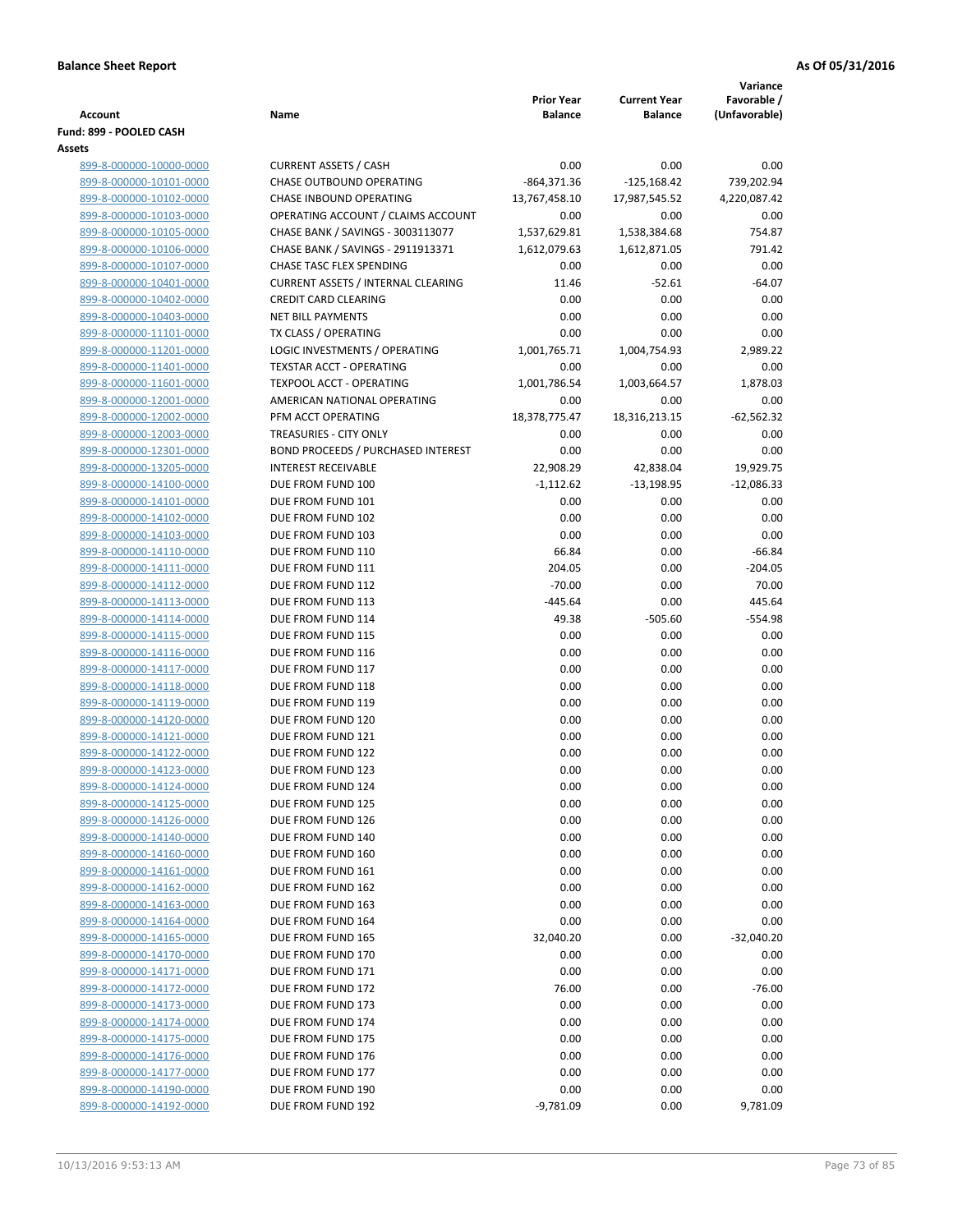|                                                    |                                           |                    |                     | Variance           |
|----------------------------------------------------|-------------------------------------------|--------------------|---------------------|--------------------|
|                                                    |                                           | <b>Prior Year</b>  | <b>Current Year</b> | Favorable /        |
| <b>Account</b><br>Fund: 899 - POOLED CASH          | Name                                      | <b>Balance</b>     | <b>Balance</b>      | (Unfavorable)      |
| Assets                                             |                                           |                    |                     |                    |
| 899-8-000000-10000-0000                            | <b>CURRENT ASSETS / CASH</b>              | 0.00               | 0.00                | 0.00               |
| 899-8-000000-10101-0000                            | CHASE OUTBOUND OPERATING                  | $-864,371.36$      | $-125,168.42$       | 739,202.94         |
| 899-8-000000-10102-0000                            | CHASE INBOUND OPERATING                   | 13,767,458.10      | 17,987,545.52       | 4,220,087.42       |
| 899-8-000000-10103-0000                            | OPERATING ACCOUNT / CLAIMS ACCOUNT        | 0.00               | 0.00                | 0.00               |
| 899-8-000000-10105-0000                            | CHASE BANK / SAVINGS - 3003113077         | 1,537,629.81       | 1,538,384.68        | 754.87             |
| 899-8-000000-10106-0000                            | CHASE BANK / SAVINGS - 2911913371         | 1,612,079.63       | 1,612,871.05        | 791.42             |
| 899-8-000000-10107-0000                            | CHASE TASC FLEX SPENDING                  | 0.00               | 0.00                | 0.00               |
| 899-8-000000-10401-0000                            | <b>CURRENT ASSETS / INTERNAL CLEARING</b> | 11.46              | $-52.61$            | $-64.07$           |
| 899-8-000000-10402-0000                            | <b>CREDIT CARD CLEARING</b>               | 0.00               | 0.00                | 0.00               |
| 899-8-000000-10403-0000                            | <b>NET BILL PAYMENTS</b>                  | 0.00               | 0.00                | 0.00               |
| 899-8-000000-11101-0000                            | TX CLASS / OPERATING                      | 0.00               | 0.00                | 0.00               |
| 899-8-000000-11201-0000                            | LOGIC INVESTMENTS / OPERATING             | 1,001,765.71       | 1,004,754.93        | 2,989.22           |
| 899-8-000000-11401-0000                            | <b>TEXSTAR ACCT - OPERATING</b>           | 0.00               | 0.00                | 0.00               |
| 899-8-000000-11601-0000                            | TEXPOOL ACCT - OPERATING                  | 1,001,786.54       | 1,003,664.57        | 1,878.03           |
| 899-8-000000-12001-0000                            | AMERICAN NATIONAL OPERATING               | 0.00               | 0.00                | 0.00               |
| 899-8-000000-12002-0000                            | PFM ACCT OPERATING                        | 18,378,775.47      | 18,316,213.15       | $-62,562.32$       |
| 899-8-000000-12003-0000                            | TREASURIES - CITY ONLY                    | 0.00               | 0.00                | 0.00               |
| 899-8-000000-12301-0000                            | <b>BOND PROCEEDS / PURCHASED INTEREST</b> | 0.00               | 0.00                | 0.00               |
| 899-8-000000-13205-0000                            | <b>INTEREST RECEIVABLE</b>                | 22,908.29          | 42,838.04           | 19,929.75          |
| 899-8-000000-14100-0000                            | DUE FROM FUND 100                         | $-1,112.62$        | $-13,198.95$        | $-12,086.33$       |
| 899-8-000000-14101-0000                            | DUE FROM FUND 101                         | 0.00               | 0.00                | 0.00               |
| 899-8-000000-14102-0000                            | DUE FROM FUND 102                         | 0.00               | 0.00                | 0.00               |
| 899-8-000000-14103-0000                            | DUE FROM FUND 103                         | 0.00               | 0.00                | 0.00               |
| 899-8-000000-14110-0000                            | DUE FROM FUND 110                         | 66.84              | 0.00                | $-66.84$           |
| 899-8-000000-14111-0000                            | DUE FROM FUND 111<br>DUE FROM FUND 112    | 204.05<br>$-70.00$ | 0.00                | $-204.05$<br>70.00 |
| 899-8-000000-14112-0000                            | DUE FROM FUND 113                         | $-445.64$          | 0.00<br>0.00        | 445.64             |
| 899-8-000000-14113-0000<br>899-8-000000-14114-0000 | DUE FROM FUND 114                         | 49.38              | $-505.60$           | $-554.98$          |
| 899-8-000000-14115-0000                            | DUE FROM FUND 115                         | 0.00               | 0.00                | 0.00               |
| 899-8-000000-14116-0000                            | DUE FROM FUND 116                         | 0.00               | 0.00                | 0.00               |
| 899-8-000000-14117-0000                            | DUE FROM FUND 117                         | 0.00               | 0.00                | 0.00               |
| 899-8-000000-14118-0000                            | DUE FROM FUND 118                         | 0.00               | 0.00                | 0.00               |
| 899-8-000000-14119-0000                            | DUE FROM FUND 119                         | 0.00               | 0.00                | 0.00               |
| 899-8-000000-14120-0000                            | DUE FROM FUND 120                         | 0.00               | 0.00                | 0.00               |
| 899-8-000000-14121-0000                            | DUE FROM FUND 121                         | 0.00               | 0.00                | 0.00               |
| 899-8-000000-14122-0000                            | DUE FROM FUND 122                         | 0.00               | 0.00                | 0.00               |
| 899-8-000000-14123-0000                            | DUE FROM FUND 123                         | 0.00               | 0.00                | $0.00\,$           |
| 899-8-000000-14124-0000                            | DUE FROM FUND 124                         | 0.00               | 0.00                | 0.00               |
| 899-8-000000-14125-0000                            | DUE FROM FUND 125                         | 0.00               | 0.00                | 0.00               |
| 899-8-000000-14126-0000                            | DUE FROM FUND 126                         | 0.00               | 0.00                | 0.00               |
| 899-8-000000-14140-0000                            | DUE FROM FUND 140                         | 0.00               | 0.00                | 0.00               |
| 899-8-000000-14160-0000                            | DUE FROM FUND 160                         | 0.00               | 0.00                | 0.00               |
| 899-8-000000-14161-0000                            | DUE FROM FUND 161                         | 0.00               | 0.00                | 0.00               |
| 899-8-000000-14162-0000                            | DUE FROM FUND 162                         | 0.00               | 0.00                | 0.00               |
| 899-8-000000-14163-0000                            | DUE FROM FUND 163                         | 0.00               | 0.00                | 0.00               |
| 899-8-000000-14164-0000                            | DUE FROM FUND 164                         | 0.00               | 0.00                | 0.00               |
| 899-8-000000-14165-0000                            | DUE FROM FUND 165                         | 32,040.20          | 0.00                | $-32,040.20$       |
| 899-8-000000-14170-0000                            | DUE FROM FUND 170                         | 0.00               | 0.00                | 0.00               |
| 899-8-000000-14171-0000                            | DUE FROM FUND 171                         | 0.00               | 0.00                | 0.00               |
| 899-8-000000-14172-0000                            | DUE FROM FUND 172                         | 76.00              | 0.00                | $-76.00$           |
| 899-8-000000-14173-0000                            | DUE FROM FUND 173                         | 0.00               | 0.00                | 0.00               |
| 899-8-000000-14174-0000                            | DUE FROM FUND 174                         | 0.00               | 0.00                | 0.00               |
| 899-8-000000-14175-0000                            | DUE FROM FUND 175                         | 0.00               | 0.00                | 0.00               |
| 899-8-000000-14176-0000                            | DUE FROM FUND 176                         | 0.00               | 0.00                | 0.00               |
| 899-8-000000-14177-0000                            | DUE FROM FUND 177                         | 0.00               | 0.00                | 0.00               |
| 899-8-000000-14190-0000                            | DUE FROM FUND 190                         | 0.00               | 0.00                | 0.00               |
| 899-8-000000-14192-0000                            | DUE FROM FUND 192                         | $-9,781.09$        | 0.00                | 9,781.09           |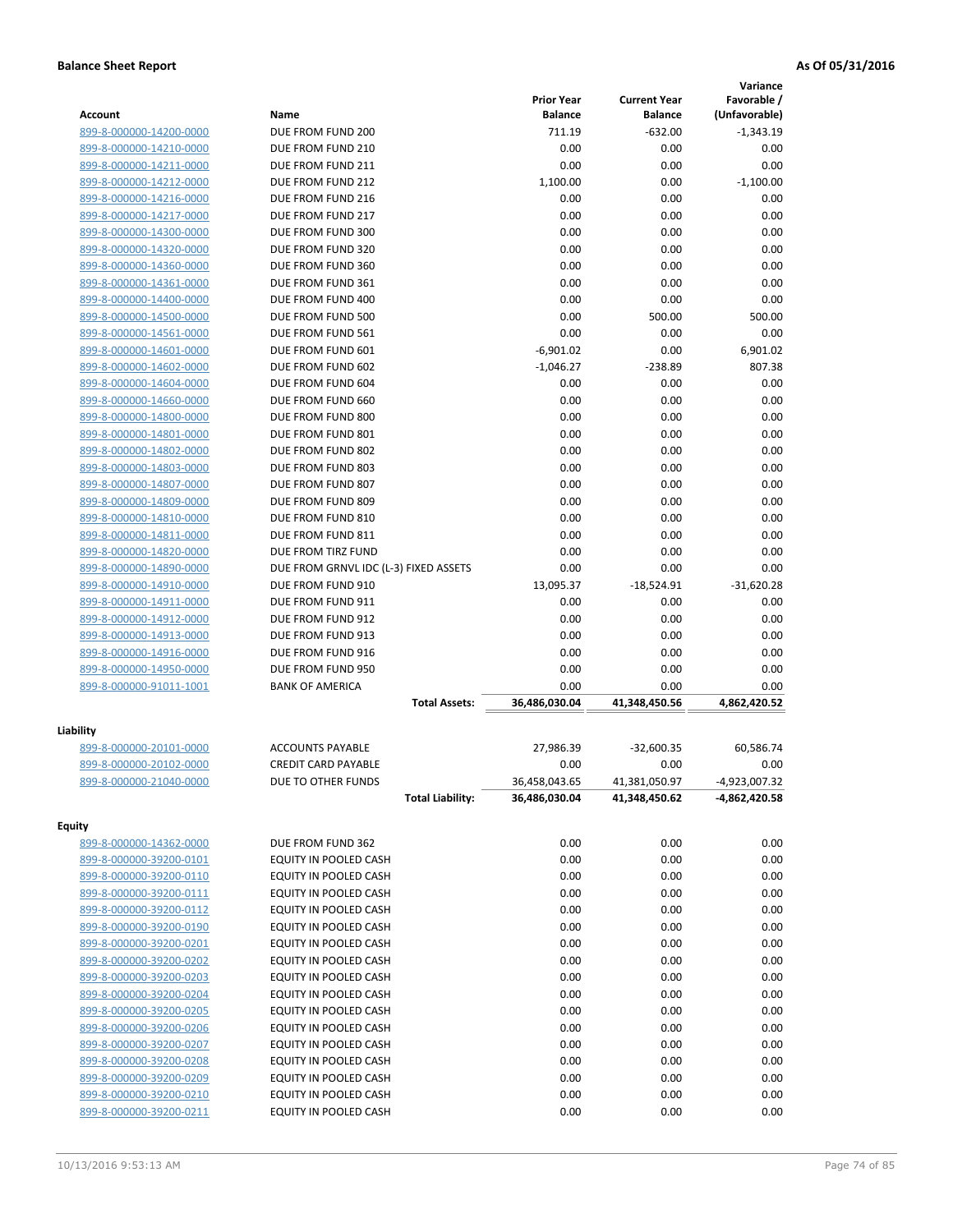|                                                    |                                                       |                                     |                                       | Variance                     |
|----------------------------------------------------|-------------------------------------------------------|-------------------------------------|---------------------------------------|------------------------------|
| Account                                            | Name                                                  | <b>Prior Year</b><br><b>Balance</b> | <b>Current Year</b><br><b>Balance</b> | Favorable /<br>(Unfavorable) |
| 899-8-000000-14200-0000                            | DUE FROM FUND 200                                     | 711.19                              | $-632.00$                             | $-1,343.19$                  |
| 899-8-000000-14210-0000                            | DUE FROM FUND 210                                     | 0.00                                | 0.00                                  | 0.00                         |
| 899-8-000000-14211-0000                            | DUE FROM FUND 211                                     | 0.00                                | 0.00                                  | 0.00                         |
| 899-8-000000-14212-0000                            | DUE FROM FUND 212                                     | 1,100.00                            | 0.00                                  | $-1,100.00$                  |
| 899-8-000000-14216-0000                            | DUE FROM FUND 216                                     | 0.00                                | 0.00                                  | 0.00                         |
| 899-8-000000-14217-0000                            | DUE FROM FUND 217                                     | 0.00                                | 0.00                                  | 0.00                         |
| 899-8-000000-14300-0000                            | DUE FROM FUND 300                                     | 0.00                                | 0.00                                  | 0.00                         |
| 899-8-000000-14320-0000                            | DUE FROM FUND 320                                     | 0.00                                | 0.00                                  | 0.00                         |
| 899-8-000000-14360-0000                            | DUE FROM FUND 360                                     | 0.00                                | 0.00                                  | 0.00                         |
| 899-8-000000-14361-0000                            | DUE FROM FUND 361                                     | 0.00                                | 0.00                                  | 0.00                         |
| 899-8-000000-14400-0000                            | DUE FROM FUND 400                                     | 0.00                                | 0.00                                  | 0.00                         |
| 899-8-000000-14500-0000                            | DUE FROM FUND 500                                     | 0.00                                | 500.00                                | 500.00                       |
| 899-8-000000-14561-0000                            | DUE FROM FUND 561                                     | 0.00                                | 0.00                                  | 0.00                         |
| 899-8-000000-14601-0000                            | DUE FROM FUND 601                                     | $-6,901.02$                         | 0.00                                  | 6,901.02                     |
| 899-8-000000-14602-0000                            | DUE FROM FUND 602                                     | $-1,046.27$                         | $-238.89$                             | 807.38                       |
| 899-8-000000-14604-0000                            | DUE FROM FUND 604                                     | 0.00                                | 0.00                                  | 0.00                         |
| 899-8-000000-14660-0000                            | DUE FROM FUND 660                                     | 0.00                                | 0.00                                  | 0.00                         |
| 899-8-000000-14800-0000                            | DUE FROM FUND 800                                     | 0.00                                | 0.00                                  | 0.00                         |
| 899-8-000000-14801-0000                            | DUE FROM FUND 801                                     | 0.00                                | 0.00                                  | 0.00                         |
| 899-8-000000-14802-0000                            | DUE FROM FUND 802                                     | 0.00                                | 0.00                                  | 0.00                         |
| 899-8-000000-14803-0000                            | DUE FROM FUND 803                                     | 0.00                                | 0.00                                  | 0.00                         |
| 899-8-000000-14807-0000                            | DUE FROM FUND 807                                     | 0.00                                | 0.00                                  | 0.00                         |
| 899-8-000000-14809-0000                            | DUE FROM FUND 809                                     | 0.00                                | 0.00                                  | 0.00                         |
| 899-8-000000-14810-0000                            | DUE FROM FUND 810                                     | 0.00                                | 0.00                                  | 0.00                         |
| 899-8-000000-14811-0000                            | DUE FROM FUND 811                                     | 0.00                                | 0.00                                  | 0.00                         |
| 899-8-000000-14820-0000                            | DUE FROM TIRZ FUND                                    | 0.00                                | 0.00                                  | 0.00                         |
| 899-8-000000-14890-0000                            | DUE FROM GRNVL IDC (L-3) FIXED ASSETS                 | 0.00                                | 0.00                                  | 0.00                         |
| 899-8-000000-14910-0000                            | DUE FROM FUND 910                                     | 13,095.37                           | $-18,524.91$                          | $-31,620.28$                 |
| 899-8-000000-14911-0000                            | DUE FROM FUND 911                                     | 0.00                                | 0.00                                  | 0.00                         |
| 899-8-000000-14912-0000                            | DUE FROM FUND 912                                     | 0.00                                | 0.00                                  | 0.00<br>0.00                 |
| 899-8-000000-14913-0000<br>899-8-000000-14916-0000 | DUE FROM FUND 913<br>DUE FROM FUND 916                | 0.00<br>0.00                        | 0.00<br>0.00                          | 0.00                         |
| 899-8-000000-14950-0000                            | DUE FROM FUND 950                                     | 0.00                                | 0.00                                  | 0.00                         |
| 899-8-000000-91011-1001                            | <b>BANK OF AMERICA</b>                                | 0.00                                | 0.00                                  | 0.00                         |
|                                                    | <b>Total Assets:</b>                                  | 36,486,030.04                       | 41,348,450.56                         | 4,862,420.52                 |
|                                                    |                                                       |                                     |                                       |                              |
| Liability                                          |                                                       |                                     |                                       |                              |
| 899-8-000000-20101-0000                            | <b>ACCOUNTS PAYABLE</b><br><b>CREDIT CARD PAYABLE</b> | 27,986.39                           | $-32,600.35$                          | 60,586.74                    |
| 899-8-000000-20102-0000                            |                                                       | 0.00                                | 0.00                                  | 0.00<br>$-4,923,007.32$      |
| 899-8-000000-21040-0000                            | DUE TO OTHER FUNDS                                    | 36,458,043.65<br>36,486,030.04      | 41,381,050.97                         |                              |
|                                                    | <b>Total Liability:</b>                               |                                     | 41,348,450.62                         | -4,862,420.58                |
| <b>Equity</b>                                      |                                                       |                                     |                                       |                              |
| 899-8-000000-14362-0000                            | DUE FROM FUND 362                                     | 0.00                                | 0.00                                  | 0.00                         |
| 899-8-000000-39200-0101                            | EQUITY IN POOLED CASH                                 | 0.00                                | 0.00                                  | 0.00                         |
| 899-8-000000-39200-0110                            | EQUITY IN POOLED CASH                                 | 0.00                                | 0.00                                  | 0.00                         |
| 899-8-000000-39200-0111                            | EQUITY IN POOLED CASH                                 | 0.00                                | 0.00                                  | 0.00                         |
| 899-8-000000-39200-0112                            | EQUITY IN POOLED CASH                                 | 0.00                                | 0.00                                  | 0.00                         |
| 899-8-000000-39200-0190                            | EQUITY IN POOLED CASH                                 | 0.00                                | 0.00                                  | 0.00                         |
| 899-8-000000-39200-0201                            | EQUITY IN POOLED CASH                                 | 0.00                                | 0.00                                  | 0.00                         |
| 899-8-000000-39200-0202                            | EQUITY IN POOLED CASH                                 | 0.00                                | 0.00                                  | 0.00                         |
| 899-8-000000-39200-0203                            | EQUITY IN POOLED CASH                                 | 0.00                                | 0.00                                  | 0.00                         |
| 899-8-000000-39200-0204                            | EQUITY IN POOLED CASH                                 | 0.00                                | 0.00                                  | 0.00                         |
| 899-8-000000-39200-0205                            | EQUITY IN POOLED CASH                                 | 0.00                                | 0.00                                  | 0.00                         |
| 899-8-000000-39200-0206                            | EQUITY IN POOLED CASH                                 | 0.00                                | 0.00                                  | 0.00                         |
| 899-8-000000-39200-0207                            | EQUITY IN POOLED CASH                                 | 0.00                                | 0.00                                  | 0.00                         |
| 899-8-000000-39200-0208                            | EQUITY IN POOLED CASH                                 | 0.00                                | 0.00                                  | 0.00                         |
| 899-8-000000-39200-0209                            | EQUITY IN POOLED CASH                                 | 0.00                                | 0.00                                  | 0.00                         |
| 899-8-000000-39200-0210                            | EQUITY IN POOLED CASH                                 | 0.00                                | 0.00                                  | 0.00                         |
| 899-8-000000-39200-0211                            | EQUITY IN POOLED CASH                                 | 0.00                                | 0.00                                  | 0.00                         |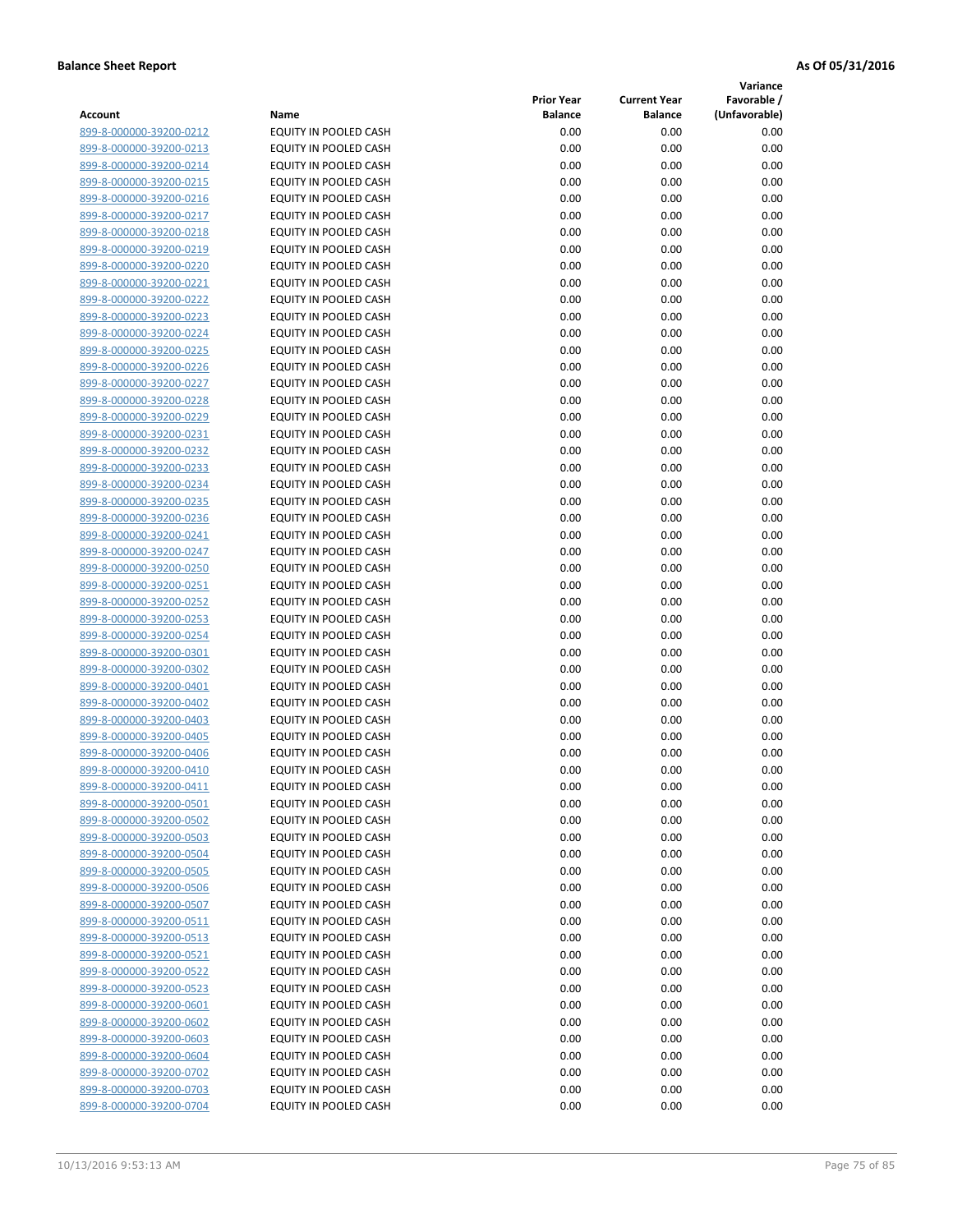**Variance**

| Account                                            | Name                                                  | <b>Prior Year</b><br><b>Balance</b> | <b>Current Year</b><br><b>Balance</b> | Favorable /<br>(Unfavorable) |
|----------------------------------------------------|-------------------------------------------------------|-------------------------------------|---------------------------------------|------------------------------|
| 899-8-000000-39200-0212                            | EQUITY IN POOLED CASH                                 | 0.00                                | 0.00                                  | 0.00                         |
| 899-8-000000-39200-0213                            | EQUITY IN POOLED CASH                                 | 0.00                                | 0.00                                  | 0.00                         |
| 899-8-000000-39200-0214                            | EQUITY IN POOLED CASH                                 | 0.00                                | 0.00                                  | 0.00                         |
| 899-8-000000-39200-0215                            | <b>EQUITY IN POOLED CASH</b>                          | 0.00                                | 0.00                                  | 0.00                         |
| 899-8-000000-39200-0216                            | EQUITY IN POOLED CASH                                 | 0.00                                | 0.00                                  | 0.00                         |
| 899-8-000000-39200-0217                            | EQUITY IN POOLED CASH                                 | 0.00                                | 0.00                                  | 0.00                         |
| 899-8-000000-39200-0218                            | EQUITY IN POOLED CASH                                 | 0.00                                | 0.00                                  | 0.00                         |
| 899-8-000000-39200-0219                            | EQUITY IN POOLED CASH                                 | 0.00                                | 0.00                                  | 0.00                         |
| 899-8-000000-39200-0220                            | EQUITY IN POOLED CASH                                 | 0.00                                | 0.00                                  | 0.00                         |
| 899-8-000000-39200-0221                            | EQUITY IN POOLED CASH                                 | 0.00                                | 0.00                                  | 0.00                         |
| 899-8-000000-39200-0222                            | EQUITY IN POOLED CASH                                 | 0.00                                | 0.00                                  | 0.00                         |
| 899-8-000000-39200-0223                            | EQUITY IN POOLED CASH                                 | 0.00                                | 0.00                                  | 0.00                         |
| 899-8-000000-39200-0224                            | EQUITY IN POOLED CASH                                 | 0.00                                | 0.00                                  | 0.00                         |
| 899-8-000000-39200-0225                            | EQUITY IN POOLED CASH                                 | 0.00                                | 0.00                                  | 0.00                         |
| 899-8-000000-39200-0226                            | EQUITY IN POOLED CASH                                 | 0.00                                | 0.00                                  | 0.00                         |
| 899-8-000000-39200-0227                            | EQUITY IN POOLED CASH                                 | 0.00                                | 0.00                                  | 0.00                         |
| 899-8-000000-39200-0228                            | EQUITY IN POOLED CASH                                 | 0.00                                | 0.00                                  | 0.00                         |
| 899-8-000000-39200-0229                            | EQUITY IN POOLED CASH                                 | 0.00                                | 0.00                                  | 0.00                         |
| 899-8-000000-39200-0231                            | EQUITY IN POOLED CASH                                 | 0.00                                | 0.00                                  | 0.00                         |
| 899-8-000000-39200-0232                            | <b>EQUITY IN POOLED CASH</b>                          | 0.00                                | 0.00                                  | 0.00                         |
| 899-8-000000-39200-0233                            | <b>EQUITY IN POOLED CASH</b>                          | 0.00                                | 0.00                                  | 0.00                         |
| 899-8-000000-39200-0234                            | EQUITY IN POOLED CASH                                 | 0.00                                | 0.00                                  | 0.00                         |
| 899-8-000000-39200-0235                            | EQUITY IN POOLED CASH                                 | 0.00                                | 0.00                                  | 0.00                         |
| 899-8-000000-39200-0236                            | EQUITY IN POOLED CASH                                 | 0.00                                | 0.00                                  | 0.00                         |
| 899-8-000000-39200-0241                            | EQUITY IN POOLED CASH                                 | 0.00                                | 0.00                                  | 0.00                         |
| 899-8-000000-39200-0247                            | EQUITY IN POOLED CASH                                 | 0.00                                | 0.00                                  | 0.00                         |
| 899-8-000000-39200-0250                            | EQUITY IN POOLED CASH                                 | 0.00                                | 0.00                                  | 0.00                         |
| 899-8-000000-39200-0251                            | EQUITY IN POOLED CASH                                 | 0.00                                | 0.00                                  | 0.00                         |
| 899-8-000000-39200-0252                            | EQUITY IN POOLED CASH                                 | 0.00                                | 0.00                                  | 0.00                         |
| 899-8-000000-39200-0253                            | EQUITY IN POOLED CASH                                 | 0.00                                | 0.00                                  | 0.00                         |
| 899-8-000000-39200-0254                            | EQUITY IN POOLED CASH                                 | 0.00                                | 0.00                                  | 0.00                         |
| 899-8-000000-39200-0301                            | EQUITY IN POOLED CASH                                 | 0.00                                | 0.00                                  | 0.00                         |
| 899-8-000000-39200-0302                            | EQUITY IN POOLED CASH                                 | 0.00                                | 0.00                                  | 0.00                         |
| 899-8-000000-39200-0401                            | EQUITY IN POOLED CASH                                 | 0.00                                | 0.00                                  | 0.00                         |
| 899-8-000000-39200-0402                            | EQUITY IN POOLED CASH                                 | 0.00                                | 0.00                                  | 0.00                         |
| 899-8-000000-39200-0403                            | EQUITY IN POOLED CASH                                 | 0.00                                | 0.00                                  | 0.00                         |
| 899-8-000000-39200-0405                            | EQUITY IN POOLED CASH                                 | 0.00                                | 0.00                                  | 0.00                         |
| 899-8-000000-39200-0406                            | EQUITY IN POOLED CASH                                 | 0.00                                | 0.00                                  | 0.00                         |
| 899-8-000000-39200-0410                            | EQUITY IN POOLED CASH<br><b>EQUITY IN POOLED CASH</b> | 0.00<br>0.00                        | 0.00<br>0.00                          | 0.00<br>0.00                 |
| 899-8-000000-39200-0411<br>899-8-000000-39200-0501 | <b>EQUITY IN POOLED CASH</b>                          |                                     | 0.00                                  | 0.00                         |
| 899-8-000000-39200-0502                            | EQUITY IN POOLED CASH                                 | 0.00<br>0.00                        | 0.00                                  | 0.00                         |
| 899-8-000000-39200-0503                            | EQUITY IN POOLED CASH                                 | 0.00                                | 0.00                                  | 0.00                         |
| 899-8-000000-39200-0504                            | EQUITY IN POOLED CASH                                 | 0.00                                | 0.00                                  | 0.00                         |
| 899-8-000000-39200-0505                            | <b>EQUITY IN POOLED CASH</b>                          | 0.00                                | 0.00                                  | 0.00                         |
| 899-8-000000-39200-0506                            | EQUITY IN POOLED CASH                                 | 0.00                                | 0.00                                  | 0.00                         |
| 899-8-000000-39200-0507                            | EQUITY IN POOLED CASH                                 | 0.00                                | 0.00                                  | 0.00                         |
| 899-8-000000-39200-0511                            | EQUITY IN POOLED CASH                                 | 0.00                                | 0.00                                  | 0.00                         |
| 899-8-000000-39200-0513                            | EQUITY IN POOLED CASH                                 | 0.00                                | 0.00                                  | 0.00                         |
| 899-8-000000-39200-0521                            | <b>EQUITY IN POOLED CASH</b>                          | 0.00                                | 0.00                                  | 0.00                         |
| 899-8-000000-39200-0522                            | EQUITY IN POOLED CASH                                 | 0.00                                | 0.00                                  | 0.00                         |
| 899-8-000000-39200-0523                            | EQUITY IN POOLED CASH                                 | 0.00                                | 0.00                                  | 0.00                         |
| 899-8-000000-39200-0601                            | EQUITY IN POOLED CASH                                 | 0.00                                | 0.00                                  | 0.00                         |
| 899-8-000000-39200-0602                            | EQUITY IN POOLED CASH                                 | 0.00                                | 0.00                                  | 0.00                         |
| 899-8-000000-39200-0603                            | EQUITY IN POOLED CASH                                 | 0.00                                | 0.00                                  | 0.00                         |
| 899-8-000000-39200-0604                            | EQUITY IN POOLED CASH                                 | 0.00                                | 0.00                                  | 0.00                         |
| 899-8-000000-39200-0702                            | EQUITY IN POOLED CASH                                 | 0.00                                | 0.00                                  | 0.00                         |
| 899-8-000000-39200-0703                            | EQUITY IN POOLED CASH                                 | 0.00                                | 0.00                                  | 0.00                         |
| 899-8-000000-39200-0704                            | EQUITY IN POOLED CASH                                 | 0.00                                | 0.00                                  | 0.00                         |
|                                                    |                                                       |                                     |                                       |                              |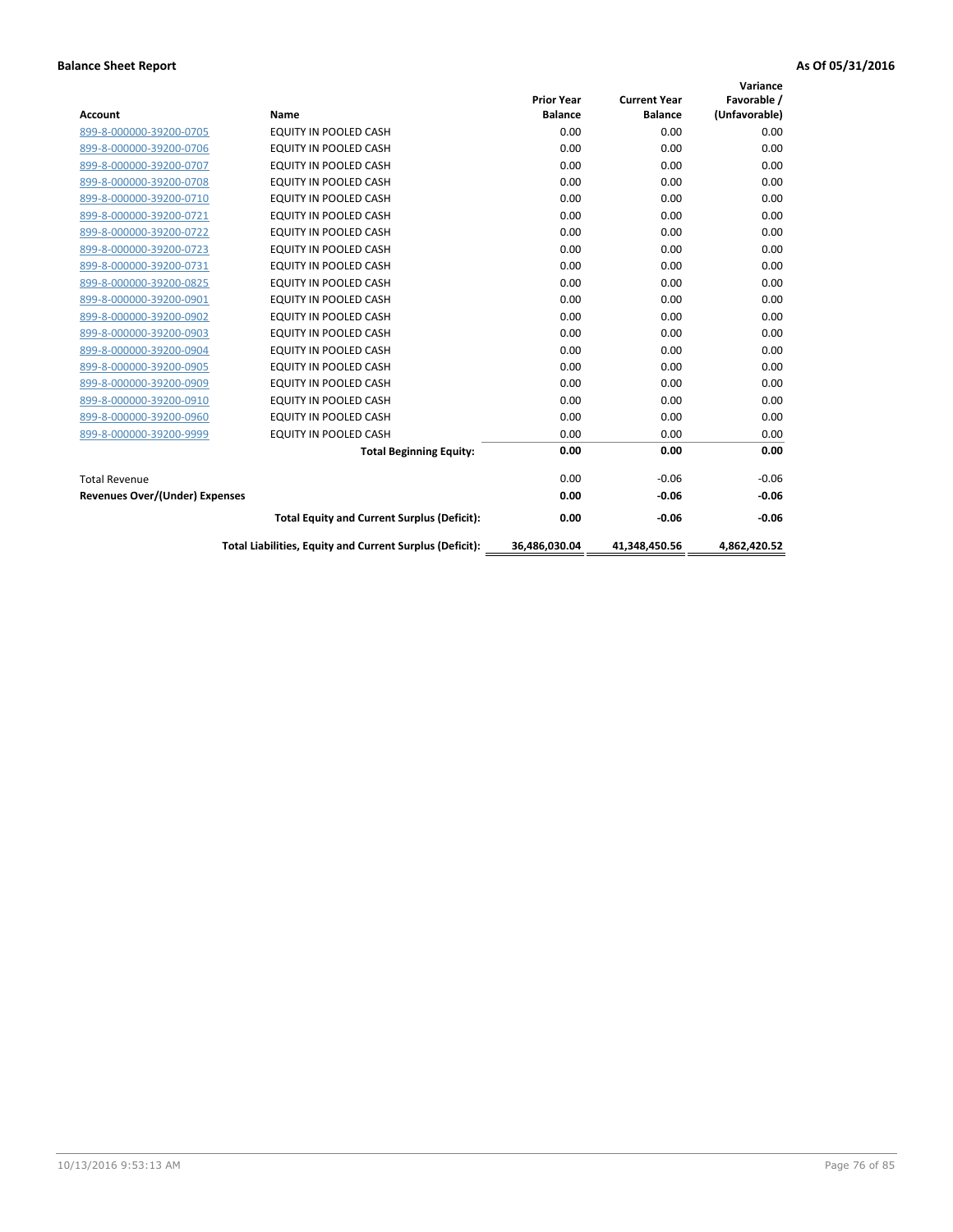|                                       |                                                          | <b>Prior Year</b> | <b>Current Year</b> | Variance<br>Favorable / |
|---------------------------------------|----------------------------------------------------------|-------------------|---------------------|-------------------------|
| <b>Account</b>                        | Name                                                     | <b>Balance</b>    | <b>Balance</b>      | (Unfavorable)           |
| 899-8-000000-39200-0705               | <b>EQUITY IN POOLED CASH</b>                             | 0.00              | 0.00                | 0.00                    |
| 899-8-000000-39200-0706               | EQUITY IN POOLED CASH                                    | 0.00              | 0.00                | 0.00                    |
| 899-8-000000-39200-0707               | <b>EQUITY IN POOLED CASH</b>                             | 0.00              | 0.00                | 0.00                    |
| 899-8-000000-39200-0708               | <b>EQUITY IN POOLED CASH</b>                             | 0.00              | 0.00                | 0.00                    |
| 899-8-000000-39200-0710               | <b>EQUITY IN POOLED CASH</b>                             | 0.00              | 0.00                | 0.00                    |
| 899-8-000000-39200-0721               | EQUITY IN POOLED CASH                                    | 0.00              | 0.00                | 0.00                    |
| 899-8-000000-39200-0722               | EQUITY IN POOLED CASH                                    | 0.00              | 0.00                | 0.00                    |
| 899-8-000000-39200-0723               | <b>EQUITY IN POOLED CASH</b>                             | 0.00              | 0.00                | 0.00                    |
| 899-8-000000-39200-0731               | EQUITY IN POOLED CASH                                    | 0.00              | 0.00                | 0.00                    |
| 899-8-000000-39200-0825               | <b>EQUITY IN POOLED CASH</b>                             | 0.00              | 0.00                | 0.00                    |
| 899-8-000000-39200-0901               | <b>EQUITY IN POOLED CASH</b>                             | 0.00              | 0.00                | 0.00                    |
| 899-8-000000-39200-0902               | <b>EQUITY IN POOLED CASH</b>                             | 0.00              | 0.00                | 0.00                    |
| 899-8-000000-39200-0903               | <b>EQUITY IN POOLED CASH</b>                             | 0.00              | 0.00                | 0.00                    |
| 899-8-000000-39200-0904               | <b>EQUITY IN POOLED CASH</b>                             | 0.00              | 0.00                | 0.00                    |
| 899-8-000000-39200-0905               | EQUITY IN POOLED CASH                                    | 0.00              | 0.00                | 0.00                    |
| 899-8-000000-39200-0909               | <b>EQUITY IN POOLED CASH</b>                             | 0.00              | 0.00                | 0.00                    |
| 899-8-000000-39200-0910               | <b>EQUITY IN POOLED CASH</b>                             | 0.00              | 0.00                | 0.00                    |
| 899-8-000000-39200-0960               | EQUITY IN POOLED CASH                                    | 0.00              | 0.00                | 0.00                    |
| 899-8-000000-39200-9999               | EQUITY IN POOLED CASH                                    | 0.00              | 0.00                | 0.00                    |
|                                       | <b>Total Beginning Equity:</b>                           | 0.00              | 0.00                | 0.00                    |
| <b>Total Revenue</b>                  |                                                          | 0.00              | $-0.06$             | $-0.06$                 |
| <b>Revenues Over/(Under) Expenses</b> |                                                          | 0.00              | $-0.06$             | $-0.06$                 |
|                                       | <b>Total Equity and Current Surplus (Deficit):</b>       | 0.00              | $-0.06$             | $-0.06$                 |
|                                       | Total Liabilities, Equity and Current Surplus (Deficit): | 36,486,030.04     | 41.348.450.56       | 4.862.420.52            |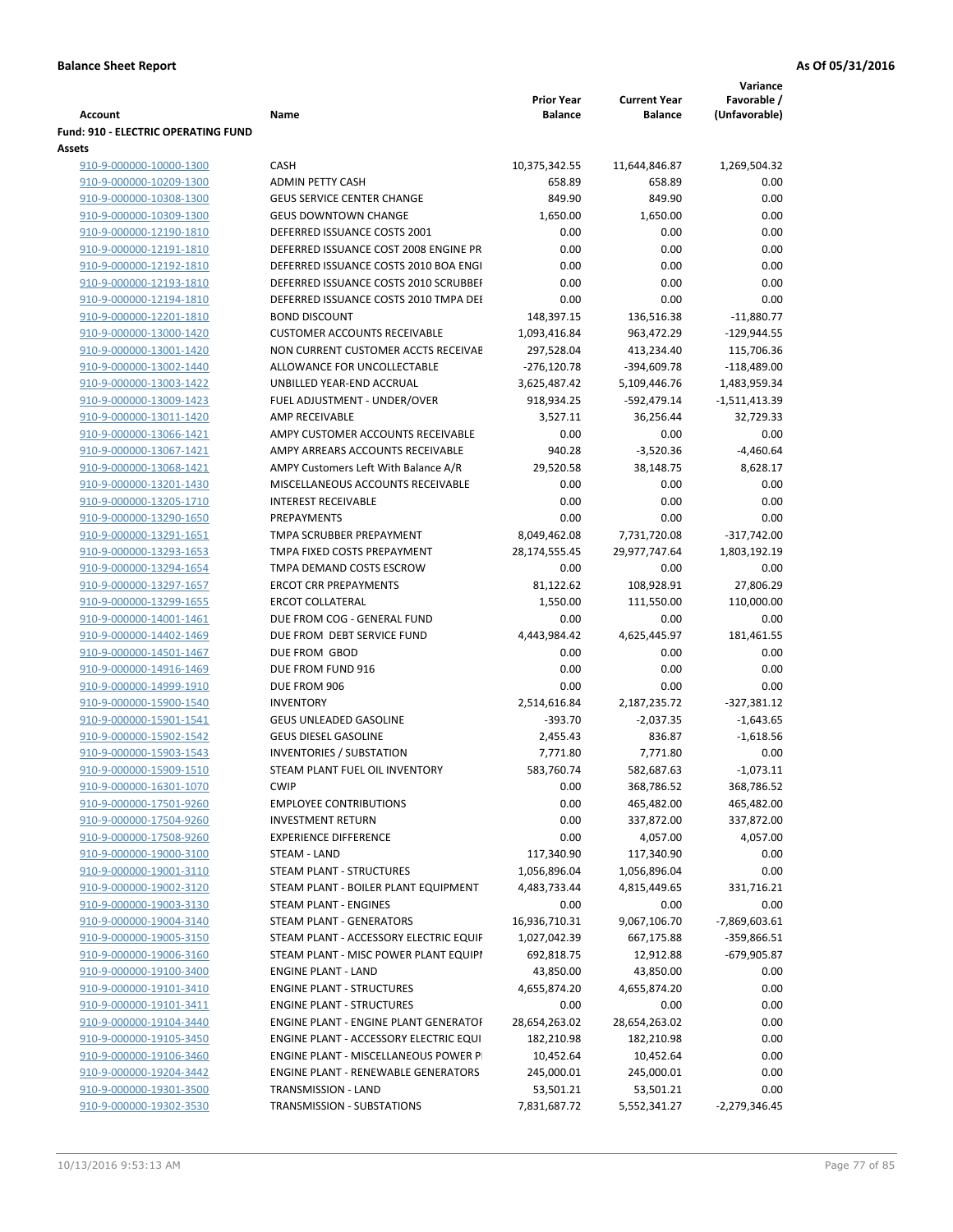|                                                    |                                                          | <b>Prior Year</b>     | <b>Current Year</b>      | Variance<br>Favorable / |
|----------------------------------------------------|----------------------------------------------------------|-----------------------|--------------------------|-------------------------|
| Account                                            | Name                                                     | <b>Balance</b>        | <b>Balance</b>           | (Unfavorable)           |
| Fund: 910 - ELECTRIC OPERATING FUND                |                                                          |                       |                          |                         |
| Assets                                             |                                                          |                       |                          |                         |
| 910-9-000000-10000-1300                            | <b>CASH</b>                                              | 10,375,342.55         | 11,644,846.87            | 1,269,504.32            |
| 910-9-000000-10209-1300                            | <b>ADMIN PETTY CASH</b>                                  | 658.89                | 658.89                   | 0.00                    |
| 910-9-000000-10308-1300                            | <b>GEUS SERVICE CENTER CHANGE</b>                        | 849.90                | 849.90                   | 0.00                    |
| 910-9-000000-10309-1300                            | <b>GEUS DOWNTOWN CHANGE</b>                              | 1,650.00              | 1,650.00                 | 0.00                    |
| 910-9-000000-12190-1810                            | DEFERRED ISSUANCE COSTS 2001                             | 0.00                  | 0.00                     | 0.00                    |
| 910-9-000000-12191-1810                            | DEFERRED ISSUANCE COST 2008 ENGINE PR                    | 0.00                  | 0.00                     | 0.00                    |
| 910-9-000000-12192-1810                            | DEFERRED ISSUANCE COSTS 2010 BOA ENGI                    | 0.00                  | 0.00                     | 0.00                    |
| 910-9-000000-12193-1810                            | DEFERRED ISSUANCE COSTS 2010 SCRUBBEI                    | 0.00                  | 0.00                     | 0.00                    |
| 910-9-000000-12194-1810                            | DEFERRED ISSUANCE COSTS 2010 TMPA DEI                    | 0.00                  | 0.00                     | 0.00                    |
| 910-9-000000-12201-1810                            | <b>BOND DISCOUNT</b>                                     | 148,397.15            | 136,516.38               | $-11,880.77$            |
| 910-9-000000-13000-1420                            | <b>CUSTOMER ACCOUNTS RECEIVABLE</b>                      | 1,093,416.84          | 963,472.29               | $-129,944.55$           |
| 910-9-000000-13001-1420                            | NON CURRENT CUSTOMER ACCTS RECEIVAE                      | 297,528.04            | 413,234.40               | 115,706.36              |
| 910-9-000000-13002-1440                            | ALLOWANCE FOR UNCOLLECTABLE                              | $-276,120.78$         | -394,609.78              | $-118,489.00$           |
| 910-9-000000-13003-1422                            | UNBILLED YEAR-END ACCRUAL                                | 3,625,487.42          | 5,109,446.76             | 1,483,959.34            |
| 910-9-000000-13009-1423                            | FUEL ADJUSTMENT - UNDER/OVER                             | 918,934.25            | -592,479.14              | -1,511,413.39           |
| 910-9-000000-13011-1420                            | <b>AMP RECEIVABLE</b>                                    | 3,527.11              | 36,256.44                | 32,729.33               |
| 910-9-000000-13066-1421                            | AMPY CUSTOMER ACCOUNTS RECEIVABLE                        | 0.00                  | 0.00                     | 0.00                    |
| 910-9-000000-13067-1421                            | AMPY ARREARS ACCOUNTS RECEIVABLE                         | 940.28                | $-3,520.36$              | $-4,460.64$             |
| 910-9-000000-13068-1421                            | AMPY Customers Left With Balance A/R                     | 29,520.58             | 38,148.75                | 8,628.17                |
| 910-9-000000-13201-1430                            | MISCELLANEOUS ACCOUNTS RECEIVABLE                        | 0.00                  | 0.00                     | 0.00                    |
| 910-9-000000-13205-1710                            | <b>INTEREST RECEIVABLE</b>                               | 0.00                  | 0.00                     | 0.00                    |
| 910-9-000000-13290-1650                            | PREPAYMENTS                                              | 0.00                  | 0.00                     | 0.00                    |
| 910-9-000000-13291-1651                            | TMPA SCRUBBER PREPAYMENT                                 | 8,049,462.08          | 7,731,720.08             | $-317,742.00$           |
| 910-9-000000-13293-1653                            | TMPA FIXED COSTS PREPAYMENT                              | 28,174,555.45         | 29,977,747.64            | 1,803,192.19            |
| 910-9-000000-13294-1654                            | TMPA DEMAND COSTS ESCROW<br><b>ERCOT CRR PREPAYMENTS</b> | 0.00                  | 0.00                     | 0.00                    |
| 910-9-000000-13297-1657<br>910-9-000000-13299-1655 | <b>ERCOT COLLATERAL</b>                                  | 81,122.62<br>1,550.00 | 108,928.91<br>111,550.00 | 27,806.29<br>110,000.00 |
| 910-9-000000-14001-1461                            | DUE FROM COG - GENERAL FUND                              | 0.00                  | 0.00                     | 0.00                    |
| 910-9-000000-14402-1469                            | DUE FROM DEBT SERVICE FUND                               | 4,443,984.42          | 4,625,445.97             | 181,461.55              |
| 910-9-000000-14501-1467                            | DUE FROM GBOD                                            | 0.00                  | 0.00                     | 0.00                    |
| 910-9-000000-14916-1469                            | DUE FROM FUND 916                                        | 0.00                  | 0.00                     | 0.00                    |
| 910-9-000000-14999-1910                            | DUE FROM 906                                             | 0.00                  | 0.00                     | 0.00                    |
| 910-9-000000-15900-1540                            | <b>INVENTORY</b>                                         | 2,514,616.84          | 2,187,235.72             | $-327,381.12$           |
| 910-9-000000-15901-1541                            | <b>GEUS UNLEADED GASOLINE</b>                            | $-393.70$             | $-2,037.35$              | $-1,643.65$             |
| 910-9-000000-15902-1542                            | <b>GEUS DIESEL GASOLINE</b>                              | 2,455.43              | 836.87                   | $-1,618.56$             |
| 910-9-000000-15903-1543                            | <b>INVENTORIES / SUBSTATION</b>                          | 7,771.80              | 7,771.80                 | 0.00                    |
| 910-9-000000-15909-1510                            | STEAM PLANT FUEL OIL INVENTORY                           | 583,760.74            | 582,687.63               | $-1,073.11$             |
| 910-9-000000-16301-1070                            | <b>CWIP</b>                                              | 0.00                  | 368,786.52               | 368,786.52              |
| 910-9-000000-17501-9260                            | <b>EMPLOYEE CONTRIBUTIONS</b>                            | 0.00                  | 465,482.00               | 465,482.00              |
| 910-9-000000-17504-9260                            | <b>INVESTMENT RETURN</b>                                 | 0.00                  | 337,872.00               | 337,872.00              |
| 910-9-000000-17508-9260                            | <b>EXPERIENCE DIFFERENCE</b>                             | 0.00                  | 4,057.00                 | 4,057.00                |
| 910-9-000000-19000-3100                            | STEAM - LAND                                             | 117,340.90            | 117,340.90               | 0.00                    |
| 910-9-000000-19001-3110                            | STEAM PLANT - STRUCTURES                                 | 1,056,896.04          | 1,056,896.04             | 0.00                    |
| 910-9-000000-19002-3120                            | STEAM PLANT - BOILER PLANT EQUIPMENT                     | 4,483,733.44          | 4,815,449.65             | 331,716.21              |
| 910-9-000000-19003-3130                            | STEAM PLANT - ENGINES                                    | 0.00                  | 0.00                     | 0.00                    |
| 910-9-000000-19004-3140                            | STEAM PLANT - GENERATORS                                 | 16,936,710.31         | 9,067,106.70             | -7,869,603.61           |
| 910-9-000000-19005-3150                            | STEAM PLANT - ACCESSORY ELECTRIC EQUIF                   | 1,027,042.39          | 667,175.88               | -359,866.51             |
| 910-9-000000-19006-3160                            | STEAM PLANT - MISC POWER PLANT EQUIPI                    | 692,818.75            | 12,912.88                | -679,905.87             |
| 910-9-000000-19100-3400                            | <b>ENGINE PLANT - LAND</b>                               | 43,850.00             | 43,850.00                | 0.00                    |
| 910-9-000000-19101-3410                            | <b>ENGINE PLANT - STRUCTURES</b>                         | 4,655,874.20          | 4,655,874.20             | 0.00                    |
| 910-9-000000-19101-3411                            | <b>ENGINE PLANT - STRUCTURES</b>                         | 0.00                  | 0.00                     | 0.00                    |
| 910-9-000000-19104-3440                            | ENGINE PLANT - ENGINE PLANT GENERATOF                    | 28,654,263.02         | 28,654,263.02            | 0.00                    |
| 910-9-000000-19105-3450                            | ENGINE PLANT - ACCESSORY ELECTRIC EQUI                   | 182,210.98            | 182,210.98               | 0.00                    |
| 910-9-000000-19106-3460                            | ENGINE PLANT - MISCELLANEOUS POWER P                     | 10,452.64             | 10,452.64                | 0.00                    |
| 910-9-000000-19204-3442                            | <b>ENGINE PLANT - RENEWABLE GENERATORS</b>               | 245,000.01            | 245,000.01               | 0.00                    |
| 910-9-000000-19301-3500                            | TRANSMISSION - LAND                                      | 53,501.21             | 53,501.21                | 0.00                    |
| 910-9-000000-19302-3530                            | TRANSMISSION - SUBSTATIONS                               | 7,831,687.72          | 5,552,341.27             | -2,279,346.45           |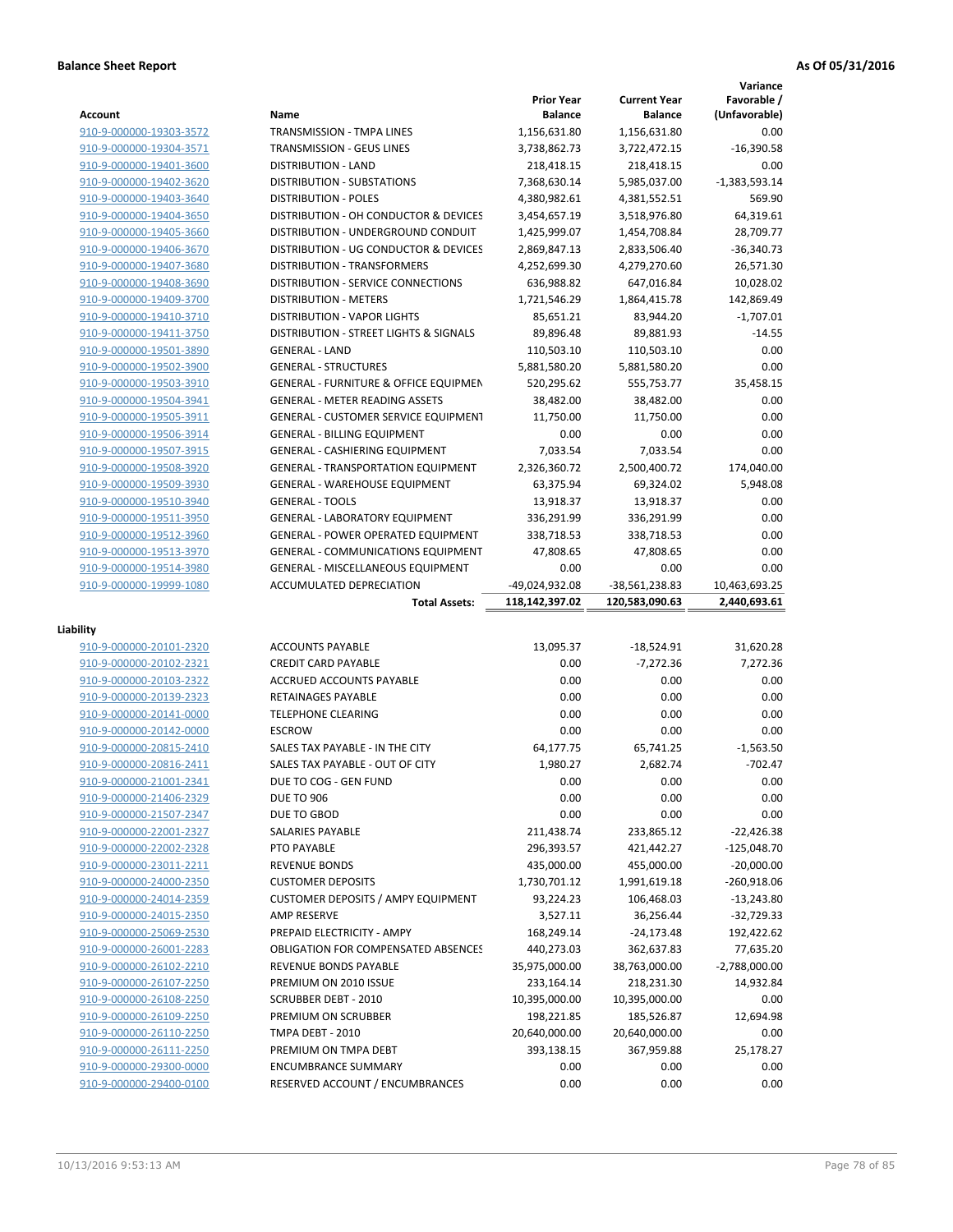|                                                    |                                                                          |                             |                             | Variance                     |
|----------------------------------------------------|--------------------------------------------------------------------------|-----------------------------|-----------------------------|------------------------------|
|                                                    |                                                                          | <b>Prior Year</b>           | <b>Current Year</b>         | Favorable /                  |
| Account                                            | Name                                                                     | <b>Balance</b>              | <b>Balance</b>              | (Unfavorable)                |
| 910-9-000000-19303-3572                            | TRANSMISSION - TMPA LINES                                                | 1,156,631.80                | 1,156,631.80                | 0.00                         |
| 910-9-000000-19304-3571                            | TRANSMISSION - GEUS LINES                                                | 3,738,862.73                | 3,722,472.15                | $-16,390.58$                 |
| 910-9-000000-19401-3600                            | <b>DISTRIBUTION - LAND</b>                                               | 218,418.15                  | 218,418.15                  | 0.00                         |
| 910-9-000000-19402-3620                            | <b>DISTRIBUTION - SUBSTATIONS</b>                                        | 7,368,630.14                | 5,985,037.00                | $-1,383,593.14$              |
| 910-9-000000-19403-3640                            | <b>DISTRIBUTION - POLES</b>                                              | 4,380,982.61                | 4,381,552.51                | 569.90                       |
| 910-9-000000-19404-3650                            | DISTRIBUTION - OH CONDUCTOR & DEVICES                                    | 3,454,657.19                | 3,518,976.80                | 64,319.61                    |
| 910-9-000000-19405-3660                            | DISTRIBUTION - UNDERGROUND CONDUIT                                       | 1,425,999.07                | 1,454,708.84                | 28,709.77                    |
| 910-9-000000-19406-3670                            | DISTRIBUTION - UG CONDUCTOR & DEVICES                                    | 2,869,847.13                | 2,833,506.40                | $-36,340.73$                 |
| 910-9-000000-19407-3680                            | DISTRIBUTION - TRANSFORMERS<br><b>DISTRIBUTION - SERVICE CONNECTIONS</b> | 4,252,699.30                | 4,279,270.60<br>647,016.84  | 26,571.30                    |
| 910-9-000000-19408-3690                            | <b>DISTRIBUTION - METERS</b>                                             | 636,988.82                  |                             | 10,028.02<br>142,869.49      |
| 910-9-000000-19409-3700<br>910-9-000000-19410-3710 | <b>DISTRIBUTION - VAPOR LIGHTS</b>                                       | 1,721,546.29<br>85,651.21   | 1,864,415.78<br>83,944.20   | $-1,707.01$                  |
| 910-9-000000-19411-3750                            | DISTRIBUTION - STREET LIGHTS & SIGNALS                                   | 89,896.48                   | 89,881.93                   | $-14.55$                     |
| 910-9-000000-19501-3890                            | <b>GENERAL - LAND</b>                                                    | 110,503.10                  | 110,503.10                  | 0.00                         |
| 910-9-000000-19502-3900                            | <b>GENERAL - STRUCTURES</b>                                              | 5,881,580.20                | 5,881,580.20                | 0.00                         |
| 910-9-000000-19503-3910                            | <b>GENERAL - FURNITURE &amp; OFFICE EQUIPMEN</b>                         | 520,295.62                  | 555,753.77                  | 35,458.15                    |
| 910-9-000000-19504-3941                            | <b>GENERAL - METER READING ASSETS</b>                                    | 38,482.00                   | 38,482.00                   | 0.00                         |
| 910-9-000000-19505-3911                            | <b>GENERAL - CUSTOMER SERVICE EQUIPMENT</b>                              | 11,750.00                   | 11.750.00                   | 0.00                         |
| 910-9-000000-19506-3914                            | <b>GENERAL - BILLING EQUIPMENT</b>                                       | 0.00                        | 0.00                        | 0.00                         |
| 910-9-000000-19507-3915                            | <b>GENERAL - CASHIERING EQUIPMENT</b>                                    | 7,033.54                    | 7,033.54                    | 0.00                         |
| 910-9-000000-19508-3920                            | <b>GENERAL - TRANSPORTATION EQUIPMENT</b>                                | 2,326,360.72                | 2,500,400.72                | 174,040.00                   |
| 910-9-000000-19509-3930                            | <b>GENERAL - WAREHOUSE EQUIPMENT</b>                                     | 63,375.94                   | 69,324.02                   | 5,948.08                     |
| 910-9-000000-19510-3940                            | <b>GENERAL - TOOLS</b>                                                   | 13,918.37                   | 13,918.37                   | 0.00                         |
| 910-9-000000-19511-3950                            | <b>GENERAL - LABORATORY EQUIPMENT</b>                                    | 336,291.99                  | 336,291.99                  | 0.00                         |
| 910-9-000000-19512-3960                            | <b>GENERAL - POWER OPERATED EQUIPMENT</b>                                | 338,718.53                  | 338,718.53                  | 0.00                         |
| 910-9-000000-19513-3970                            | <b>GENERAL - COMMUNICATIONS EQUIPMENT</b>                                | 47,808.65                   | 47,808.65                   | 0.00                         |
| 910-9-000000-19514-3980                            | <b>GENERAL - MISCELLANEOUS EQUIPMENT</b>                                 | 0.00                        | 0.00                        | 0.00                         |
| 910-9-000000-19999-1080                            | <b>ACCUMULATED DEPRECIATION</b>                                          | -49,024,932.08              | -38,561,238.83              | 10,463,693.25                |
|                                                    |                                                                          |                             |                             |                              |
|                                                    | <b>Total Assets:</b>                                                     | 118,142,397.02              | 120,583,090.63              | 2,440,693.61                 |
|                                                    |                                                                          |                             |                             |                              |
| Liability                                          |                                                                          |                             |                             |                              |
| 910-9-000000-20101-2320                            | <b>ACCOUNTS PAYABLE</b>                                                  | 13,095.37                   | $-18,524.91$                | 31,620.28                    |
| 910-9-000000-20102-2321                            | <b>CREDIT CARD PAYABLE</b>                                               | 0.00                        | $-7,272.36$                 | 7,272.36                     |
| 910-9-000000-20103-2322                            | <b>ACCRUED ACCOUNTS PAYABLE</b>                                          | 0.00                        | 0.00                        | 0.00                         |
| 910-9-000000-20139-2323                            | RETAINAGES PAYABLE                                                       | 0.00                        | 0.00                        | 0.00                         |
| 910-9-000000-20141-0000                            | <b>TELEPHONE CLEARING</b>                                                | 0.00                        | 0.00                        | 0.00                         |
| 910-9-000000-20142-0000                            | <b>ESCROW</b>                                                            | 0.00                        | 0.00                        | 0.00                         |
| 910-9-000000-20815-2410                            | SALES TAX PAYABLE - IN THE CITY                                          | 64,177.75                   | 65.741.25                   | $-1,563.50$                  |
| 910-9-000000-20816-2411                            | SALES TAX PAYABLE - OUT OF CITY                                          | 1,980.27                    | 2,682.74                    | $-702.47$                    |
| 910-9-000000-21001-2341                            | DUE TO COG - GEN FUND                                                    | 0.00                        | 0.00                        | 0.00                         |
| 910-9-000000-21406-2329                            | <b>DUE TO 906</b>                                                        | 0.00                        | 0.00                        | 0.00                         |
| 910-9-000000-21507-2347                            | DUE TO GBOD                                                              | 0.00                        | 0.00                        | 0.00                         |
| 910-9-000000-22001-2327                            | SALARIES PAYABLE                                                         | 211,438.74                  | 233,865.12                  | $-22,426.38$                 |
| 910-9-000000-22002-2328                            | PTO PAYABLE                                                              | 296,393.57                  | 421,442.27                  | $-125,048.70$                |
| 910-9-000000-23011-2211                            | <b>REVENUE BONDS</b>                                                     | 435,000.00                  | 455,000.00                  | $-20,000.00$                 |
| 910-9-000000-24000-2350                            | <b>CUSTOMER DEPOSITS</b>                                                 | 1,730,701.12                | 1,991,619.18                | $-260,918.06$                |
| 910-9-000000-24014-2359                            | <b>CUSTOMER DEPOSITS / AMPY EQUIPMENT</b>                                | 93,224.23                   | 106,468.03                  | $-13,243.80$                 |
| 910-9-000000-24015-2350                            | AMP RESERVE<br>PREPAID ELECTRICITY - AMPY                                | 3,527.11                    | 36,256.44<br>$-24,173.48$   | $-32,729.33$                 |
| 910-9-000000-25069-2530                            | <b>OBLIGATION FOR COMPENSATED ABSENCES</b>                               | 168,249.14                  |                             | 192,422.62                   |
| 910-9-000000-26001-2283<br>910-9-000000-26102-2210 | REVENUE BONDS PAYABLE                                                    | 440,273.03<br>35,975,000.00 | 362,637.83<br>38,763,000.00 | 77,635.20<br>$-2,788,000.00$ |
| 910-9-000000-26107-2250                            | PREMIUM ON 2010 ISSUE                                                    | 233,164.14                  |                             | 14,932.84                    |
| 910-9-000000-26108-2250                            | <b>SCRUBBER DEBT - 2010</b>                                              | 10,395,000.00               | 218,231.30<br>10,395,000.00 | 0.00                         |
| 910-9-000000-26109-2250                            | PREMIUM ON SCRUBBER                                                      | 198,221.85                  | 185,526.87                  | 12,694.98                    |
| 910-9-000000-26110-2250                            | TMPA DEBT - 2010                                                         | 20,640,000.00               | 20,640,000.00               | 0.00                         |
| 910-9-000000-26111-2250                            | PREMIUM ON TMPA DEBT                                                     | 393,138.15                  | 367,959.88                  | 25,178.27                    |
| 910-9-000000-29300-0000                            | <b>ENCUMBRANCE SUMMARY</b>                                               | 0.00                        | 0.00                        | 0.00                         |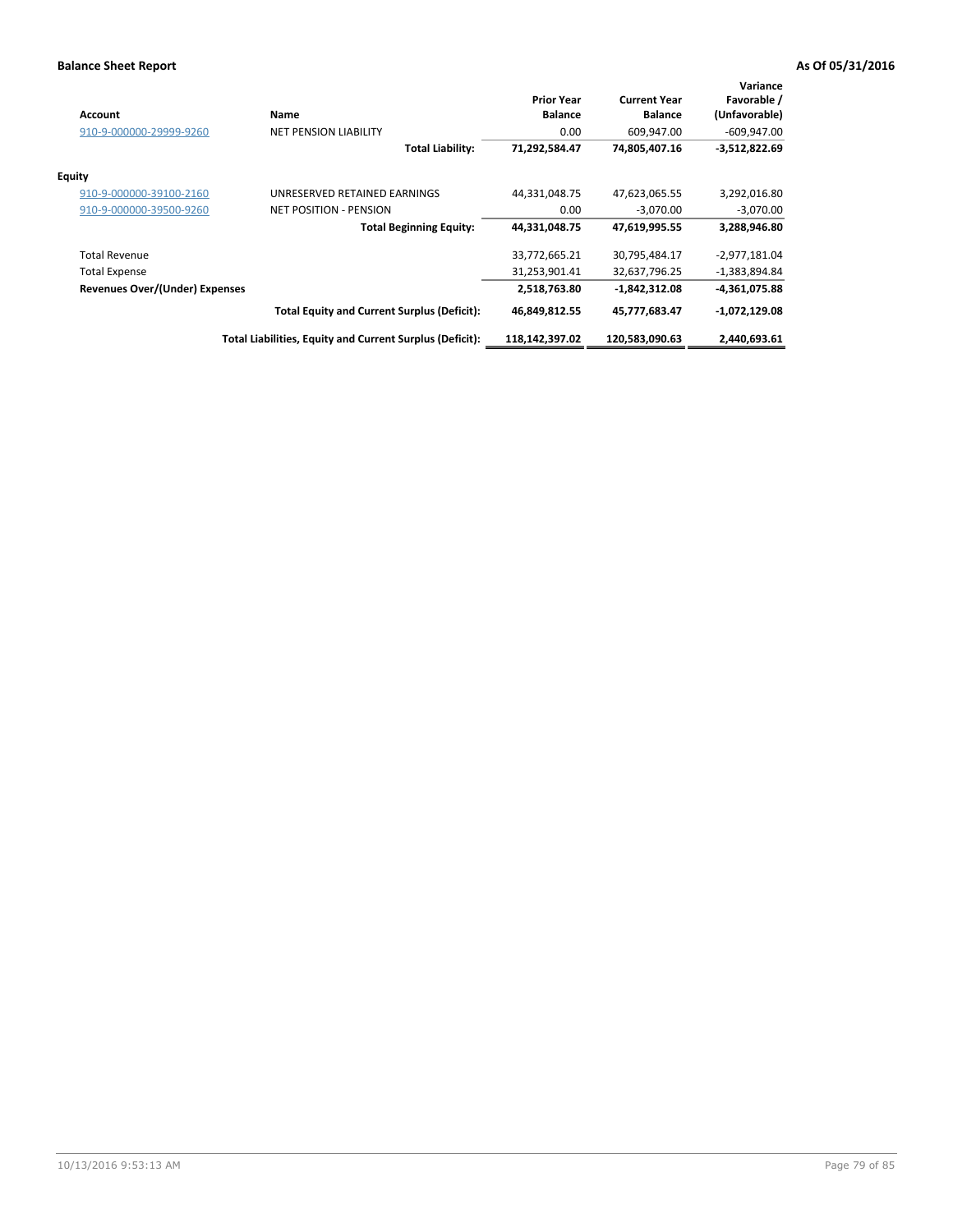| <b>Account</b>                 | Name                                                     | <b>Prior Year</b><br><b>Balance</b> | <b>Current Year</b><br><b>Balance</b> | Variance<br>Favorable /<br>(Unfavorable) |
|--------------------------------|----------------------------------------------------------|-------------------------------------|---------------------------------------|------------------------------------------|
| 910-9-000000-29999-9260        | <b>NET PENSION LIABILITY</b>                             | 0.00                                | 609,947.00                            | $-609,947.00$                            |
|                                | <b>Total Liability:</b>                                  | 71,292,584.47                       | 74,805,407.16                         | $-3,512,822.69$                          |
| <b>Equity</b>                  |                                                          |                                     |                                       |                                          |
| 910-9-000000-39100-2160        | UNRESERVED RETAINED EARNINGS                             | 44,331,048.75                       | 47,623,065.55                         | 3,292,016.80                             |
| 910-9-000000-39500-9260        | <b>NET POSITION - PENSION</b>                            | 0.00                                | $-3,070.00$                           | $-3,070.00$                              |
|                                | <b>Total Beginning Equity:</b>                           | 44,331,048.75                       | 47,619,995.55                         | 3,288,946.80                             |
| <b>Total Revenue</b>           |                                                          | 33,772,665.21                       | 30,795,484.17                         | $-2,977,181.04$                          |
| <b>Total Expense</b>           |                                                          | 31,253,901.41                       | 32,637,796.25                         | -1,383,894.84                            |
| Revenues Over/(Under) Expenses |                                                          | 2,518,763.80                        | -1,842,312.08                         | -4,361,075.88                            |
|                                | <b>Total Equity and Current Surplus (Deficit):</b>       | 46,849,812.55                       | 45,777,683.47                         | $-1,072,129.08$                          |
|                                | Total Liabilities, Equity and Current Surplus (Deficit): | 118,142,397.02                      | 120,583,090.63                        | 2,440,693.61                             |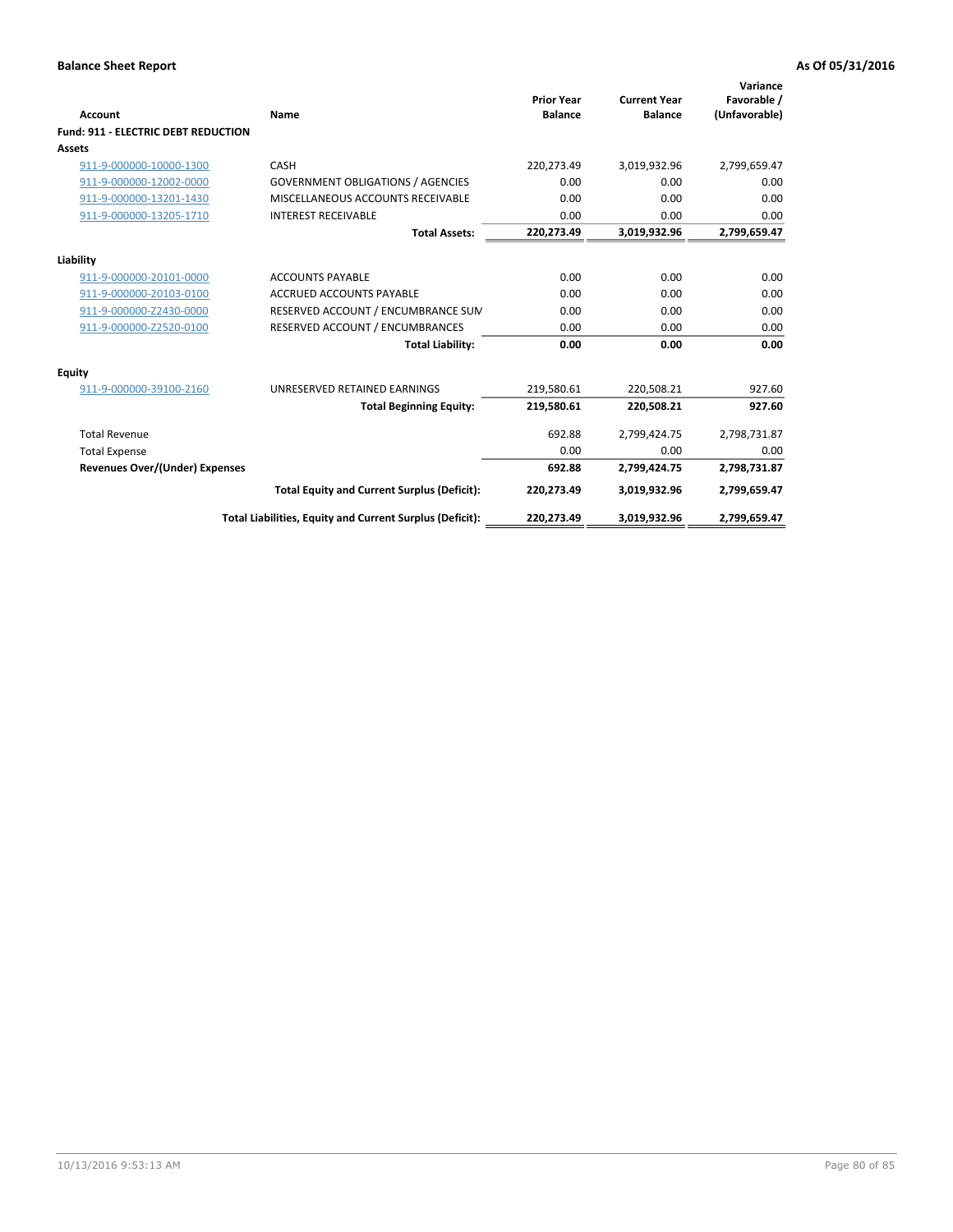| <b>Account</b>                             | Name                                                     | <b>Prior Year</b><br><b>Balance</b> | <b>Current Year</b><br><b>Balance</b> | Variance<br>Favorable /<br>(Unfavorable) |
|--------------------------------------------|----------------------------------------------------------|-------------------------------------|---------------------------------------|------------------------------------------|
| <b>Fund: 911 - ELECTRIC DEBT REDUCTION</b> |                                                          |                                     |                                       |                                          |
| Assets                                     |                                                          |                                     |                                       |                                          |
| 911-9-000000-10000-1300                    | CASH                                                     | 220,273.49                          | 3,019,932.96                          | 2,799,659.47                             |
| 911-9-000000-12002-0000                    | <b>GOVERNMENT OBLIGATIONS / AGENCIES</b>                 | 0.00                                | 0.00                                  | 0.00                                     |
| 911-9-000000-13201-1430                    | MISCELLANEOUS ACCOUNTS RECEIVABLE                        | 0.00                                | 0.00                                  | 0.00                                     |
| 911-9-000000-13205-1710                    | <b>INTEREST RECEIVABLE</b>                               | 0.00                                | 0.00                                  | 0.00                                     |
|                                            | <b>Total Assets:</b>                                     | 220,273.49                          | 3,019,932.96                          | 2,799,659.47                             |
| Liability                                  |                                                          |                                     |                                       |                                          |
| 911-9-000000-20101-0000                    | <b>ACCOUNTS PAYABLE</b>                                  | 0.00                                | 0.00                                  | 0.00                                     |
| 911-9-000000-20103-0100                    | <b>ACCRUED ACCOUNTS PAYABLE</b>                          | 0.00                                | 0.00                                  | 0.00                                     |
| 911-9-000000-Z2430-0000                    | RESERVED ACCOUNT / ENCUMBRANCE SUM                       | 0.00                                | 0.00                                  | 0.00                                     |
| 911-9-000000-Z2520-0100                    | RESERVED ACCOUNT / ENCUMBRANCES                          | 0.00                                | 0.00                                  | 0.00                                     |
|                                            | <b>Total Liability:</b>                                  | 0.00                                | 0.00                                  | 0.00                                     |
| <b>Equity</b>                              |                                                          |                                     |                                       |                                          |
| 911-9-000000-39100-2160                    | UNRESERVED RETAINED EARNINGS                             | 219,580.61                          | 220,508.21                            | 927.60                                   |
|                                            | <b>Total Beginning Equity:</b>                           | 219,580.61                          | 220.508.21                            | 927.60                                   |
| <b>Total Revenue</b>                       |                                                          | 692.88                              | 2,799,424.75                          | 2,798,731.87                             |
| <b>Total Expense</b>                       |                                                          | 0.00                                | 0.00                                  | 0.00                                     |
| <b>Revenues Over/(Under) Expenses</b>      |                                                          | 692.88                              | 2,799,424.75                          | 2,798,731.87                             |
|                                            | <b>Total Equity and Current Surplus (Deficit):</b>       | 220,273.49                          | 3,019,932.96                          | 2,799,659.47                             |
|                                            | Total Liabilities, Equity and Current Surplus (Deficit): | 220,273.49                          | 3,019,932.96                          | 2,799,659.47                             |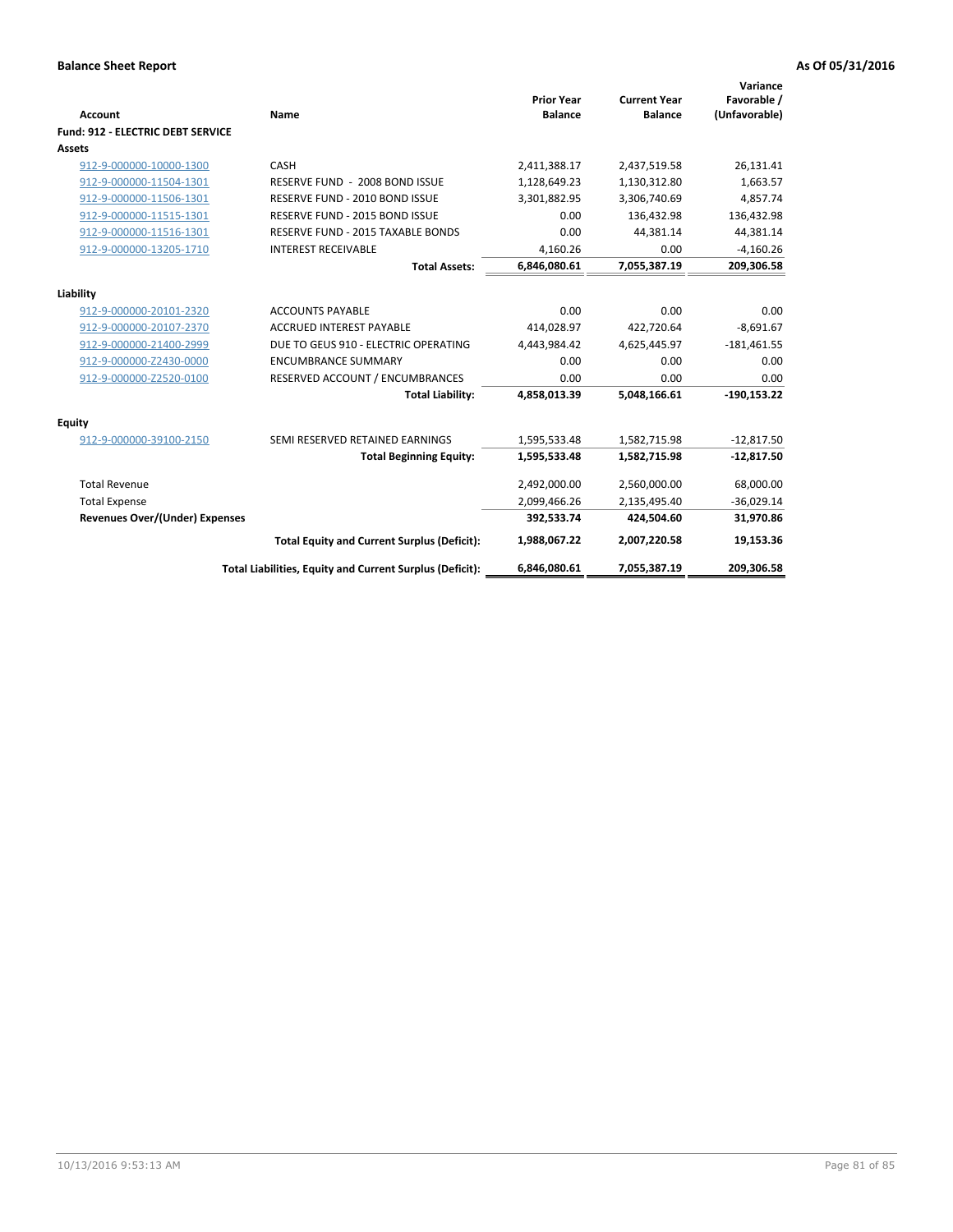| Account                                  | Name                                                     | <b>Prior Year</b><br><b>Balance</b> | <b>Current Year</b><br><b>Balance</b> | Variance<br>Favorable /<br>(Unfavorable) |
|------------------------------------------|----------------------------------------------------------|-------------------------------------|---------------------------------------|------------------------------------------|
| <b>Fund: 912 - ELECTRIC DEBT SERVICE</b> |                                                          |                                     |                                       |                                          |
| <b>Assets</b>                            |                                                          |                                     |                                       |                                          |
| 912-9-000000-10000-1300                  | CASH                                                     | 2,411,388.17                        | 2,437,519.58                          | 26,131.41                                |
| 912-9-000000-11504-1301                  | RESERVE FUND - 2008 BOND ISSUE                           | 1,128,649.23                        | 1,130,312.80                          | 1,663.57                                 |
| 912-9-000000-11506-1301                  | RESERVE FUND - 2010 BOND ISSUE                           | 3,301,882.95                        | 3,306,740.69                          | 4,857.74                                 |
| 912-9-000000-11515-1301                  | RESERVE FUND - 2015 BOND ISSUE                           | 0.00                                | 136,432.98                            | 136,432.98                               |
| 912-9-000000-11516-1301                  | <b>RESERVE FUND - 2015 TAXABLE BONDS</b>                 | 0.00                                | 44,381.14                             | 44,381.14                                |
| 912-9-000000-13205-1710                  | <b>INTEREST RECEIVABLE</b>                               | 4.160.26                            | 0.00                                  | $-4,160.26$                              |
|                                          | <b>Total Assets:</b>                                     | 6,846,080.61                        | 7,055,387.19                          | 209,306.58                               |
| Liability                                |                                                          |                                     |                                       |                                          |
| 912-9-000000-20101-2320                  | <b>ACCOUNTS PAYABLE</b>                                  | 0.00                                | 0.00                                  | 0.00                                     |
| 912-9-000000-20107-2370                  | <b>ACCRUED INTEREST PAYABLE</b>                          | 414,028.97                          | 422,720.64                            | $-8,691.67$                              |
| 912-9-000000-21400-2999                  | DUE TO GEUS 910 - ELECTRIC OPERATING                     | 4,443,984.42                        | 4,625,445.97                          | $-181,461.55$                            |
| 912-9-000000-Z2430-0000                  | <b>ENCUMBRANCE SUMMARY</b>                               | 0.00                                | 0.00                                  | 0.00                                     |
| 912-9-000000-Z2520-0100                  | RESERVED ACCOUNT / ENCUMBRANCES                          | 0.00                                | 0.00                                  | 0.00                                     |
|                                          | <b>Total Liability:</b>                                  | 4,858,013.39                        | 5,048,166.61                          | $-190,153.22$                            |
| Equity                                   |                                                          |                                     |                                       |                                          |
| 912-9-000000-39100-2150                  | SEMI RESERVED RETAINED EARNINGS                          | 1,595,533.48                        | 1,582,715.98                          | $-12,817.50$                             |
|                                          | <b>Total Beginning Equity:</b>                           | 1,595,533.48                        | 1,582,715.98                          | $-12,817.50$                             |
| <b>Total Revenue</b>                     |                                                          | 2,492,000.00                        | 2,560,000.00                          | 68,000.00                                |
| <b>Total Expense</b>                     |                                                          | 2,099,466.26                        | 2,135,495.40                          | $-36,029.14$                             |
| <b>Revenues Over/(Under) Expenses</b>    |                                                          | 392,533.74                          | 424,504.60                            | 31,970.86                                |
|                                          | <b>Total Equity and Current Surplus (Deficit):</b>       | 1,988,067.22                        | 2,007,220.58                          | 19,153.36                                |
|                                          | Total Liabilities, Equity and Current Surplus (Deficit): | 6,846,080.61                        | 7,055,387.19                          | 209,306.58                               |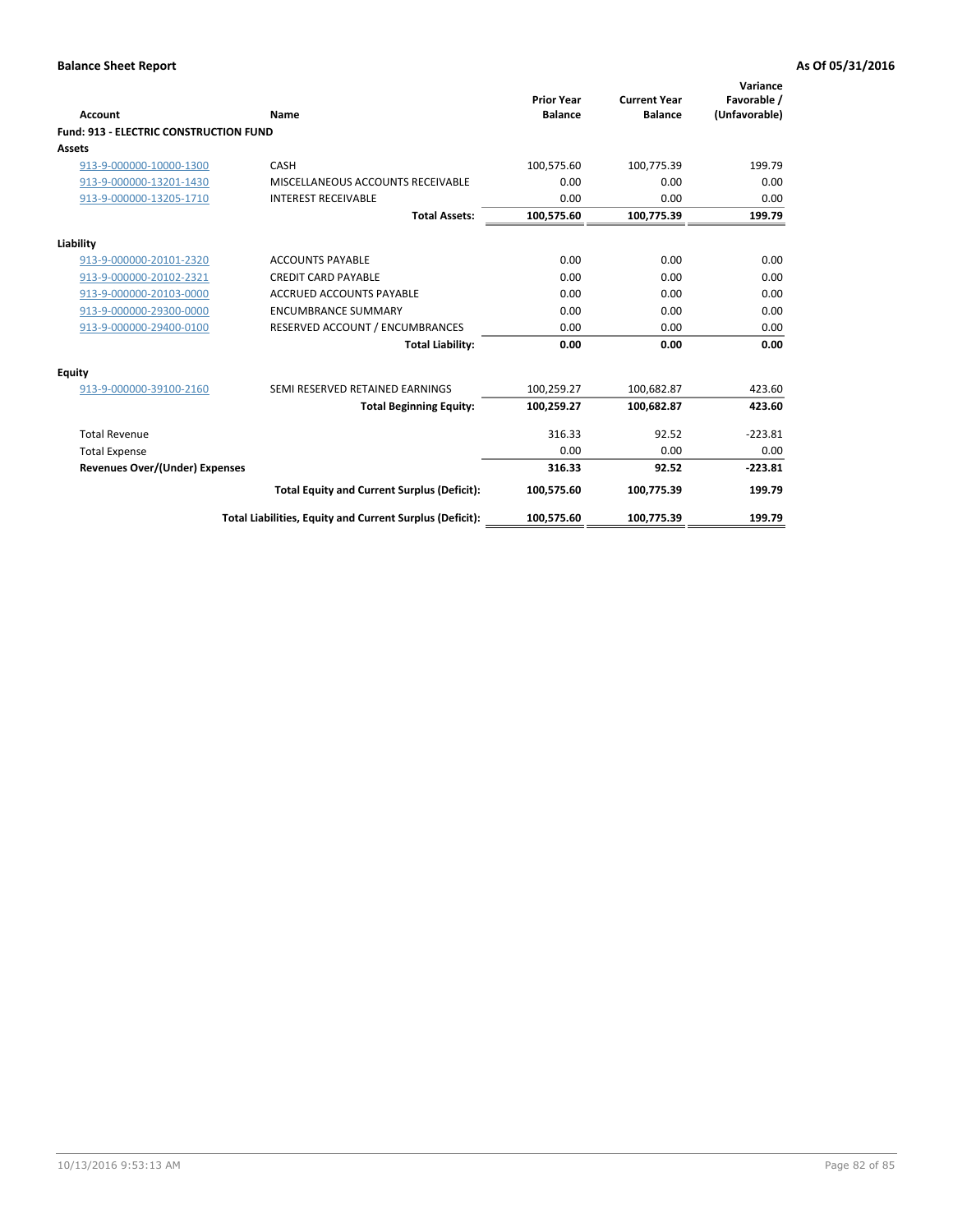| Account                                | Name                                                     | <b>Prior Year</b><br><b>Balance</b> | <b>Current Year</b><br><b>Balance</b> | Variance<br>Favorable /<br>(Unfavorable) |
|----------------------------------------|----------------------------------------------------------|-------------------------------------|---------------------------------------|------------------------------------------|
| Fund: 913 - ELECTRIC CONSTRUCTION FUND |                                                          |                                     |                                       |                                          |
| <b>Assets</b>                          |                                                          |                                     |                                       |                                          |
| 913-9-000000-10000-1300                | CASH                                                     | 100,575.60                          | 100,775.39                            | 199.79                                   |
| 913-9-000000-13201-1430                | MISCELLANEOUS ACCOUNTS RECEIVABLE                        | 0.00                                | 0.00                                  | 0.00                                     |
| 913-9-000000-13205-1710                | <b>INTEREST RECEIVABLE</b>                               | 0.00                                | 0.00                                  | 0.00                                     |
|                                        | <b>Total Assets:</b>                                     | 100,575.60                          | 100,775.39                            | 199.79                                   |
| Liability                              |                                                          |                                     |                                       |                                          |
| 913-9-000000-20101-2320                | <b>ACCOUNTS PAYABLE</b>                                  | 0.00                                | 0.00                                  | 0.00                                     |
| 913-9-000000-20102-2321                | <b>CREDIT CARD PAYABLE</b>                               | 0.00                                | 0.00                                  | 0.00                                     |
| 913-9-000000-20103-0000                | <b>ACCRUED ACCOUNTS PAYABLE</b>                          | 0.00                                | 0.00                                  | 0.00                                     |
| 913-9-000000-29300-0000                | <b>ENCUMBRANCE SUMMARY</b>                               | 0.00                                | 0.00                                  | 0.00                                     |
| 913-9-000000-29400-0100                | RESERVED ACCOUNT / ENCUMBRANCES                          | 0.00                                | 0.00                                  | 0.00                                     |
|                                        | <b>Total Liability:</b>                                  | 0.00                                | 0.00                                  | 0.00                                     |
| <b>Equity</b>                          |                                                          |                                     |                                       |                                          |
| 913-9-000000-39100-2160                | SEMI RESERVED RETAINED EARNINGS                          | 100,259.27                          | 100,682.87                            | 423.60                                   |
|                                        | <b>Total Beginning Equity:</b>                           | 100,259.27                          | 100,682.87                            | 423.60                                   |
| <b>Total Revenue</b>                   |                                                          | 316.33                              | 92.52                                 | $-223.81$                                |
| <b>Total Expense</b>                   |                                                          | 0.00                                | 0.00                                  | 0.00                                     |
| <b>Revenues Over/(Under) Expenses</b>  |                                                          | 316.33                              | 92.52                                 | $-223.81$                                |
|                                        | <b>Total Equity and Current Surplus (Deficit):</b>       | 100,575.60                          | 100,775.39                            | 199.79                                   |
|                                        | Total Liabilities, Equity and Current Surplus (Deficit): | 100,575.60                          | 100,775.39                            | 199.79                                   |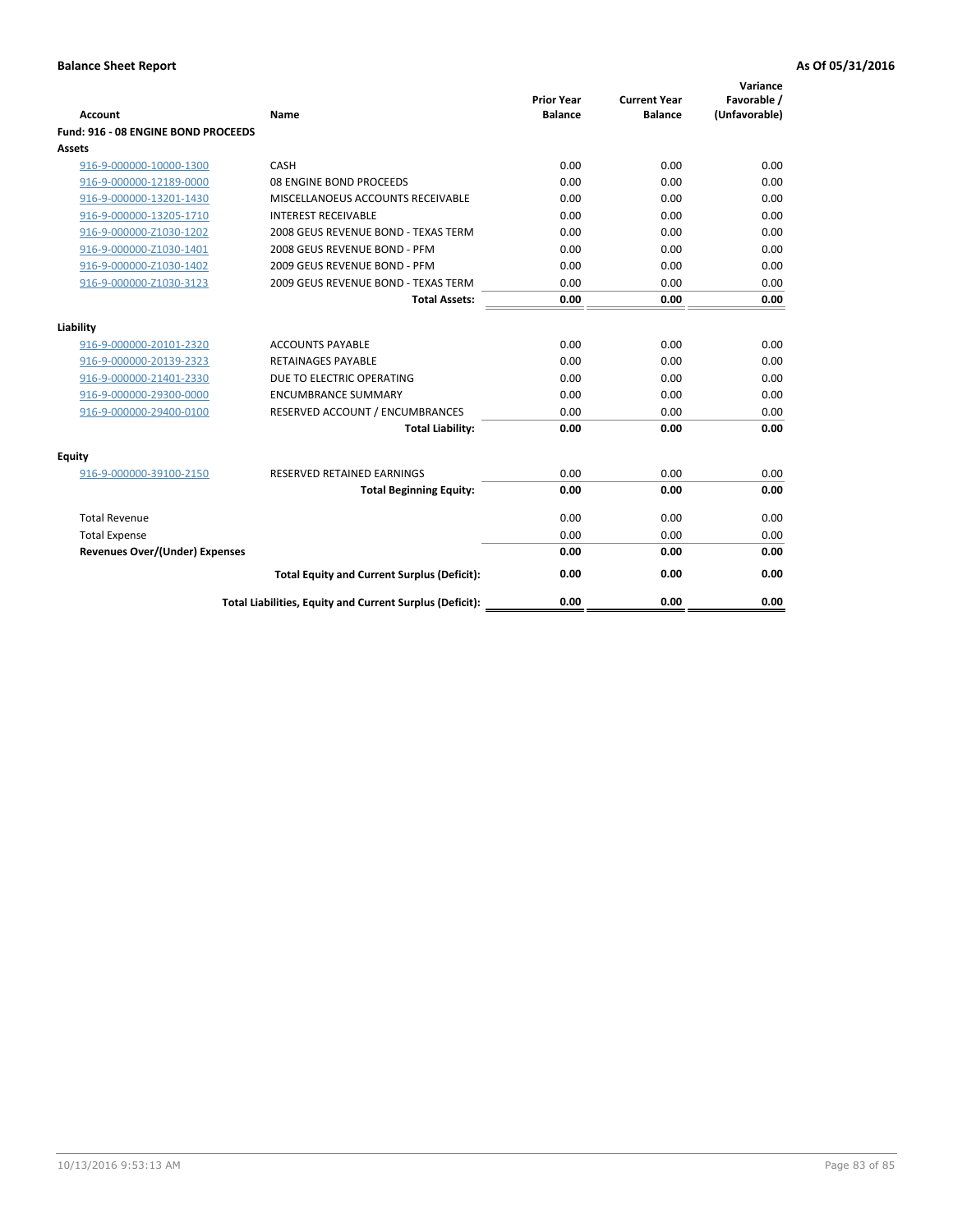| <b>Account</b>                        | Name                                                     | <b>Prior Year</b><br><b>Balance</b> | <b>Current Year</b><br><b>Balance</b> | Variance<br>Favorable /<br>(Unfavorable) |
|---------------------------------------|----------------------------------------------------------|-------------------------------------|---------------------------------------|------------------------------------------|
| Fund: 916 - 08 ENGINE BOND PROCEEDS   |                                                          |                                     |                                       |                                          |
| Assets                                |                                                          |                                     |                                       |                                          |
| 916-9-000000-10000-1300               | CASH                                                     | 0.00                                | 0.00                                  | 0.00                                     |
| 916-9-000000-12189-0000               | 08 ENGINE BOND PROCEEDS                                  | 0.00                                | 0.00                                  | 0.00                                     |
| 916-9-000000-13201-1430               | MISCELLANOEUS ACCOUNTS RECEIVABLE                        | 0.00                                | 0.00                                  | 0.00                                     |
| 916-9-000000-13205-1710               | <b>INTEREST RECEIVABLE</b>                               | 0.00                                | 0.00                                  | 0.00                                     |
| 916-9-000000-Z1030-1202               | 2008 GEUS REVENUE BOND - TEXAS TERM                      | 0.00                                | 0.00                                  | 0.00                                     |
| 916-9-000000-Z1030-1401               | 2008 GEUS REVENUE BOND - PFM                             | 0.00                                | 0.00                                  | 0.00                                     |
| 916-9-000000-Z1030-1402               | 2009 GEUS REVENUE BOND - PFM                             | 0.00                                | 0.00                                  | 0.00                                     |
| 916-9-000000-Z1030-3123               | 2009 GEUS REVENUE BOND - TEXAS TERM                      | 0.00                                | 0.00                                  | 0.00                                     |
|                                       | <b>Total Assets:</b>                                     | 0.00                                | 0.00                                  | 0.00                                     |
| Liability                             |                                                          |                                     |                                       |                                          |
| 916-9-000000-20101-2320               | <b>ACCOUNTS PAYABLE</b>                                  | 0.00                                | 0.00                                  | 0.00                                     |
| 916-9-000000-20139-2323               | <b>RETAINAGES PAYABLE</b>                                | 0.00                                | 0.00                                  | 0.00                                     |
| 916-9-000000-21401-2330               | DUE TO ELECTRIC OPERATING                                | 0.00                                | 0.00                                  | 0.00                                     |
| 916-9-000000-29300-0000               | <b>ENCUMBRANCE SUMMARY</b>                               | 0.00                                | 0.00                                  | 0.00                                     |
| 916-9-000000-29400-0100               | RESERVED ACCOUNT / ENCUMBRANCES                          | 0.00                                | 0.00                                  | 0.00                                     |
|                                       | <b>Total Liability:</b>                                  | 0.00                                | 0.00                                  | 0.00                                     |
|                                       |                                                          |                                     |                                       |                                          |
| Equity                                |                                                          |                                     |                                       |                                          |
| 916-9-000000-39100-2150               | <b>RESERVED RETAINED EARNINGS</b>                        | 0.00                                | 0.00                                  | 0.00                                     |
|                                       | <b>Total Beginning Equity:</b>                           | 0.00                                | 0.00                                  | 0.00                                     |
| <b>Total Revenue</b>                  |                                                          | 0.00                                | 0.00                                  | 0.00                                     |
| <b>Total Expense</b>                  |                                                          | 0.00                                | 0.00                                  | 0.00                                     |
| <b>Revenues Over/(Under) Expenses</b> |                                                          | 0.00                                | 0.00                                  | 0.00                                     |
|                                       | <b>Total Equity and Current Surplus (Deficit):</b>       | 0.00                                | 0.00                                  | 0.00                                     |
|                                       | Total Liabilities, Equity and Current Surplus (Deficit): | 0.00                                | 0.00                                  | 0.00                                     |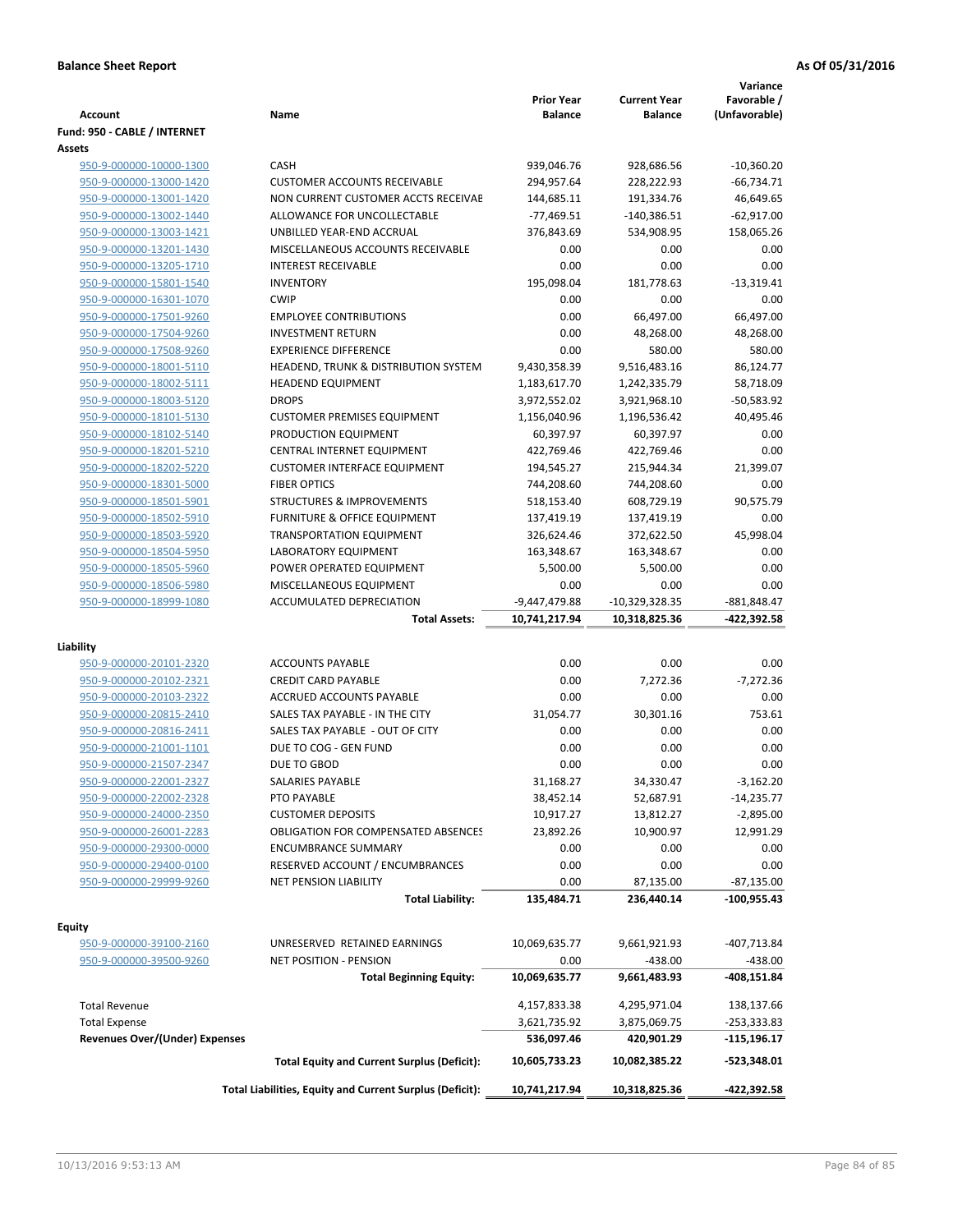| <b>Account</b>                                     | Name                                                     | <b>Prior Year</b><br><b>Balance</b> | <b>Current Year</b><br><b>Balance</b> | Variance<br>Favorable /<br>(Unfavorable) |
|----------------------------------------------------|----------------------------------------------------------|-------------------------------------|---------------------------------------|------------------------------------------|
| Fund: 950 - CABLE / INTERNET                       |                                                          |                                     |                                       |                                          |
| <b>Assets</b>                                      |                                                          |                                     |                                       |                                          |
| 950-9-000000-10000-1300                            | CASH                                                     | 939,046.76                          | 928,686.56                            | $-10,360.20$                             |
| 950-9-000000-13000-1420                            | <b>CUSTOMER ACCOUNTS RECEIVABLE</b>                      | 294,957.64                          | 228,222.93                            | $-66,734.71$                             |
| 950-9-000000-13001-1420                            | NON CURRENT CUSTOMER ACCTS RECEIVAE                      | 144,685.11                          | 191,334.76                            | 46,649.65                                |
| 950-9-000000-13002-1440                            | ALLOWANCE FOR UNCOLLECTABLE                              | $-77,469.51$                        | -140,386.51                           | $-62,917.00$                             |
| 950-9-000000-13003-1421                            | UNBILLED YEAR-END ACCRUAL                                | 376,843.69                          | 534,908.95                            | 158,065.26                               |
| 950-9-000000-13201-1430                            | MISCELLANEOUS ACCOUNTS RECEIVABLE                        | 0.00                                | 0.00                                  | 0.00                                     |
| 950-9-000000-13205-1710                            | <b>INTEREST RECEIVABLE</b>                               | 0.00                                | 0.00                                  | 0.00                                     |
| 950-9-000000-15801-1540                            | <b>INVENTORY</b>                                         | 195,098.04                          | 181,778.63                            | $-13,319.41$                             |
| 950-9-000000-16301-1070                            | <b>CWIP</b>                                              | 0.00                                | 0.00                                  | 0.00                                     |
| 950-9-000000-17501-9260                            | <b>EMPLOYEE CONTRIBUTIONS</b>                            | 0.00                                | 66,497.00                             | 66,497.00                                |
| 950-9-000000-17504-9260                            | <b>INVESTMENT RETURN</b>                                 | 0.00                                | 48,268.00                             | 48,268.00                                |
| 950-9-000000-17508-9260                            | <b>EXPERIENCE DIFFERENCE</b>                             | 0.00                                | 580.00                                | 580.00                                   |
| 950-9-000000-18001-5110                            | HEADEND, TRUNK & DISTRIBUTION SYSTEM                     | 9,430,358.39                        | 9,516,483.16                          | 86,124.77                                |
| 950-9-000000-18002-5111                            | <b>HEADEND EQUIPMENT</b>                                 | 1,183,617.70                        | 1,242,335.79                          | 58,718.09                                |
| 950-9-000000-18003-5120                            | <b>DROPS</b>                                             | 3,972,552.02                        | 3,921,968.10                          | -50,583.92                               |
| 950-9-000000-18101-5130                            | <b>CUSTOMER PREMISES EQUIPMENT</b>                       | 1,156,040.96                        | 1,196,536.42                          | 40,495.46                                |
| 950-9-000000-18102-5140                            | PRODUCTION EQUIPMENT                                     | 60,397.97                           | 60,397.97                             | 0.00                                     |
| 950-9-000000-18201-5210                            | CENTRAL INTERNET EQUIPMENT                               | 422,769.46                          | 422,769.46                            | 0.00                                     |
| 950-9-000000-18202-5220                            | <b>CUSTOMER INTERFACE EQUIPMENT</b>                      | 194,545.27                          | 215,944.34                            | 21,399.07                                |
| 950-9-000000-18301-5000                            | <b>FIBER OPTICS</b>                                      | 744,208.60                          | 744,208.60                            | 0.00                                     |
| 950-9-000000-18501-5901                            | <b>STRUCTURES &amp; IMPROVEMENTS</b>                     | 518,153.40                          | 608,729.19                            | 90,575.79                                |
| 950-9-000000-18502-5910                            | <b>FURNITURE &amp; OFFICE EQUIPMENT</b>                  | 137,419.19                          | 137,419.19                            | 0.00                                     |
| 950-9-000000-18503-5920                            | <b>TRANSPORTATION EQUIPMENT</b>                          | 326,624.46                          | 372,622.50                            | 45,998.04                                |
| 950-9-000000-18504-5950                            | LABORATORY EQUIPMENT                                     | 163,348.67                          | 163,348.67                            | 0.00                                     |
| 950-9-000000-18505-5960                            | POWER OPERATED EQUIPMENT                                 | 5,500.00                            | 5,500.00                              | 0.00                                     |
| 950-9-000000-18506-5980                            | MISCELLANEOUS EQUIPMENT                                  | 0.00                                | 0.00                                  | 0.00                                     |
| 950-9-000000-18999-1080                            | ACCUMULATED DEPRECIATION                                 | $-9,447,479.88$                     | $-10,329,328.35$                      | -881,848.47                              |
|                                                    | <b>Total Assets:</b>                                     | 10,741,217.94                       | 10,318,825.36                         | -422,392.58                              |
| Liability                                          |                                                          |                                     |                                       |                                          |
|                                                    | <b>ACCOUNTS PAYABLE</b>                                  | 0.00                                | 0.00                                  | 0.00                                     |
| 950-9-000000-20101-2320<br>950-9-000000-20102-2321 | <b>CREDIT CARD PAYABLE</b>                               | 0.00                                | 7,272.36                              | $-7,272.36$                              |
| 950-9-000000-20103-2322                            | ACCRUED ACCOUNTS PAYABLE                                 | 0.00                                | 0.00                                  | 0.00                                     |
| 950-9-000000-20815-2410                            | SALES TAX PAYABLE - IN THE CITY                          | 31,054.77                           | 30,301.16                             | 753.61                                   |
| 950-9-000000-20816-2411                            | SALES TAX PAYABLE - OUT OF CITY                          | 0.00                                | 0.00                                  | 0.00                                     |
| 950-9-000000-21001-1101                            | DUE TO COG - GEN FUND                                    | 0.00                                | 0.00                                  | 0.00                                     |
| 950-9-000000-21507-2347                            | DUE TO GBOD                                              | 0.00                                | 0.00                                  | 0.00                                     |
| 950-9-000000-22001-2327                            | SALARIES PAYABLE                                         | 31,168.27                           | 34,330.47                             | $-3,162.20$                              |
| 950-9-000000-22002-2328                            | PTO PAYABLE                                              | 38,452.14                           | 52,687.91                             | $-14,235.77$                             |
| 950-9-000000-24000-2350                            | <b>CUSTOMER DEPOSITS</b>                                 | 10,917.27                           | 13,812.27                             | $-2,895.00$                              |
| 950-9-000000-26001-2283                            | <b>OBLIGATION FOR COMPENSATED ABSENCES</b>               | 23,892.26                           | 10,900.97                             | 12,991.29                                |
| 950-9-000000-29300-0000                            | <b>ENCUMBRANCE SUMMARY</b>                               | 0.00                                | 0.00                                  | 0.00                                     |
| 950-9-000000-29400-0100                            | RESERVED ACCOUNT / ENCUMBRANCES                          | 0.00                                | 0.00                                  | 0.00                                     |
| 950-9-000000-29999-9260                            | <b>NET PENSION LIABILITY</b>                             | 0.00                                |                                       |                                          |
|                                                    | <b>Total Liability:</b>                                  | 135,484.71                          | 87,135.00<br>236,440.14               | -87,135.00<br>-100,955.43                |
|                                                    |                                                          |                                     |                                       |                                          |
| Equity                                             |                                                          |                                     |                                       |                                          |
| 950-9-000000-39100-2160                            | UNRESERVED RETAINED EARNINGS                             | 10,069,635.77                       | 9,661,921.93                          | -407,713.84                              |
| 950-9-000000-39500-9260                            | NET POSITION - PENSION                                   | 0.00                                | $-438.00$                             | $-438.00$                                |
|                                                    | <b>Total Beginning Equity:</b>                           | 10,069,635.77                       | 9,661,483.93                          | -408,151.84                              |
|                                                    |                                                          |                                     |                                       |                                          |
| <b>Total Revenue</b>                               |                                                          | 4,157,833.38                        | 4,295,971.04                          | 138,137.66                               |
| <b>Total Expense</b>                               |                                                          | 3,621,735.92                        | 3,875,069.75                          | -253,333.83                              |
| <b>Revenues Over/(Under) Expenses</b>              |                                                          | 536,097.46                          | 420,901.29                            | -115,196.17                              |
|                                                    | <b>Total Equity and Current Surplus (Deficit):</b>       | 10,605,733.23                       | 10,082,385.22                         | $-523,348.01$                            |
|                                                    | Total Liabilities, Equity and Current Surplus (Deficit): | 10,741,217.94                       | 10,318,825.36                         | -422,392.58                              |